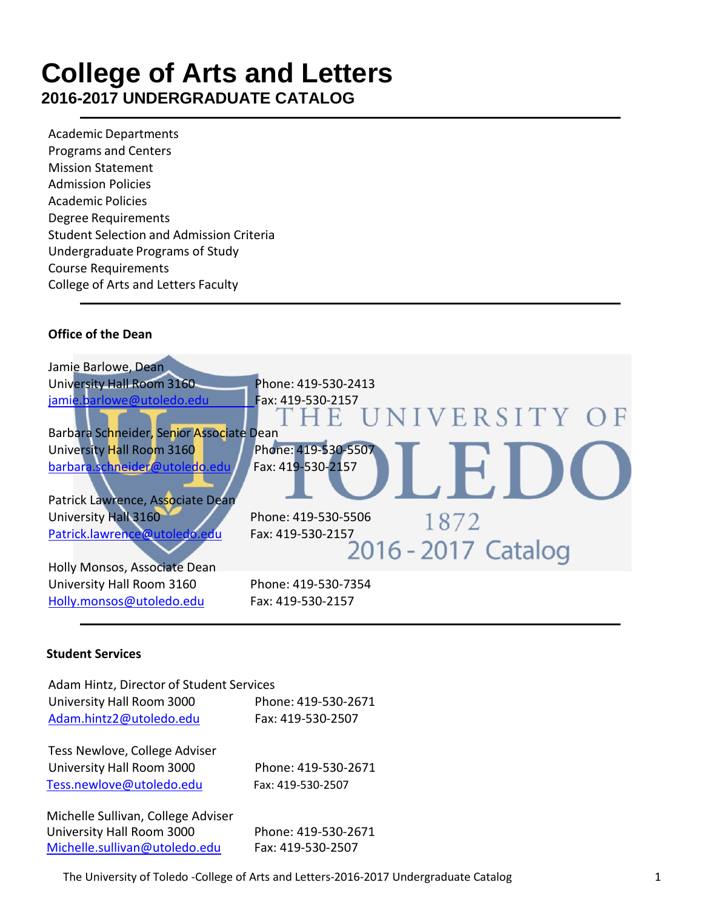### **College of Arts and Letters 2016-2017 UNDERGRADUATE CATALOG**

Academic Departments Programs and Centers Mission Statement Admission Policies Academic Policies Degree Requirements Student Selection and Admission Criteria Undergraduate Programs of Study Course Requirements College of Arts and Letters Faculty

#### **Office of the Dean**

| Jamie Barlowe, Dean                                               |                                          |
|-------------------------------------------------------------------|------------------------------------------|
| University Hall Room 3160                                         | Phone: 419-530-2413                      |
| jamie.barlowe@utoledo.edu                                         | Fax: 419-530-2157<br>THE UNIVERSITY OF   |
| Barbara Schneider, Senior Associate Dean                          |                                          |
| University Hall Room 3160                                         | Phone: 419-530-5507                      |
| barbara.schneider@utoledo.edu<br>Patrick Lawrence, Associate Dean | Fax: 419-530-2157                        |
| University Hall 3160                                              | Phone: 419-530-5506<br>1872              |
| Patrick.lawrence@utoledo.edu<br>Holly Monsos, Associate Dean      | Fax: 419-530-2157<br>2016 - 2017 Catalog |
| University Hall Room 3160<br>Holly.monsos@utoledo.edu             | Phone: 419-530-7354<br>Fax: 419-530-2157 |

#### **Student Services**

| Adam Hintz, Director of Student Services<br>University Hall Room 3000<br>Adam.hintz2@utoledo.edu | Phone: 419-530-2671<br>Fax: 419-530-2507 |
|--------------------------------------------------------------------------------------------------|------------------------------------------|
| Tess Newlove, College Adviser<br>University Hall Room 3000<br>Tess.newlove@utoledo.edu           | Phone: 419-530-2671<br>Fax: 419-530-2507 |
| Michelle Sullivan, College Adviser<br>University Hall Room 3000<br>Michelle.sullivan@utoledo.edu | Phone: 419-530-2671<br>Fax: 419-530-2507 |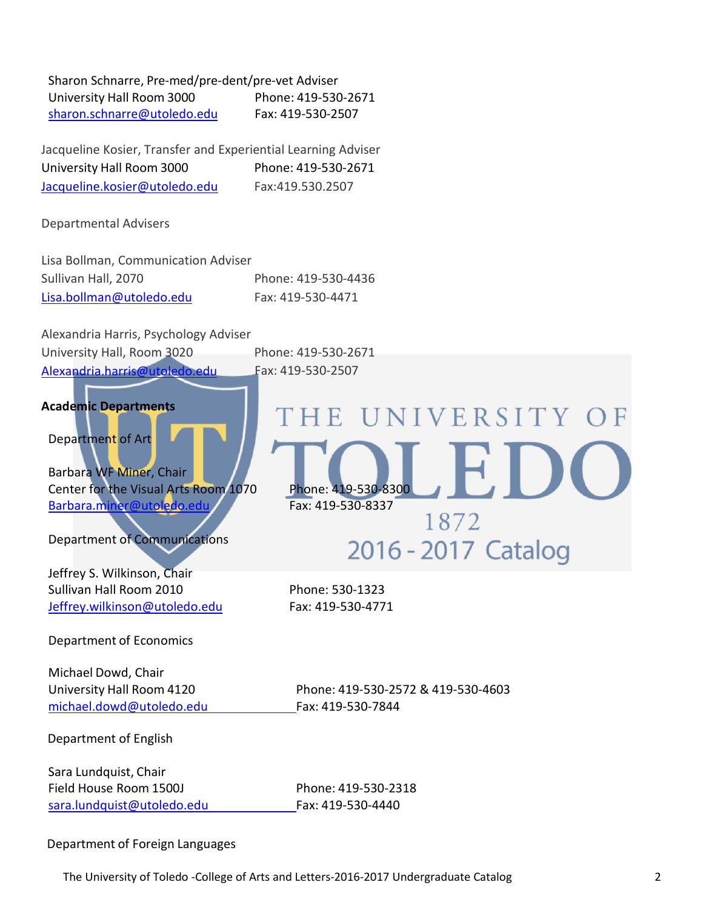| Sharon Schnarre, Pre-med/pre-dent/pre-vet Adviser |                     |
|---------------------------------------------------|---------------------|
| University Hall Room 3000                         | Phone: 419-530-2671 |
| sharon.schnarre@utoledo.edu                       | Fax: 419-530-2507   |

Jacqueline Kosier, Transfer and Experiential Learning Adviser University Hall Room 3000 Phone: 419-530-2671 [Jacqueline.kosier@utoledo.edu](mailto:Jacqueline.kosier@utoledo.edu) Fax:419.530.2507

Departmental Advisers

Lisa Bollman, Communication Adviser Sullivan Hall, 2070 Phone: 419-530-4436 [Lisa.bollman@utoledo.edu](mailto:Lisa.bollman@utoledo.edu) Fax: 419-530-4471

| Alexandria Harris, Psychology Adviser                                                                                                            |                                                                       |
|--------------------------------------------------------------------------------------------------------------------------------------------------|-----------------------------------------------------------------------|
| University Hall, Room 3020                                                                                                                       | Phone: 419-530-2671                                                   |
| Alexandria.harris@utoledo.edu                                                                                                                    | Fax: 419-530-2507                                                     |
| <b>Academic Departments</b><br>Department of Art<br>Barbara WF Miner, Chair<br>Center for the Visual Arts Room 1070<br>Barbara.miner@utoledo.edu | THE UNIVERSITY OF<br>Phone: 419-530-8300<br>Fax: 419-530-8337<br>1872 |
| <b>Department of Communications</b>                                                                                                              | 2016 - 2017 Catalog                                                   |
| Jeffrey S. Wilkinson, Chair<br>Sullivan Hall Room 2010<br>Jeffrey.wilkinson@utoledo.edu                                                          | Phone: 530-1323<br>Fax: 419-530-4771                                  |
| Department of Economics                                                                                                                          |                                                                       |
| Michael Dowd, Chair<br>University Hall Room 4120<br>michael.dowd@utoledo.edu                                                                     | Phone: 419-530-2572 & 419-530-4603<br>Fax: 419-530-7844               |
| Department of English                                                                                                                            |                                                                       |
| Sara Lundquist, Chair<br>Field House Room 1500J<br>sara.lundquist@utoledo.edu                                                                    | Phone: 419-530-2318<br>Fax: 419-530-4440                              |

#### Department of Foreign Languages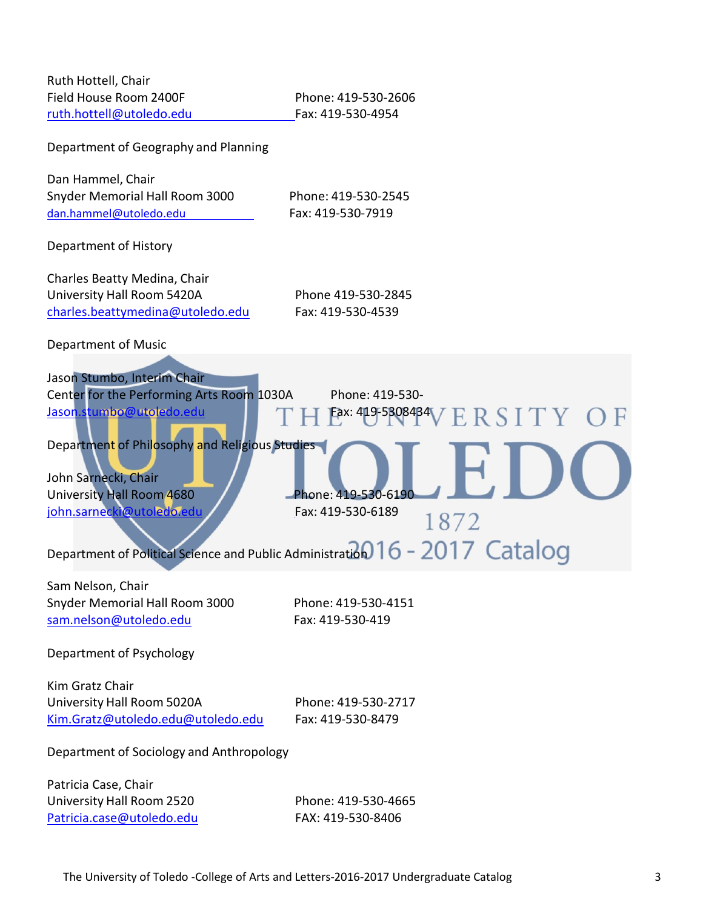| Ruth Hottell, Chair<br>Field House Room 2400F<br>ruth.hottell@utoledo.edu                                                                                                                                                                | Phone: 419-530-2606<br>Fax: 419-530-4954                                                                                                                                        |  |  |
|------------------------------------------------------------------------------------------------------------------------------------------------------------------------------------------------------------------------------------------|---------------------------------------------------------------------------------------------------------------------------------------------------------------------------------|--|--|
| Department of Geography and Planning                                                                                                                                                                                                     |                                                                                                                                                                                 |  |  |
| Dan Hammel, Chair<br>Snyder Memorial Hall Room 3000<br>dan.hammel@utoledo.edu                                                                                                                                                            | Phone: 419-530-2545<br>Fax: 419-530-7919                                                                                                                                        |  |  |
| Department of History                                                                                                                                                                                                                    |                                                                                                                                                                                 |  |  |
| Charles Beatty Medina, Chair<br>University Hall Room 5420A<br>charles.beattymedina@utoledo.edu                                                                                                                                           | Phone 419-530-2845<br>Fax: 419-530-4539                                                                                                                                         |  |  |
| Department of Music                                                                                                                                                                                                                      |                                                                                                                                                                                 |  |  |
| Jason Stumbo, Interim Chair<br>Center for the Performing Arts Room 1030A<br>Jason.stumbo@utoledo.edu<br>Department of Philosophy and Religious Studies<br>John Sarnecki, Chair<br>University Hall Room 4680<br>john.sarnecki@utoledo.edu | Phone: 419-530-<br>Eax: 419-5308434<br>SITY<br>Phone: 419-530-6190<br>Fax: 419-530-6189<br>1872<br>Department of Political Science and Public Administration 016 - 2017 Catalog |  |  |
| Sam Nelson, Chair<br>Snyder Memorial Hall Room 3000<br>sam.nelson@utoledo.edu                                                                                                                                                            | Phone: 419-530-4151<br>Fax: 419-530-419                                                                                                                                         |  |  |
| Department of Psychology                                                                                                                                                                                                                 |                                                                                                                                                                                 |  |  |
| Kim Gratz Chair<br>University Hall Room 5020A<br>Kim.Gratz@utoledo.edu@utoledo.edu                                                                                                                                                       | Phone: 419-530-2717<br>Fax: 419-530-8479                                                                                                                                        |  |  |
| Department of Sociology and Anthropology                                                                                                                                                                                                 |                                                                                                                                                                                 |  |  |
| Patricia Case, Chair<br>University Hall Room 2520<br>Patricia.case@utoledo.edu                                                                                                                                                           | Phone: 419-530-4665<br>FAX: 419-530-8406                                                                                                                                        |  |  |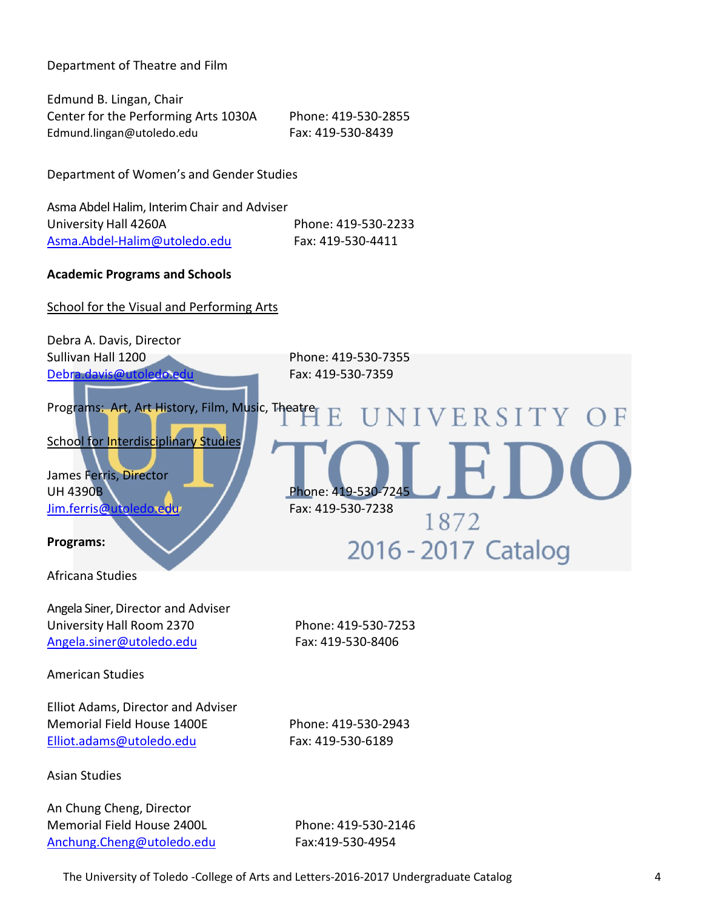Department of Theatre and Film

Edmund B. Lingan, Chair Center for the Performing Arts 1030A Phone: 419-530-2855 [Edmund.lingan@utoledo.edu](mailto:Edmund.lingan@utoledo.edu) Fax: 419-530-8439

Department of Women's and Gender Studies

Asma Abdel Halim, Interim Chair and Adviser University Hall 4260A Phone: 419-530-2233 [Asma.Abdel-Halim@utoledo.edu](mailto:Asma.Abdel-Halim@utoledo.edu) Fax: 419-530-4411

#### **Academic Programs and Schools**

School for the Visual and Performing Arts

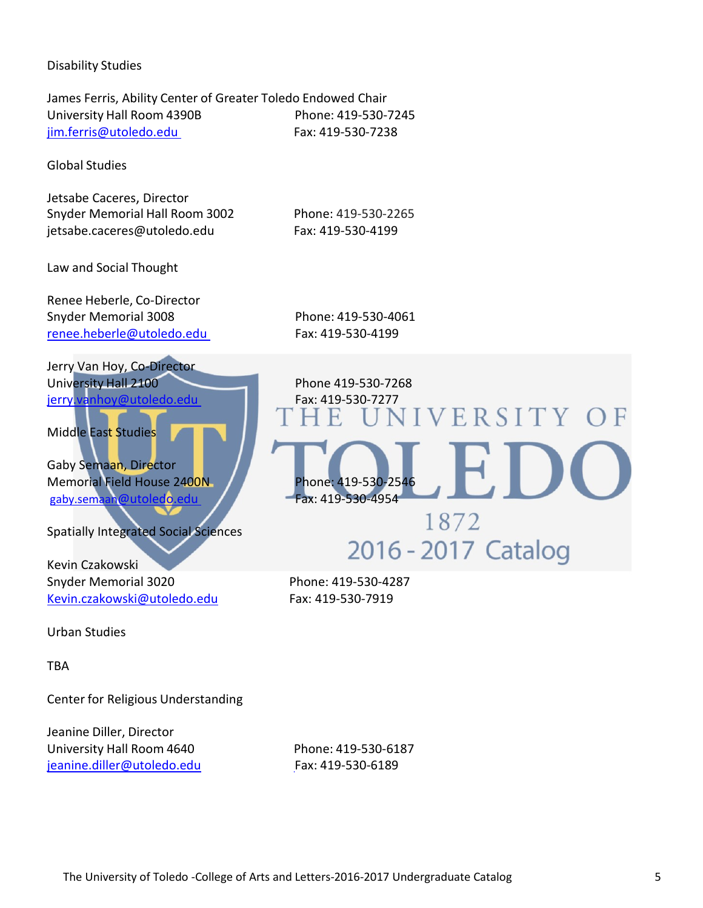#### Disability Studies

James Ferris, Ability Center of Greater Toledo Endowed Chair University Hall Room 4390B Phone: 419-530-7245 [jim.ferris@utoledo.edu F](mailto:jim.ferris@utoledo.edu%20%09)ax: 419-530-7238

Global Studies

Jetsabe Caceres, Director Snyder Memorial Hall Room 3002 Phone: 419-530-2265 jetsabe.caceres@utoledo.edu Fax: 419-530-4199

Law and Social Thought

Renee Heberle, Co-Director Snyder Memorial 3008 Phone: 419-530-4061 [renee.heberle@utoledo.edu F](mailto:renee.heberle@utoledo.edu%20%09)ax: 419-530-4199

1872

2016 - 2017 Catalog

Jerry Van Hoy, Co-Director University Hall 2100 Phone 419-530-7268 jerry.vanhoy@utoledo.edu THE UNIVERSITY OF

Middle East Studies

Gaby Semaan, Director Memorial Field House 2400N<br>gaby.semaan@utoledo.edu Fax: 419-530-4954 gaby.semaan@utoledo.edu

Spatially Integrated Social Sciences

Kevin Czakowski Snyder Memorial 3020 Phone: 419-530-4287 [Kevin.czakowski@utoledo.edu](mailto:Kevin.czakowski@utoledo.edu) Fax: 419-530-7919

Urban Studies

TBA

Center for Religious Understanding

Jeanine Diller, Director University Hall Room 4640 Phone: 419-530-6187 [jeanine.diller@utoledo.edu](mailto:jeanine.diller@utoledo.edu%20%09) Fax: 419-530-6189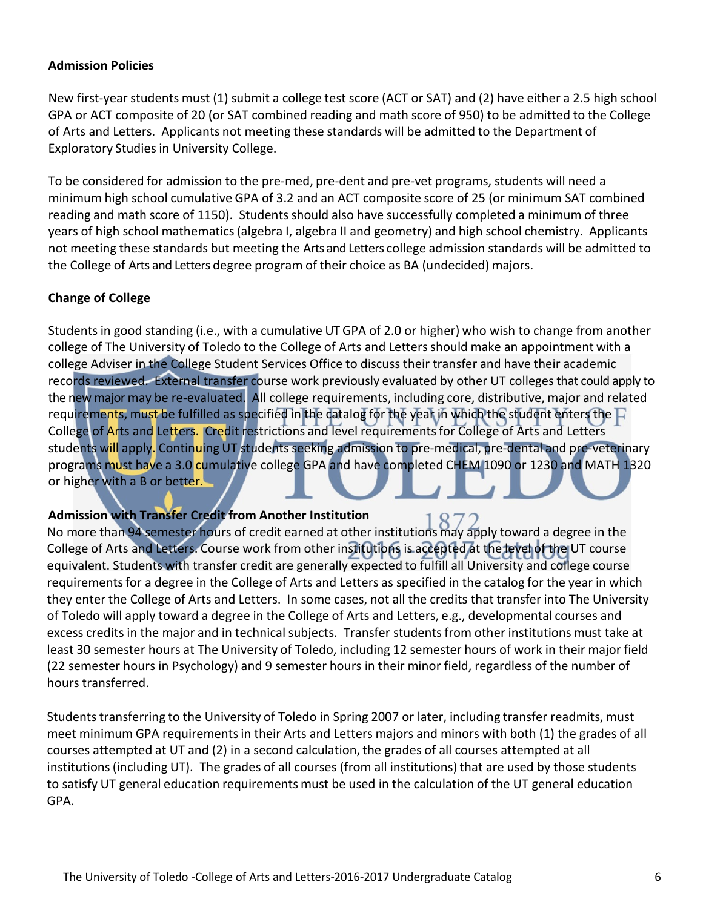#### **Admission Policies**

New first-year students must (1) submit a college test score (ACT or SAT) and (2) have either a 2.5 high school GPA or ACT composite of 20 (or SAT combined reading and math score of 950) to be admitted to the College of Arts and Letters. Applicants not meeting these standards will be admitted to the Department of Exploratory Studies in University College.

To be considered for admission to the pre-med, pre-dent and pre-vet programs, students will need a minimum high school cumulative GPA of 3.2 and an ACT composite score of 25 (or minimum SAT combined reading and math score of 1150). Students should also have successfully completed a minimum of three years of high school mathematics(algebra I, algebra II and geometry) and high school chemistry. Applicants not meeting these standards but meeting the Arts and Letters college admission standards will be admitted to the College of Arts and Letters degree program of their choice as BA (undecided) majors.

#### **Change of College**

Students in good standing (i.e., with a cumulative UT GPA of 2.0 or higher) who wish to change from another college of The University of Toledo to the College of Arts and Lettersshould make an appointment with a college Adviser in the College Student Services Office to discuss their transfer and have their academic records reviewed. External transfer course work previously evaluated by other UT collegesthat could apply to the new major may be re-evaluated. All college requirements, including core, distributive, major and related requirements, must be fulfilled as specified in the catalog for the year in which the student enters the  $\Box$ College of Arts and Letters. Credit restrictions and level requirementsfor College of Arts and Letters students will apply. Continuing UT students seeking admission to pre-medical, pre-dental and pre-veterinary programs must have a 3.0 cumulative college GPA and have completed CHEM 1090 or 1230 and MATH 1320 or higher with a B or better.

#### **Admission with Transfer Credit from Another Institution**

No more than 94 semester hours of credit earned at other institutions may apply toward a degree in the College of Arts and Letters. Course work from other institutions is accepted at the level of the UT course equivalent. Students with transfer credit are generally expected to fulfill all University and college course requirements for a degree in the College of Arts and Letters as specified in the catalog for the year in which they enter the College of Arts and Letters. In some cases, not all the credits that transfer into The University of Toledo will apply toward a degree in the College of Arts and Letters, e.g., developmental courses and excess credits in the major and in technical subjects. Transfer students from other institutions must take at least 30 semester hours at The University of Toledo, including 12 semester hours of work in their major field (22 semester hours in Psychology) and 9 semester hours in their minor field, regardless of the number of hours transferred.

Students transferring to the University of Toledo in Spring 2007 or later, including transfer readmits, must meet minimum GPA requirementsin their Arts and Letters majors and minors with both (1) the grades of all courses attempted at UT and (2) in a second calculation, the grades of all courses attempted at all institutions(including UT). The grades of all courses (from all institutions) that are used by those students to satisfy UT general education requirements must be used in the calculation of the UT general education GPA.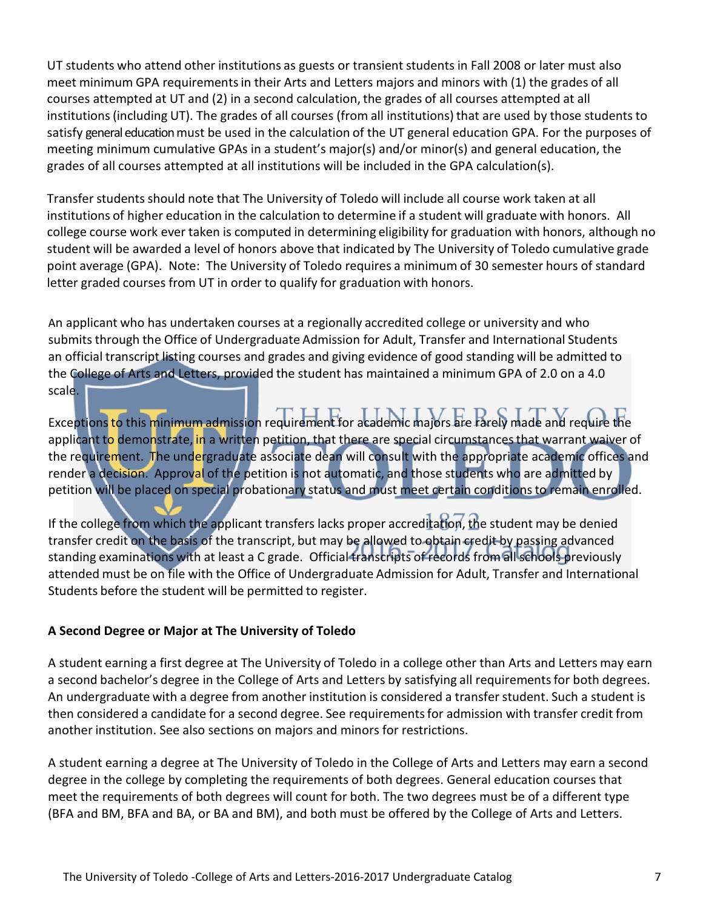UT students who attend other institutions as guests or transientstudents in Fall 2008 or later must also meet minimum GPA requirementsin their Arts and Letters majors and minors with (1) the grades of all courses attempted at UT and (2) in a second calculation, the grades of all courses attempted at all institutions (including UT). The grades of all courses (from all institutions) that are used by those students to satisfy general education must be used in the calculation of the UT general education GPA. For the purposes of meeting minimum cumulative GPAs in a student's major(s) and/or minor(s) and general education, the grades of all courses attempted at all institutions will be included in the GPA calculation(s).

Transfer studentsshould note that The University of Toledo will include all course work taken at all institutions of higher education in the calculation to determine if a student will graduate with honors. All college course work ever taken is computed in determining eligibility for graduation with honors, although no student will be awarded a level of honors above that indicated by The University of Toledo cumulative grade point average (GPA). Note: The University of Toledo requires a minimum of 30 semester hours of standard letter graded courses from UT in order to qualify for graduation with honors.

An applicant who has undertaken courses at a regionally accredited college or university and who submits through the Office of Undergraduate Admission for Adult, Transfer and International Students an official transcript listing courses and grades and giving evidence of good standing will be admitted to the College of Arts and Letters, provided the student has maintained a minimum GPA of 2.0 on a 4.0 scale.

## Exceptionsto this minimum admission requirement for academic majors are rarely made and require the

applicant to demonstrate, in a written petition, that there are special circumstances that warrant waiver of the requirement. The undergraduate associate dean will consult with the appropriate academic offices and render a decision. Approval of the petition is not automatic, and those students who are admitted by petition will be placed on special probationary status and must meet certain conditionsto remain enrolled.

If the college from which the applicant transfers lacks proper accreditation, the student may be denied transfer credit on the basis of the transcript, but may be allowed to obtain credit by passing advanced standing examinations with at least a C grade. Official transcripts of records from all schools previously attended must be on file with the Office of Undergraduate Admission for Adult, Transfer and International Students before the student will be permitted to register.

#### **A Second Degree or Major at The University of Toledo**

A student earning a first degree at The University of Toledo in a college other than Arts and Letters may earn a second bachelor's degree in the College of Arts and Letters by satisfying all requirements for both degrees. An undergraduate with a degree from another institution is considered a transferstudent. Such a student is then considered a candidate for a second degree. See requirementsfor admission with transfer credit from another institution. See also sections on majors and minors for restrictions.

A student earning a degree at The University of Toledo in the College of Arts and Letters may earn a second degree in the college by completing the requirements of both degrees. General education courses that meet the requirements of both degrees will count for both. The two degrees must be of a different type (BFA and BM, BFA and BA, or BA and BM), and both must be offered by the College of Arts and Letters.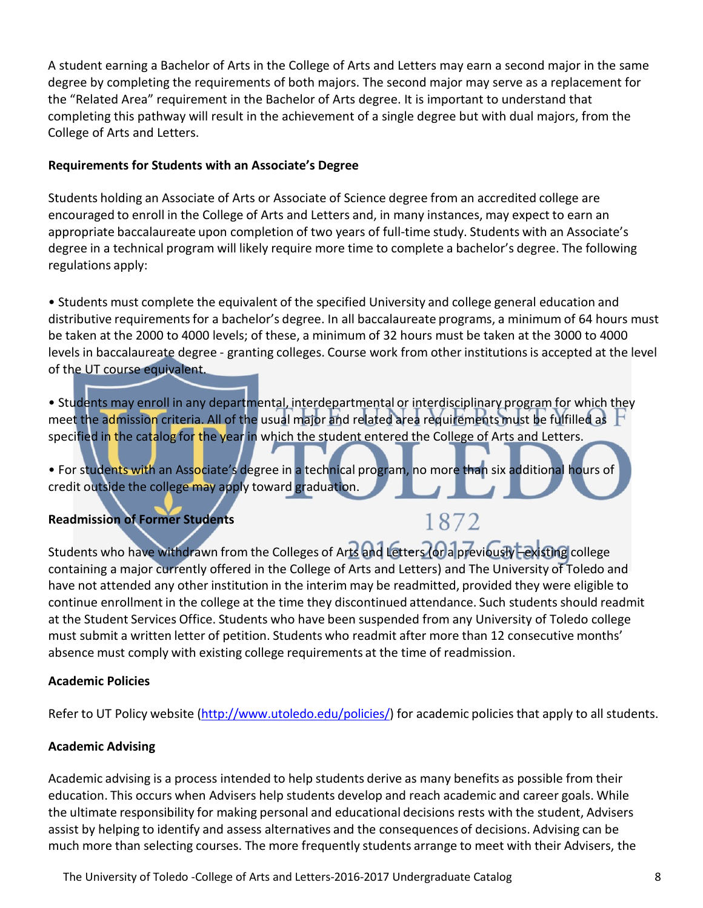A student earning a Bachelor of Arts in the College of Arts and Letters may earn a second major in the same degree by completing the requirements of both majors. The second major may serve as a replacement for the "Related Area" requirement in the Bachelor of Arts degree. It is important to understand that completing this pathway will result in the achievement of a single degree but with dual majors, from the College of Arts and Letters.

#### **Requirements for Students with an Associate's Degree**

Students holding an Associate of Arts or Associate of Science degree from an accredited college are encouraged to enroll in the College of Arts and Letters and, in many instances, may expect to earn an appropriate baccalaureate upon completion of two years of full-time study. Students with an Associate's degree in a technical program will likely require more time to complete a bachelor's degree. The following regulations apply:

• Students must complete the equivalent of the specified University and college general education and distributive requirements for a bachelor's degree. In all baccalaureate programs, a minimum of 64 hours must be taken at the 2000 to 4000 levels; of these, a minimum of 32 hours must be taken at the 3000 to 4000 levels in baccalaureate degree - granting colleges. Course work from other institutions is accepted at the level of the UT course equivalent.

• Students may enroll in any departmental, interdepartmental or interdisciplinary program for which they meet the admission criteria. All of the usual major and related area requirements must be fulfilled as specified in the catalog for the year in which the student entered the College of Arts and Letters.

• For students with an Associate's degree in a technical program, no more than six additional hours of credit outside the college may apply toward graduation.

#### **Readmission of Former Students**

Students who have withdrawn from the Colleges of Arts and Letters (or a previously Lexisting college containing a major currently offered in the College of Arts and Letters) and The University of Toledo and have not attended any other institution in the interim may be readmitted, provided they were eligible to continue enrollment in the college at the time they discontinued attendance. Such students should readmit at the Student Services Office. Students who have been suspended from any University of Toledo college must submit a written letter of petition. Students who readmit after more than 12 consecutive months' absence must comply with existing college requirements at the time of readmission.

1872

#### **Academic Policies**

Refer to UT Policy website [\(http://www.utoledo.edu/policies/\)](http://www.utoledo.edu/policies/) for academic policies that apply to all students.

#### **Academic Advising**

Academic advising is a process intended to help students derive as many benefits as possible from their education. This occurs when Advisers help students develop and reach academic and career goals. While the ultimate responsibility for making personal and educational decisions rests with the student, Advisers assist by helping to identify and assess alternatives and the consequences of decisions. Advising can be much more than selecting courses. The more frequently students arrange to meet with their Advisers, the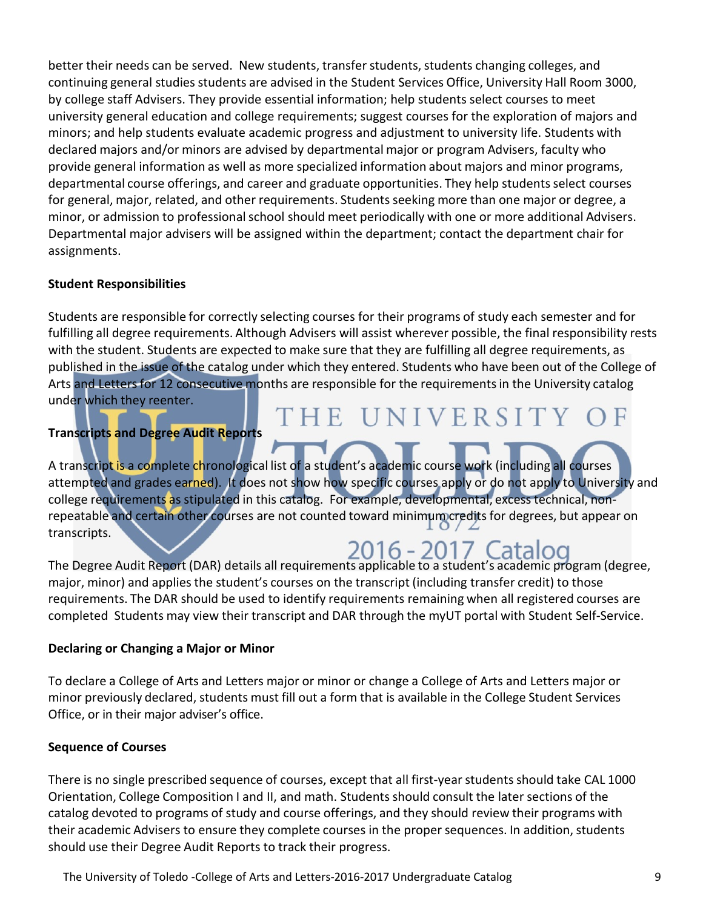better their needs can be served. New students, transfer students, students changing colleges, and continuing general studies students are advised in the Student Services Office, University Hall Room 3000, by college staff Advisers. They provide essential information; help students select courses to meet university general education and college requirements; suggest courses for the exploration of majors and minors; and help students evaluate academic progress and adjustment to university life. Students with declared majors and/or minors are advised by departmental major or program Advisers, faculty who provide general information as well as more specialized information about majors and minor programs, departmental course offerings, and career and graduate opportunities. They help students select courses for general, major, related, and other requirements. Students seeking more than one major or degree, a minor, or admission to professional school should meet periodically with one or more additional Advisers. Departmental major advisers will be assigned within the department; contact the department chair for assignments.

#### **Student Responsibilities**

Students are responsible for correctly selecting courses for their programs of study each semester and for fulfilling all degree requirements. Although Advisers will assist wherever possible, the final responsibility rests with the student. Students are expected to make sure that they are fulfilling all degree requirements, as published in the issue of the catalog under which they entered. Students who have been out of the College of Arts and Letters for 12 consecutive months are responsible for the requirements in the University catalog under which they reenter. THE UNIVERSITY OF

#### **Transcripts and Degree Audit Reports**

A transcript is a complete chronological list of a student's academic course work (including all courses attempted and grades earned). It does not show how specific courses apply or do not apply to University and college requirements as stipulated in this catalog. For example, developmental, excess technical, nonrepeatable and certain other courses are not counted toward minimum credits for degrees, but appear on transcripts.

# 2016 - 2017. Catalog

The Degree Audit Report (DAR) details all requirements applicable to a student's academic program (degree, major, minor) and applies the student's courses on the transcript (including transfer credit) to those requirements. The DAR should be used to identify requirements remaining when all registered courses are completed Students may view their transcript and DAR through the myUT portal with Student Self-Service.

#### **Declaring or Changing a Major or Minor**

To declare a College of Arts and Letters major or minor or change a College of Arts and Letters major or minor previously declared, students must fill out a form that is available in the College Student Services Office, or in their major adviser's office.

#### **Sequence of Courses**

There is no single prescribed sequence of courses, except that all first-year students should take CAL 1000 Orientation, College Composition I and II, and math. Students should consult the later sections of the catalog devoted to programs of study and course offerings, and they should review their programs with their academic Advisers to ensure they complete courses in the proper sequences. In addition, students should use their Degree Audit Reports to track their progress.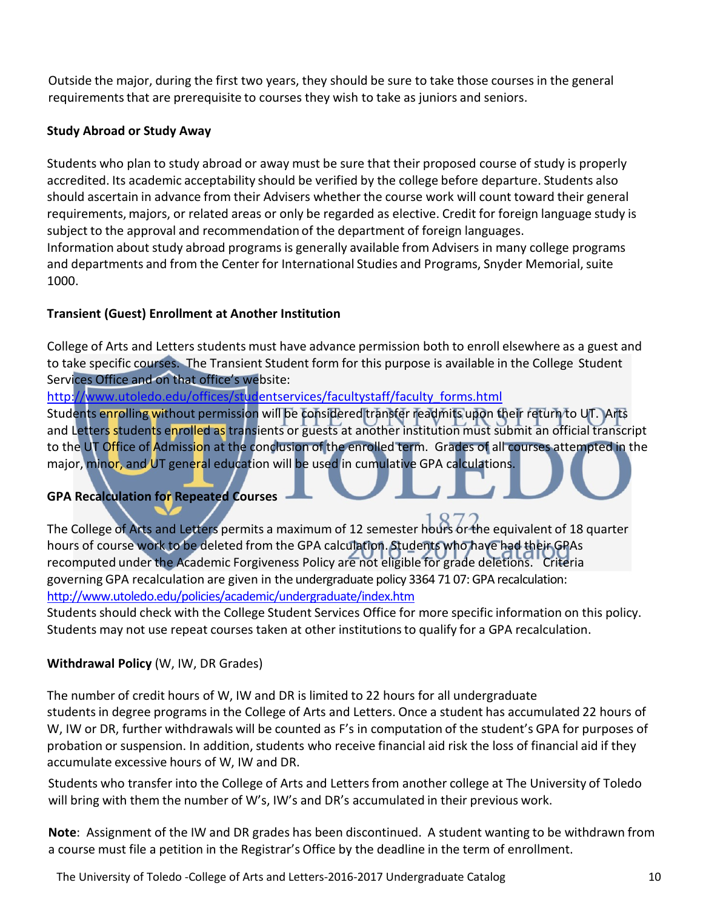Outside the major, during the first two years, they should be sure to take those courses in the general requirements that are prerequisite to courses they wish to take as juniors and seniors.

#### **Study Abroad or Study Away**

Students who plan to study abroad or away must be sure that their proposed course of study is properly accredited. Its academic acceptability should be verified by the college before departure. Students also should ascertain in advance from their Advisers whether the course work will count toward their general requirements, majors, or related areas or only be regarded as elective. Credit for foreign language study is subject to the approval and recommendation of the department of foreign languages. Information about study abroad programs is generally available from Advisers in many college programs and departments and from the Center for International Studies and Programs, Snyder Memorial, suite 1000.

#### **Transient (Guest) Enrollment at Another Institution**

College of Arts and Letters students must have advance permission both to enroll elsewhere as a guest and to take specific courses. The Transient Student form for this purpose is available in the College Student Services Office and on that office's website:

[http://www.utoledo.edu/offices/studentservices/facultystaff/faculty\\_forms.html](http://www.utoledo.edu/offices/studentservices/facultystaff/faculty_forms.html)

Students enrolling without permission will be considered transfer readmits upon their return to UT. Arts and Letters students enrolled as transients or guests at another institution must submit an official transcript to the UT Office of Admission at the conclusion of the enrolled term. Grades of all courses attempted in the major, minor, and UT general education will be used in cumulative GPA calculations.

#### **GPA Recalculation for Repeated Courses**

The College of Arts and Letters permits a maximum of 12 semester hours or the equivalent of 18 quarter hours of course work to be deleted from the GPA calculation. Students who have had their GPAs recomputed under the Academic Forgiveness Policy are not eligible for grade deletions. Criteria governing GPA recalculation are given in the undergraduate policy 3364 71 07: GPA recalculation: <http://www.utoledo.edu/policies/academic/undergraduate/index.htm>

Students should check with the College Student Services Office for more specific information on this policy. Students may not use repeat courses taken at other institutionsto qualify for a GPA recalculation.

#### **Withdrawal Policy** (W, IW, DR Grades)

The number of credit hours of W, IW and DR is limited to 22 hours for all undergraduate students in degree programs in the College of Arts and Letters. Once a student has accumulated 22 hours of W, IW or DR, further withdrawals will be counted as F's in computation of the student's GPA for purposes of probation or suspension. In addition, students who receive financial aid risk the loss of financial aid if they accumulate excessive hours of W, IW and DR.

Students who transfer into the College of Arts and Lettersfrom another college at The University of Toledo will bring with them the number of W's, IW's and DR's accumulated in their previous work.

**Note**: Assignment of the IW and DR grades has been discontinued. A student wanting to be withdrawn from a course must file a petition in the Registrar's Office by the deadline in the term of enrollment.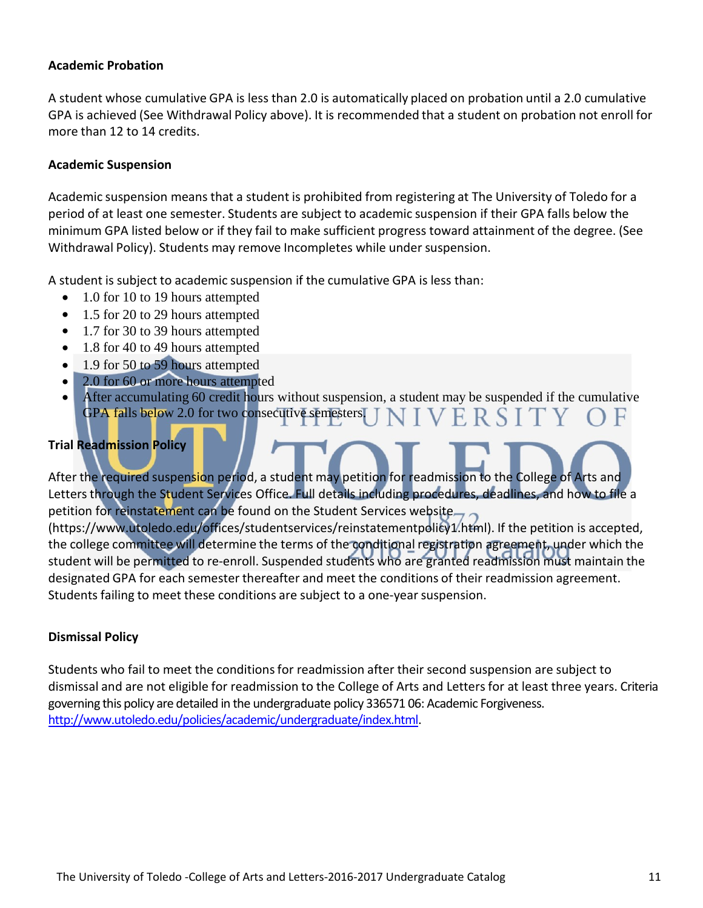#### **Academic Probation**

A student whose cumulative GPA is less than 2.0 is automatically placed on probation until a 2.0 cumulative GPA is achieved (See Withdrawal Policy above). It is recommended that a student on probation not enroll for more than 12 to 14 credits.

#### **Academic Suspension**

Academic suspension means that a student is prohibited from registering at The University of Toledo for a period of at least one semester. Students are subject to academic suspension if their GPA falls below the minimum GPA listed below or if they fail to make sufficient progress toward attainment of the degree. (See Withdrawal Policy). Students may remove Incompletes while under suspension.

A student is subject to academic suspension if the cumulative GPA is less than:

- 1.0 for 10 to 19 hours attempted
- 1.5 for 20 to 29 hours attempted
- 1.7 for 30 to 39 hours attempted
- 1.8 for 40 to 49 hours attempted
- 1.9 for 50 to 59 hours attempted
- 2.0 for 60 or more hours attempted
- After accumulating 60 credit hours without suspension, a student may be suspended if the cumulative GPA falls below 2.0 for two consecutive semesters. VERSITY

#### **Trial Readmission Policy**

After the required suspension period, a student may petition for readmission to the College of Arts and Letters through the Student Services Office. Full details including procedures, deadlines, and how to file a petition for reinstatement can be found on the Student Services website.

(https://www.utoledo.edu/offices/studentservices/reinstatementpolicy1.html). If the petition is accepted, the college committee will determine the terms of the conditional registration agreement, under which the student will be permitted to re-enroll. Suspended students who are granted readmission must maintain the designated GPA for each semester thereafter and meet the conditions of their readmission agreement. Students failing to meet these conditions are subject to a one-year suspension.

#### **Dismissal Policy**

Students who fail to meet the conditionsfor readmission after their second suspension are subject to dismissal and are not eligible for readmission to the College of Arts and Letters for at least three years. Criteria governing this policy are detailed in the undergraduate policy 336571 06: Academic Forgiveness. [http://www.utoledo.edu/policies/academic/undergraduate/index.html.](http://www.utoledo.edu/policies/academic/undergraduate/index.html)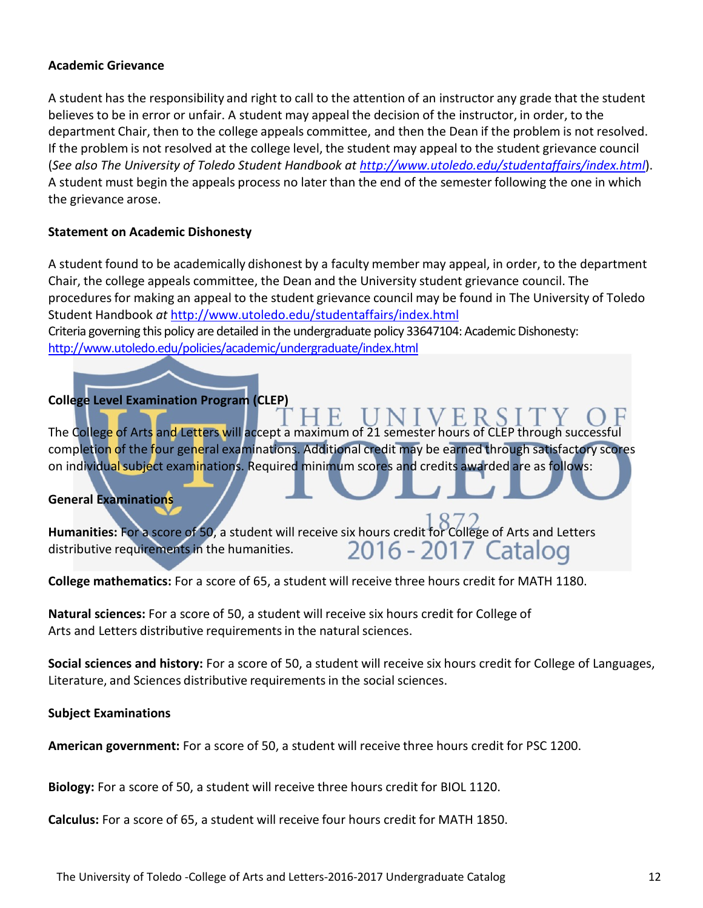#### **Academic Grievance**

A student has the responsibility and right to call to the attention of an instructor any grade that the student believes to be in error or unfair. A student may appeal the decision of the instructor, in order, to the department Chair, then to the college appeals committee, and then the Dean if the problem is not resolved. If the problem is not resolved at the college level, the student may appeal to the student grievance council (*See also The University of Toledo Student Handbook at<http://www.utoledo.edu/studentaffairs/index.html>*). A student must begin the appeals process no later than the end of the semester following the one in which the grievance arose.

#### **Statement on Academic Dishonesty**

A student found to be academically dishonest by a faculty member may appeal, in order, to the department Chair, the college appeals committee, the Dean and the University student grievance council. The proceduresfor making an appeal to the student grievance council may be found in The University of Toledo Student Handbook *at* <http://www.utoledo.edu/studentaffairs/index.html> Criteria governing this policy are detailed in the undergraduate policy 33647104: Academic Dishonesty: <http://www.utoledo.edu/policies/academic/undergraduate/index.html>

#### **College Level Examination Program (CLEP)**

The College of Arts and Letters will accept a maximum of 21 semester hours of CLEP through successful completion of the four general examinations. Additional credit may be earned through satisfactory scores on individual subject examinations. Required minimum scores and credits awarded are as follows:

#### **General Examinations**

Humanities: For a score of 50, a student will receive six hours credit for College of Arts and Letters distributive requirements in the humanities.<br>2016 - 2017 Catalog distributive requirements in the humanities.

**College mathematics:** For a score of 65, a student will receive three hours credit for MATH 1180.

**Natural sciences:** For a score of 50, a student will receive six hours credit for College of Arts and Letters distributive requirements in the natural sciences.

**Social sciences and history:** For a score of 50, a student will receive six hours credit for College of Languages, Literature, and Sciences distributive requirements in the social sciences.

**Subject Examinations**

**American government:** For a score of 50, a student will receive three hours credit for PSC 1200.

**Biology:** For a score of 50, a student will receive three hours credit for BIOL 1120.

**Calculus:** For a score of 65, a student will receive four hours credit for MATH 1850.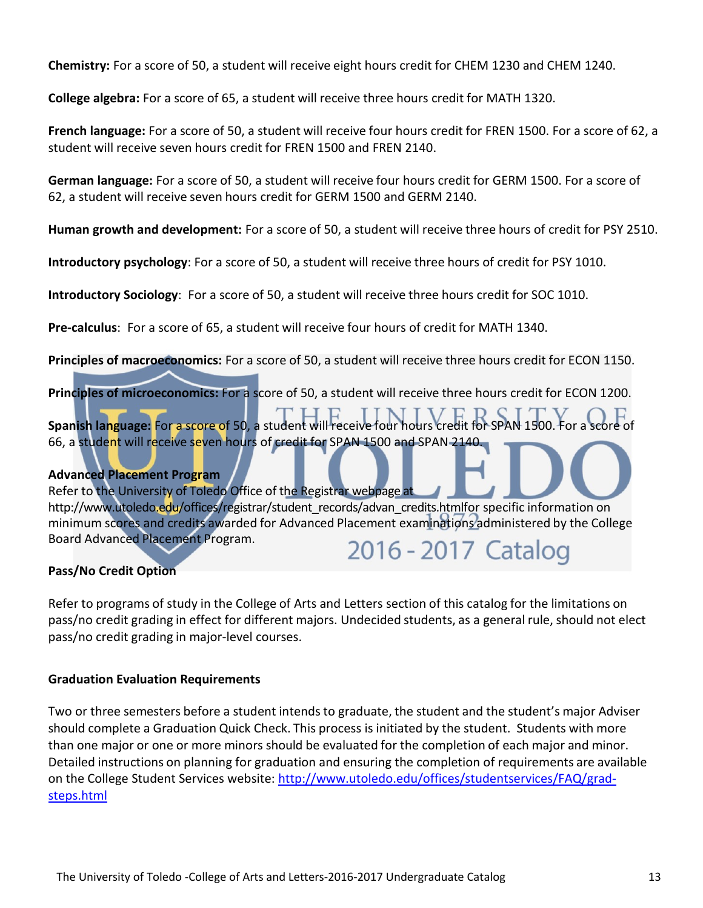**Chemistry:** For a score of 50, a student will receive eight hours credit for CHEM 1230 and CHEM 1240.

**College algebra:** For a score of 65, a student will receive three hours credit for MATH 1320.

**French language:** For a score of 50, a student will receive four hours credit for FREN 1500. For a score of 62, a student will receive seven hours credit for FREN 1500 and FREN 2140.

**German language:** For a score of 50, a student will receive four hours credit for GERM 1500. For a score of 62, a student will receive seven hours credit for GERM 1500 and GERM 2140.

**Human growth and development:** For a score of 50, a student will receive three hours of credit for PSY 2510.

**Introductory psychology**: For a score of 50, a student will receive three hours of credit for PSY 1010.

**Introductory Sociology**: For a score of 50, a student will receive three hours credit for SOC 1010.

**Pre-calculus**: For a score of 65, a student will receive four hours of credit for MATH 1340.

**Principles of macroeconomics:** For a score of 50, a student will receive three hours credit for ECON 1150.

**Principles of microeconomics:** For a score of 50, a student will receive three hours credit for ECON 1200.

**Spanish language:** For a score of 50, a student will receive four hours credit for SPAN 1500. For a score of 66, a student will receive seven hours of credit for SPAN 1500 and SPAN 2140.

#### **Advanced Placement Program**

Refer to the University of Toledo Office of the Registrar webpage at http://www.utoledo.edu/offices/registrar/student\_records/advan\_credits.htmlfor specific information on minimum scores and credits awarded for Advanced Placement examinations administered by the College Board Advanced Placement Program.

### 2016 - 2017 Catalog

#### **Pass/No Credit Option**

Refer to programs of study in the College of Arts and Letters section of this catalog for the limitations on pass/no credit grading in effect for different majors. Undecided students, as a general rule, should not elect pass/no credit grading in major-level courses.

#### **Graduation Evaluation Requirements**

Two or three semesters before a student intends to graduate, the student and the student's major Adviser should complete a Graduation Quick Check. This process is initiated by the student. Students with more than one major or one or more minors should be evaluated for the completion of each major and minor. Detailed instructions on planning for graduation and ensuring the completion of requirements are available on the College Student Services website: [http://www.utoledo.edu/offices/studentservices/FAQ/grad](http://www.utoledo.edu/offices/studentservices/FAQ/grad-steps.html)[steps.html](http://www.utoledo.edu/offices/studentservices/FAQ/grad-steps.html)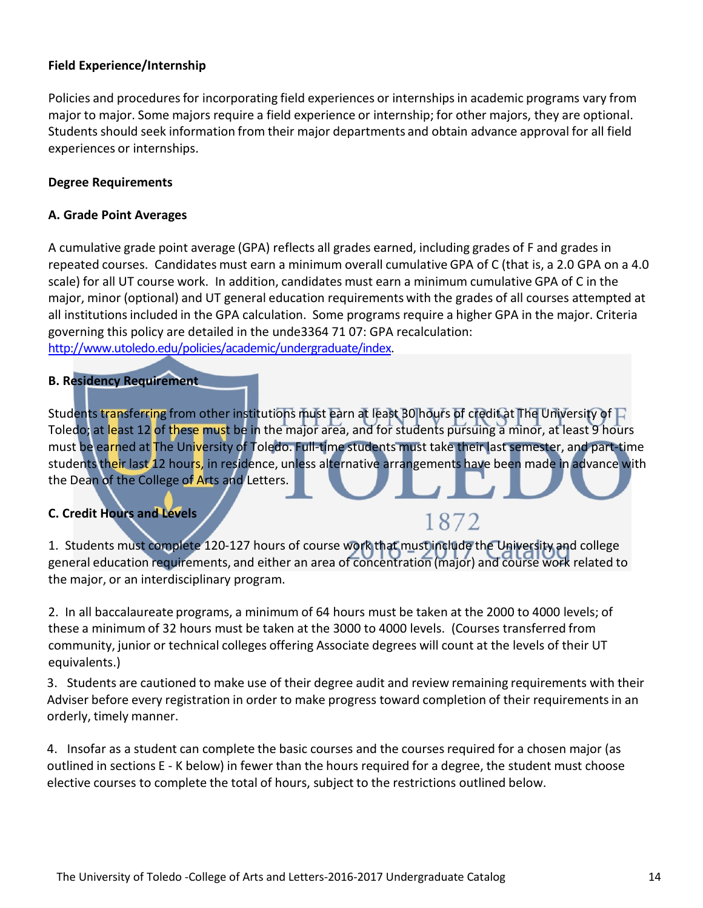#### **Field Experience/Internship**

Policies and procedures for incorporating field experiences or internships in academic programs vary from major to major. Some majors require a field experience or internship; for other majors, they are optional. Students should seek information from their major departments and obtain advance approval for all field experiences or internships.

#### **Degree Requirements**

#### **A. Grade Point Averages**

A cumulative grade point average (GPA) reflects all grades earned, including grades of F and grades in repeated courses. Candidates must earn a minimum overall cumulative GPA of C (that is, a 2.0 GPA on a 4.0 scale) for all UT course work. In addition, candidates must earn a minimum cumulative GPA of C in the major, minor (optional) and UT general education requirements with the grades of all courses attempted at all institutions included in the GPA calculation. Some programs require a higher GPA in the major. Criteria governing this policy are detailed in the unde3364 71 07: GPA recalculation: [http://www.utoledo.edu/policies/academic/undergraduate/index.](http://www.utoledo.edu/policies/academic/undergraduate/index)

#### **B. Residency Requirement**

Students transferring from other institutions must earn at least 30 hours of credit at The University of  $\Gamma$ Toledo; at least 12 of these must be in the major area, and for students pursuing a minor, at least 9 hours must be earned at The University of Toledo. Full-time students must take their last semester, and part-time students their last 12 hours, in residence, unless alternative arrangements have been made in advance with the Dean of the College of Arts and Letters.

#### **C. Credit Hours and Levels**

### 1872

1. Students must complete 120-127 hours of course work that must include the University and college general education requirements, and either an area of concentration (major) and course work related to the major, or an interdisciplinary program.

2. In all baccalaureate programs, a minimum of 64 hours must be taken at the 2000 to 4000 levels; of these a minimum of 32 hours must be taken at the 3000 to 4000 levels. (Courses transferred from community, junior or technical colleges offering Associate degrees will count at the levels of their UT equivalents.)

3. Students are cautioned to make use of their degree audit and review remaining requirements with their Adviser before every registration in order to make progress toward completion of their requirements in an orderly, timely manner.

4. Insofar as a student can complete the basic courses and the courses required for a chosen major (as outlined in sections E - K below) in fewer than the hours required for a degree, the student must choose elective courses to complete the total of hours, subject to the restrictions outlined below.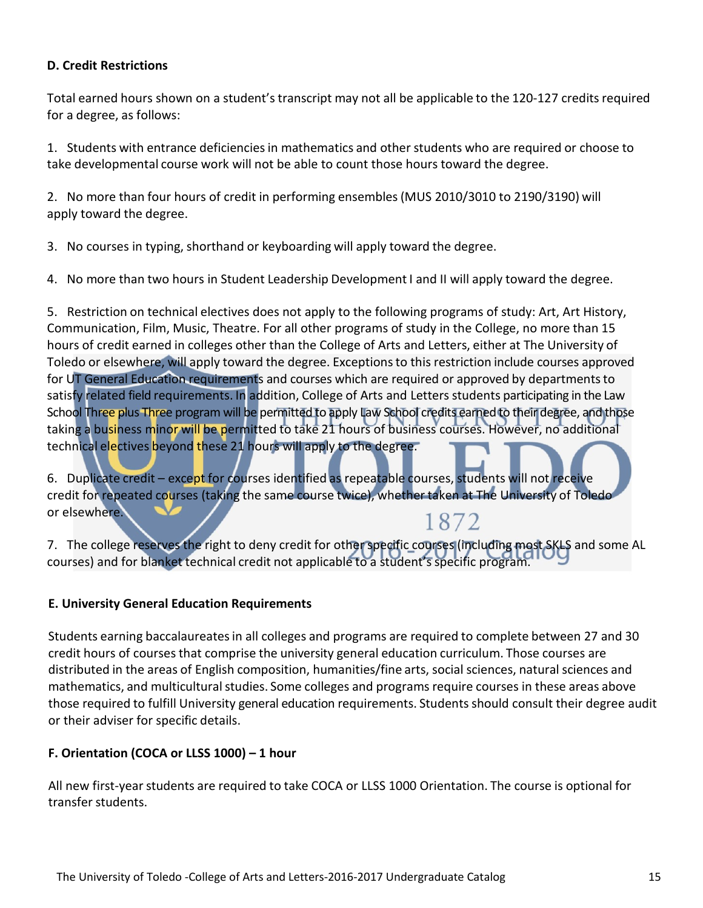#### **D. Credit Restrictions**

Total earned hours shown on a student's transcript may not all be applicable to the 120-127 credits required for a degree, as follows:

1. Students with entrance deficienciesin mathematics and other students who are required or choose to take developmental course work will not be able to count those hours toward the degree.

2. No more than four hours of credit in performing ensembles(MUS 2010/3010 to 2190/3190) will apply toward the degree.

3. No courses in typing, shorthand or keyboarding will apply toward the degree.

4. No more than two hours in Student Leadership Development I and II will apply toward the degree.

5. Restriction on technical electives does not apply to the following programs of study: Art, Art History, Communication, Film, Music, Theatre. For all other programs of study in the College, no more than 15 hours of credit earned in colleges other than the College of Arts and Letters, either at The University of Toledo or elsewhere, will apply toward the degree. Exceptionsto this restriction include courses approved for UT General Education requirements and courses which are required or approved by departments to satisfy related field requirements. In addition, College of Arts and Letters students participating in the Law School Three plus Three program will be permitted to apply Law School credits earned to their degree, and those taking a business minor will be permitted to take 21 hours of business courses. However, no additional technical electives beyond these 21 hours will apply to the degree.

6. Duplicate credit – except for courses identified as repeatable courses, students will not receive credit for repeated courses (taking the same course twice), whether taken at The University of Toledo or elsewhere. 1872

7. The college reserves the right to deny credit for other specific courses (including most SKLS and some AL courses) and for blanket technical credit not applicable to a student's specific program.

#### **E. University General Education Requirements**

Students earning baccalaureates in all colleges and programs are required to complete between 27 and 30 credit hours of courses that comprise the university general education curriculum. Those courses are distributed in the areas of English composition, humanities/fine arts, social sciences, natural sciences and mathematics, and multicultural studies. Some colleges and programs require courses in these areas above those required to fulfill University general education requirements. Students should consult their degree audit or their adviser for specific details.

#### **F. Orientation (COCA or LLSS 1000) – 1 hour**

All new first-year students are required to take COCA or LLSS 1000 Orientation. The course is optional for transfer students.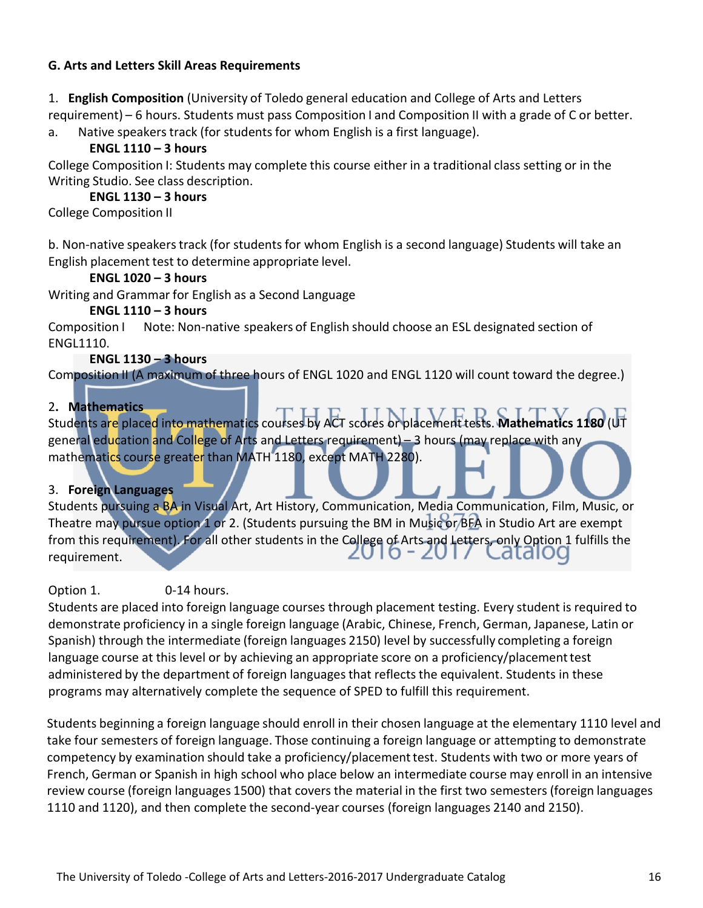#### **G. Arts and Letters Skill Areas Requirements**

1. **English Composition** (University of Toledo general education and College of Arts and Letters requirement) – 6 hours. Students must pass Composition I and Composition II with a grade of C or better.

a. Native speakers track (for students for whom English is a first language).

#### **ENGL 1110 – 3 hours**

College Composition I: Students may complete this course either in a traditional class setting or in the Writing Studio. See class description.

#### **ENGL 1130 – 3 hours**

College Composition II

b. Non-native speakers track (for students for whom English is a second language) Students will take an English placement test to determine appropriate level.

#### **ENGL 1020 – 3 hours**

Writing and Grammar for English as a Second Language

#### **ENGL 1110 – 3 hours**

Composition I Note: Non-native speakers of English should choose an ESL designated section of ENGL1110.

#### **ENGL 1130 – 3 hours**

Composition II (A maximum of three hours of ENGL 1020 and ENGL 1120 will count toward the degree.)

#### 2**. Mathematics**

Students are placed into mathematics courses by ACT scores or placement tests. **Mathematics 1180** (UT general education and College of Arts and Letters requirement) – 3 hours (may replace with any mathematics course greater than MATH 1180, except MATH 2280).

#### 3. **Foreign Languages**

Students pursuing a BA in Visual Art, Art History, Communication, Media Communication, Film, Music, or Theatre may pursue option 1 or 2. (Students pursuing the BM in Music or BFA in Studio Art are exempt from this requirement). For all other students in the College of Arts and Letters, only Option 1 fulfills the ZU 10 - ZU 17 Catalog requirement.

#### Option 1. 0-14 hours.

Students are placed into foreign language courses through placement testing. Every student is required to demonstrate proficiency in a single foreign language (Arabic, Chinese, French, German, Japanese, Latin or Spanish) through the intermediate (foreign languages 2150) level by successfully completing a foreign language course at this level or by achieving an appropriate score on a proficiency/placement test administered by the department of foreign languages that reflects the equivalent. Students in these programs may alternatively complete the sequence of SPED to fulfill this requirement.

Students beginning a foreign language should enroll in their chosen language at the elementary 1110 level and take four semesters of foreign language. Those continuing a foreign language or attempting to demonstrate competency by examination should take a proficiency/placementtest. Students with two or more years of French, German or Spanish in high school who place below an intermediate course may enroll in an intensive review course (foreign languages 1500) that covers the material in the first two semesters (foreign languages 1110 and 1120), and then complete the second-year courses (foreign languages 2140 and 2150).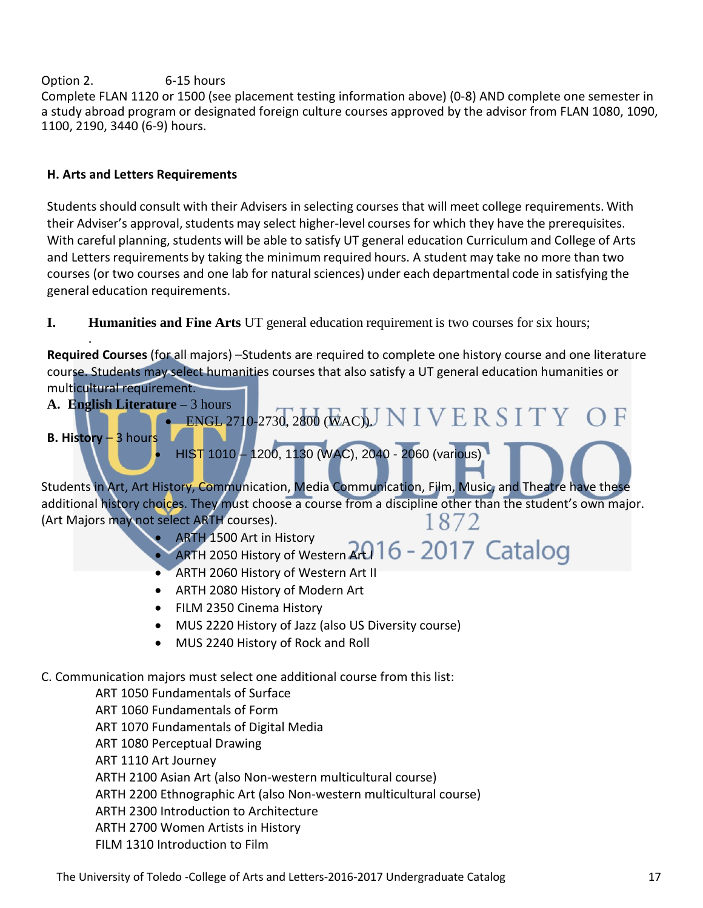#### Option 2. 6-15 hours

Complete FLAN 1120 or 1500 (see placement testing information above) (0-8) AND complete one semester in a study abroad program or designated foreign culture courses approved by the advisor from FLAN 1080, 1090, 1100, 2190, 3440 (6-9) hours.

#### **H. Arts and Letters Requirements**

.

Students should consult with their Advisers in selecting courses that will meet college requirements. With their Adviser's approval, students may select higher-level courses for which they have the prerequisites. With careful planning, students will be able to satisfy UT general education Curriculum and College of Arts and Letters requirements by taking the minimum required hours. A student may take no more than two courses (or two courses and one lab for naturalsciences) under each departmental code in satisfying the general education requirements.

#### **I. Humanities and Fine Arts** UT general education requirement is two courses for six hours;

**Required Courses** (for all majors) –Students are required to complete one history course and one literature course. Students may select humanities courses that also satisfy a UT general education humanities or multicultural requirement.



C. Communication majors must select one additional course from this list:

ART 1050 Fundamentals of Surface ART 1060 Fundamentals of Form ART 1070 Fundamentals of Digital Media ART 1080 Perceptual Drawing ART 1110 Art Journey ARTH 2100 Asian Art (also Non-western multicultural course) ARTH 2200 Ethnographic Art (also Non-western multicultural course) ARTH 2300 Introduction to Architecture ARTH 2700 Women Artists in History FILM 1310 Introduction to Film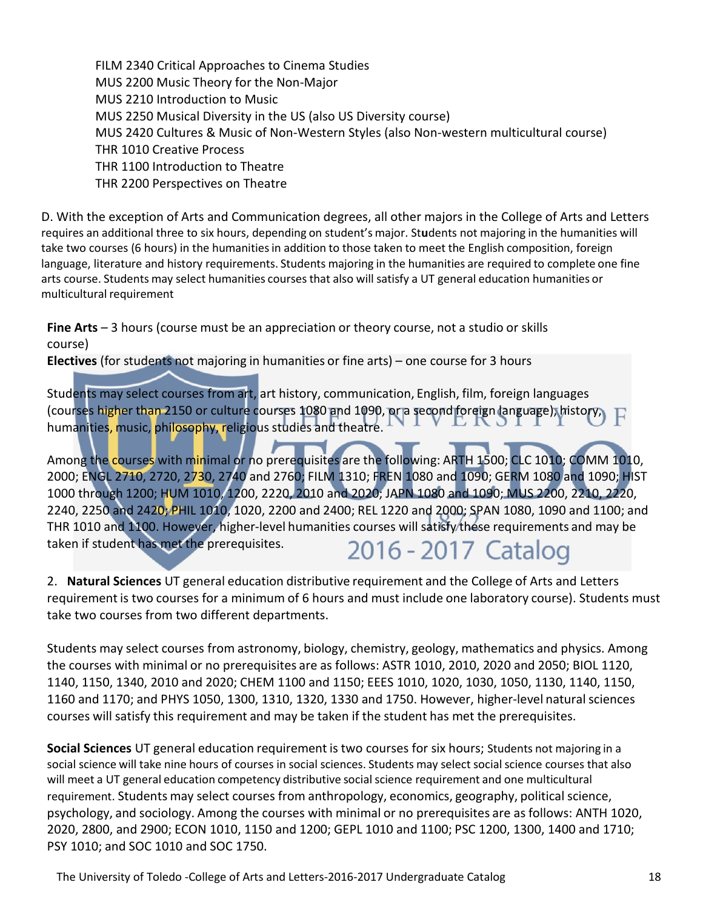FILM 2340 Critical Approaches to Cinema Studies MUS 2200 Music Theory for the Non-Major MUS 2210 Introduction to Music MUS 2250 Musical Diversity in the US (also US Diversity course) MUS 2420 Cultures & Music of Non-Western Styles (also Non-western multicultural course) THR 1010 Creative Process THR 1100 Introduction to Theatre THR 2200 Perspectives on Theatre

D. With the exception of Arts and Communication degrees, all other majors in the College of Arts and Letters requires an additional three to six hours, depending on student's major. Students not majoring in the humanities will take two courses (6 hours) in the humanities in addition to those taken to meet the English composition, foreign language, literature and history requirements. Students majoring in the humanities are required to complete one fine arts course. Students may select humanities courses that also will satisfy a UT general education humanities or multicultural requirement

**Fine Arts** – 3 hours (course must be an appreciation or theory course, not a studio or skills course)

**Electives** (for students not majoring in humanities or fine arts) – one course for 3 hours

Students may select courses from art, art history, communication, English, film, foreign languages (courses higher than 2150 or culture courses 1080 and 1090, or a second foreign language), history, humanities, music, philosophy, religious studies and theatre.

Among the courses with minimal or no prerequisites are the following: ARTH 1500; CLC 1010; COMM 1010, 2000; ENGL 2710, 2720, 2730, 2740 and 2760; FILM 1310; FREN 1080 and 1090; GERM 1080 and 1090; HIST 1000 through 1200; HUM 1010, 1200, 2220, 2010 and 2020; JAPN 1080 and 1090; MUS 2200, 2210, 2220, 2240, 2250 and 2420; PHIL 1010, 1020, 2200 and 2400; REL 1220 and 2000; SPAN 1080, 1090 and 1100; and THR 1010 and 1100. However, higher-level humanities courses will satisfy these requirements and may be taken if student has met the prerequisites. 2016 - 2017 Catalog

2. **Natural Sciences** UT general education distributive requirement and the College of Arts and Letters requirement is two courses for a minimum of 6 hours and must include one laboratory course). Students must take two courses from two different departments.

Students may select courses from astronomy, biology, chemistry, geology, mathematics and physics. Among the courses with minimal or no prerequisites are as follows: ASTR 1010, 2010, 2020 and 2050; BIOL 1120, 1140, 1150, 1340, 2010 and 2020; CHEM 1100 and 1150; EEES 1010, 1020, 1030, 1050, 1130, 1140, 1150, 1160 and 1170; and PHYS 1050, 1300, 1310, 1320, 1330 and 1750. However, higher-level naturalsciences courses will satisfy this requirement and may be taken if the student has met the prerequisites.

**Social Sciences** UT general education requirement is two courses for six hours; Students not majoring in a social science will take nine hours of courses in social sciences. Students may select social science courses that also will meet a UT general education competency distributive social science requirement and one multicultural requirement. Students may select courses from anthropology, economics, geography, political science, psychology, and sociology. Among the courses with minimal or no prerequisites are as follows: ANTH 1020, 2020, 2800, and 2900; ECON 1010, 1150 and 1200; GEPL 1010 and 1100; PSC 1200, 1300, 1400 and 1710; PSY 1010; and SOC 1010 and SOC 1750.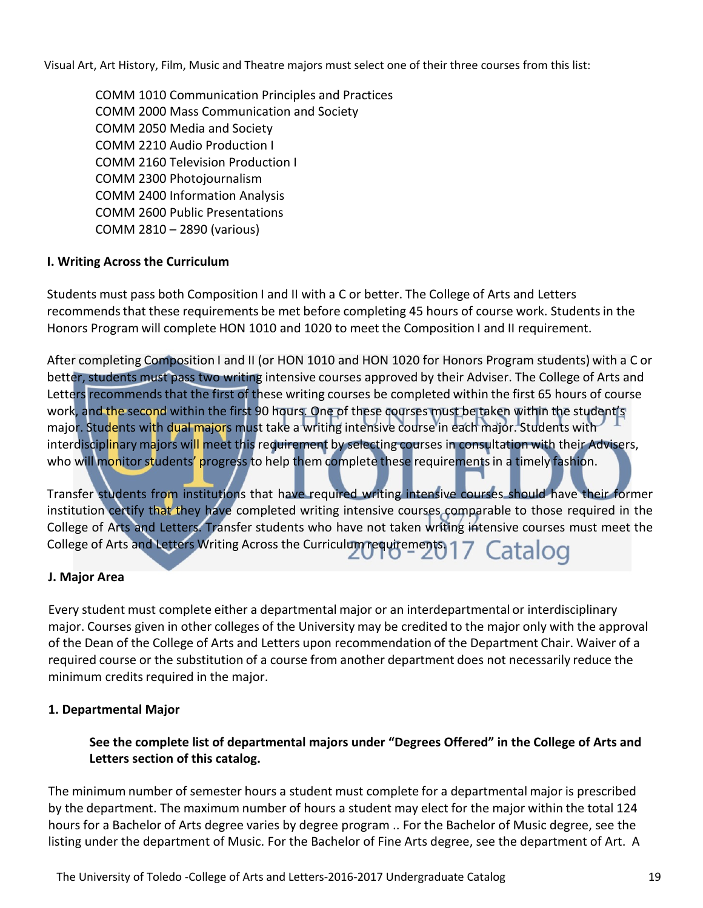Visual Art, Art History, Film, Music and Theatre majors must select one of their three courses from this list:

COMM 1010 Communication Principles and Practices COMM 2000 Mass Communication and Society COMM 2050 Media and Society COMM 2210 Audio Production I COMM 2160 Television Production I COMM 2300 Photojournalism COMM 2400 Information Analysis COMM 2600 Public Presentations COMM 2810 – 2890 (various)

#### **I. Writing Across the Curriculum**

Students must pass both Composition I and II with a C or better. The College of Arts and Letters recommends that these requirements be met before completing 45 hours of course work. Students in the Honors Program will complete HON 1010 and 1020 to meet the Composition I and II requirement.

After completing Composition I and II (or HON 1010 and HON 1020 for Honors Program students) with a C or better, students must pass two writing intensive courses approved by their Adviser. The College of Arts and Letters recommends that the first of these writing courses be completed within the first 65 hours of course work, and the second within the first 90 hours. One of these courses must be taken within the student's major. Students with dual majors must take a writing intensive course in each major. Students with interdisciplinary majors will meet this requirement by selecting courses in consultation with their Advisers, who will monitor students' progress to help them complete these requirements in a timely fashion.

Transfer students from institutions that have required writing intensive courses should have their former institution certify that they have completed writing intensive courses comparable to those required in the College of Arts and Letters. Transfer students who have not taken writing intensive courses must meet the College of Arts and Letters Writing Across the Curriculum requirements 17 Catalog

#### **J. Major Area**

Every student must complete either a departmental major or an interdepartmental or interdisciplinary major. Courses given in other colleges of the University may be credited to the major only with the approval of the Dean of the College of Arts and Letters upon recommendation of the Department Chair. Waiver of a required course or the substitution of a course from another department does not necessarily reduce the minimum credits required in the major.

#### **1. Departmental Major**

**See the complete list of departmental majors under "Degrees Offered" in the College of Arts and Letters section of this catalog.**

The minimum number of semester hours a student must complete for a departmental major is prescribed by the department. The maximum number of hours a student may elect for the major within the total 124 hours for a Bachelor of Arts degree varies by degree program .. For the Bachelor of Music degree, see the listing under the department of Music. For the Bachelor of Fine Arts degree, see the department of Art. A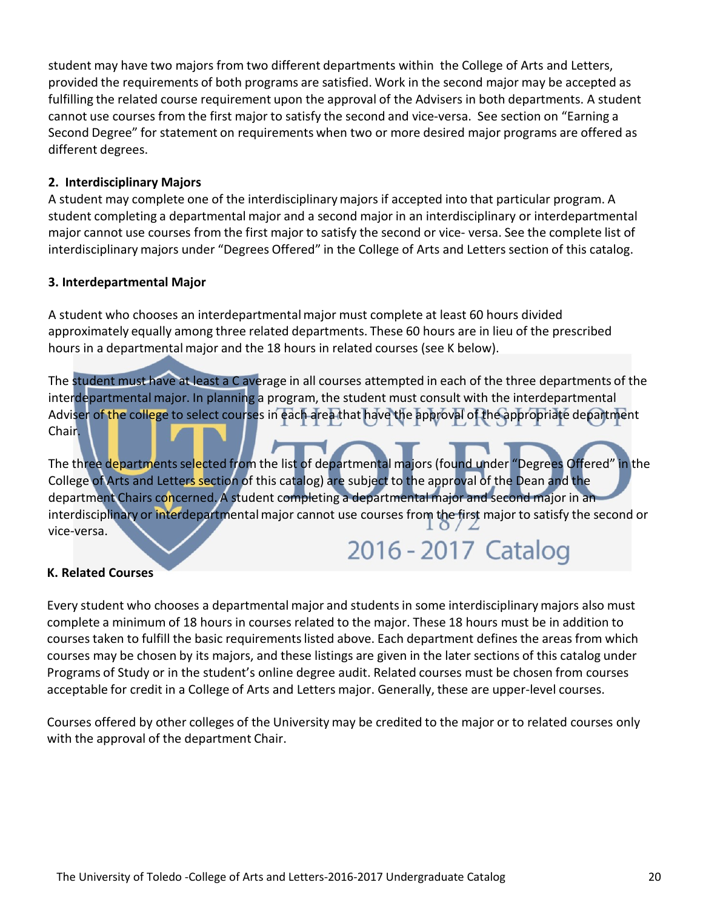student may have two majors from two different departments within the College of Arts and Letters, provided the requirements of both programs are satisfied. Work in the second major may be accepted as fulfilling the related course requirement upon the approval of the Advisers in both departments. A student cannot use courses from the first major to satisfy the second and vice-versa. See section on "Earning a Second Degree" for statement on requirements when two or more desired major programs are offered as different degrees.

#### **2. Interdisciplinary Majors**

A student may complete one of the interdisciplinarymajors if accepted into that particular program. A student completing a departmental major and a second major in an interdisciplinary or interdepartmental major cannot use courses from the first major to satisfy the second or vice- versa. See the complete list of interdisciplinary majors under "Degrees Offered" in the College of Arts and Letters section of this catalog.

#### **3. Interdepartmental Major**

A student who chooses an interdepartmentalmajor must complete at least 60 hours divided approximately equally among three related departments. These 60 hours are in lieu of the prescribed hours in a departmental major and the 18 hours in related courses (see K below).

The student must have at least a C average in all courses attempted in each of the three departments of the interdepartmental major. In planning a program, the student must consult with the interdepartmental Adviser of the college to select courses in each area that have the approval of the appropriate department Chair.

The three departments selected from the list of departmental majors (found under "Degrees Offered" in the College of Arts and Letters section of this catalog) are subject to the approval of the Dean and the department Chairs concerned. A student completing a departmental major and second major in an interdisciplinary or interdepartmental major cannot use courses from the first major to satisfy the second or vice-versa.

# 2016 - 2017 Catalog

#### **K. Related Courses**

Every student who chooses a departmental major and studentsin some interdisciplinarymajors also must complete a minimum of 18 hours in courses related to the major. These 18 hours must be in addition to courses taken to fulfill the basic requirementslisted above. Each department defines the areas from which courses may be chosen by its majors, and these listings are given in the later sections of this catalog under Programs of Study or in the student's online degree audit. Related courses must be chosen from courses acceptable for credit in a College of Arts and Letters major. Generally, these are upper-level courses.

Courses offered by other colleges of the University may be credited to the major or to related courses only with the approval of the department Chair.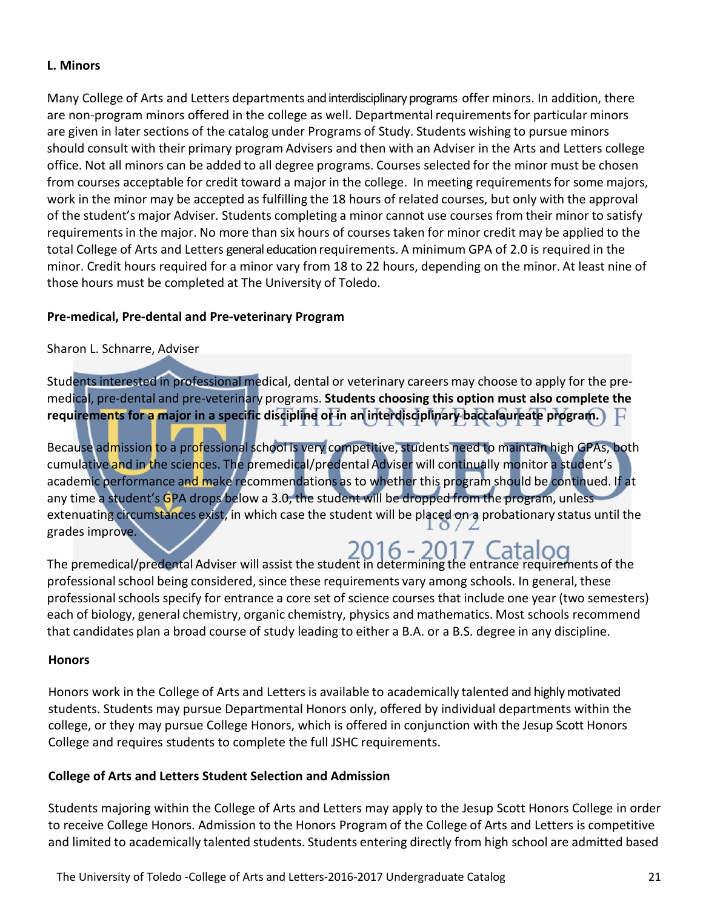#### **L. Minors**

Many College of Arts and Letters departments andinterdisciplinary programs offer minors. In addition, there are non-program minors offered in the college as well. Departmentalrequirementsfor particular minors are given in later sections of the catalog under Programs of Study. Students wishing to pursue minors should consult with their primary program Advisers and then with an Adviser in the Arts and Letters college office. Not all minors can be added to all degree programs. Courses selected for the minor must be chosen from courses acceptable for credit toward a major in the college. In meeting requirements for some majors, work in the minor may be accepted as fulfilling the 18 hours of related courses, but only with the approval of the student's major Adviser. Students completing a minor cannot use courses from their minor to satisfy requirementsin the major. No more than six hours of courses taken for minor credit may be applied to the total College of Arts and Letters general education requirements. A minimum GPA of 2.0 is required in the minor. Credit hours required for a minor vary from 18 to 22 hours, depending on the minor. At least nine of those hours must be completed at The University of Toledo.

#### **Pre-medical, Pre-dental and Pre-veterinary Program**

Sharon L. Schnarre, Adviser

Students interested in professional medical, dental or veterinary careers may choose to apply for the premedical, pre-dental and pre-veterinary programs. **Students choosing this option must also complete the requirements for a major in a specific discipline or in an interdisciplinary baccalaureate program.**

Because admission to a professional school is very competitive, students need to maintain high GPAs, both cumulative and in the sciences. The premedical/predental Adviser will continually monitor a student's academic performance and make recommendations as to whether this program should be continued. If at any time a student's GPA drops below a 3.0, the student will be dropped from the program, unless extenuating circumstances exist, in which case the student will be placed on a probationary status until the grades improve.

2016 - 2017 Catalog The premedical/predental Adviser will assist the student in determining the entrance requirements of the professional school being considered, since these requirements vary among schools. In general, these professional schools specify for entrance a core set of science courses that include one year (two semesters) each of biology, general chemistry, organic chemistry, physics and mathematics. Most schools recommend that candidates plan a broad course of study leading to either a B.A. or a B.S. degree in any discipline.

#### **Honors**

Honors work in the College of Arts and Letters is available to academically talented and highly motivated students. Students may pursue Departmental Honors only, offered by individual departments within the college, or they may pursue College Honors, which is offered in conjunction with the Jesup Scott Honors College and requires students to complete the full JSHC requirements.

#### **College of Arts and Letters Student Selection and Admission**

Students majoring within the College of Arts and Letters may apply to the Jesup Scott Honors College in order to receive College Honors. Admission to the Honors Program of the College of Arts and Letters is competitive and limited to academically talented students. Students entering directly from high school are admitted based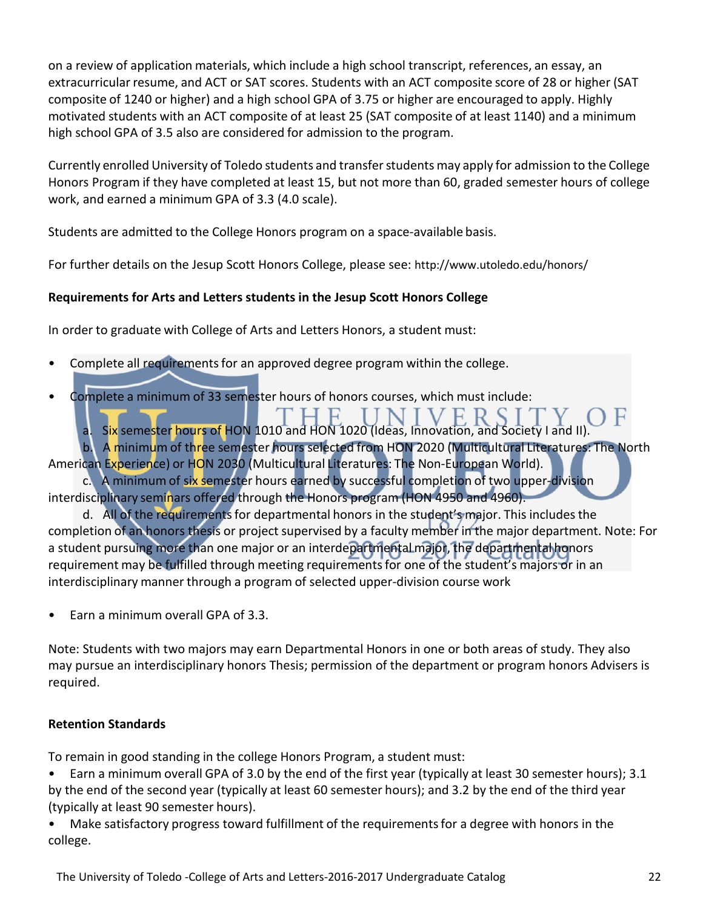on a review of application materials, which include a high school transcript, references, an essay, an extracurricular resume, and ACT or SAT scores. Students with an ACT composite score of 28 or higher (SAT composite of 1240 or higher) and a high school GPA of 3.75 or higher are encouraged to apply. Highly motivated students with an ACT composite of at least 25 (SAT composite of at least 1140) and a minimum high school GPA of 3.5 also are considered for admission to the program.

Currently enrolled University of Toledo students and transferstudents may apply for admission to the College Honors Program if they have completed at least 15, but not more than 60, graded semester hours of college work, and earned a minimum GPA of 3.3 (4.0 scale).

Students are admitted to the College Honors program on a space-available basis.

For further details on the Jesup Scott Honors College, please see:<http://www.utoledo.edu/honors/>

#### **Requirements for Arts and Letters students in the Jesup Scott Honors College**

In order to graduate with College of Arts and Letters Honors, a student must:

- Complete all requirementsfor an approved degree program within the college.
- Complete a minimum of 33 semester hours of honors courses, which must include:

a. Six semester hours of HON 1010 and HON 1020 (Ideas, Innovation, and Society I and II).

b. A minimum of three semester hours selected from HON 2020 (Multicultural Literatures: The North American Experience) or HON 2030 (Multicultural Literatures: The Non-European World).

c. A minimum of six semester hours earned by successful completion of two upper-division interdisciplinary seminars offered through the Honors program (HON 4950 and 4960).

d. All of the requirements for departmental honors in the student's major. This includes the completion of an honors thesis or project supervised by a faculty member in the major department. Note: For a student pursuing more than one major or an interdepartmental major, the departmental honors requirement may be fulfilled through meeting requirements for one of the student's majors or in an interdisciplinary manner through a program of selected upper-division course work

• Earn a minimum overall GPA of 3.3.

Note: Students with two majors may earn Departmental Honors in one or both areas of study. They also may pursue an interdisciplinary honors Thesis; permission of the department or program honors Advisers is required.

#### **Retention Standards**

To remain in good standing in the college Honors Program, a student must:

• Earn a minimum overall GPA of 3.0 by the end of the first year (typically at least 30 semester hours); 3.1 by the end of the second year (typically at least 60 semester hours); and 3.2 by the end of the third year (typically at least 90 semester hours).

• Make satisfactory progress toward fulfillment of the requirements for a degree with honors in the college.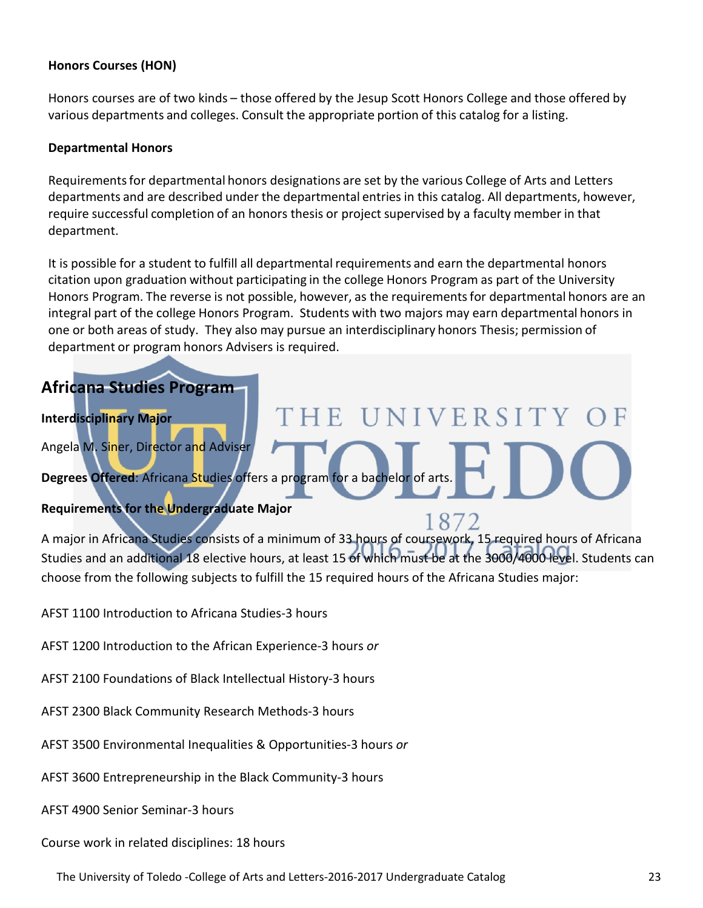#### **Honors Courses (HON)**

Honors courses are of two kinds – those offered by the Jesup Scott Honors College and those offered by various departments and colleges. Consult the appropriate portion of this catalog for a listing.

#### **Departmental Honors**

Requirements for departmental honors designations are set by the various College of Arts and Letters departments and are described under the departmental entries in this catalog. All departments, however, require successful completion of an honors thesis or project supervised by a faculty member in that department.

It is possible for a student to fulfill all departmental requirements and earn the departmental honors citation upon graduation without participating in the college Honors Program as part of the University Honors Program. The reverse is not possible, however, as the requirements for departmental honors are an integral part of the college Honors Program. Students with two majors may earn departmental honors in one or both areas of study. They also may pursue an interdisciplinary honors Thesis; permission of department or program honors Advisers is required.

THE UNIVERSITY

1872

#### **Africana Studies Program**

#### **Interdisciplinary Major**

Angela M. Siner, Director and Adviser

**Degrees Offered**: Africana Studies offers a program for a bachelor of arts.

#### **Requirements for the Undergraduate Major**

A major in Africana Studies consists of a minimum of 33 hours of coursework, 15 required hours of Africana Studies and an additional 18 elective hours, at least 15 of which must be at the 3000/4000 level. Students can choose from the following subjects to fulfill the 15 required hours of the Africana Studies major:

AFST 1100 Introduction to Africana Studies-3 hours

- AFST 1200 Introduction to the African Experience-3 hours *or*
- AFST 2100 Foundations of Black Intellectual History-3 hours
- AFST 2300 Black Community Research Methods-3 hours
- AFST 3500 Environmental Inequalities & Opportunities-3 hours *or*
- AFST 3600 Entrepreneurship in the Black Community-3 hours
- AFST 4900 Senior Seminar-3 hours

Course work in related disciplines: 18 hours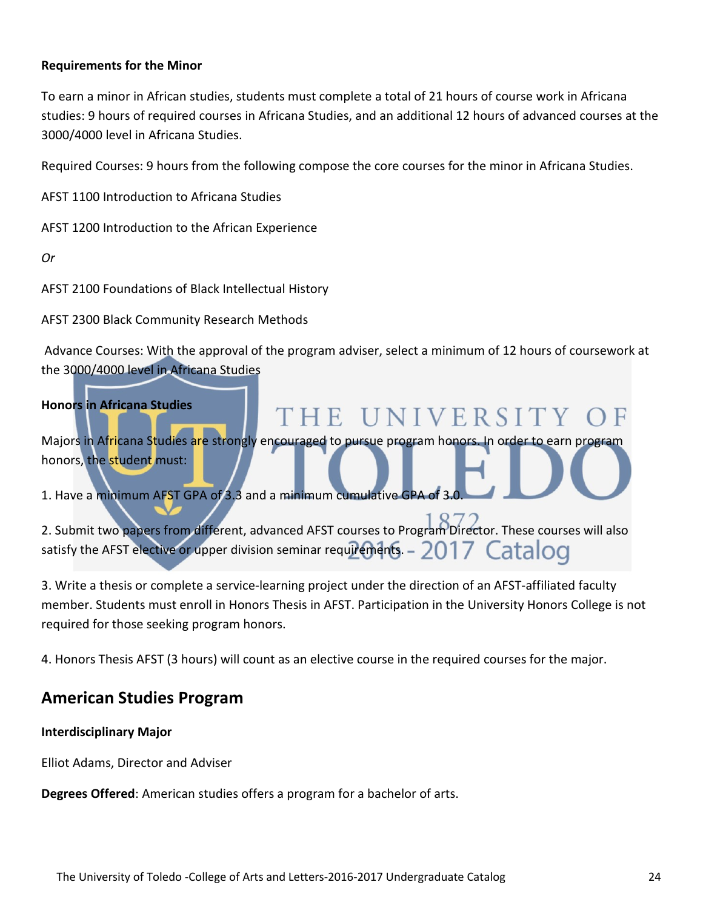#### **Requirements for the Minor**

To earn a minor in African studies, students must complete a total of 21 hours of course work in Africana studies: 9 hours of required courses in Africana Studies, and an additional 12 hours of advanced courses at the 3000/4000 level in Africana Studies.

Required Courses: 9 hours from the following compose the core courses for the minor in Africana Studies.

AFST 1100 Introduction to Africana Studies

AFST 1200 Introduction to the African Experience

*Or*

AFST 2100 Foundations of Black Intellectual History

AFST 2300 Black Community Research Methods

Advance Courses: With the approval of the program adviser, select a minimum of 12 hours of coursework at the 3000/4000 level in Africana Studies

### **Honors in Africana Studies** THE UNIVERSITY Majors in Africana Studies are strongly encouraged to pursue program honors. In order to earn program honors, the student must: 1. Have a minimum AFST GPA of 3.3 and a minimum cumulative GPA of 3.0. 2. Submit two papers from different, advanced AFST courses to Program Director. These courses will also satisfy the AFST elective or upper division seminar requirements. -  $2017$  Cataloo

3. Write a thesis or complete a service-learning project under the direction of an AFST-affiliated faculty member. Students must enroll in Honors Thesis in AFST. Participation in the University Honors College is not required for those seeking program honors.

4. Honors Thesis AFST (3 hours) will count as an elective course in the required courses for the major.

#### **American Studies Program**

#### **Interdisciplinary Major**

Elliot Adams, Director and Adviser

**Degrees Offered**: American studies offers a program for a bachelor of arts.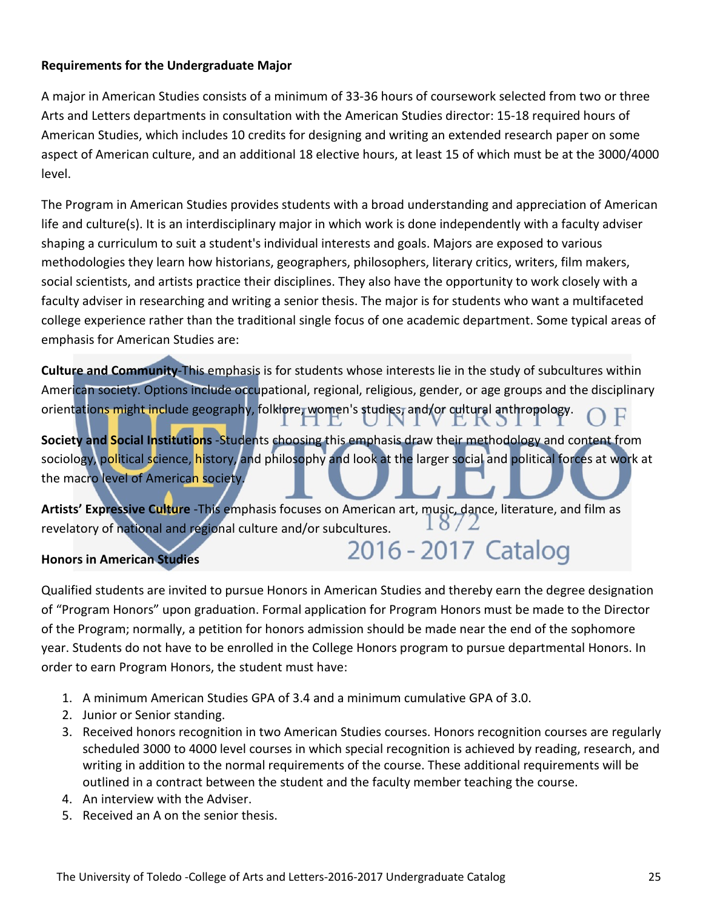#### **Requirements for the Undergraduate Major**

A major in American Studies consists of a minimum of 33-36 hours of coursework selected from two or three Arts and Letters departments in consultation with the American Studies director: 15-18 required hours of American Studies, which includes 10 credits for designing and writing an extended research paper on some aspect of American culture, and an additional 18 elective hours, at least 15 of which must be at the 3000/4000 level.

The Program in American Studies provides students with a broad understanding and appreciation of American life and culture(s). It is an interdisciplinary major in which work is done independently with a faculty adviser shaping a curriculum to suit a student's individual interests and goals. Majors are exposed to various methodologies they learn how historians, geographers, philosophers, literary critics, writers, film makers, social scientists, and artists practice their disciplines. They also have the opportunity to work closely with a faculty adviser in researching and writing a senior thesis. The major is for students who want a multifaceted college experience rather than the traditional single focus of one academic department. Some typical areas of emphasis for American Studies are:

**Culture and Community**-This emphasis is for students whose interests lie in the study of subcultures within American society. Options include occupational, regional, religious, gender, or age groups and the disciplinary orientations might include geography, folklore, women's studies, and/or cultural anthropology.

**Society and Social Institutions** -Students choosing this emphasis draw their methodology and content from sociology, political science, history, and philosophy and look at the larger social and political forces at work at the macro level of American society.

**Artists' Expressive Culture** -This emphasis focuses on American art, music, dance, literature, and film as  $18/$ revelatory of national and regional culture and/or subcultures.

#### **Honors in American Studies**

# 2016 - 2017 Catalog

Qualified students are invited to pursue Honors in American Studies and thereby earn the degree designation of "Program Honors" upon graduation. Formal application for Program Honors must be made to the Director of the Program; normally, a petition for honors admission should be made near the end of the sophomore year. Students do not have to be enrolled in the College Honors program to pursue departmental Honors. In order to earn Program Honors, the student must have:

- 1. A minimum American Studies GPA of 3.4 and a minimum cumulative GPA of 3.0.
- 2. Junior or Senior standing.
- 3. Received honors recognition in two American Studies courses. Honors recognition courses are regularly scheduled 3000 to 4000 level courses in which special recognition is achieved by reading, research, and writing in addition to the normal requirements of the course. These additional requirements will be outlined in a contract between the student and the faculty member teaching the course.
- 4. An interview with the Adviser.
- 5. Received an A on the senior thesis.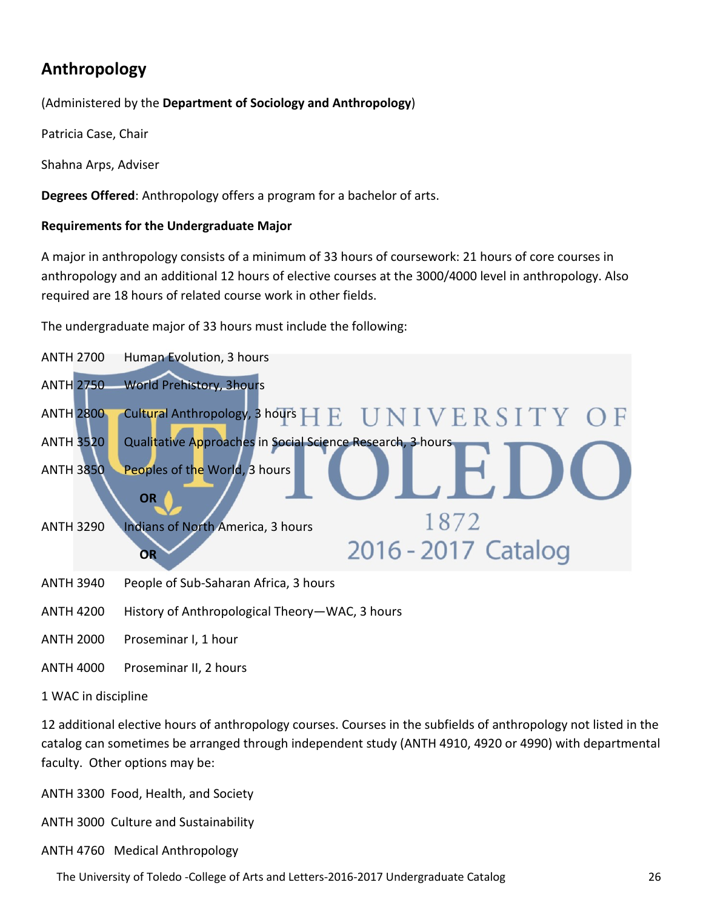### **Anthropology**

(Administered by the **Department of Sociology and Anthropology**)

Patricia Case, Chair

Shahna Arps, Adviser

**Degrees Offered**: Anthropology offers a program for a bachelor of arts.

#### **Requirements for the Undergraduate Major**

A major in anthropology consists of a minimum of 33 hours of coursework: 21 hours of core courses in anthropology and an additional 12 hours of elective courses at the 3000/4000 level in anthropology. Also required are 18 hours of related course work in other fields.

The undergraduate major of 33 hours must include the following:



ANTH 2000 Proseminar I, 1 hour

ANTH 4000 Proseminar II, 2 hours

#### 1 WAC in discipline

12 additional elective hours of anthropology courses. Courses in the subfields of anthropology not listed in the catalog can sometimes be arranged through independent study (ANTH 4910, 4920 or 4990) with departmental faculty. Other options may be:

ANTH 3300 Food, Health, and Society

ANTH 3000 Culture and Sustainability

ANTH 4760 Medical Anthropology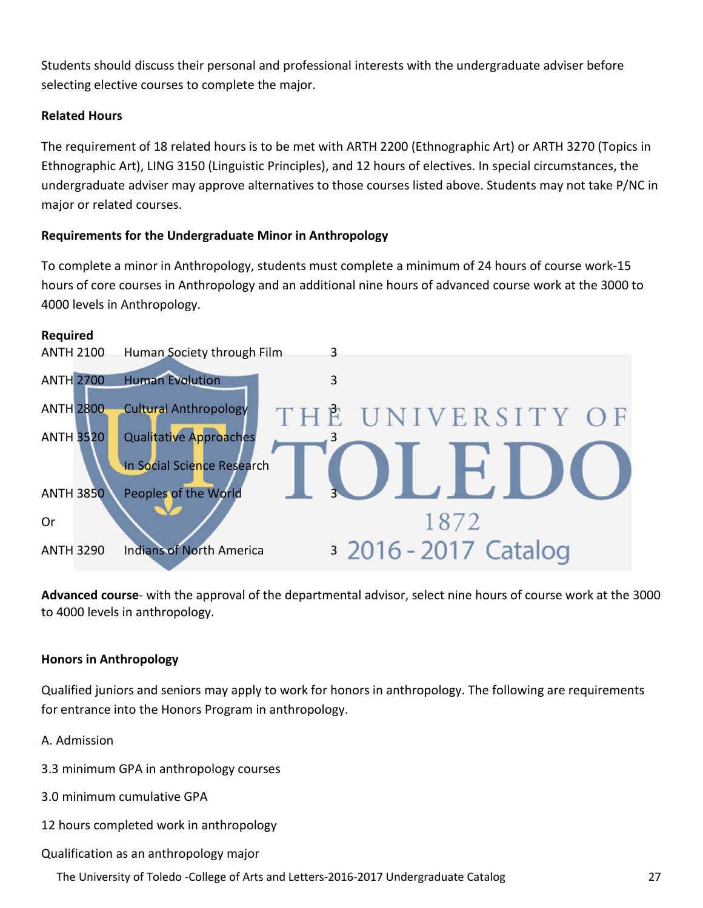Students should discuss their personal and professional interests with the undergraduate adviser before selecting elective courses to complete the major.

#### **Related Hours**

The requirement of 18 related hours is to be met with ARTH 2200 (Ethnographic Art) or ARTH 3270 (Topics in Ethnographic Art), LING 3150 (Linguistic Principles), and 12 hours of electives. In special circumstances, the undergraduate adviser may approve alternatives to those courses listed above. Students may not take P/NC in major or related courses.

#### **Requirements for the Undergraduate Minor in Anthropology**

To complete a minor in Anthropology, students must complete a minimum of 24 hours of course work-15 hours of core courses in Anthropology and an additional nine hours of advanced course work at the 3000 to 4000 levels in Anthropology.



**Advanced course**- with the approval of the departmental advisor, select nine hours of course work at the 3000 to 4000 levels in anthropology.

#### **Honors in Anthropology**

Qualified juniors and seniors may apply to work for honors in anthropology. The following are requirements for entrance into the Honors Program in anthropology.

A. Admission

- 3.3 minimum GPA in anthropology courses
- 3.0 minimum cumulative GPA
- 12 hours completed work in anthropology
- Qualification as an anthropology major
	- The University of Toledo ‐College of Arts and Letters‐2016‐2017 Undergraduate Catalog 27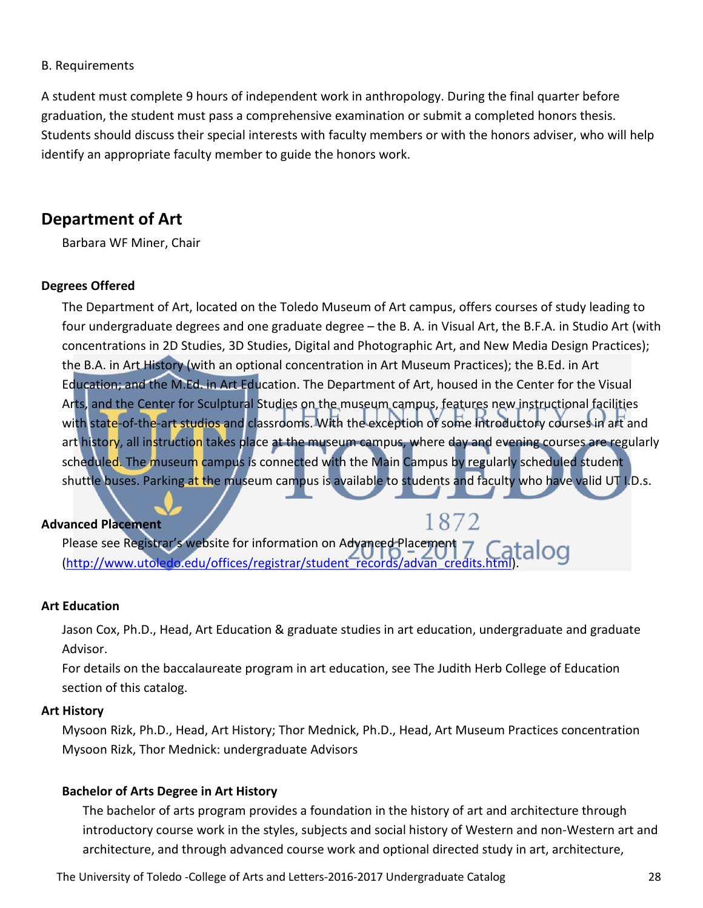#### B. Requirements

A student must complete 9 hours of independent work in anthropology. During the final quarter before graduation, the student must pass a comprehensive examination or submit a completed honors thesis. Students should discuss their special interests with faculty members or with the honors adviser, who will help identify an appropriate faculty member to guide the honors work.

#### **Department of Art**

Barbara WF Miner, Chair

#### **Degrees Offered**

The Department of Art, located on the Toledo Museum of Art campus, offers courses of study leading to four undergraduate degrees and one graduate degree – the B. A. in Visual Art, the B.F.A. in Studio Art (with concentrations in 2D Studies, 3D Studies, Digital and Photographic Art, and New Media Design Practices); the B.A. in Art History (with an optional concentration in Art Museum Practices); the B.Ed. in Art Education; and the M.Ed. in Art Education. The Department of Art, housed in the Center for the Visual Arts, and the Center for Sculptural Studies on the museum campus, features new instructional facilities with state-of-the-art studios and classrooms. With the exception of some introductory courses in art and art history, all instruction takes place at the museum campus, where day and evening courses are regularly scheduled. The museum campus is connected with the Main Campus by regularly scheduled student shuttle buses. Parking at the museum campus is available to students and faculty who have valid UT I.D.s.

1872

#### **Advanced Placement**

Please see Registrar's website for information on Advanced Placement Please see Registrar's website for information on Advanced Placement 7 Catalog<br>(http://www.utoledo.edu/offices/registrar/student records/advan\_credits.html).

#### **Art Education**

Jason Cox, Ph.D., Head, Art Education & graduate studies in art education, undergraduate and graduate Advisor.

For details on the baccalaureate program in art education, see The Judith Herb College of Education section of this catalog.

#### **Art History**

Mysoon Rizk, Ph.D., Head, Art History; Thor Mednick, Ph.D., Head, Art Museum Practices concentration Mysoon Rizk, Thor Mednick: undergraduate Advisors

#### **Bachelor of Arts Degree in Art History**

The bachelor of arts program provides a foundation in the history of art and architecture through introductory course work in the styles, subjects and social history of Western and non-Western art and architecture, and through advanced course work and optional directed study in art, architecture,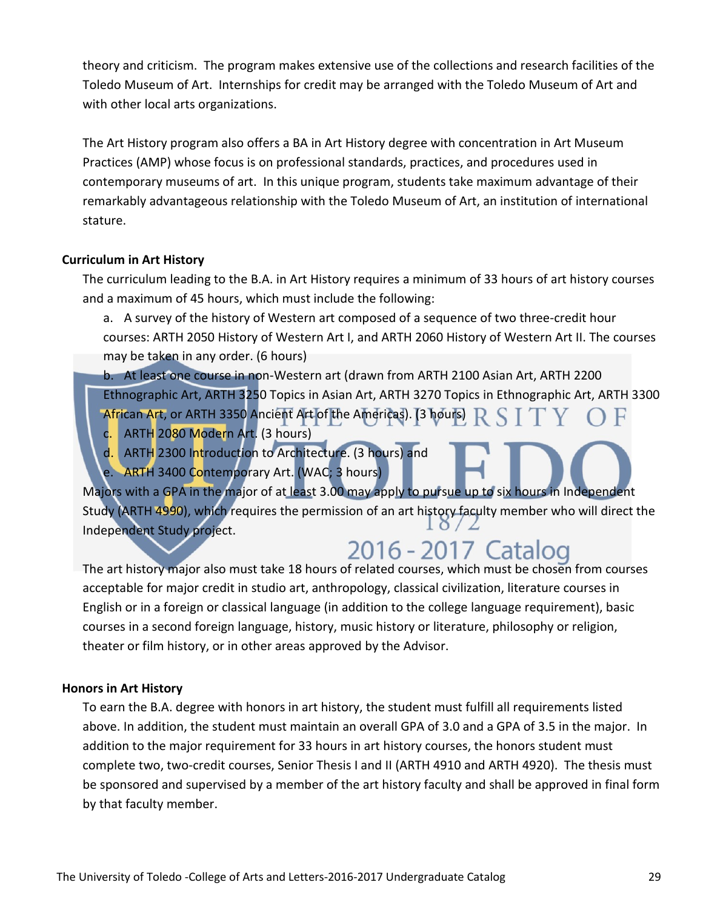theory and criticism. The program makes extensive use of the collections and research facilities of the Toledo Museum of Art. Internships for credit may be arranged with the Toledo Museum of Art and with other local arts organizations.

The Art History program also offers a BA in Art History degree with concentration in Art Museum Practices (AMP) whose focus is on professional standards, practices, and procedures used in contemporary museums of art. In this unique program, students take maximum advantage of their remarkably advantageous relationship with the Toledo Museum of Art, an institution of international stature.

#### **Curriculum in Art History**

The curriculum leading to the B.A. in Art History requires a minimum of 33 hours of art history courses and a maximum of 45 hours, which must include the following:

a. A survey of the history of Western art composed of a sequence of two three-credit hour courses: ARTH 2050 History of Western Art I, and ARTH 2060 History of Western Art II. The courses may be taken in any order. (6 hours)

b. At least one course in non-Western art (drawn from ARTH 2100 Asian Art, ARTH 2200 Ethnographic Art, ARTH 3250 Topics in Asian Art, ARTH 3270 Topics in Ethnographic Art, ARTH 3300 African Art, or ARTH 3350 Ancient Art of the Americas). (3 hours)  $R S I T$ 

- c. ARTH 2080 Modern Art. (3 hours)
- d. ARTH 2300 Introduction to Architecture. (3 hours) and
- e. ARTH 3400 Contemporary Art. (WAC; 3 hours)

Majors with a GPA in the major of at least 3.00 may apply to pursue up to six hours in Independent Study (ARTH 4990), which requires the permission of an art history faculty member who will direct the Independent Study project.

# 2016 - 2017 Catalog

The art history major also must take 18 hours of related courses, which must be chosen from courses acceptable for major credit in studio art, anthropology, classical civilization, literature courses in English or in a foreign or classical language (in addition to the college language requirement), basic courses in a second foreign language, history, music history or literature, philosophy or religion, theater or film history, or in other areas approved by the Advisor.

#### **Honors in Art History**

To earn the B.A. degree with honors in art history, the student must fulfill all requirements listed above. In addition, the student must maintain an overall GPA of 3.0 and a GPA of 3.5 in the major. In addition to the major requirement for 33 hours in art history courses, the honors student must complete two, two-credit courses, Senior Thesis I and II (ARTH 4910 and ARTH 4920). The thesis must be sponsored and supervised by a member of the art history faculty and shall be approved in final form by that faculty member.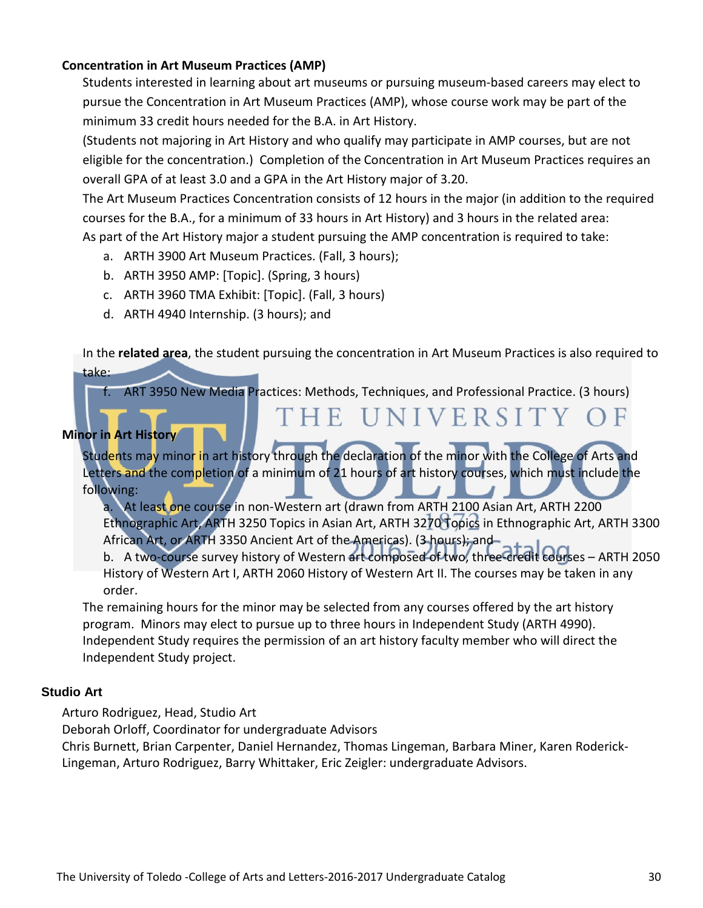#### **Concentration in Art Museum Practices (AMP)**

Students interested in learning about art museums or pursuing museum-based careers may elect to pursue the Concentration in Art Museum Practices (AMP), whose course work may be part of the minimum 33 credit hours needed for the B.A. in Art History.

(Students not majoring in Art History and who qualify may participate in AMP courses, but are not eligible for the concentration.) Completion of the Concentration in Art Museum Practices requires an overall GPA of at least 3.0 and a GPA in the Art History major of 3.20.

The Art Museum Practices Concentration consists of 12 hours in the major (in addition to the required courses for the B.A., for a minimum of 33 hours in Art History) and 3 hours in the related area: As part of the Art History major a student pursuing the AMP concentration is required to take:

- a. ARTH 3900 Art Museum Practices. (Fall, 3 hours);
- b. ARTH 3950 AMP: [Topic]. (Spring, 3 hours)
- c. ARTH 3960 TMA Exhibit: [Topic]. (Fall, 3 hours)
- d. ARTH 4940 Internship. (3 hours); and

In the **related area**, the student pursuing the concentration in Art Museum Practices is also required to take:

f. ART 3950 New Media Practices: Methods, Techniques, and Professional Practice. (3 hours)

#### **Minor in Art History**

Students may minor in art history through the declaration of the minor with the College of Arts and Letters and the completion of a minimum of 21 hours of art history courses, which must include the following:

a. At least one course in non-Western art (drawn from ARTH 2100 Asian Art, ARTH 2200 Ethnographic Art, ARTH 3250 Topics in Asian Art, ARTH 3270 Topics in Ethnographic Art, ARTH 3300 African Art, or ARTH 3350 Ancient Art of the Americas). (3 hours); and

THE UNIVERSITY OF

b. A two-course survey history of Western art composed of two, three-credit courses – ARTH 2050 History of Western Art I, ARTH 2060 History of Western Art II. The courses may be taken in any order.

The remaining hours for the minor may be selected from any courses offered by the art history program. Minors may elect to pursue up to three hours in Independent Study (ARTH 4990). Independent Study requires the permission of an art history faculty member who will direct the Independent Study project.

#### **Studio Art**

Arturo Rodriguez, Head, Studio Art

Deborah Orloff, Coordinator for undergraduate Advisors

Chris Burnett, Brian Carpenter, Daniel Hernandez, Thomas Lingeman, Barbara Miner, Karen Roderick-Lingeman, Arturo Rodriguez, Barry Whittaker, Eric Zeigler: undergraduate Advisors.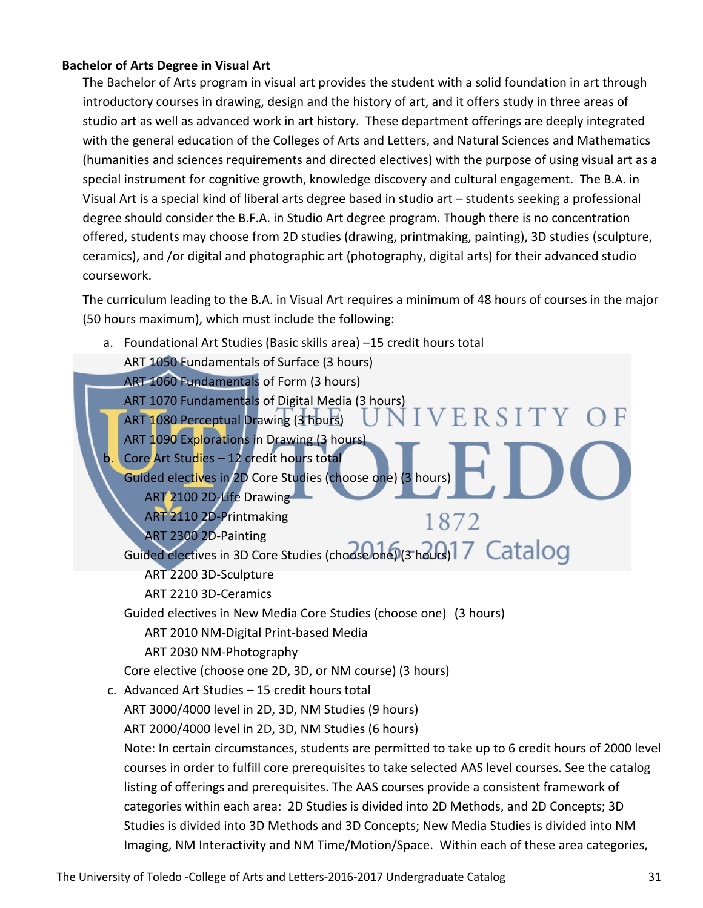#### **Bachelor of Arts Degree in Visual Art**

The Bachelor of Arts program in visual art provides the student with a solid foundation in art through introductory courses in drawing, design and the history of art, and it offers study in three areas of studio art as well as advanced work in art history. These department offerings are deeply integrated with the general education of the Colleges of Arts and Letters, and Natural Sciences and Mathematics (humanities and sciences requirements and directed electives) with the purpose of using visual art as a special instrument for cognitive growth, knowledge discovery and cultural engagement. The B.A. in Visual Art is a special kind of liberal arts degree based in studio art – students seeking a professional degree should consider the B.F.A. in Studio Art degree program. Though there is no concentration offered, students may choose from 2D studies (drawing, printmaking, painting), 3D studies (sculpture, ceramics), and /or digital and photographic art (photography, digital arts) for their advanced studio coursework.

The curriculum leading to the B.A. in Visual Art requires a minimum of 48 hours of courses in the major (50 hours maximum), which must include the following:

a. Foundational Art Studies (Basic skills area) –15 credit hours total ART 1050 Fundamentals of Surface (3 hours) ART 1060 Fundamentals of Form (3 hours) ART 1070 Fundamentals of Digital Media (3 hours) **VERSITY** ART 1080 Perceptual Drawing (3 hours) ART 1090 Explorations in Drawing (3 hours) Core Art Studies – 12 credit hours total Guided electives in 2D Core Studies (choose one) (3 hours) ART 2100 2D-Life Drawing ART 2110 2D-Printmaking 1872 ART 2300 2D-Painting Guided electives in 3D Core Studies (choose one) (3 hours)<sup>17</sup> Catalog ART 2200 3D-Sculpture ART 2210 3D-Ceramics Guided electives in New Media Core Studies (choose one) (3 hours) ART 2010 NM-Digital Print-based Media ART 2030 NM-Photography Core elective (choose one 2D, 3D, or NM course) (3 hours) c. Advanced Art Studies – 15 credit hours total ART 3000/4000 level in 2D, 3D, NM Studies (9 hours) ART 2000/4000 level in 2D, 3D, NM Studies (6 hours) Note: In certain circumstances, students are permitted to take up to 6 credit hours of 2000 level courses in order to fulfill core prerequisites to take selected AAS level courses. See the catalog listing of offerings and prerequisites. The AAS courses provide a consistent framework of categories within each area: 2D Studies is divided into 2D Methods, and 2D Concepts; 3D Studies is divided into 3D Methods and 3D Concepts; New Media Studies is divided into NM Imaging, NM Interactivity and NM Time/Motion/Space. Within each of these area categories,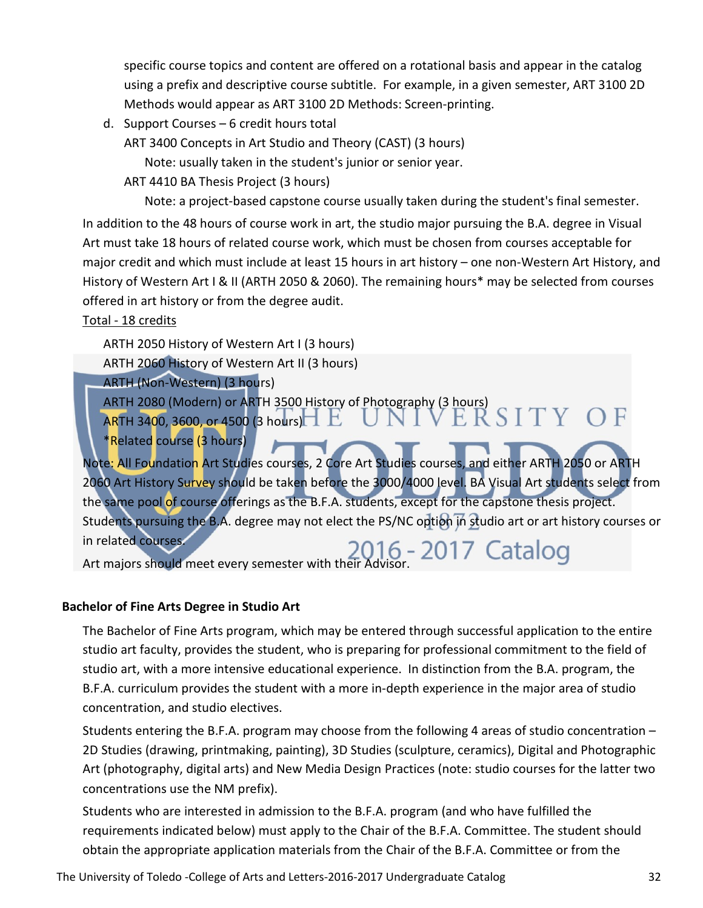specific course topics and content are offered on a rotational basis and appear in the catalog using a prefix and descriptive course subtitle. For example, in a given semester, ART 3100 2D Methods would appear as ART 3100 2D Methods: Screen-printing.

d. Support Courses – 6 credit hours total

ART 3400 Concepts in Art Studio and Theory (CAST) (3 hours)

Note: usually taken in the student's junior or senior year.

ART 4410 BA Thesis Project (3 hours)

Note: a project-based capstone course usually taken during the student's final semester.

In addition to the 48 hours of course work in art, the studio major pursuing the B.A. degree in Visual Art must take 18 hours of related course work, which must be chosen from courses acceptable for major credit and which must include at least 15 hours in art history – one non-Western Art History, and History of Western Art I & II (ARTH 2050 & 2060). The remaining hours\* may be selected from courses offered in art history or from the degree audit.

#### Total - 18 credits

ARTH 2050 History of Western Art I (3 hours)

ARTH 2060 History of Western Art II (3 hours)

ARTH (Non-Western) (3 hours)

ARTH 2080 (Modern) or ARTH 3500 History of Photography (3 hours)

ARTH 3400, 3600, or 4500 (3 hours)

\*Related course (3 hours)

Note: All Foundation Art Studies courses, 2 Core Art Studies courses, and either ARTH 2050 or ARTH 2060 Art History Survey should be taken before the 3000/4000 level. BA Visual Art students select from the same pool of course offerings as the B.F.A. students, except for the capstone thesis project. Students pursuing the B.A. degree may not elect the PS/NC option in studio art or art history courses or in related courses. In related courses.<br>Art majors should meet every semester with their Advisor.

#### **Bachelor of Fine Arts Degree in Studio Art**

The Bachelor of Fine Arts program, which may be entered through successful application to the entire studio art faculty, provides the student, who is preparing for professional commitment to the field of studio art, with a more intensive educational experience. In distinction from the B.A. program, the B.F.A. curriculum provides the student with a more in-depth experience in the major area of studio concentration, and studio electives.

Students entering the B.F.A. program may choose from the following 4 areas of studio concentration – 2D Studies (drawing, printmaking, painting), 3D Studies (sculpture, ceramics), Digital and Photographic Art (photography, digital arts) and New Media Design Practices (note: studio courses for the latter two concentrations use the NM prefix).

Students who are interested in admission to the B.F.A. program (and who have fulfilled the requirements indicated below) must apply to the Chair of the B.F.A. Committee. The student should obtain the appropriate application materials from the Chair of the B.F.A. Committee or from the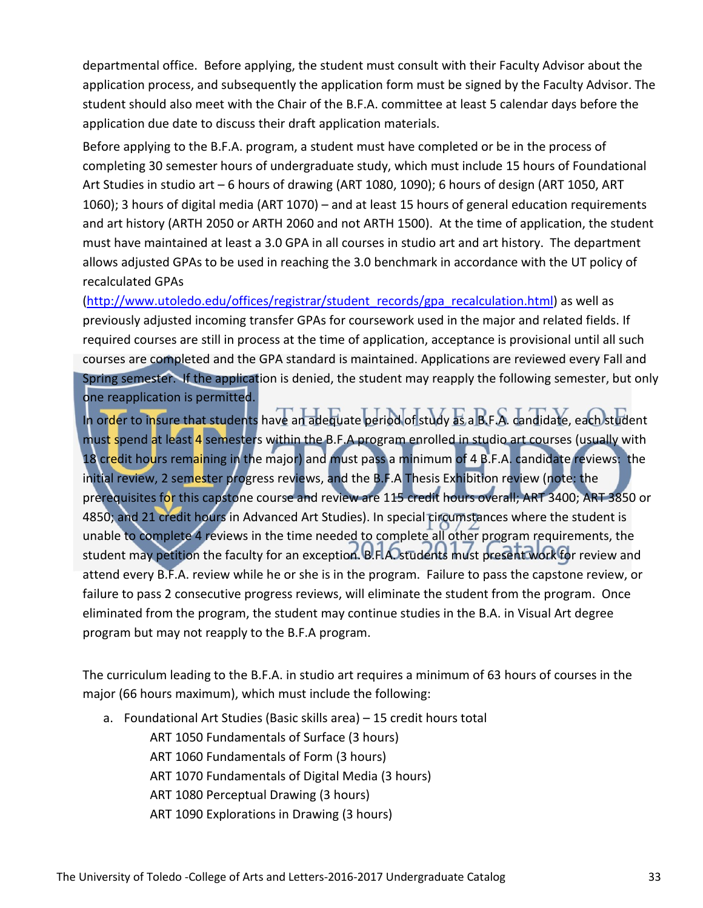departmental office. Before applying, the student must consult with their Faculty Advisor about the application process, and subsequently the application form must be signed by the Faculty Advisor. The student should also meet with the Chair of the B.F.A. committee at least 5 calendar days before the application due date to discuss their draft application materials.

Before applying to the B.F.A. program, a student must have completed or be in the process of completing 30 semester hours of undergraduate study, which must include 15 hours of Foundational Art Studies in studio art – 6 hours of drawing (ART 1080, 1090); 6 hours of design (ART 1050, ART 1060); 3 hours of digital media (ART 1070) – and at least 15 hours of general education requirements and art history (ARTH 2050 or ARTH 2060 and not ARTH 1500). At the time of application, the student must have maintained at least a 3.0 GPA in all courses in studio art and art history. The department allows adjusted GPAs to be used in reaching the 3.0 benchmark in accordance with the UT policy of recalculated GPAs

[\(http://www.utoledo.edu/offices/registrar/student\\_records/gpa\\_recalculation.html\)](http://www.utoledo.edu/offices/registrar/student_records/gpa_recalculation.html) as well as previously adjusted incoming transfer GPAs for coursework used in the major and related fields. If required courses are still in process at the time of application, acceptance is provisional until all such courses are completed and the GPA standard is maintained. Applications are reviewed every Fall and Spring semester. If the application is denied, the student may reapply the following semester, but only one reapplication is permitted.

In order to insure that students have an adequate period of study as a B.F.A. candidate, each student must spend at least 4 semesters within the B.F.A program enrolled in studio art courses (usually with 18 credit hours remaining in the major) and must pass a minimum of 4 B.F.A. candidate reviews: the initial review, 2 semester progress reviews, and the B.F.A Thesis Exhibition review (note: the prerequisites for this capstone course and review are 115 credit hours overall; ART 3400; ART 3850 or 4850; and 21 credit hours in Advanced Art Studies). In special circumstances where the student is unable to complete 4 reviews in the time needed to complete all other program requirements, the student may petition the faculty for an exception. B.F.A. students must present work for review and attend every B.F.A. review while he or she is in the program. Failure to pass the capstone review, or failure to pass 2 consecutive progress reviews, will eliminate the student from the program. Once eliminated from the program, the student may continue studies in the B.A. in Visual Art degree program but may not reapply to the B.F.A program.

The curriculum leading to the B.F.A. in studio art requires a minimum of 63 hours of courses in the major (66 hours maximum), which must include the following:

a. Foundational Art Studies (Basic skills area) – 15 credit hours total

ART 1050 Fundamentals of Surface (3 hours)

ART 1060 Fundamentals of Form (3 hours)

ART 1070 Fundamentals of Digital Media (3 hours)

ART 1080 Perceptual Drawing (3 hours)

ART 1090 Explorations in Drawing (3 hours)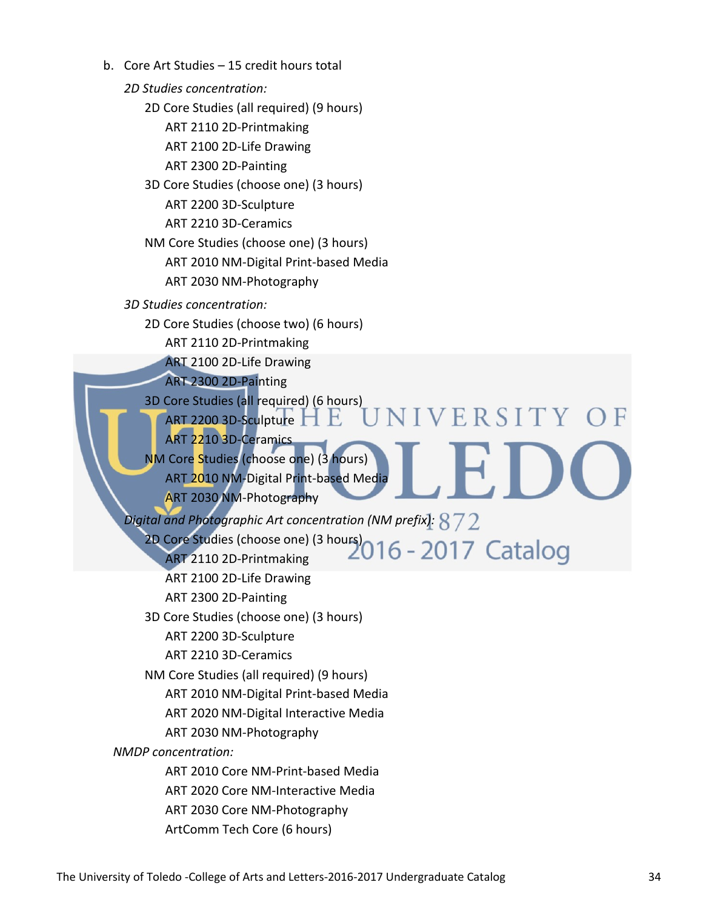b. Core Art Studies – 15 credit hours total *2D Studies concentration:* 2D Core Studies (all required) (9 hours) ART 2110 2D-Printmaking ART 2100 2D-Life Drawing ART 2300 2D-Painting 3D Core Studies (choose one) (3 hours) ART 2200 3D-Sculpture ART 2210 3D-Ceramics NM Core Studies (choose one) (3 hours) ART 2010 NM-Digital Print-based Media ART 2030 NM-Photography *3D Studies concentration:* 2D Core Studies (choose two) (6 hours) ART 2110 2D-Printmaking ART 2100 2D-Life Drawing ART 2300 2D-Painting 3D Core Studies (all required) (6 hours) NIVERSITY OF ART 2200 3D-Sculpture  $\Box$   $\Box$ ART 2210 3D-Ceramics NM Core Studies (choose one) (3 hours) ART 2010 NM-Digital Print-based Media ART 2030 NM-Photography *Digital and Photographic Art concentration (NM prefix):* 2D Core Studies (choose one) (3 hours) ART 2110 2D-Printmaking ART 2100 2D-Life Drawing ART 2300 2D-Painting 3D Core Studies (choose one) (3 hours) ART 2200 3D-Sculpture ART 2210 3D-Ceramics NM Core Studies (all required) (9 hours) ART 2010 NM-Digital Print-based Media ART 2020 NM-Digital Interactive Media ART 2030 NM-Photography *NMDP concentration:* ART 2010 Core NM-Print-based Media ART 2020 Core NM-Interactive Media ART 2030 Core NM-Photography ArtComm Tech Core (6 hours)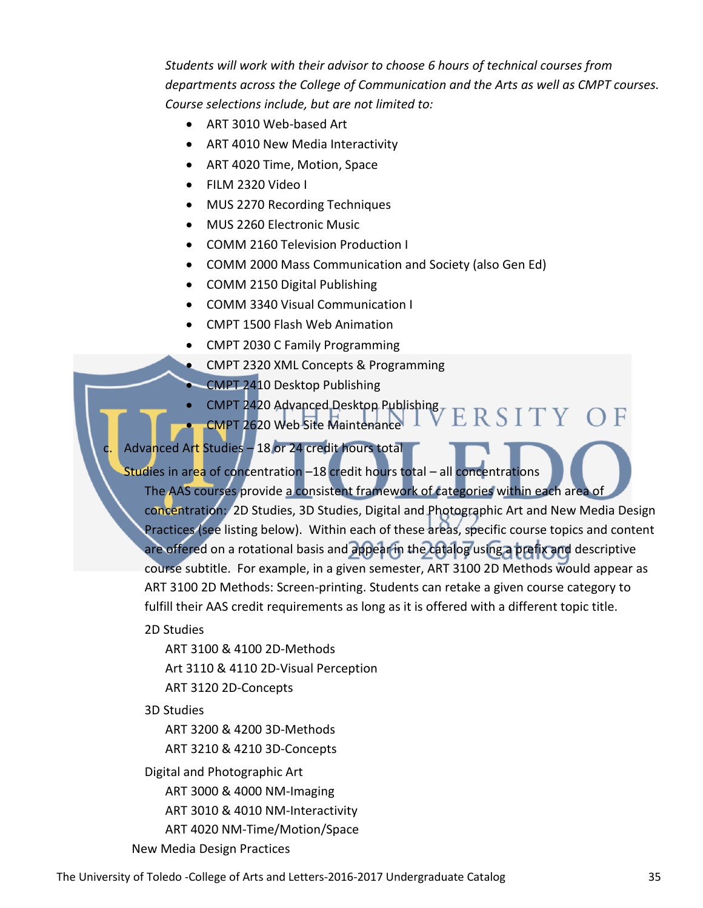*Students will work with their advisor to choose 6 hours of technical courses from departments across the College of Communication and the Arts as well as CMPT courses. Course selections include, but are not limited to:*

- ART 3010 Web-based Art
- ART 4010 New Media Interactivity
- ART 4020 Time, Motion, Space
- FILM 2320 Video I
- MUS 2270 Recording Techniques
- MUS 2260 Electronic Music
- COMM 2160 Television Production I
- COMM 2000 Mass Communication and Society (also Gen Ed)
- COMM 2150 Digital Publishing
- COMM 3340 Visual Communication I
- CMPT 1500 Flash Web Animation
- CMPT 2030 C Family Programming
- CMPT 2320 XML Concepts & Programming
- CMPT 2410 Desktop Publishing
- CMPT 2420 Advanced Desktop Publishing ERSITY OF
- CMPT 2620 Web Site Maintenance

### Advanced Art Studies – 18 or 24 credit hours total

Studies in area of concentration -18 credit hours total - all concentrations The AAS courses provide a consistent framework of categories within each area of

concentration: 2D Studies, 3D Studies, Digital and Photographic Art and New Media Design Practices (see listing below). Within each of these areas, specific course topics and content are offered on a rotational basis and appear in the catalog using a prefix and descriptive course subtitle. For example, in a given semester, ART 3100 2D Methods would appear as ART 3100 2D Methods: Screen-printing. Students can retake a given course category to fulfill their AAS credit requirements as long as it is offered with a different topic title.

2D Studies

ART 3100 & 4100 2D-Methods Art 3110 & 4110 2D-Visual Perception ART 3120 2D-Concepts

3D Studies

ART 3200 & 4200 3D-Methods ART 3210 & 4210 3D-Concepts

Digital and Photographic Art

ART 3000 & 4000 NM-Imaging

ART 3010 & 4010 NM-Interactivity

- ART 4020 NM-Time/Motion/Space
- New Media Design Practices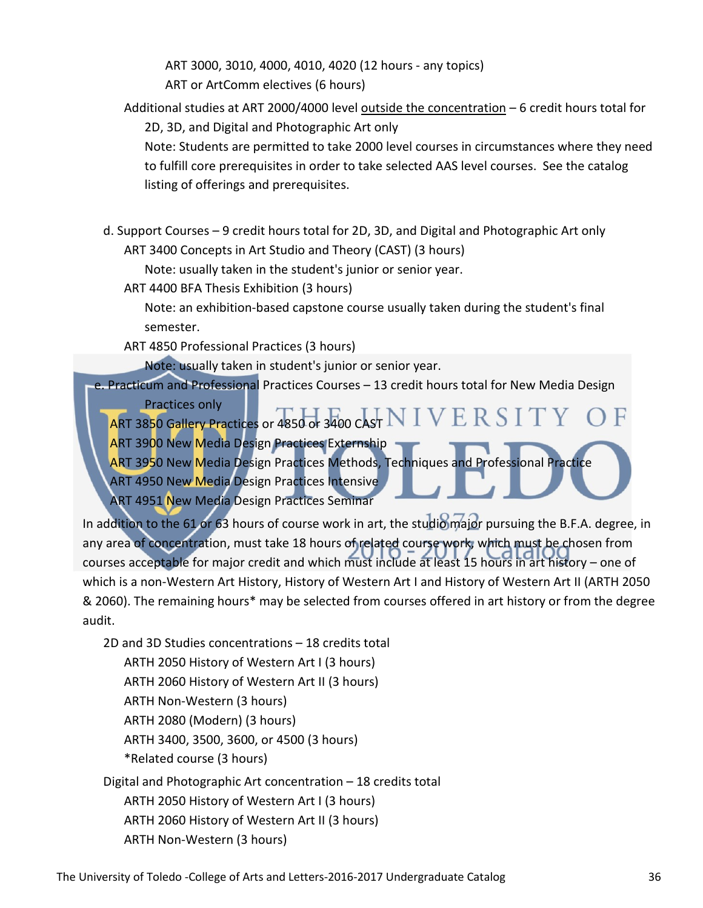ART 3000, 3010, 4000, 4010, 4020 (12 hours - any topics) ART or ArtComm electives (6 hours)

Additional studies at ART 2000/4000 level outside the concentration – 6 credit hours total for

2D, 3D, and Digital and Photographic Art only

Note: Students are permitted to take 2000 level courses in circumstances where they need to fulfill core prerequisites in order to take selected AAS level courses. See the catalog listing of offerings and prerequisites.

d. Support Courses – 9 credit hours total for 2D, 3D, and Digital and Photographic Art only ART 3400 Concepts in Art Studio and Theory (CAST) (3 hours)

Note: usually taken in the student's junior or senior year.

ART 4400 BFA Thesis Exhibition (3 hours)

Note: an exhibition-based capstone course usually taken during the student's final semester.

ART 4850 Professional Practices (3 hours)

Note: usually taken in student's junior or senior year.

e. Practicum and Professional Practices Courses – 13 credit hours total for New Media Design

Practices only

ART 38<mark>50 Gallery Practices</mark> or 4850 or 3400 CAST  $\mathrm{N}$   $\mathrm{I}$   $\mathrm{V}$   $\mathrm{E}$   $\mathrm{R}$   $\mathrm{S}$   $\mathrm{I}$   $\mathrm{T}$   $\mathrm{V}$ 

- ART 3900 New Media Design Practices Externship
- ART 3950 New Media Design Practices Methods, Techniques and Professional Practice ART 4950 New Media Design Practices Intensive

ART 4951 New Media Design Practices Seminar

In addition to the 61 or 63 hours of course work in art, the studio major pursuing the B.F.A. degree, in any area of concentration, must take 18 hours of related course work, which must be chosen from courses acceptable for major credit and which must include at least 15 hours in art history – one of which is a non-Western Art History, History of Western Art I and History of Western Art II (ARTH 2050 & 2060). The remaining hours\* may be selected from courses offered in art history or from the degree audit.

2D and 3D Studies concentrations – 18 credits total ARTH 2050 History of Western Art I (3 hours) ARTH 2060 History of Western Art II (3 hours) ARTH Non-Western (3 hours) ARTH 2080 (Modern) (3 hours) ARTH 3400, 3500, 3600, or 4500 (3 hours) \*Related course (3 hours) Digital and Photographic Art concentration – 18 credits total ARTH 2050 History of Western Art I (3 hours) ARTH 2060 History of Western Art II (3 hours)

ARTH Non-Western (3 hours)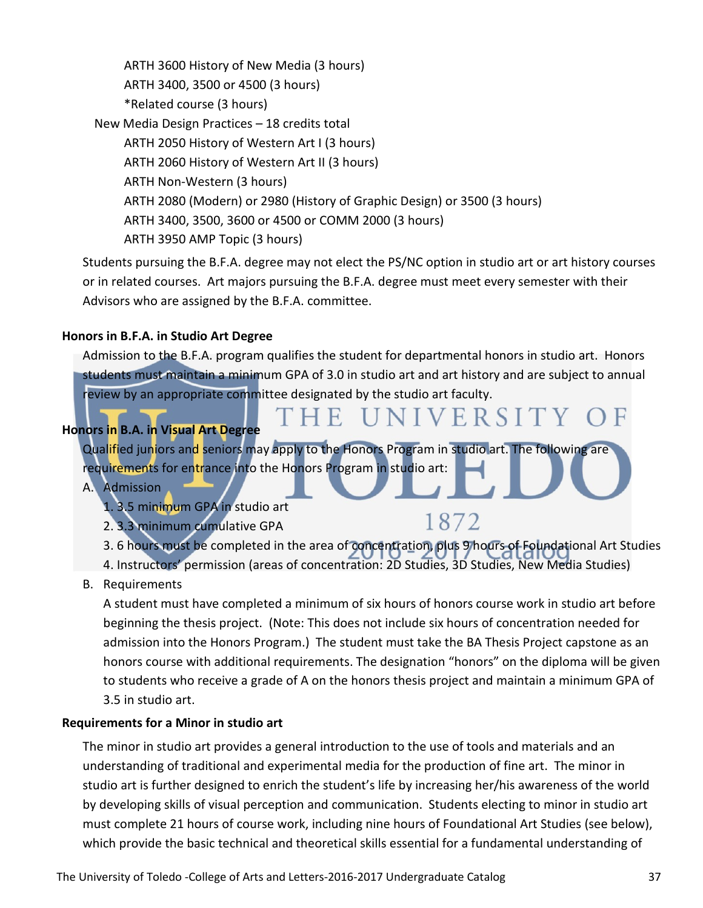ARTH 3600 History of New Media (3 hours) ARTH 3400, 3500 or 4500 (3 hours) \*Related course (3 hours) New Media Design Practices – 18 credits total ARTH 2050 History of Western Art I (3 hours) ARTH 2060 History of Western Art II (3 hours) ARTH Non-Western (3 hours) ARTH 2080 (Modern) or 2980 (History of Graphic Design) or 3500 (3 hours) ARTH 3400, 3500, 3600 or 4500 or COMM 2000 (3 hours) ARTH 3950 AMP Topic (3 hours)

Students pursuing the B.F.A. degree may not elect the PS/NC option in studio art or art history courses or in related courses. Art majors pursuing the B.F.A. degree must meet every semester with their Advisors who are assigned by the B.F.A. committee.

# **Honors in B.F.A. in Studio Art Degree**

Admission to the B.F.A. program qualifies the student for departmental honors in studio art. Honors students must maintain a minimum GPA of 3.0 in studio art and art history and are subject to annual review by an appropriate committee designated by the studio art faculty.

# **Honors in B.A. in Visual Art Degree**

Qualified juniors and seniors may apply to the Honors Program in studio art. The following are requirements for entrance into the Honors Program in studio art:

F.

# A. Admission

1. 3.5 minimum GPA in studio art

- 2. 3.3 minimum cumulative GPA
- 3. 6 hours must be completed in the area of concentration, plus 9 hours of Foundational Art Studies

**SIVERSITY** 

1872

4. Instructors' permission (areas of concentration: 2D Studies, 3D Studies, New Media Studies)

# B. Requirements

A student must have completed a minimum of six hours of honors course work in studio art before beginning the thesis project. (Note: This does not include six hours of concentration needed for admission into the Honors Program.) The student must take the BA Thesis Project capstone as an honors course with additional requirements. The designation "honors" on the diploma will be given to students who receive a grade of A on the honors thesis project and maintain a minimum GPA of 3.5 in studio art.

# **Requirements for a Minor in studio art**

The minor in studio art provides a general introduction to the use of tools and materials and an understanding of traditional and experimental media for the production of fine art. The minor in studio art is further designed to enrich the student's life by increasing her/his awareness of the world by developing skills of visual perception and communication. Students electing to minor in studio art must complete 21 hours of course work, including nine hours of Foundational Art Studies (see below), which provide the basic technical and theoretical skills essential for a fundamental understanding of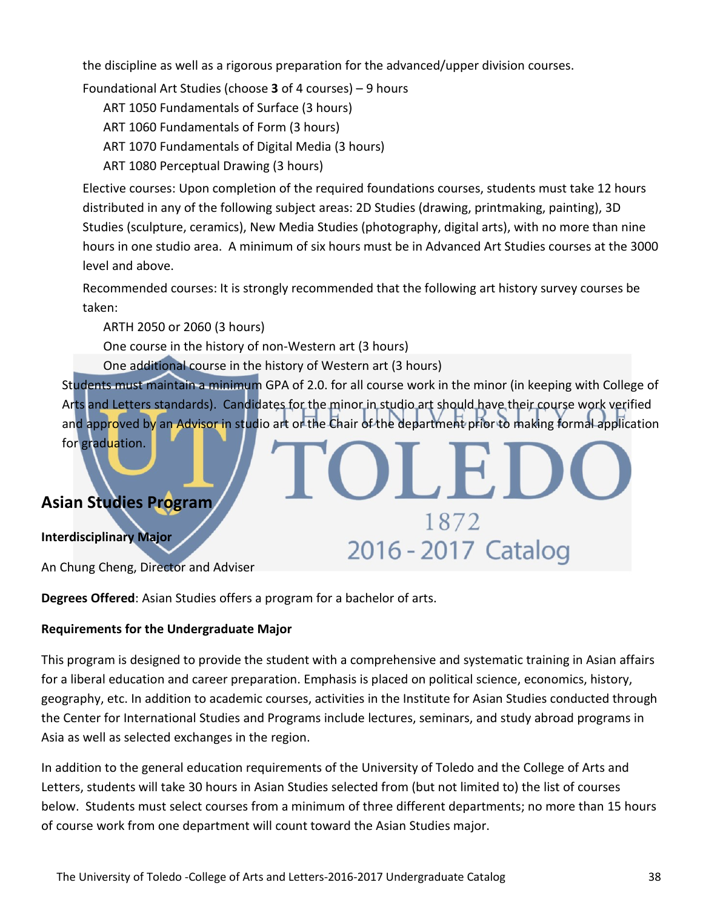the discipline as well as a rigorous preparation for the advanced/upper division courses.

Foundational Art Studies (choose **3** of 4 courses) – 9 hours

ART 1050 Fundamentals of Surface (3 hours)

ART 1060 Fundamentals of Form (3 hours)

ART 1070 Fundamentals of Digital Media (3 hours)

ART 1080 Perceptual Drawing (3 hours)

Elective courses: Upon completion of the required foundations courses, students must take 12 hours distributed in any of the following subject areas: 2D Studies (drawing, printmaking, painting), 3D Studies (sculpture, ceramics), New Media Studies (photography, digital arts), with no more than nine hours in one studio area. A minimum of six hours must be in Advanced Art Studies courses at the 3000 level and above.

Recommended courses: It is strongly recommended that the following art history survey courses be taken:

ARTH 2050 or 2060 (3 hours)

One course in the history of non-Western art (3 hours)

One additional course in the history of Western art (3 hours)

Students must maintain a minimum GPA of 2.0. for all course work in the minor (in keeping with College of Arts and Letters standards). Candidates for the minor in studio art should have their course work verified and approved by an Advisor in studio art or the Chair of the department prior to making formal application for graduation.

1872

2016 - 2017 Catalog

# **Asian Studies Program**

# **Interdisciplinary Major**

An Chung Cheng, Director and Adviser

**Degrees Offered**: Asian Studies offers a program for a bachelor of arts.

# **Requirements for the Undergraduate Major**

This program is designed to provide the student with a comprehensive and systematic training in Asian affairs for a liberal education and career preparation. Emphasis is placed on political science, economics, history, geography, etc. In addition to academic courses, activities in the Institute for Asian Studies conducted through the Center for International Studies and Programs include lectures, seminars, and study abroad programs in Asia as well as selected exchanges in the region.

In addition to the general education requirements of the University of Toledo and the College of Arts and Letters, students will take 30 hours in Asian Studies selected from (but not limited to) the list of courses below. Students must select courses from a minimum of three different departments; no more than 15 hours of course work from one department will count toward the Asian Studies major.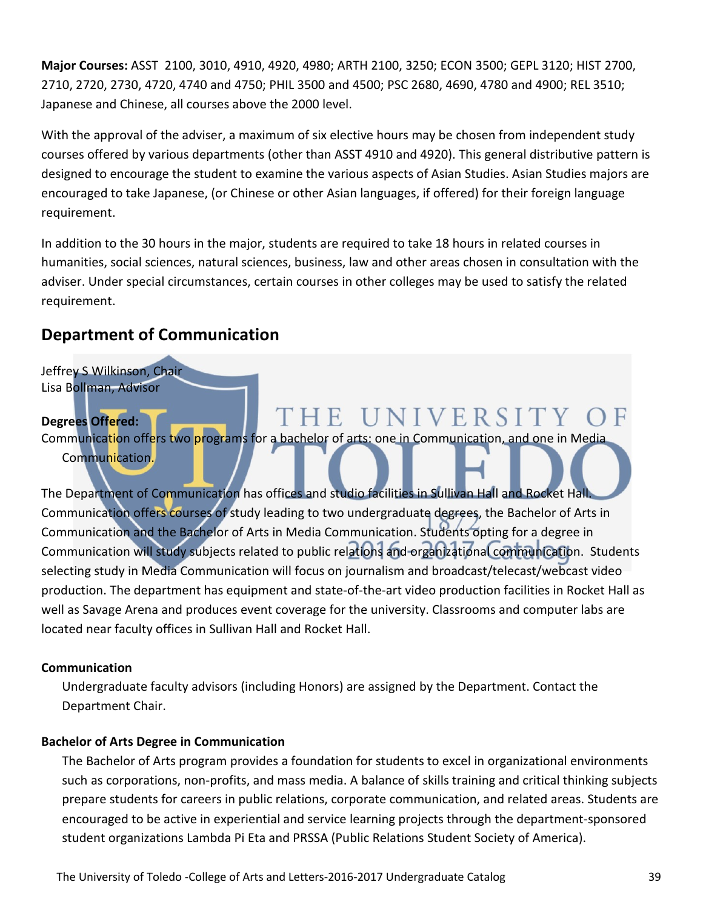**Major Courses:** ASST 2100, 3010, 4910, 4920, 4980; ARTH 2100, 3250; ECON 3500; GEPL 3120; HIST 2700, 2710, 2720, 2730, 4720, 4740 and 4750; PHIL 3500 and 4500; PSC 2680, 4690, 4780 and 4900; REL 3510; Japanese and Chinese, all courses above the 2000 level.

With the approval of the adviser, a maximum of six elective hours may be chosen from independent study courses offered by various departments (other than ASST 4910 and 4920). This general distributive pattern is designed to encourage the student to examine the various aspects of Asian Studies. Asian Studies majors are encouraged to take Japanese, (or Chinese or other Asian languages, if offered) for their foreign language requirement.

In addition to the 30 hours in the major, students are required to take 18 hours in related courses in humanities, social sciences, natural sciences, business, law and other areas chosen in consultation with the adviser. Under special circumstances, certain courses in other colleges may be used to satisfy the related requirement.

# **Department of Communication**

Jeffrey S Wilkinson, Chair Lisa Bollman, Advisor THE UNIVERSITY **Degrees Offered:**  Communication offers two programs for a bachelor of arts: one in Communication, and one in Media Communication.

The Department of Communication has offices and studio facilities in Sullivan Hall and Rocket Hall. Communication offers courses of study leading to two undergraduate degrees, the Bachelor of Arts in Communication and the Bachelor of Arts in Media Communication. Students opting for a degree in Communication will study subjects related to public relations and organizational communication. Students selecting study in Media Communication will focus on journalism and broadcast/telecast/webcast video production. The department has equipment and state-of-the-art video production facilities in Rocket Hall as well as Savage Arena and produces event coverage for the university. Classrooms and computer labs are located near faculty offices in Sullivan Hall and Rocket Hall.

# **Communication**

Undergraduate faculty advisors (including Honors) are assigned by the Department. Contact the Department Chair.

# **Bachelor of Arts Degree in Communication**

The Bachelor of Arts program provides a foundation for students to excel in organizational environments such as corporations, non-profits, and mass media. A balance of skills training and critical thinking subjects prepare students for careers in public relations, corporate communication, and related areas. Students are encouraged to be active in experiential and service learning projects through the department-sponsored student organizations Lambda Pi Eta and PRSSA (Public Relations Student Society of America).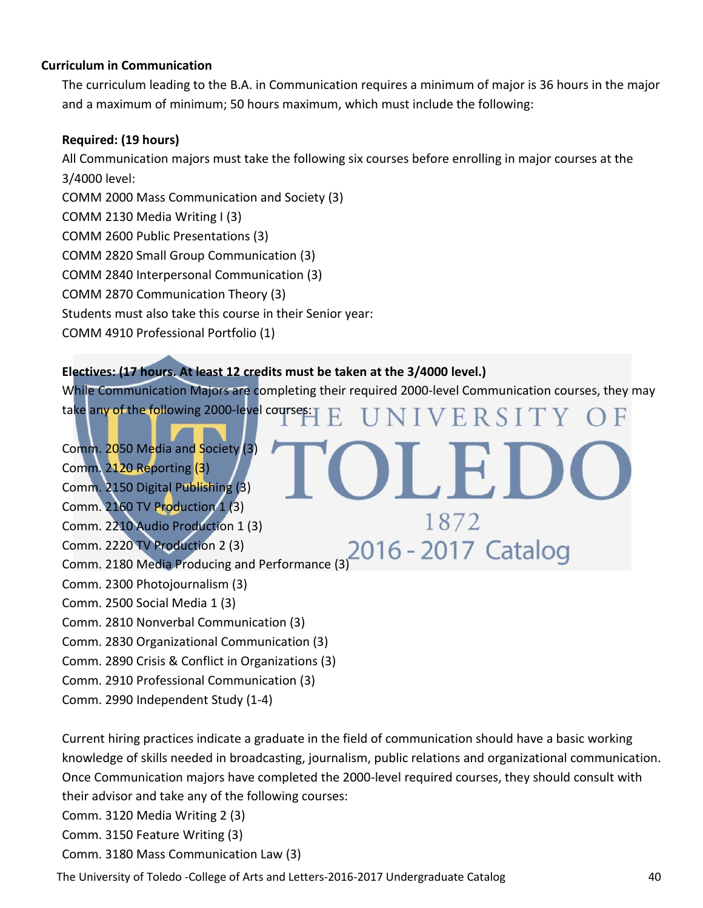#### **Curriculum in Communication**

The curriculum leading to the B.A. in Communication requires a minimum of major is 36 hours in the major and a maximum of minimum; 50 hours maximum, which must include the following:

#### **Required: (19 hours)**

All Communication majors must take the following six courses before enrolling in major courses at the 3/4000 level:

COMM 2000 Mass Communication and Society (3)

COMM 2130 Media Writing I (3)

COMM 2600 Public Presentations (3)

COMM 2820 Small Group Communication (3)

COMM 2840 Interpersonal Communication (3)

COMM 2870 Communication Theory (3)

Students must also take this course in their Senior year:

COMM 4910 Professional Portfolio (1)

# **Electives: (17 hours. At least 12 credits must be taken at the 3/4000 level.)**

While Communication Majors are completing their required 2000-level Communication courses, they may take any of the following 2000-level courses: VERSIT

Comm. 2050 Media and Society (3) Comm. 2120 Reporting (3) Comm. 2150 Digital Publishing (3) Comm. 2160 TV Production 1 (3) 1872 Comm. 2210 Audio Production 1 (3) Comm. 2220 TV Production 2 (3) 2016 - 2017 Catalog Comm. 2180 Media Producing and Performance (3) Comm. 2300 Photojournalism (3) Comm. 2500 Social Media 1 (3) Comm. 2810 Nonverbal Communication (3) Comm. 2830 Organizational Communication (3)

Comm. 2890 Crisis & Conflict in Organizations (3)

Comm. 2910 Professional Communication (3)

Comm. 2990 Independent Study (1-4)

Current hiring practices indicate a graduate in the field of communication should have a basic working knowledge of skills needed in broadcasting, journalism, public relations and organizational communication. Once Communication majors have completed the 2000-level required courses, they should consult with their advisor and take any of the following courses:

Comm. 3120 Media Writing 2 (3)

Comm. 3150 Feature Writing (3)

Comm. 3180 Mass Communication Law (3)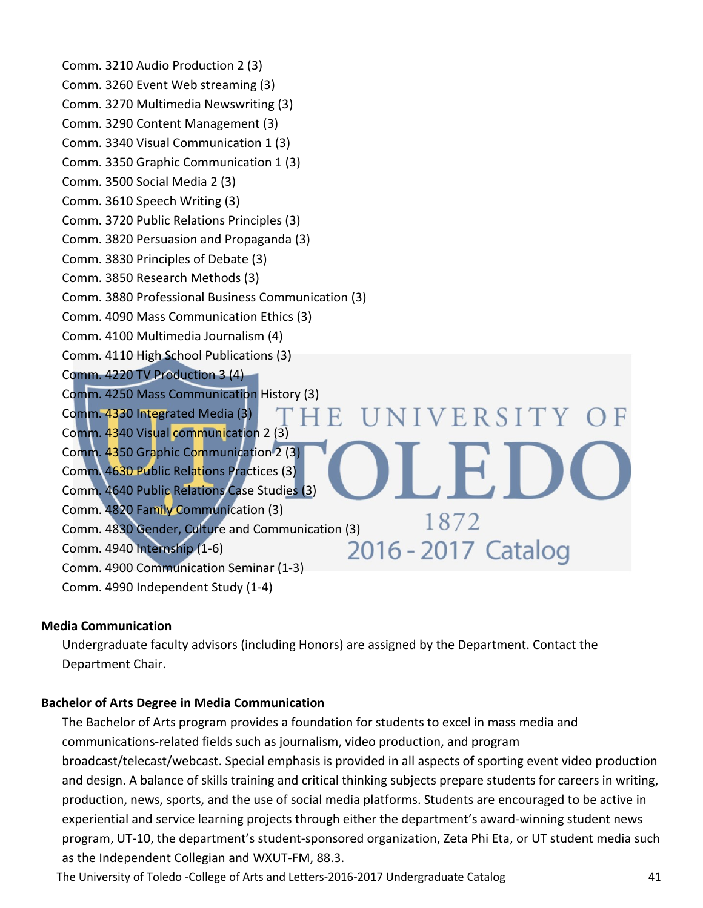Comm. 3210 Audio Production 2 (3) Comm. 3260 Event Web streaming (3) Comm. 3270 Multimedia Newswriting (3) Comm. 3290 Content Management (3) Comm. 3340 Visual Communication 1 (3) Comm. 3350 Graphic Communication 1 (3) Comm. 3500 Social Media 2 (3) Comm. 3610 Speech Writing (3) Comm. 3720 Public Relations Principles (3) Comm. 3820 Persuasion and Propaganda (3) Comm. 3830 Principles of Debate (3) Comm. 3850 Research Methods (3) Comm. 3880 Professional Business Communication (3) Comm. 4090 Mass Communication Ethics (3) Comm. 4100 Multimedia Journalism (4) Comm. 4110 High School Publications (3) Comm. 4220 TV Production 3 (4) Comm. 4250 Mass Communication History (3) NIVERSITY O Comm. 4330 Integrated Media (3) 4 E. Comm. 4340 Visual communication 2 (3) Comm. 4350 Graphic Communication 2 (3) Comm. 4630 Public Relations Practices (3) Comm. 4640 Public Relations Case Studies (3) Comm. 4820 Family Communication (3) 1872 Comm. 4830 Gender, Culture and Communication (3)  $10/2$ <br>Comm. 4940 Internship (1-6)  $2016 - 2017$  Catalog Comm. 4940 Internship (1-6) Comm. 4900 Communication Seminar (1-3) Comm. 4990 Independent Study (1-4)

# **Media Communication**

Undergraduate faculty advisors (including Honors) are assigned by the Department. Contact the Department Chair.

# **Bachelor of Arts Degree in Media Communication**

The Bachelor of Arts program provides a foundation for students to excel in mass media and communications-related fields such as journalism, video production, and program broadcast/telecast/webcast. Special emphasis is provided in all aspects of sporting event video production and design. A balance of skills training and critical thinking subjects prepare students for careers in writing, production, news, sports, and the use of social media platforms. Students are encouraged to be active in experiential and service learning projects through either the department's award-winning student news program, UT-10, the department's student-sponsored organization, Zeta Phi Eta, or UT student media such as the Independent Collegian and WXUT-FM, 88.3.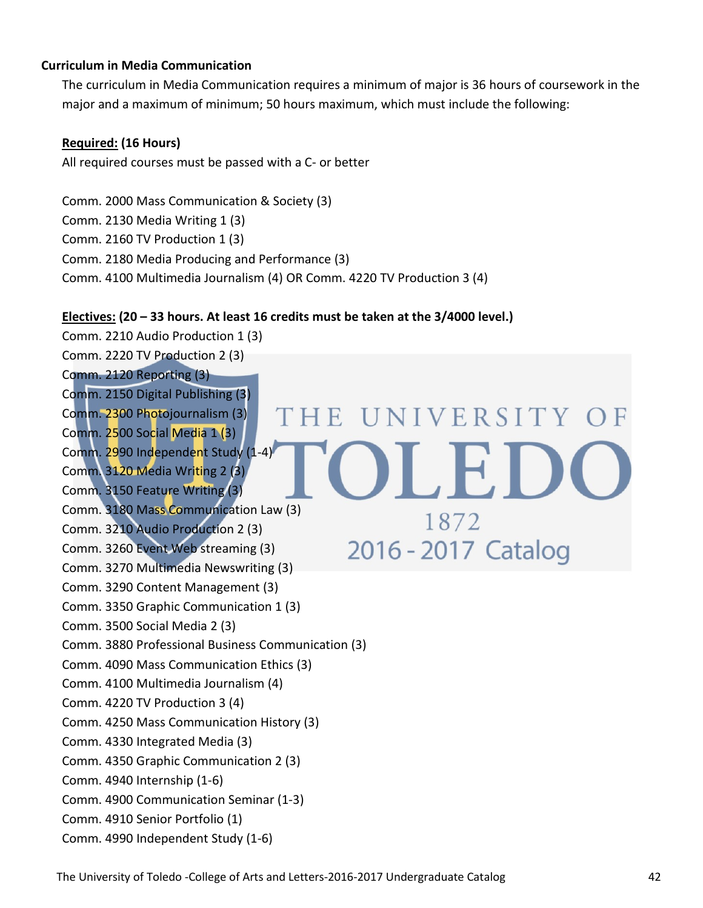#### **Curriculum in Media Communication**

The curriculum in Media Communication requires a minimum of major is 36 hours of coursework in the major and a maximum of minimum; 50 hours maximum, which must include the following:

#### **Required: (16 Hours)**

All required courses must be passed with a C- or better

Comm. 2000 Mass Communication & Society (3) Comm. 2130 Media Writing 1 (3) Comm. 2160 TV Production 1 (3) Comm. 2180 Media Producing and Performance (3) Comm. 4100 Multimedia Journalism (4) OR Comm. 4220 TV Production 3 (4)

# **Electives: (20 – 33 hours. At least 16 credits must be taken at the 3/4000 level.)**

Comm. 2210 Audio Production 1 (3) Comm. 2220 TV Production 2 (3) Comm. 2120 Reporting (3) Comm. 2150 Digital Publishing (3) HE UNIVERSITY OF Comm. 2300 Photojournalism (3) Comm. 2500 Social Media 1 (3) Comm. 2990 Independent Study (1-4) Comm. 3120 Media Writing 2 (3) Comm. 3150 Feature Writing (3) Comm. 3180 Mass Communication Law (3) 1872 Comm. 3210 Audio Production 2 (3) 2016 - 2017 Catalog Comm. 3260 Event Web streaming (3) Comm. 3270 Multimedia Newswriting (3) Comm. 3290 Content Management (3) Comm. 3350 Graphic Communication 1 (3) Comm. 3500 Social Media 2 (3) Comm. 3880 Professional Business Communication (3) Comm. 4090 Mass Communication Ethics (3) Comm. 4100 Multimedia Journalism (4) Comm. 4220 TV Production 3 (4) Comm. 4250 Mass Communication History (3) Comm. 4330 Integrated Media (3) Comm. 4350 Graphic Communication 2 (3) Comm. 4940 Internship (1-6) Comm. 4900 Communication Seminar (1-3) Comm. 4910 Senior Portfolio (1) Comm. 4990 Independent Study (1-6)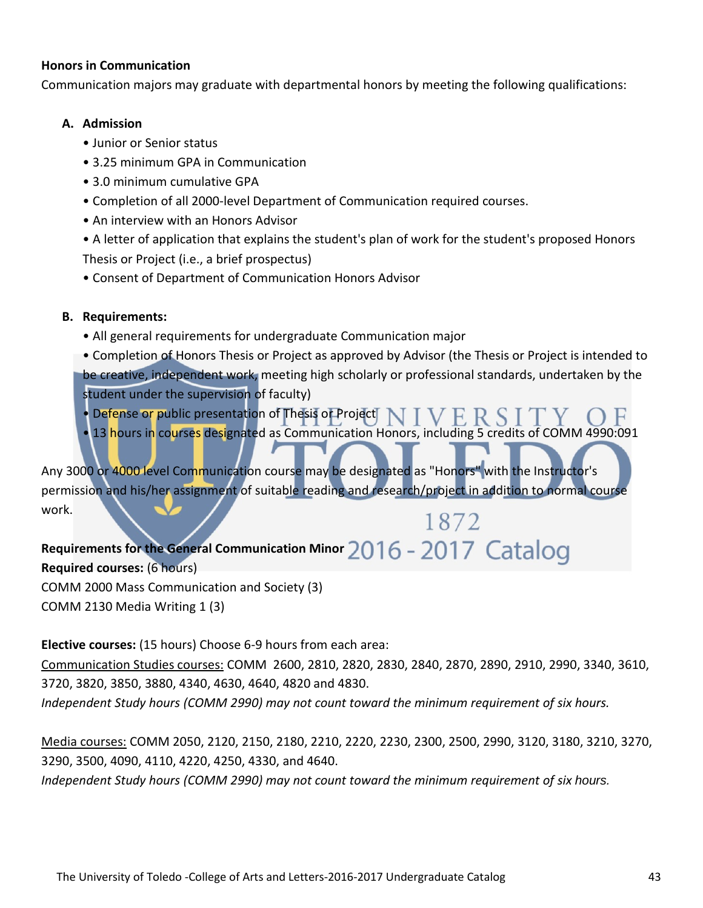#### **Honors in Communication**

Communication majors may graduate with departmental honors by meeting the following qualifications:

#### **A. Admission**

- Junior or Senior status
- 3.25 minimum GPA in Communication
- 3.0 minimum cumulative GPA
- Completion of all 2000-level Department of Communication required courses.
- An interview with an Honors Advisor

• A letter of application that explains the student's plan of work for the student's proposed Honors Thesis or Project (i.e., a brief prospectus)

• Consent of Department of Communication Honors Advisor

# **B. Requirements:**

• All general requirements for undergraduate Communication major

• Completion of Honors Thesis or Project as approved by Advisor (the Thesis or Project is intended to be creative, independent work, meeting high scholarly or professional standards, undertaken by the student under the supervision of faculty)

- Defense or public presentation of Thesis or Project
- 13 hours in courses designated as Communication Honors, including 5 credits of COMM 4990:091

Any 3000 or 4000 level Communication course may be designated as "Honors" with the Instructor's permission and his/her assignment of suitable reading and research/project in addition to normal course work. 1872

Requirements for the General Communication Minor 2016 - 2017 Catalog **Required courses:** (6 hours) COMM 2000 Mass Communication and Society (3)

COMM 2130 Media Writing 1 (3)

**Elective courses:** (15 hours) Choose 6-9 hours from each area:

Communication Studies courses: COMM 2600, 2810, 2820, 2830, 2840, 2870, 2890, 2910, 2990, 3340, 3610, 3720, 3820, 3850, 3880, 4340, 4630, 4640, 4820 and 4830.

*Independent Study hours (COMM 2990) may not count toward the minimum requirement of six hours.*

Media courses: COMM 2050, 2120, 2150, 2180, 2210, 2220, 2230, 2300, 2500, 2990, 3120, 3180, 3210, 3270, 3290, 3500, 4090, 4110, 4220, 4250, 4330, and 4640.

*Independent Study hours (COMM 2990) may not count toward the minimum requirement of six hours.*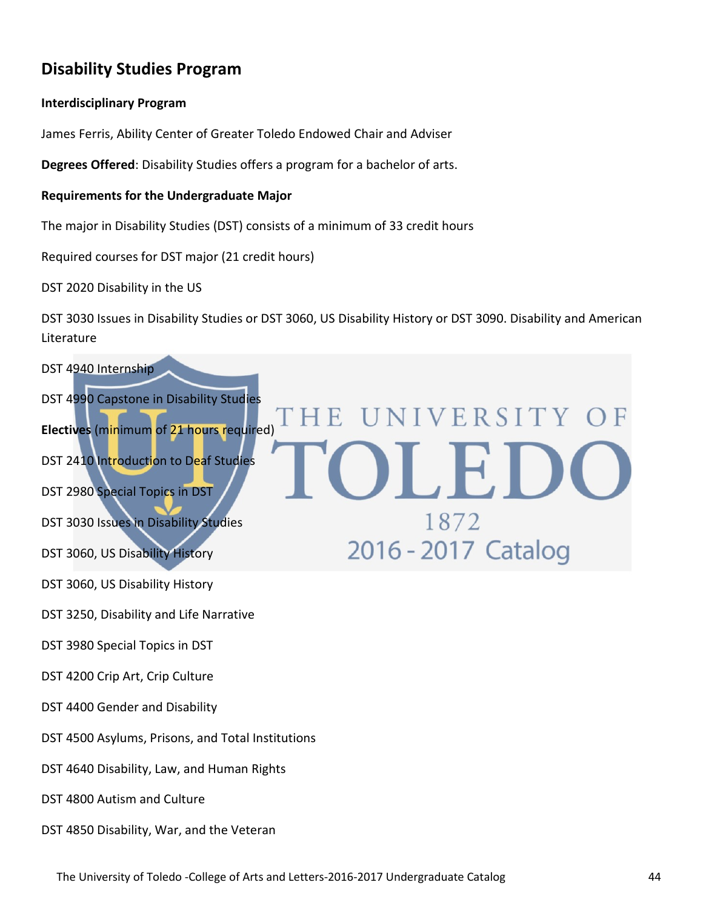# **Disability Studies Program**

#### **Interdisciplinary Program**

James Ferris, Ability Center of Greater Toledo Endowed Chair and Adviser

**Degrees Offered**: Disability Studies offers a program for a bachelor of arts.

#### **Requirements for the Undergraduate Major**

The major in Disability Studies (DST) consists of a minimum of 33 credit hours

Required courses for DST major (21 credit hours)

DST 2020 Disability in the US

DST 3030 Issues in Disability Studies or DST 3060, US Disability History or DST 3090. Disability and American Literature

# DST 4940 Internship DST 4990 Capstone in Disability Studies **IVERSITY** E **Electives** (minimum of 21 hours required) DST 2410 Introduction to Deaf Studies DST 2980 Special Topics in DST 1872 DST 3030 Issues in Disability Studies 2016 - 2017 Catalog DST 3060, US Disability History DST 3060, US Disability History DST 3250, Disability and Life Narrative DST 3980 Special Topics in DST DST 4200 Crip Art, Crip Culture DST 4400 Gender and Disability DST 4500 Asylums, Prisons, and Total Institutions DST 4640 Disability, Law, and Human Rights DST 4800 Autism and Culture DST 4850 Disability, War, and the Veteran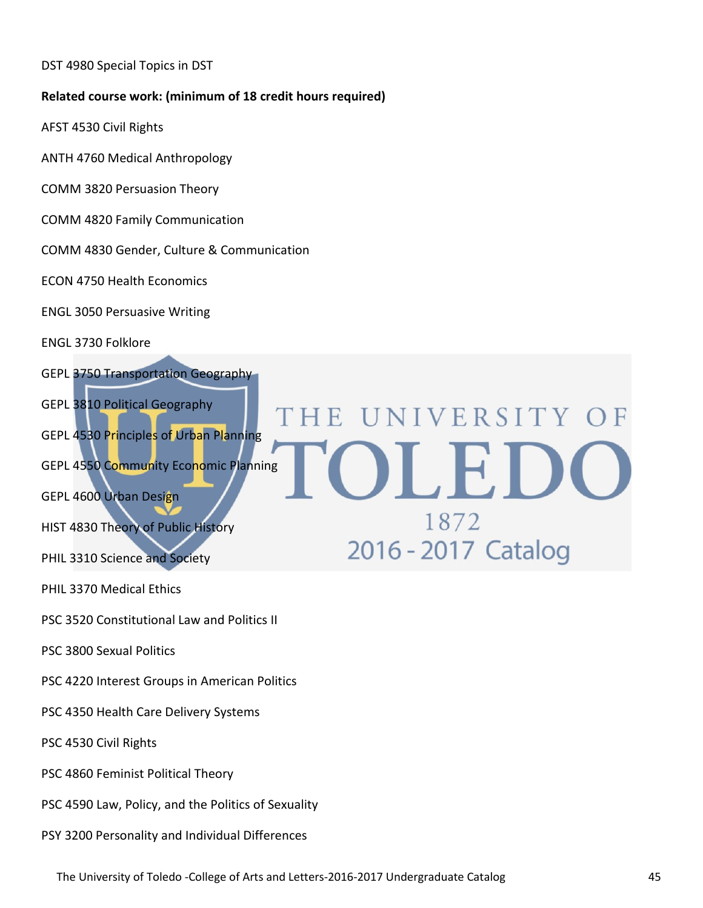DST 4980 Special Topics in DST

#### **Related course work: (minimum of 18 credit hours required)**

- AFST 4530 Civil Rights
- ANTH 4760 Medical Anthropology
- COMM 3820 Persuasion Theory
- COMM 4820 Family Communication
- COMM 4830 Gender, Culture & Communication
- ECON 4750 Health Economics
- ENGL 3050 Persuasive Writing
- ENGL 3730 Folklore
- GEPL 3750 Transportation Geography
- GEPL 3810 Political Geography
- GEPL 4530 Principles of Urban Planning
- GEPL 4550 Community Economic Planning
- GEPL 4600 Urban Design
- HIST 4830 Theory of Public History
- PHIL 3310 Science and Society
- PHIL 3370 Medical Ethics
- PSC 3520 Constitutional Law and Politics II
- PSC 3800 Sexual Politics
- PSC 4220 Interest Groups in American Politics
- PSC 4350 Health Care Delivery Systems
- PSC 4530 Civil Rights
- PSC 4860 Feminist Political Theory
- PSC 4590 Law, Policy, and the Politics of Sexuality
- PSY 3200 Personality and Individual Differences

HE UNIVERSITY

1872

2016 - 2017 Catalog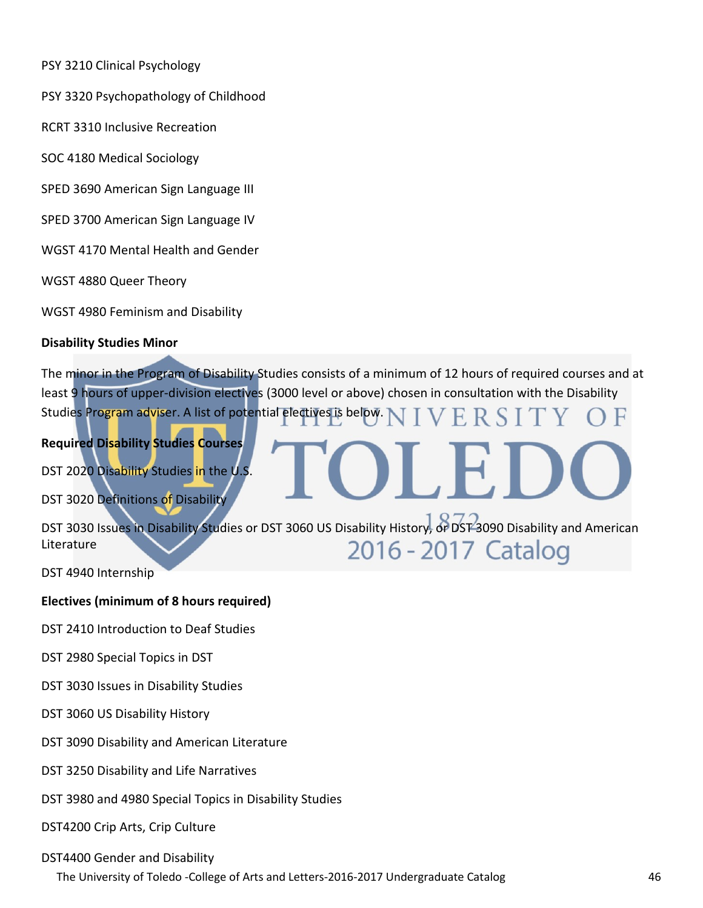PSY 3210 Clinical Psychology

PSY 3320 Psychopathology of Childhood

RCRT 3310 Inclusive Recreation

SOC 4180 Medical Sociology

SPED 3690 American Sign Language III

SPED 3700 American Sign Language IV

WGST 4170 Mental Health and Gender

WGST 4880 Queer Theory

WGST 4980 Feminism and Disability

#### **Disability Studies Minor**

The minor in the Program of Disability Studies consists of a minimum of 12 hours of required courses and at least 9 hours of upper-division electives (3000 level or above) chosen in consultation with the Disability Studies Program adviser. A list of potential electives is below. R

# **Required Disability Studies Courses**

DST 2020 Disability Studies in the U.S.

DST 3020 Definitions of Disability

DST 3030 Issues in Disability Studies or DST 3060 US Disability History, or DST 3090 Disability and American Literature 2016 - 2017 Catalog

DST 4940 Internship

#### **Electives (minimum of 8 hours required)**

DST 2410 Introduction to Deaf Studies

DST 2980 Special Topics in DST

DST 3030 Issues in Disability Studies

DST 3060 US Disability History

DST 3090 Disability and American Literature

DST 3250 Disability and Life Narratives

DST 3980 and 4980 Special Topics in Disability Studies

DST4200 Crip Arts, Crip Culture

#### DST4400 Gender and Disability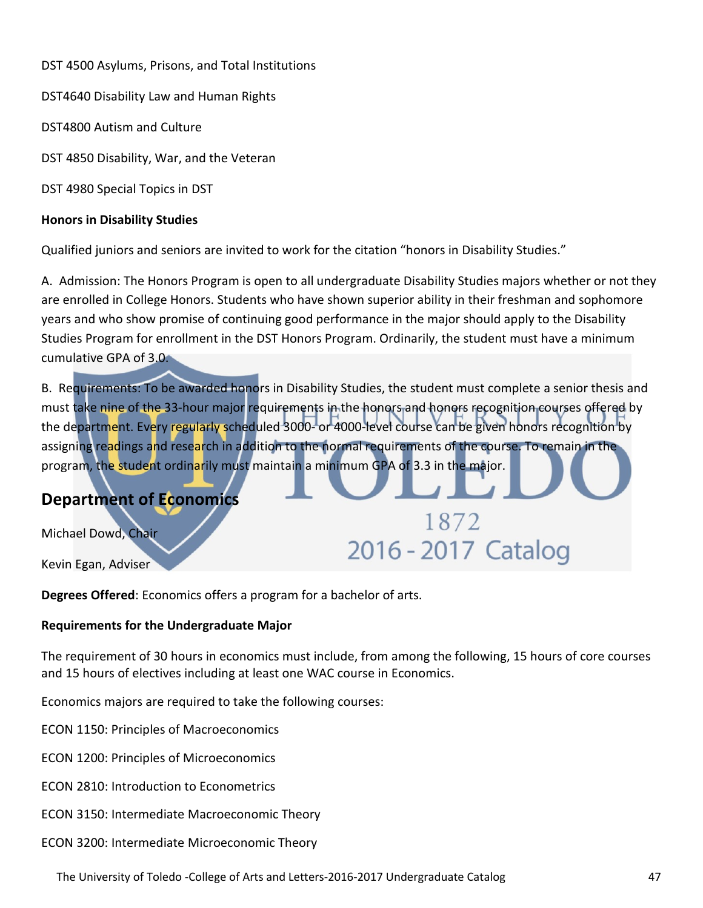DST 4500 Asylums, Prisons, and Total Institutions

DST4640 Disability Law and Human Rights

DST4800 Autism and Culture

DST 4850 Disability, War, and the Veteran

DST 4980 Special Topics in DST

#### **Honors in Disability Studies**

Qualified juniors and seniors are invited to work for the citation "honors in Disability Studies."

A. Admission: The Honors Program is open to all undergraduate Disability Studies majors whether or not they are enrolled in College Honors. Students who have shown superior ability in their freshman and sophomore years and who show promise of continuing good performance in the major should apply to the Disability Studies Program for enrollment in the DST Honors Program. Ordinarily, the student must have a minimum cumulative GPA of 3.0.

B. Requirements: To be awarded honors in Disability Studies, the student must complete a senior thesis and must take nine of the 33-hour major requirements in the honors and honors recognition courses offered by the department. Every regularly scheduled 3000- or 4000-level course can be given honors recognition by assigning readings and research in addition to the normal requirements of the course. To remain in the program, the student ordinarily must maintain a minimum GPA of 3.3 in the major.

1872

2016 - 2017 Catalog

# **Department of Economics**

Michael Dowd, Chair

Kevin Egan, Adviser

**Degrees Offered**: Economics offers a program for a bachelor of arts.

#### **Requirements for the Undergraduate Major**

The requirement of 30 hours in economics must include, from among the following, 15 hours of core courses and 15 hours of electives including at least one WAC course in Economics.

Economics majors are required to take the following courses:

ECON 1150: Principles of Macroeconomics

ECON 1200: Principles of Microeconomics

ECON 2810: Introduction to Econometrics

ECON 3150: Intermediate Macroeconomic Theory

ECON 3200: Intermediate Microeconomic Theory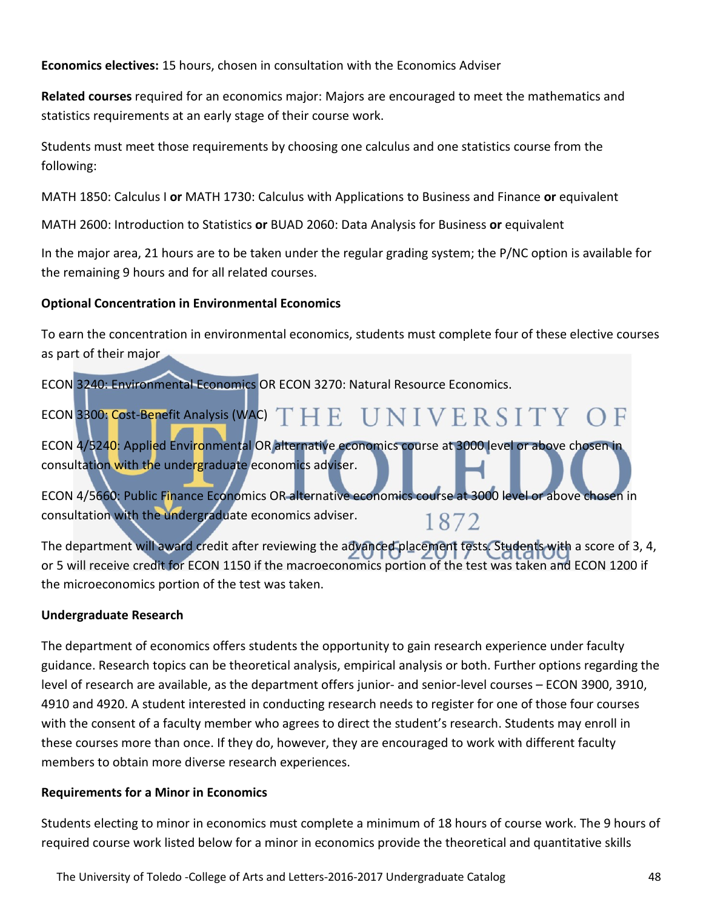**Economics electives:** 15 hours, chosen in consultation with the Economics Adviser

**Related courses** required for an economics major: Majors are encouraged to meet the mathematics and statistics requirements at an early stage of their course work.

Students must meet those requirements by choosing one calculus and one statistics course from the following:

MATH 1850: Calculus I **or** MATH 1730: Calculus with Applications to Business and Finance **or** equivalent

MATH 2600: Introduction to Statistics **or** BUAD 2060: Data Analysis for Business **or** equivalent

In the major area, 21 hours are to be taken under the regular grading system; the P/NC option is available for the remaining 9 hours and for all related courses.

# **Optional Concentration in Environmental Economics**

To earn the concentration in environmental economics, students must complete four of these elective courses as part of their major

ECON 3240: Environmental Economics OR ECON 3270: Natural Resource Economics.

ECON 3300: Cost-Benefit Analysis (WAC) THE UNIVERSITY OF

ECON 4/5240: Applied Environmental OR alternative economics course at 3000 level or above chosen in consultation with the undergraduate economics adviser.

ECON 4/5660: Public Finance Economics OR alternative economics course at 3000 level or above chosen in consultation with the undergraduate economics adviser. 1872

The department will award credit after reviewing the advanced placement tests. Students with a score of 3, 4, or 5 will receive credit for ECON 1150 if the macroeconomics portion of the test was taken and ECON 1200 if the microeconomics portion of the test was taken.

# **Undergraduate Research**

The department of economics offers students the opportunity to gain research experience under faculty guidance. Research topics can be theoretical analysis, empirical analysis or both. Further options regarding the level of research are available, as the department offers junior- and senior-level courses – ECON 3900, 3910, 4910 and 4920. A student interested in conducting research needs to register for one of those four courses with the consent of a faculty member who agrees to direct the student's research. Students may enroll in these courses more than once. If they do, however, they are encouraged to work with different faculty members to obtain more diverse research experiences.

# **Requirements for a Minor in Economics**

Students electing to minor in economics must complete a minimum of 18 hours of course work. The 9 hours of required course work listed below for a minor in economics provide the theoretical and quantitative skills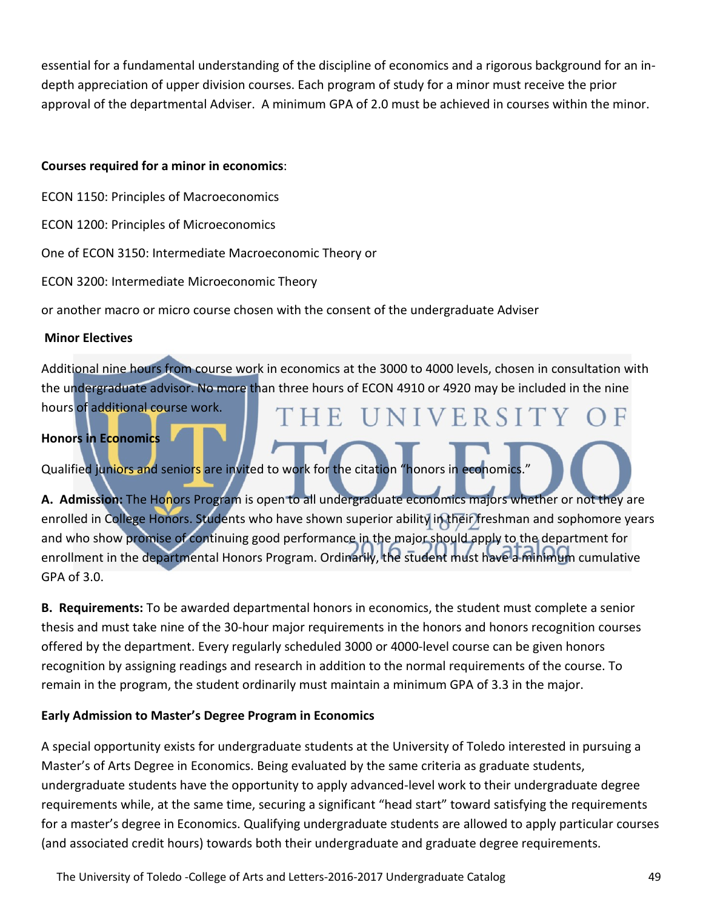essential for a fundamental understanding of the discipline of economics and a rigorous background for an indepth appreciation of upper division courses. Each program of study for a minor must receive the prior approval of the departmental Adviser. A minimum GPA of 2.0 must be achieved in courses within the minor.

#### **Courses required for a minor in economics**:

ECON 1150: Principles of Macroeconomics

ECON 1200: Principles of Microeconomics

One of ECON 3150: Intermediate Macroeconomic Theory or

ECON 3200: Intermediate Microeconomic Theory

or another macro or micro course chosen with the consent of the undergraduate Adviser

#### **Minor Electives**

Additional nine hours from course work in economics at the 3000 to 4000 levels, chosen in consultation with the undergraduate advisor. No more than three hours of ECON 4910 or 4920 may be included in the nine hours of additional course work.

THE UNIVERSITY

# **Honors in Economics**

Qualified juniors and seniors are invited to work for the citation "honors in economics."

**A. Admission:** The Honors Program is open to all undergraduate economics majors whether or not they are enrolled in College Honors. Students who have shown superior ability in their freshman and sophomore years and who show promise of continuing good performance in the major should apply to the department for enrollment in the departmental Honors Program. Ordinarily, the student must have a minimum cumulative GPA of 3.0.

**B. Requirements:** To be awarded departmental honors in economics, the student must complete a senior thesis and must take nine of the 30-hour major requirements in the honors and honors recognition courses offered by the department. Every regularly scheduled 3000 or 4000-level course can be given honors recognition by assigning readings and research in addition to the normal requirements of the course. To remain in the program, the student ordinarily must maintain a minimum GPA of 3.3 in the major.

# **Early Admission to Master's Degree Program in Economics**

A special opportunity exists for undergraduate students at the University of Toledo interested in pursuing a Master's of Arts Degree in Economics. Being evaluated by the same criteria as graduate students, undergraduate students have the opportunity to apply advanced-level work to their undergraduate degree requirements while, at the same time, securing a significant "head start" toward satisfying the requirements for a master's degree in Economics. Qualifying undergraduate students are allowed to apply particular courses (and associated credit hours) towards both their undergraduate and graduate degree requirements.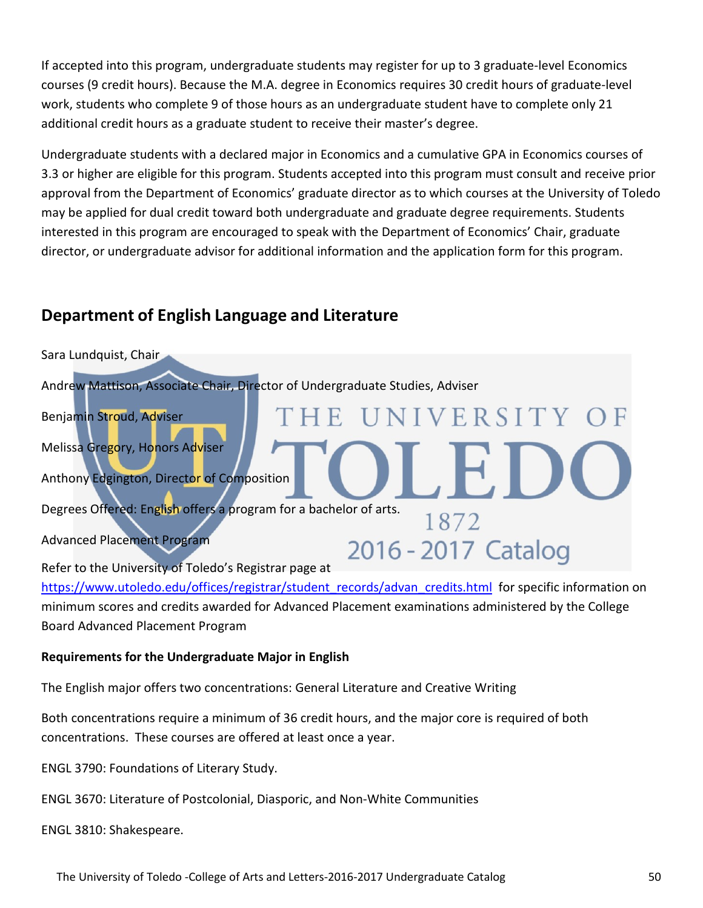If accepted into this program, undergraduate students may register for up to 3 graduate-level Economics courses (9 credit hours). Because the M.A. degree in Economics requires 30 credit hours of graduate-level work, students who complete 9 of those hours as an undergraduate student have to complete only 21 additional credit hours as a graduate student to receive their master's degree.

Undergraduate students with a declared major in Economics and a cumulative GPA in Economics courses of 3.3 or higher are eligible for this program. Students accepted into this program must consult and receive prior approval from the Department of Economics' graduate director as to which courses at the University of Toledo may be applied for dual credit toward both undergraduate and graduate degree requirements. Students interested in this program are encouraged to speak with the Department of Economics' Chair, graduate director, or undergraduate advisor for additional information and the application form for this program.

# **Department of English Language and Literature**



[https://www.utoledo.edu/offices/registrar/student\\_records/advan\\_credits.html](https://www.utoledo.edu/offices/registrar/student_records/advan_credits.html) for specific information on minimum scores and credits awarded for Advanced Placement examinations administered by the College Board Advanced Placement Program

# **Requirements for the Undergraduate Major in English**

The English major offers two concentrations: General Literature and Creative Writing

Both concentrations require a minimum of 36 credit hours, and the major core is required of both concentrations. These courses are offered at least once a year.

ENGL 3790: Foundations of Literary Study.

ENGL 3670: Literature of Postcolonial, Diasporic, and Non-White Communities

ENGL 3810: Shakespeare.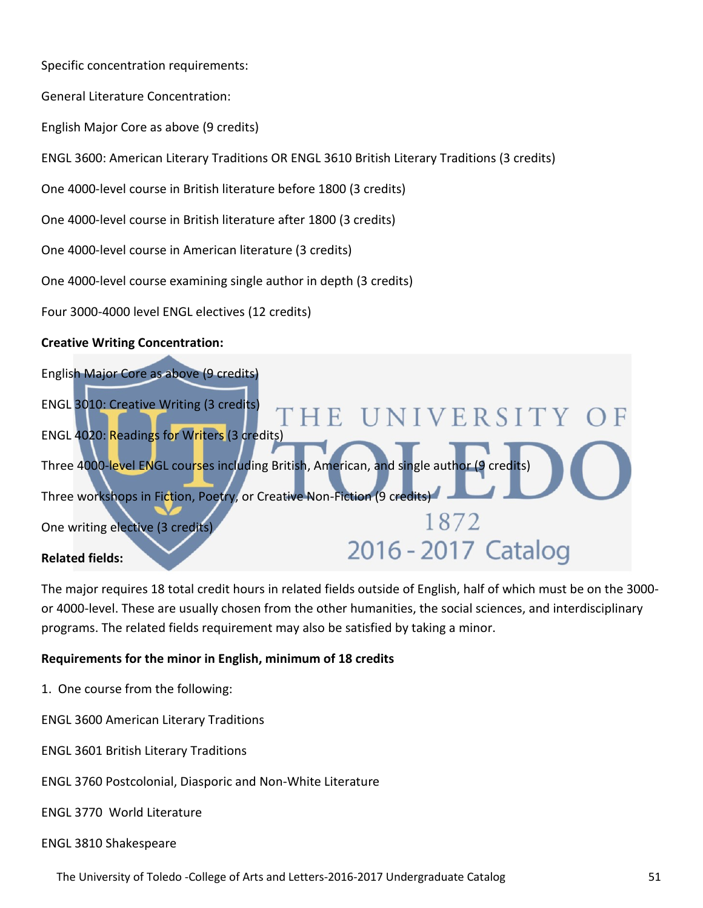Specific concentration requirements:

General Literature Concentration:

English Major Core as above (9 credits)

ENGL 3600: American Literary Traditions OR ENGL 3610 British Literary Traditions (3 credits)

One 4000-level course in British literature before 1800 (3 credits)

One 4000-level course in British literature after 1800 (3 credits)

One 4000-level course in American literature (3 credits)

One 4000-level course examining single author in depth (3 credits)

Four 3000-4000 level ENGL electives (12 credits)

#### **Creative Writing Concentration:**

| English Major Core as above (9 credits)                                                  |                     |
|------------------------------------------------------------------------------------------|---------------------|
| <b>ENGL 3010: Creative Writing (3 credits)</b>                                           | THE UNIVERSITY OF   |
| <b>ENGL 4020: Readings for Writers (3 credits)</b>                                       |                     |
| Three 4000-level ENGL courses including British, American, and single author (9 credits) |                     |
| Three workshops in Fiction, Poetry, or Creative Non-Fiction (9 credits)                  |                     |
| One writing elective (3 credits)                                                         | 1872                |
| <b>Related fields:</b>                                                                   | 2016 - 2017 Catalog |

The major requires 18 total credit hours in related fields outside of English, half of which must be on the 3000or 4000-level. These are usually chosen from the other humanities, the social sciences, and interdisciplinary programs. The related fields requirement may also be satisfied by taking a minor.

#### **Requirements for the minor in English, minimum of 18 credits**

1. One course from the following:

ENGL 3600 American Literary Traditions

- ENGL 3601 British Literary Traditions
- ENGL 3760 Postcolonial, Diasporic and Non-White Literature

ENGL 3770 World Literature

#### ENGL 3810 Shakespeare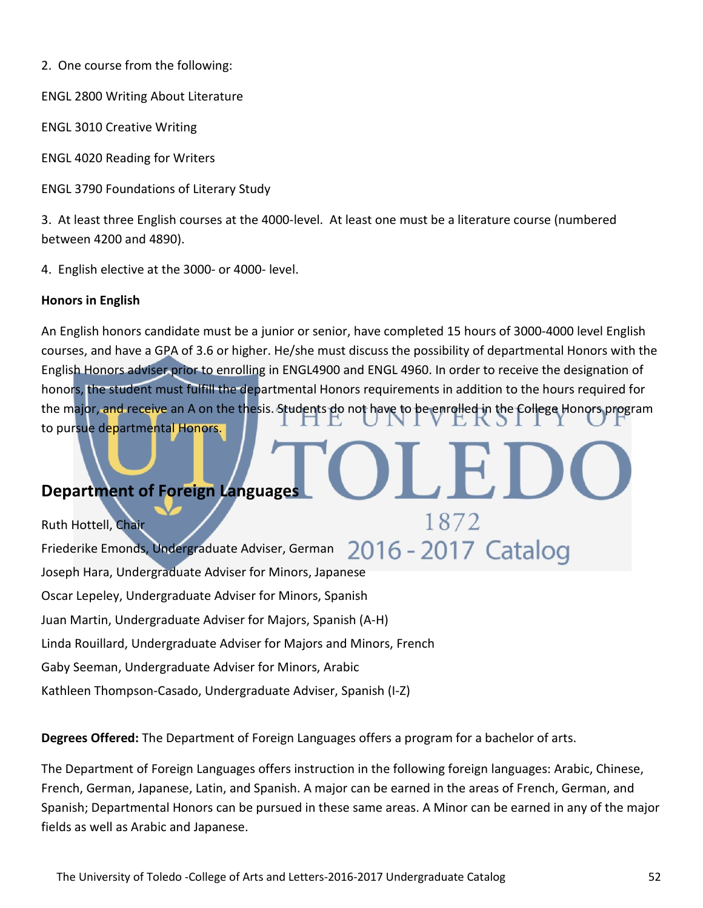2. One course from the following:

ENGL 2800 Writing About Literature

ENGL 3010 Creative Writing

ENGL 4020 Reading for Writers

ENGL 3790 Foundations of Literary Study

3. At least three English courses at the 4000-level. At least one must be a literature course (numbered between 4200 and 4890).

4. English elective at the 3000- or 4000- level.

# **Honors in English**

An English honors candidate must be a junior or senior, have completed 15 hours of 3000-4000 level English courses, and have a GPA of 3.6 or higher. He/she must discuss the possibility of departmental Honors with the English Honors adviser prior to enrolling in ENGL4900 and ENGL 4960. In order to receive the designation of honors, the student must fulfill the departmental Honors requirements in addition to the hours required for the major, and receive an A on the thesis. Students do not have to be enrolled in the College Honors program to pursue departmental Honors.

# **Department of Foreign Languages**

1872 Ruth Hottell, Chair 2016 - 2017 Catalog Friederike Emonds, Undergraduate Adviser, German Joseph Hara, Undergraduate Adviser for Minors, Japanese Oscar Lepeley, Undergraduate Adviser for Minors, Spanish Juan Martin, Undergraduate Adviser for Majors, Spanish (A-H) Linda Rouillard, Undergraduate Adviser for Majors and Minors, French Gaby Seeman, Undergraduate Adviser for Minors, Arabic Kathleen Thompson-Casado, Undergraduate Adviser, Spanish (I-Z)

**Degrees Offered:** The Department of Foreign Languages offers a program for a bachelor of arts.

The Department of Foreign Languages offers instruction in the following foreign languages: Arabic, Chinese, French, German, Japanese, Latin, and Spanish. A major can be earned in the areas of French, German, and Spanish; Departmental Honors can be pursued in these same areas. A Minor can be earned in any of the major fields as well as Arabic and Japanese.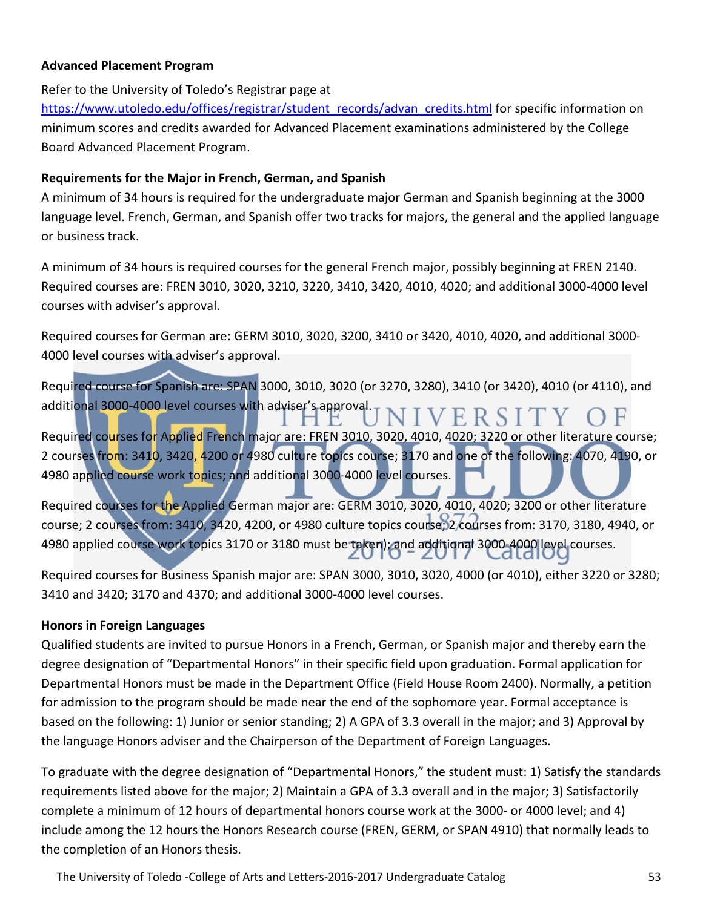#### **Advanced Placement Program**

Refer to the University of Toledo's Registrar page at

[https://www.utoledo.edu/offices/registrar/student\\_records/advan\\_credits.html](https://www.utoledo.edu/offices/registrar/student_records/advan_credits.html) for specific information on minimum scores and credits awarded for Advanced Placement examinations administered by the College Board Advanced Placement Program.

#### **Requirements for the Major in French, German, and Spanish**

A minimum of 34 hours is required for the undergraduate major German and Spanish beginning at the 3000 language level. French, German, and Spanish offer two tracks for majors, the general and the applied language or business track.

A minimum of 34 hours is required courses for the general French major, possibly beginning at FREN 2140. Required courses are: FREN 3010, 3020, 3210, 3220, 3410, 3420, 4010, 4020; and additional 3000-4000 level courses with adviser's approval.

Required courses for German are: GERM 3010, 3020, 3200, 3410 or 3420, 4010, 4020, and additional 3000-4000 level courses with adviser's approval.

Required course for Spanish are: SPAN 3000, 3010, 3020 (or 3270, 3280), 3410 (or 3420), 4010 (or 4110), and additional 3000-4000 level courses with adviser's approval. JIVERSIT)

Required courses for Applied French major are: FREN 3010, 3020, 4010, 4020; 3220 or other literature course; 2 courses from: 3410, 3420, 4200 or 4980 culture topics course; 3170 and one of the following: 4070, 4190, or 4980 applied course work topics; and additional 3000-4000 level courses.

Required courses for the Applied German major are: GERM 3010, 3020, 4010, 4020; 3200 or other literature course; 2 courses from: 3410, 3420, 4200, or 4980 culture topics course; 2 courses from: 3170, 3180, 4940, or 4980 applied course work topics 3170 or 3180 must be taken); and additional 3000-4000 level courses.

Required courses for Business Spanish major are: SPAN 3000, 3010, 3020, 4000 (or 4010), either 3220 or 3280; 3410 and 3420; 3170 and 4370; and additional 3000-4000 level courses.

# **Honors in Foreign Languages**

Qualified students are invited to pursue Honors in a French, German, or Spanish major and thereby earn the degree designation of "Departmental Honors" in their specific field upon graduation. Formal application for Departmental Honors must be made in the Department Office (Field House Room 2400). Normally, a petition for admission to the program should be made near the end of the sophomore year. Formal acceptance is based on the following: 1) Junior or senior standing; 2) A GPA of 3.3 overall in the major; and 3) Approval by the language Honors adviser and the Chairperson of the Department of Foreign Languages.

To graduate with the degree designation of "Departmental Honors," the student must: 1) Satisfy the standards requirements listed above for the major; 2) Maintain a GPA of 3.3 overall and in the major; 3) Satisfactorily complete a minimum of 12 hours of departmental honors course work at the 3000- or 4000 level; and 4) include among the 12 hours the Honors Research course (FREN, GERM, or SPAN 4910) that normally leads to the completion of an Honors thesis.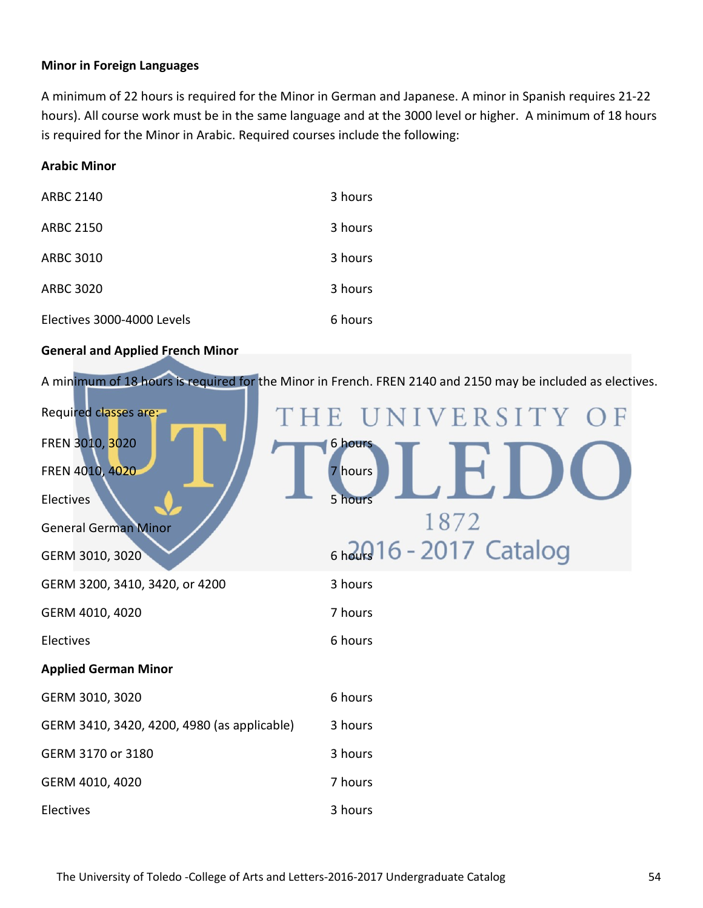#### **Minor in Foreign Languages**

A minimum of 22 hours is required for the Minor in German and Japanese. A minor in Spanish requires 21-22 hours). All course work must be in the same language and at the 3000 level or higher. A minimum of 18 hours is required for the Minor in Arabic. Required courses include the following:

#### **Arabic Minor**

| <b>ARBC 2140</b>           | 3 hours |
|----------------------------|---------|
| <b>ARBC 2150</b>           | 3 hours |
| <b>ARBC 3010</b>           | 3 hours |
| <b>ARBC 3020</b>           | 3 hours |
| Electives 3000-4000 Levels | 6 hours |

#### **General and Applied French Minor**

A minimum of 18 hours is required for the Minor in French. FREN 2140 and 2150 may be included as electives.

| Required classes are:                       | THE UNIVERSITY OF           |
|---------------------------------------------|-----------------------------|
| FREN 3010, 3020                             | 6 hours                     |
| FREN 4010, 4020                             | 7 hours                     |
| Electives                                   | 5 hours                     |
| <b>General German Minor</b>                 | 1872                        |
| GERM 3010, 3020                             | $6$ hours 16 - 2017 Catalog |
| GERM 3200, 3410, 3420, or 4200              | 3 hours                     |
| GERM 4010, 4020                             | 7 hours                     |
| Electives                                   | 6 hours                     |
| <b>Applied German Minor</b>                 |                             |
| GERM 3010, 3020                             | 6 hours                     |
| GERM 3410, 3420, 4200, 4980 (as applicable) | 3 hours                     |
| GERM 3170 or 3180                           | 3 hours                     |
| GERM 4010, 4020                             | 7 hours                     |
| Electives                                   | 3 hours                     |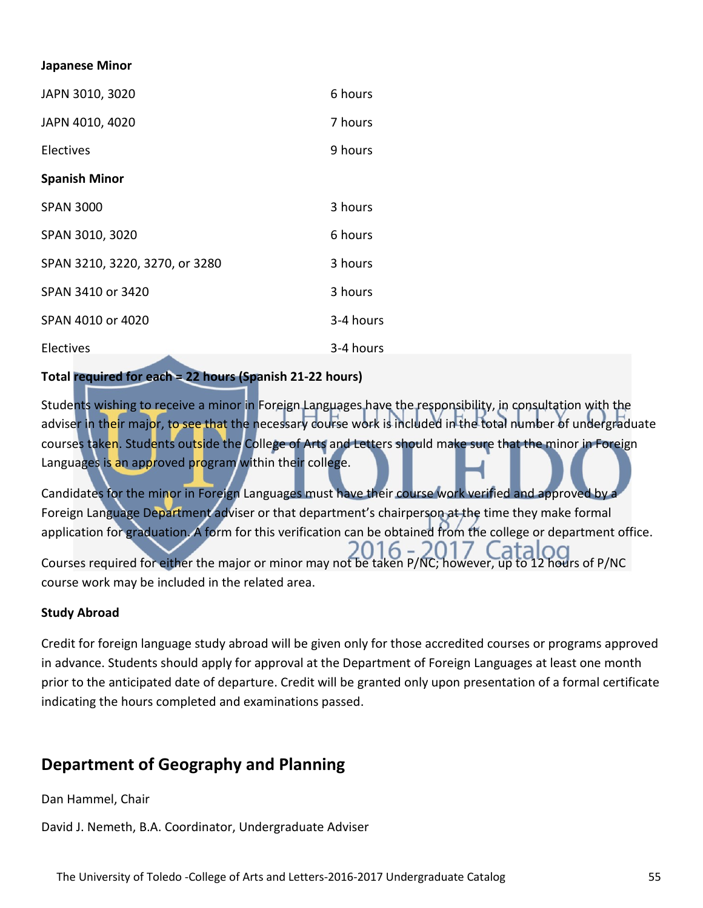#### **Japanese Minor**

| JAPN 3010, 3020                | 6 hours   |
|--------------------------------|-----------|
| JAPN 4010, 4020                | 7 hours   |
| Electives                      | 9 hours   |
| <b>Spanish Minor</b>           |           |
| <b>SPAN 3000</b>               | 3 hours   |
| SPAN 3010, 3020                | 6 hours   |
| SPAN 3210, 3220, 3270, or 3280 | 3 hours   |
| SPAN 3410 or 3420              | 3 hours   |
| SPAN 4010 or 4020              | 3-4 hours |
| Electives                      | 3-4 hours |

# **Total required for each = 22 hours (Spanish 21-22 hours)**

Students wishing to receive a minor in Foreign Languages have the responsibility, in consultation with the adviser in their major, to see that the necessary course work is included in the total number of undergraduate courses taken. Students outside the College of Arts and Letters should make sure that the minor in Foreign Languages is an approved program within their college.

Candidates for the minor in Foreign Languages must have their course work verified and approved by a Foreign Language Department adviser or that department's chairperson at the time they make formal application for graduation. A form for this verification can be obtained from the college or department office.  $6 -$ Courses required for either the major or minor may not be taken P/NC; however, up to 12 hours of P/NC course work may be included in the related area.

#### **Study Abroad**

Credit for foreign language study abroad will be given only for those accredited courses or programs approved in advance. Students should apply for approval at the Department of Foreign Languages at least one month prior to the anticipated date of departure. Credit will be granted only upon presentation of a formal certificate indicating the hours completed and examinations passed.

# **Department of Geography and Planning**

Dan Hammel, Chair

David J. Nemeth, B.A. Coordinator, Undergraduate Adviser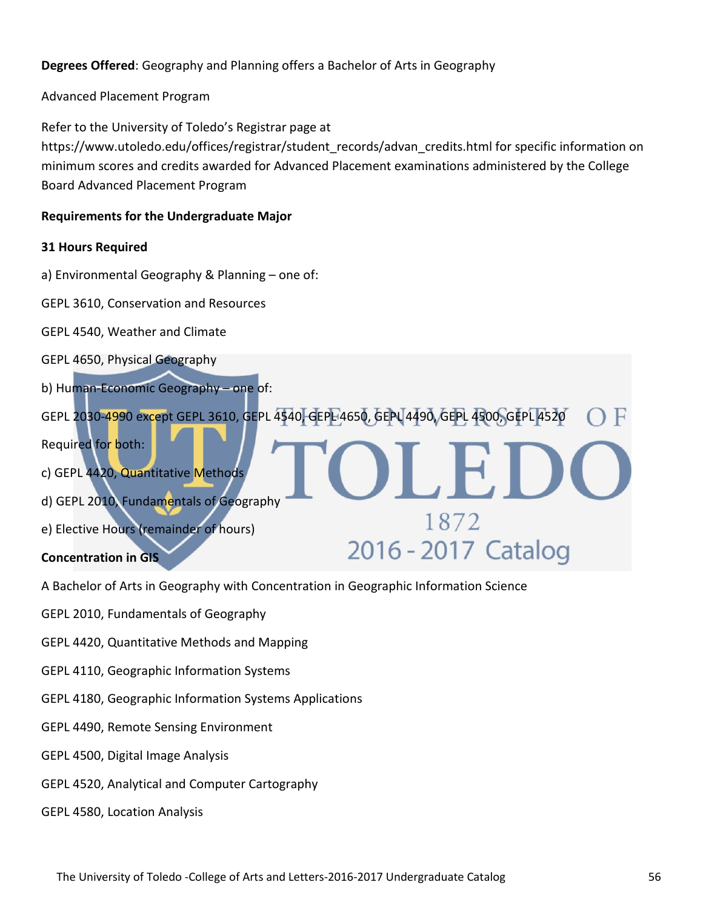# **Degrees Offered**: Geography and Planning offers a Bachelor of Arts in Geography

Advanced Placement Program

Refer to the University of Toledo's Registrar page at https://www.utoledo.edu/offices/registrar/student\_records/advan\_credits.html for specific information on minimum scores and credits awarded for Advanced Placement examinations administered by the College Board Advanced Placement Program

#### **Requirements for the Undergraduate Major**

#### **31 Hours Required**

a) Environmental Geography & Planning – one of:

GEPL 3610, Conservation and Resources

GEPL 4540, Weather and Climate

GEPL 4650, Physical Geography

b) Human-Economic Geography – one of:

GEPL 2030-4990 except GEPL 3610, GEPL 4540, GEPL 4650, GEPL 4490, GEPL 4500, GEPL 4520 Required for both: c) GEPL 4420, Quantitative Methods d) GEPL 2010, Fundamentals of Geography 1872 e) Elective Hours (remainder of hours) 2016 - 2017 Catalog

#### **Concentration in GIS**

A Bachelor of Arts in Geography with Concentration in Geographic Information Science

GEPL 2010, Fundamentals of Geography

GEPL 4420, Quantitative Methods and Mapping

- GEPL 4110, Geographic Information Systems
- GEPL 4180, Geographic Information Systems Applications
- GEPL 4490, Remote Sensing Environment
- GEPL 4500, Digital Image Analysis
- GEPL 4520, Analytical and Computer Cartography

GEPL 4580, Location Analysis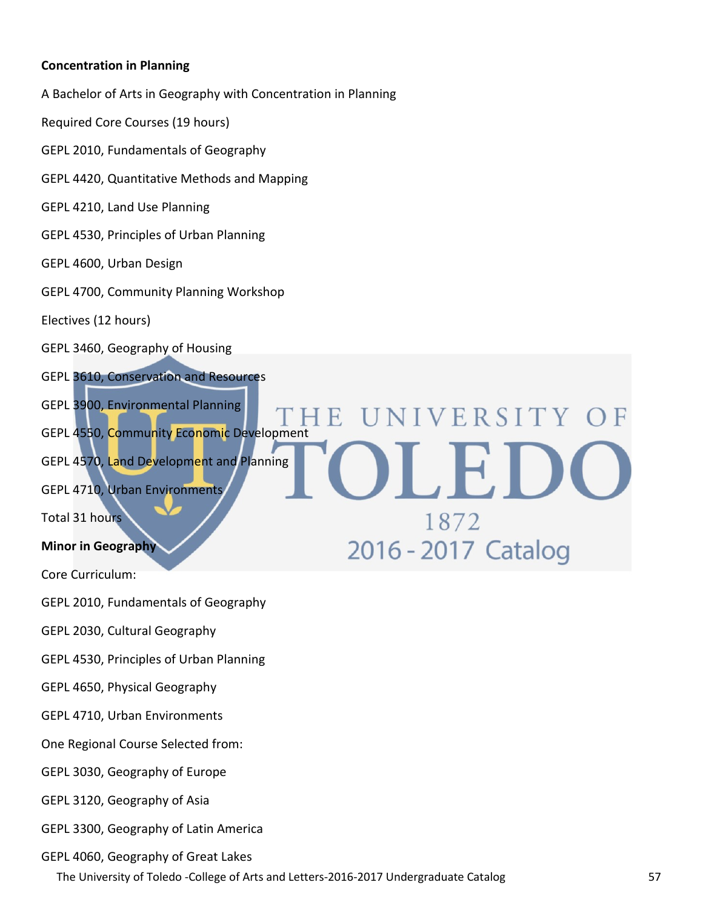#### **Concentration in Planning**

A Bachelor of Arts in Geography with Concentration in Planning

Required Core Courses (19 hours)

GEPL 2010, Fundamentals of Geography

GEPL 4420, Quantitative Methods and Mapping

GEPL 4210, Land Use Planning

GEPL 4530, Principles of Urban Planning

#### GEPL 4600, Urban Design

GEPL 4700, Community Planning Workshop

Electives (12 hours)

GEPL 3460, Geography of Housing

GEPL 3610, Conservation and Resources

GEPL 3900, Environmental Planning

GEPL 4550, Community Economic Development

GEPL 4570, Land Development and Planning

GEPL 4710, Urban Environments

Total 31 hours

#### **Minor in Geography**

Core Curriculum:

GEPL 2010, Fundamentals of Geography

GEPL 2030, Cultural Geography

GEPL 4530, Principles of Urban Planning

GEPL 4650, Physical Geography

GEPL 4710, Urban Environments

One Regional Course Selected from:

GEPL 3030, Geography of Europe

GEPL 3120, Geography of Asia

GEPL 3300, Geography of Latin America

GEPL 4060, Geography of Great Lakes

The University of Toledo -College of Arts and Letters-2016-2017 Undergraduate Catalog 57

NIVERSITY

1872

2016 - 2017 Catalog

 $\prod$ 

E.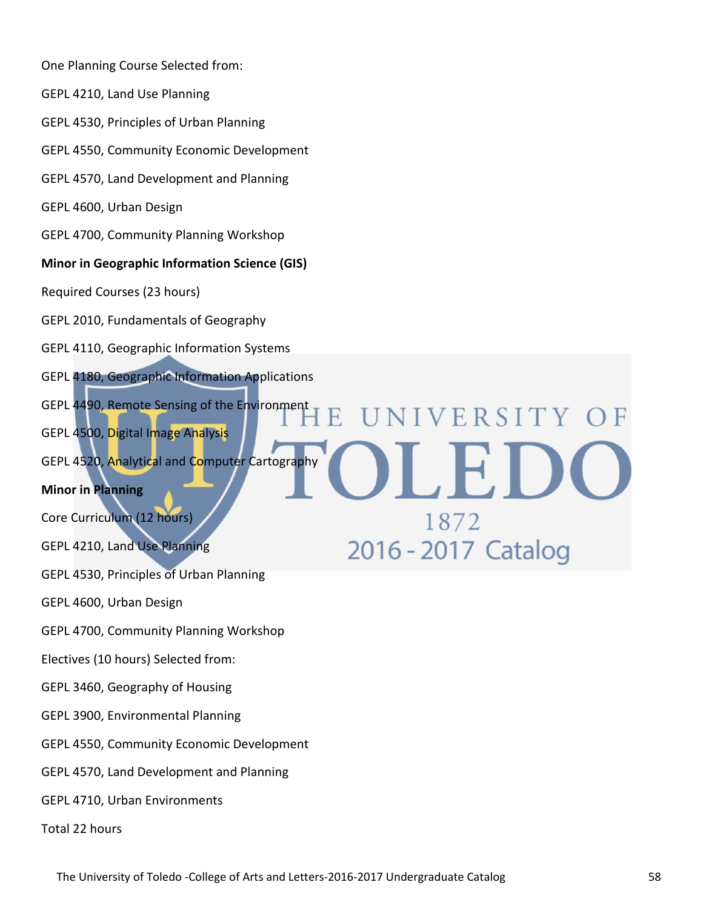One Planning Course Selected from: GEPL 4210, Land Use Planning GEPL 4530, Principles of Urban Planning GEPL 4550, Community Economic Development GEPL 4570, Land Development and Planning GEPL 4600, Urban Design GEPL 4700, Community Planning Workshop **Minor in Geographic Information Science (GIS)** Required Courses (23 hours) GEPL 2010, Fundamentals of Geography GEPL 4110, Geographic Information Systems GEPL 4180, Geographic Information Applications GEPL 4490, Remote Sensing of the Environment NIVERSITY OF GEPL 4500, Digital Image Analysis L E.I GEPL 4520, Analytical and Computer Cartography **Minor in Planning** Core Curriculum (12 hours) 1872 2016 - 2017 Catalog GEPL 4210, Land Use Planning GEPL 4530, Principles of Urban Planning GEPL 4600, Urban Design GEPL 4700, Community Planning Workshop Electives (10 hours) Selected from: GEPL 3460, Geography of Housing GEPL 3900, Environmental Planning GEPL 4550, Community Economic Development GEPL 4570, Land Development and Planning GEPL 4710, Urban Environments Total 22 hours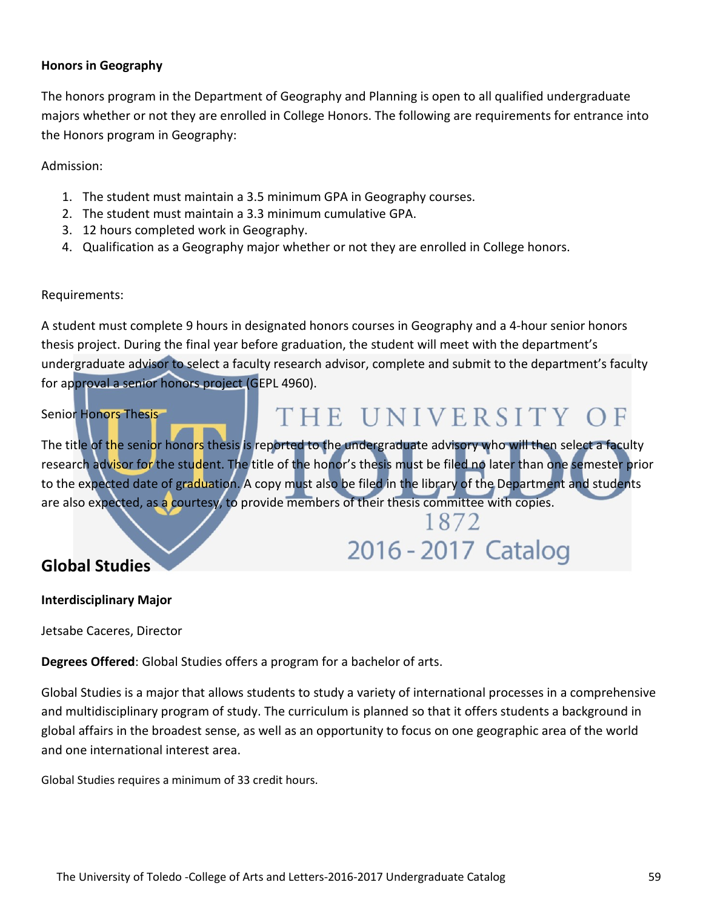#### **Honors in Geography**

The honors program in the Department of Geography and Planning is open to all qualified undergraduate majors whether or not they are enrolled in College Honors. The following are requirements for entrance into the Honors program in Geography:

Admission:

- 1. The student must maintain a 3.5 minimum GPA in Geography courses.
- 2. The student must maintain a 3.3 minimum cumulative GPA.
- 3. 12 hours completed work in Geography.
- 4. Qualification as a Geography major whether or not they are enrolled in College honors.

#### Requirements:

A student must complete 9 hours in designated honors courses in Geography and a 4-hour senior honors thesis project. During the final year before graduation, the student will meet with the department's undergraduate advisor to select a faculty research advisor, complete and submit to the department's faculty for approval a senior honors project (GEPL 4960).

#### Senior Honors Thesis

# THE UNIVERSITY OF

The title of the senior honors thesis is reported to the undergraduate advisory who will then select a faculty research advisor for the student. The title of the honor's thesis must be filed no later than one semester prior to the expected date of graduation. A copy must also be filed in the library of the Department and students are also expected, as a courtesy, to provide members of their thesis committee with copies.

# 1872 2016 - 2017 Catalog

# **Global Studies**

#### **Interdisciplinary Major**

Jetsabe Caceres, Director

**Degrees Offered**: Global Studies offers a program for a bachelor of arts.

Global Studies is a major that allows students to study a variety of international processes in a comprehensive and multidisciplinary program of study. The curriculum is planned so that it offers students a background in global affairs in the broadest sense, as well as an opportunity to focus on one geographic area of the world and one international interest area.

Global Studies requires a minimum of 33 credit hours.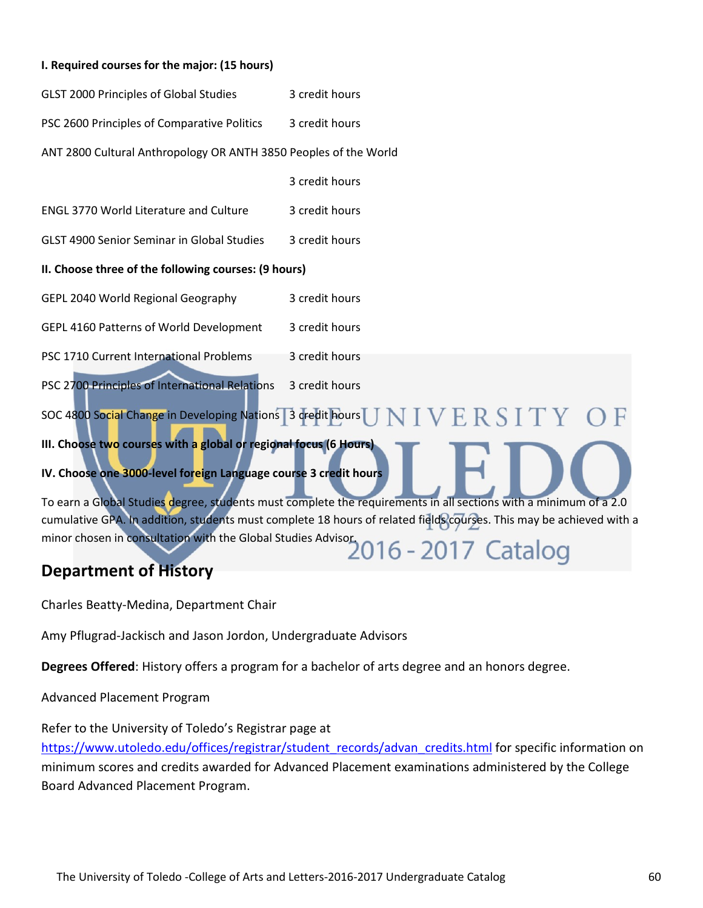#### **I. Required courses for the major: (15 hours)**

| GLST 2000 Principles of Global Studies | 3 credit hours |
|----------------------------------------|----------------|
|----------------------------------------|----------------|

PSC 2600 Principles of Comparative Politics 3 credit hours

ANT 2800 Cultural Anthropology OR ANTH 3850 Peoples of the World

3 credit hours

ENGL 3770 World Literature and Culture 3 credit hours

GLST 4900 Senior Seminar in Global Studies 3 credit hours

#### **II. Choose three of the following courses: (9 hours)**

GEPL 2040 World Regional Geography 3 credit hours

GEPL 4160 Patterns of World Development 3 credit hours

PSC 1710 Current International Problems 3 credit hours

PSC 2700 Principles of International Relations 3 credit hours

# SOC 4800 Social Change in Developing Nations 3 credit hours  $\text{J} \text{N}$   $\text{I} \text{V} \text{E} \text{R}$   $\text{S}$   $\text{I} \text{T} \text{Y}$ **III. Choose two courses with a global or regional focus (6 Hours) IV. Choose one 3000-level foreign Language course 3 credit hours**

To earn a Global Studies degree, students must complete the requirements in all sections with a minimum of a 2.0 cumulative GPA. In addition, students must complete 18 hours of related fields courses. This may be achieved with a cumulative Gra. In audition, with the Global Studies Advisor.<br>2016 - 2017 Catalog

# **Department of History**

Charles Beatty-Medina, Department Chair

Amy Pflugrad-Jackisch and Jason Jordon, Undergraduate Advisors

**Degrees Offered**: History offers a program for a bachelor of arts degree and an honors degree.

Advanced Placement Program

Refer to the University of Toledo's Registrar page at [https://www.utoledo.edu/offices/registrar/student\\_records/advan\\_credits.html](https://www.utoledo.edu/offices/registrar/student_records/advan_credits.html) for specific information on minimum scores and credits awarded for Advanced Placement examinations administered by the College Board Advanced Placement Program.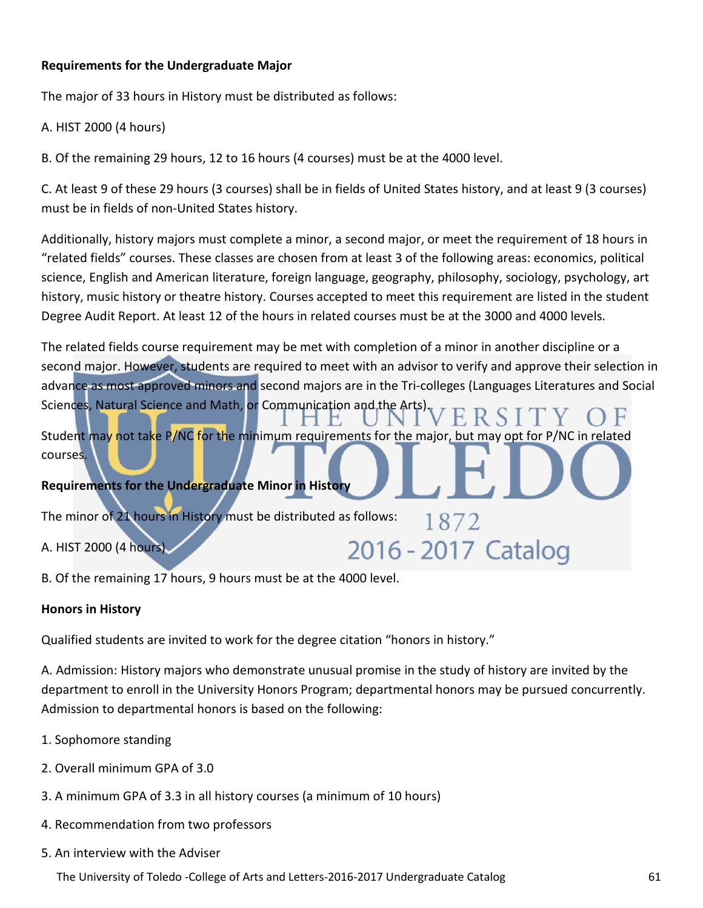# **Requirements for the Undergraduate Major**

The major of 33 hours in History must be distributed as follows:

A. HIST 2000 (4 hours)

B. Of the remaining 29 hours, 12 to 16 hours (4 courses) must be at the 4000 level.

C. At least 9 of these 29 hours (3 courses) shall be in fields of United States history, and at least 9 (3 courses) must be in fields of non-United States history.

Additionally, history majors must complete a minor, a second major, or meet the requirement of 18 hours in "related fields" courses. These classes are chosen from at least 3 of the following areas: economics, political science, English and American literature, foreign language, geography, philosophy, sociology, psychology, art history, music history or theatre history. Courses accepted to meet this requirement are listed in the student Degree Audit Report. At least 12 of the hours in related courses must be at the 3000 and 4000 levels.

The related fields course requirement may be met with completion of a minor in another discipline or a second major. However, students are required to meet with an advisor to verify and approve their selection in advance as most approved minors and second majors are in the Tri-colleges (Languages Literatures and Social Sciences, Natural Science and Math, or Communication and the Arts).

1872

2016 - 2017 Catalog

Student may not take P/NC for the minimum requirements for the major, but may opt for P/NC in related courses.

# **Requirements for the Undergraduate Minor in History**

The minor of 21 hours in History must be distributed as follows:

A. HIST 2000 (4 hours)

B. Of the remaining 17 hours, 9 hours must be at the 4000 level.

# **Honors in History**

Qualified students are invited to work for the degree citation "honors in history."

A. Admission: History majors who demonstrate unusual promise in the study of history are invited by the department to enroll in the University Honors Program; departmental honors may be pursued concurrently. Admission to departmental honors is based on the following:

- 1. Sophomore standing
- 2. Overall minimum GPA of 3.0
- 3. A minimum GPA of 3.3 in all history courses (a minimum of 10 hours)
- 4. Recommendation from two professors
- 5. An interview with the Adviser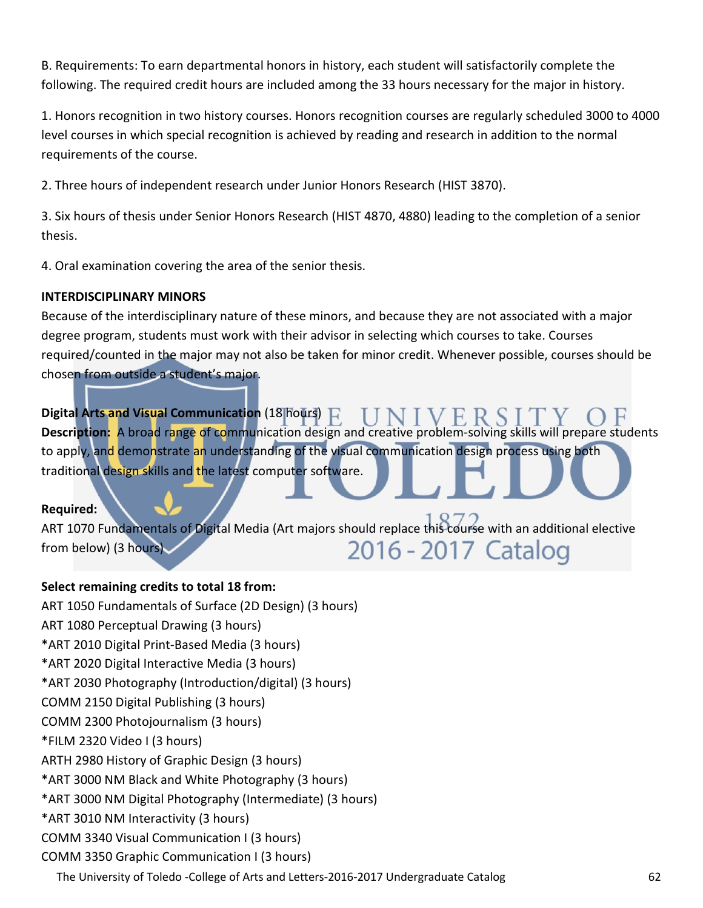B. Requirements: To earn departmental honors in history, each student will satisfactorily complete the following. The required credit hours are included among the 33 hours necessary for the major in history.

1. Honors recognition in two history courses. Honors recognition courses are regularly scheduled 3000 to 4000 level courses in which special recognition is achieved by reading and research in addition to the normal requirements of the course.

2. Three hours of independent research under Junior Honors Research (HIST 3870).

3. Six hours of thesis under Senior Honors Research (HIST 4870, 4880) leading to the completion of a senior thesis.

4. Oral examination covering the area of the senior thesis.

# **INTERDISCIPLINARY MINORS**

Because of the interdisciplinary nature of these minors, and because they are not associated with a major degree program, students must work with their advisor in selecting which courses to take. Courses required/counted in the major may not also be taken for minor credit. Whenever possible, courses should be chosen from outside a student's major.

**Digital Arts and Visual Communication** (18 hours)  $\Gamma$ **Description:** A broad range of communication design and creative problem-solving skills will prepare students to apply, and demonstrate an understanding of the visual communication design process using both traditional design skills and the latest computer software.

# **Required:**

ART 1070 Fundamentals of Digital Media (Art majors should replace this course with an additional elective 2016 - 2017 Catalog from below) (3 hours)

# **Select remaining credits to total 18 from:**

The University of Toledo -College of Arts and Letters-2016-2017 Undergraduate Catalog 62 ART 1050 Fundamentals of Surface (2D Design) (3 hours) ART 1080 Perceptual Drawing (3 hours) \*ART 2010 Digital Print-Based Media (3 hours) \*ART 2020 Digital Interactive Media (3 hours) \*ART 2030 Photography (Introduction/digital) (3 hours) COMM 2150 Digital Publishing (3 hours) COMM 2300 Photojournalism (3 hours) \*FILM 2320 Video I (3 hours) ARTH 2980 History of Graphic Design (3 hours) \*ART 3000 NM Black and White Photography (3 hours) \*ART 3000 NM Digital Photography (Intermediate) (3 hours) \*ART 3010 NM Interactivity (3 hours) COMM 3340 Visual Communication I (3 hours) COMM 3350 Graphic Communication I (3 hours)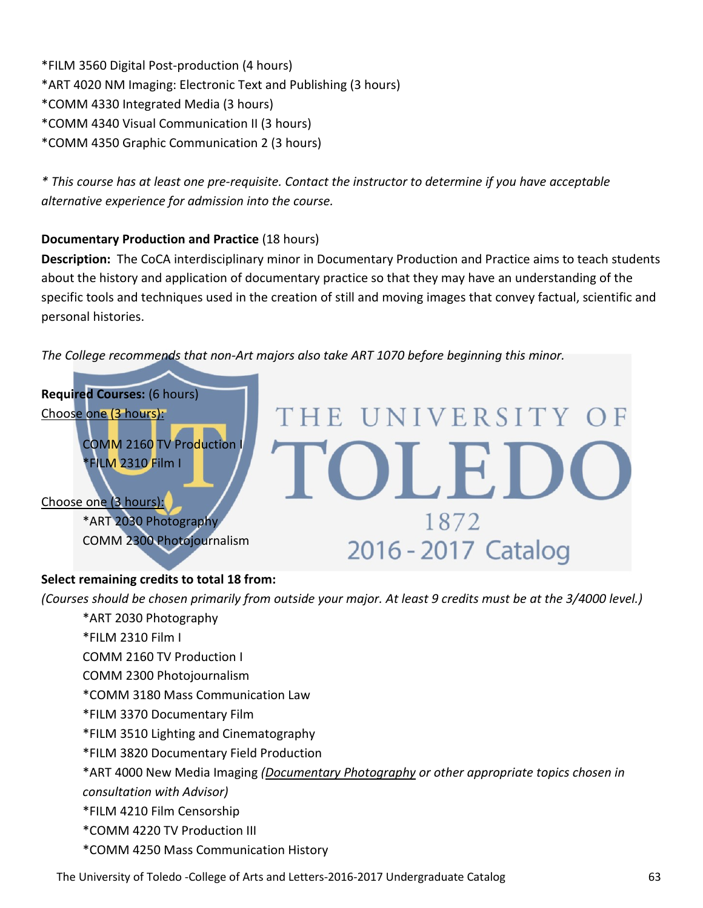\*FILM 3560 Digital Post-production (4 hours) \*ART 4020 NM Imaging: Electronic Text and Publishing (3 hours) \*COMM 4330 Integrated Media (3 hours) \*COMM 4340 Visual Communication II (3 hours) \*COMM 4350 Graphic Communication 2 (3 hours)

*\* This course has at least one pre-requisite. Contact the instructor to determine if you have acceptable alternative experience for admission into the course.*

# **Documentary Production and Practice** (18 hours)

**Description:** The CoCA interdisciplinary minor in Documentary Production and Practice aims to teach students about the history and application of documentary practice so that they may have an understanding of the specific tools and techniques used in the creation of still and moving images that convey factual, scientific and personal histories.

*The College recommends that non-Art majors also take ART 1070 before beginning this minor.*



# **Select remaining credits to total 18 from:**

*(Courses should be chosen primarily from outside your major. At least 9 credits must be at the 3/4000 level.)*

- \*ART 2030 Photography \*FILM 2310 Film I COMM 2160 TV Production I COMM 2300 Photojournalism \*COMM 3180 Mass Communication Law \*FILM 3370 Documentary Film \*FILM 3510 Lighting and Cinematography \*FILM 3820 Documentary Field Production \*ART 4000 New Media Imaging *(Documentary Photography or other appropriate topics chosen in consultation with Advisor)* \*FILM 4210 Film Censorship \*COMM 4220 TV Production III
	- \*COMM 4250 Mass Communication History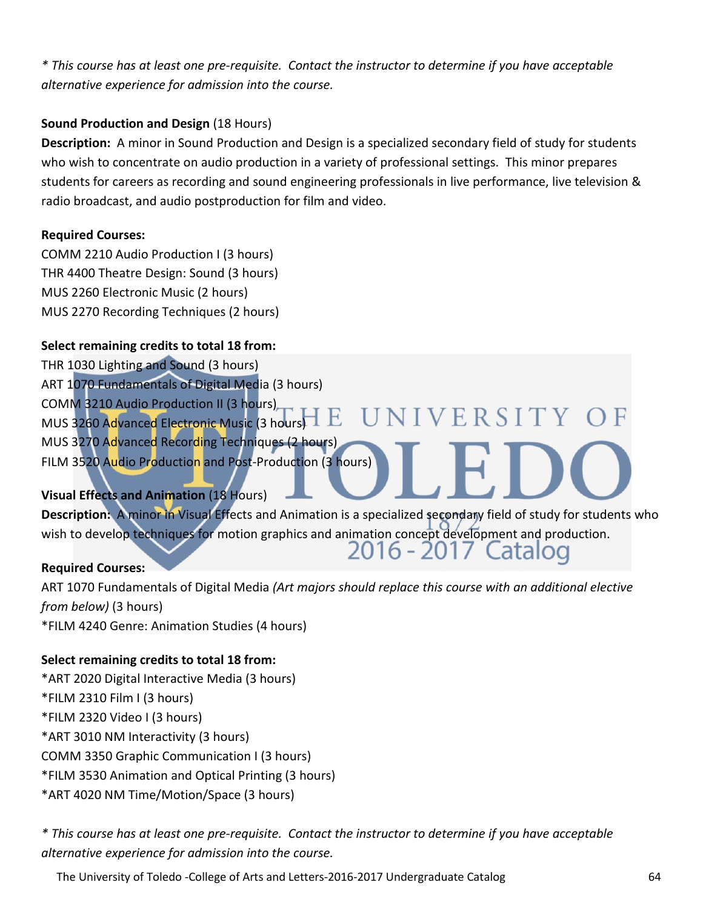*\* This course has at least one pre-requisite. Contact the instructor to determine if you have acceptable alternative experience for admission into the course.*

# **Sound Production and Design** (18 Hours)

**Description:** A minor in Sound Production and Design is a specialized secondary field of study for students who wish to concentrate on audio production in a variety of professional settings. This minor prepares students for careers as recording and sound engineering professionals in live performance, live television & radio broadcast, and audio postproduction for film and video.

# **Required Courses:**

COMM 2210 Audio Production I (3 hours) THR 4400 Theatre Design: Sound (3 hours) MUS 2260 Electronic Music (2 hours) MUS 2270 Recording Techniques (2 hours)

# **Select remaining credits to total 18 from:**

THR 1030 Lighting and Sound (3 hours) ART 1070 Fundamentals of Digital Media (3 hours) COMM 3210 Audio Production II (3 hours) UNIVERSITY OF MUS 3260 Advanced Electronic Music (3 hours) MUS 3270 Advanced Recording Techniques (2 hours) FILM 3520 Audio Production and Post-Production (3 hours)

# **Visual Effects and Animation** (18 Hours)

**Description:** A minor in Visual Effects and Animation is a specialized secondary field of study for students who wish to develop techniques for motion graphics and animation concept development and production.<br>2016 - 2017 Catalog

#### **Required Courses:**

ART 1070 Fundamentals of Digital Media *(Art majors should replace this course with an additional elective from below)* (3 hours) \*FILM 4240 Genre: Animation Studies (4 hours)

# **Select remaining credits to total 18 from:**

\*ART 2020 Digital Interactive Media (3 hours) \*FILM 2310 Film I (3 hours) \*FILM 2320 Video I (3 hours) \*ART 3010 NM Interactivity (3 hours) COMM 3350 Graphic Communication I (3 hours) \*FILM 3530 Animation and Optical Printing (3 hours) \*ART 4020 NM Time/Motion/Space (3 hours)

*\* This course has at least one pre-requisite. Contact the instructor to determine if you have acceptable alternative experience for admission into the course.*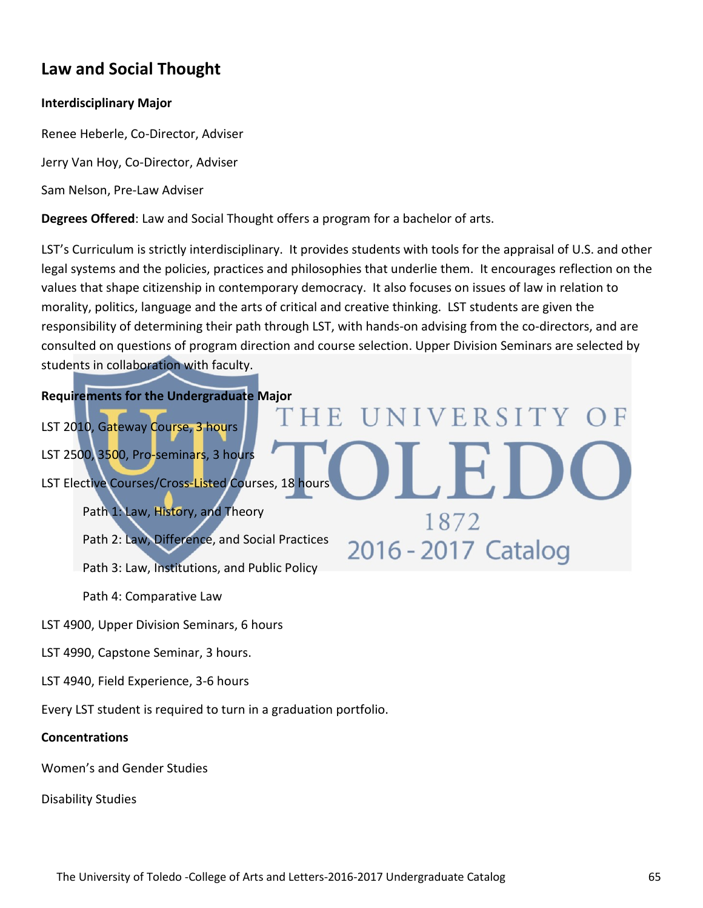# **Law and Social Thought**

#### **Interdisciplinary Major**

Renee Heberle, Co-Director, Adviser

Jerry Van Hoy, Co-Director, Adviser

Sam Nelson, Pre-Law Adviser

**Degrees Offered**: Law and Social Thought offers a program for a bachelor of arts.

LST's Curriculum is strictly interdisciplinary. It provides students with tools for the appraisal of U.S. and other legal systems and the policies, practices and philosophies that underlie them. It encourages reflection on the values that shape citizenship in contemporary democracy. It also focuses on issues of law in relation to morality, politics, language and the arts of critical and creative thinking. LST students are given the responsibility of determining their path through LST, with hands-on advising from the co-directors, and are consulted on questions of program direction and course selection. Upper Division Seminars are selected by students in collaboration with faculty.

HE.

**UNIVERSITY** 

1872

2016 - 2017 Catalog

# **Requirements for the Undergraduate Major**

LST 2010, Gateway Course, 3 hours LST 2500, 3500, Pro-seminars, 3 hours LST Elective Courses/Cross-Listed Courses, 18 hours

Path 1: Law, History, and Theory

Path 2: Law, Difference, and Social Practices

Path 3: Law, Institutions, and Public Policy

Path 4: Comparative Law

LST 4900, Upper Division Seminars, 6 hours

LST 4990, Capstone Seminar, 3 hours.

LST 4940, Field Experience, 3-6 hours

Every LST student is required to turn in a graduation portfolio.

#### **Concentrations**

Women's and Gender Studies

Disability Studies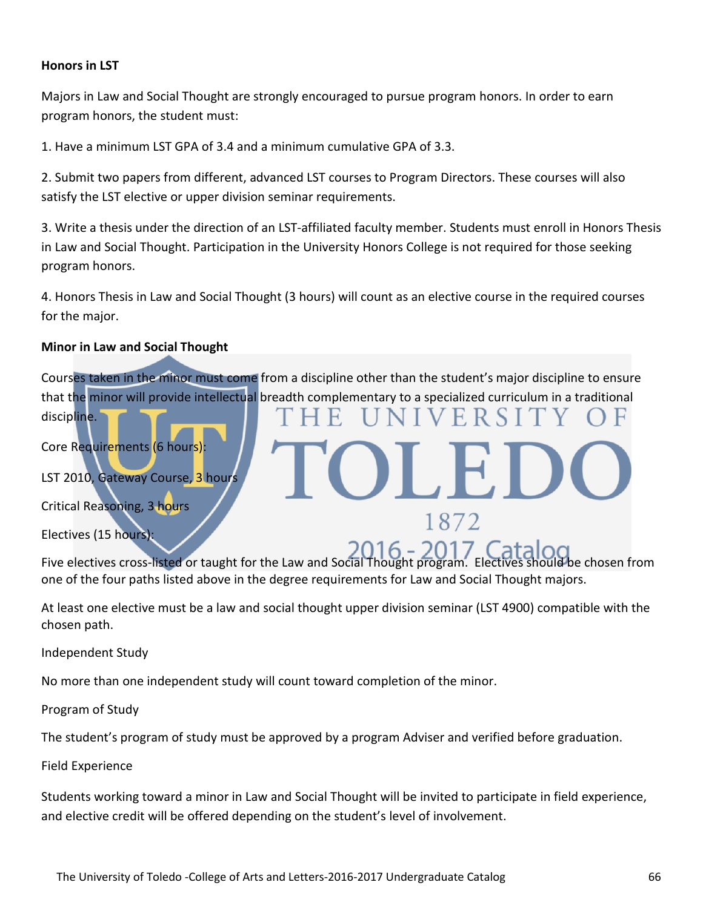#### **Honors in LST**

Majors in Law and Social Thought are strongly encouraged to pursue program honors. In order to earn program honors, the student must:

1. Have a minimum LST GPA of 3.4 and a minimum cumulative GPA of 3.3.

2. Submit two papers from different, advanced LST courses to Program Directors. These courses will also satisfy the LST elective or upper division seminar requirements.

3. Write a thesis under the direction of an LST-affiliated faculty member. Students must enroll in Honors Thesis in Law and Social Thought. Participation in the University Honors College is not required for those seeking program honors.

4. Honors Thesis in Law and Social Thought (3 hours) will count as an elective course in the required courses for the major.

#### **Minor in Law and Social Thought**

Courses taken in the minor must come from a discipline other than the student's major discipline to ensure that the minor will provide intellectual breadth complementary to a specialized curriculum in a traditional

ERSI

1872

Core Requirements (6 hours):

LST 2010, Gateway Course, 3 hours

Critical Reasoning, 3 hours

Electives (15 hours):

discipline.

Five electives cross-listed or taught for the Law and Social Thought program. Electives should be chosen from one of the four paths listed above in the degree requirements for Law and Social Thought majors.

At least one elective must be a law and social thought upper division seminar (LST 4900) compatible with the chosen path.

Independent Study

No more than one independent study will count toward completion of the minor.

Program of Study

The student's program of study must be approved by a program Adviser and verified before graduation.

Field Experience

Students working toward a minor in Law and Social Thought will be invited to participate in field experience, and elective credit will be offered depending on the student's level of involvement.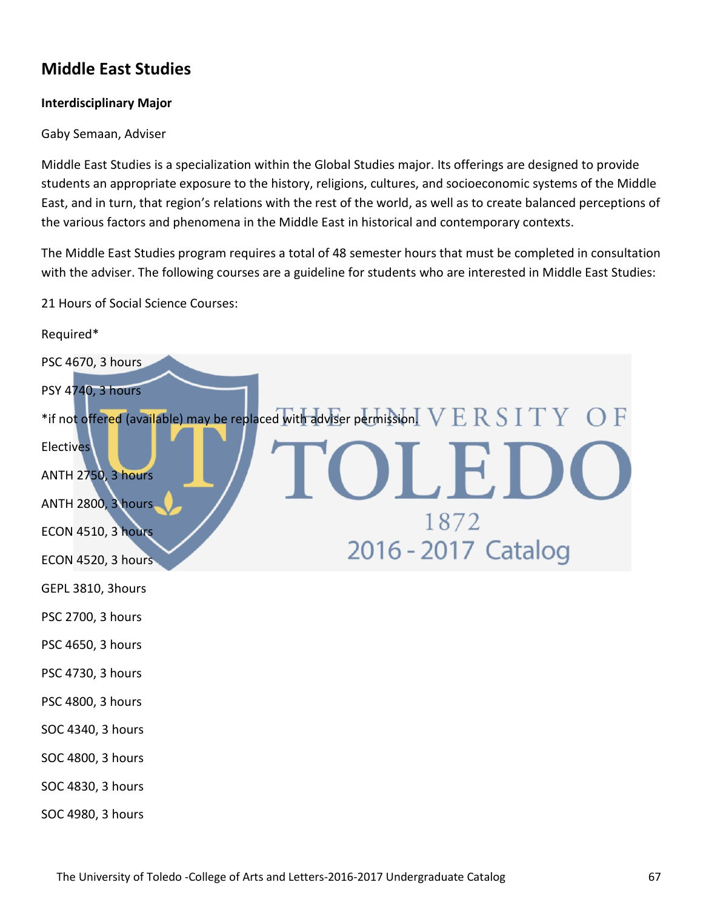# **Middle East Studies**

#### **Interdisciplinary Major**

#### Gaby Semaan, Adviser

Middle East Studies is a specialization within the Global Studies major. Its offerings are designed to provide students an appropriate exposure to the history, religions, cultures, and socioeconomic systems of the Middle East, and in turn, that region's relations with the rest of the world, as well as to create balanced perceptions of the various factors and phenomena in the Middle East in historical and contemporary contexts.

The Middle East Studies program requires a total of 48 semester hours that must be completed in consultation with the adviser. The following courses are a guideline for students who are interested in Middle East Studies:

21 Hours of Social Science Courses:

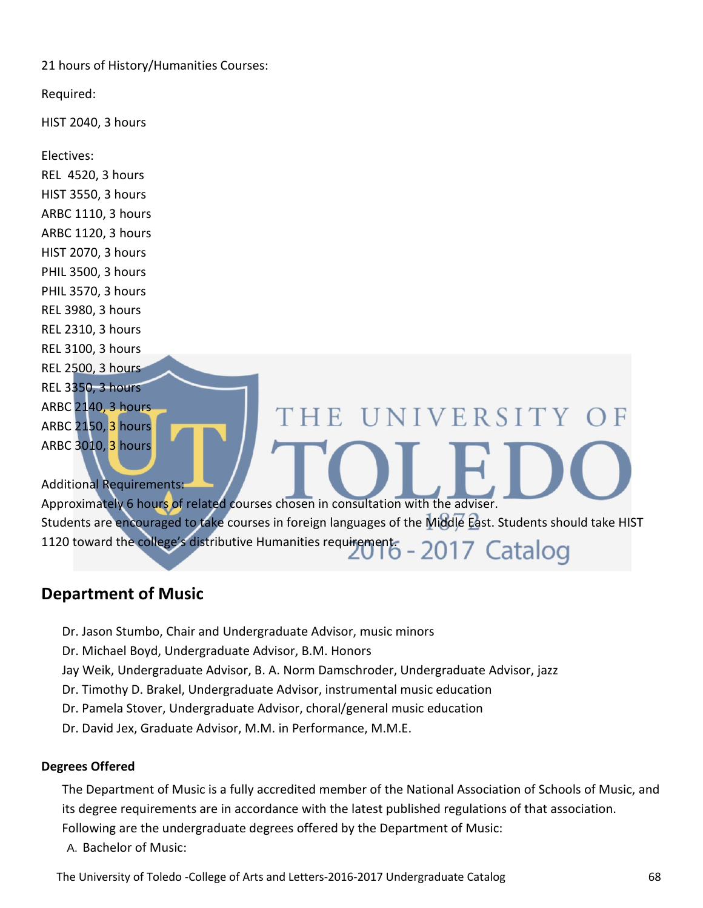21 hours of History/Humanities Courses:

Required:

HIST 2040, 3 hours

Electives:

REL 4520, 3 hours HIST 3550, 3 hours ARBC 1110, 3 hours ARBC 1120, 3 hours HIST 2070, 3 hours PHIL 3500, 3 hours PHIL 3570, 3 hours REL 3980, 3 hours REL 2310, 3 hours REL 3100, 3 hours REL 2500, 3 hours REL 3350, 3 hours ARBC 2140, 3 hours THE UNIVERSITY OF ARBC 2150, 3 hours ARBC 3010, 3 hours Additional Requirements: Approximately 6 hours of related courses chosen in consultation with the adviser. Students are encouraged to take courses in foreign languages of the Middle East. Students should take HIST 1120 toward the college's distributive Humanities requirement. - 2017 Catalog

# **[Department of Music](http://www.utoledo.edu/as/music/index.html)**

Dr. Jason Stumbo, Chair and Undergraduate Advisor, music minors

Dr. Michael Boyd, Undergraduate Advisor, B.M. Honors

Jay Weik, Undergraduate Advisor, B. A. Norm Damschroder, Undergraduate Advisor, jazz

- Dr. Timothy D. Brakel, Undergraduate Advisor, instrumental music education
- Dr. Pamela Stover, Undergraduate Advisor, choral/general music education
- Dr. David Jex, Graduate Advisor, M.M. in Performance, M.M.E.

# **Degrees Offered**

The Department of Music is a fully accredited member of the National Association of Schools of Music, and its degree requirements are in accordance with the latest published regulations of that association. Following are the undergraduate degrees offered by the Department of Music:

A. Bachelor of Music: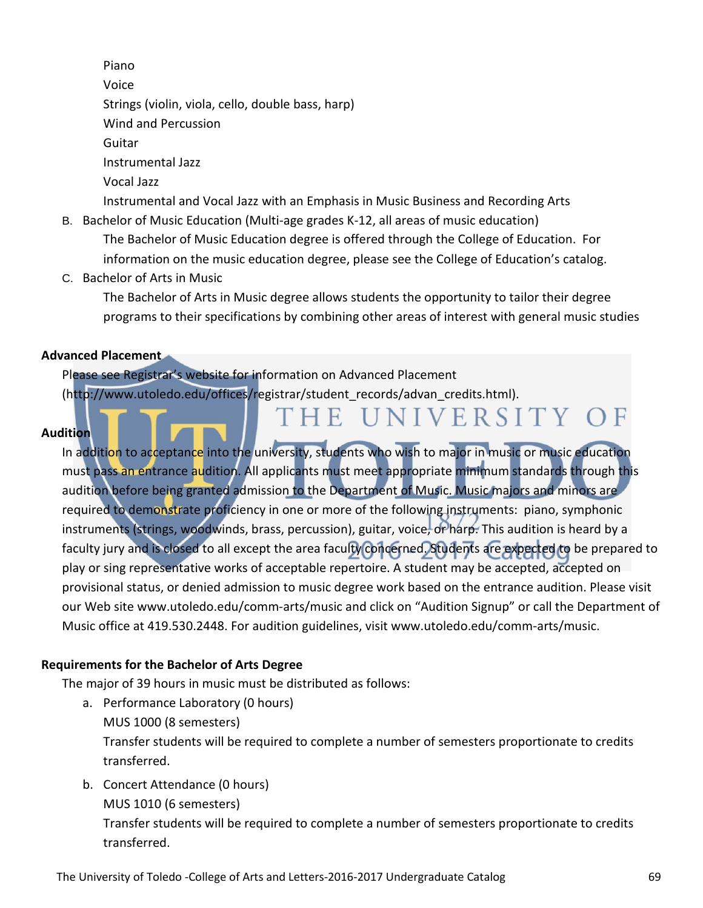Piano

Voice

Strings (violin, viola, cello, double bass, harp)

Wind and Percussion

Guitar

Instrumental Jazz

Vocal Jazz

Instrumental and Vocal Jazz with an Emphasis in Music Business and Recording Arts

- B. Bachelor of Music Education (Multi-age grades K-12, all areas of music education) The Bachelor of Music Education degree is offered through the College of Education. For information on the music education degree, please see the College of Education's catalog.
- C. Bachelor of Arts in Music

The Bachelor of Arts in Music degree allows students the opportunity to tailor their degree programs to their specifications by combining other areas of interest with general music studies

THE UNIVERSITY OF

# **Advanced Placement**

Please see Registrar's website for information on Advanced Placement (http://www.utoledo.edu/offices/registrar/student\_records/advan\_credits.html).

# **Audition**

In addition to acceptance into the university, students who wish to major in music or music education must pass an entrance audition. All applicants must meet appropriate minimum standards through this audition before being granted admission to the Department of Music. Music majors and minors are required to demonstrate proficiency in one or more of the following instruments: piano, symphonic instruments (strings, woodwinds, brass, percussion), guitar, voice, or harp. This audition is heard by a faculty jury and is closed to all except the area faculty concerned. Students are expected to be prepared to play or sing representative works of acceptable repertoire. A student may be accepted, accepted on provisional status, or denied admission to music degree work based on the entrance audition. Please visit our Web site www.utoledo.edu/comm-arts/music and click on "Audition Signup" or call the Department of Music office at 419.530.2448. For audition guidelines, visit www.utoledo.edu/comm-arts/music.

# **Requirements for the Bachelor of Arts Degree**

The major of 39 hours in music must be distributed as follows:

- a. Performance Laboratory (0 hours) MUS 1000 (8 semesters) Transfer students will be required to complete a number of semesters proportionate to credits transferred.
- b. Concert Attendance (0 hours) MUS 1010 (6 semesters)

Transfer students will be required to complete a number of semesters proportionate to credits transferred.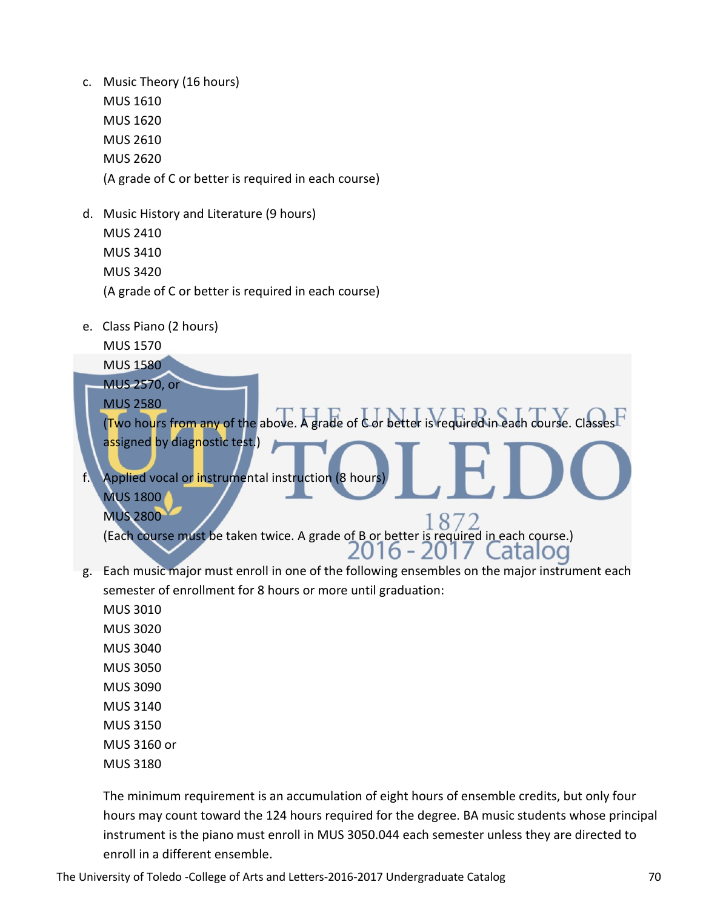- c. Music Theory (16 hours) MUS 1610 MUS 1620 MUS 2610 MUS 2620 (A grade of C or better is required in each course)
- d. Music History and Literature (9 hours) MUS 2410 MUS 3410 MUS 3420 (A grade of C or better is required in each course)
- e. Class Piano (2 hours)

MUS 1570

MUS 1580

MUS 2570, or MUS 2580

(Two hours from any of the above. A grade of C or better is required in each course. Classes assigned by diagnostic test.)

f. Applied vocal or instrumental instruction (8 hours MUS 1800 MUS 2800

 $8^{\circ}$ (Each course must be taken twice. A grade of B or better is required in each course.) 2016 - 2017 atalod.

g. Each music major must enroll in one of the following ensembles on the major instrument each semester of enrollment for 8 hours or more until graduation:

MUS 3010 MUS 3020 MUS 3040 MUS 3050 MUS 3090 MUS 3140 MUS 3150 MUS 3160 or MUS 3180

The minimum requirement is an accumulation of eight hours of ensemble credits, but only four hours may count toward the 124 hours required for the degree. BA music students whose principal instrument is the piano must enroll in MUS 3050.044 each semester unless they are directed to enroll in a different ensemble.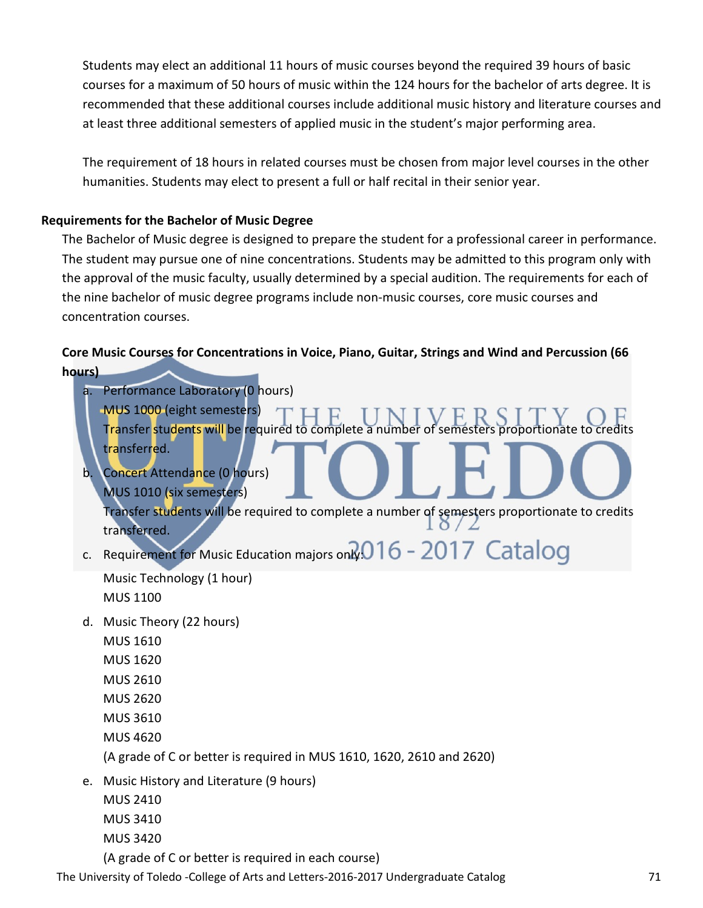Students may elect an additional 11 hours of music courses beyond the required 39 hours of basic courses for a maximum of 50 hours of music within the 124 hours for the bachelor of arts degree. It is recommended that these additional courses include additional music history and literature courses and at least three additional semesters of applied music in the student's major performing area.

The requirement of 18 hours in related courses must be chosen from major level courses in the other humanities. Students may elect to present a full or half recital in their senior year.

# **Requirements for the Bachelor of Music Degree**

The Bachelor of Music degree is designed to prepare the student for a professional career in performance. The student may pursue one of nine concentrations. Students may be admitted to this program only with the approval of the music faculty, usually determined by a special audition. The requirements for each of the nine bachelor of music degree programs include non-music courses, core music courses and concentration courses.

# **Core Music Courses for Concentrations in Voice, Piano, Guitar, Strings and Wind and Percussion (66 hours)**

a. Performance Laboratory (0 hours) MUS 1000 (eight semesters) Transfer students will be required to complete a number of semesters proportionate to credits transferred. b. Concert Attendance (0 hours) MUS 1010 (six semesters) Transfer students will be required to complete a number of semesters proportionate to credits transferred. c. Requirement for Music Education majors only:  $016 - 2017$  Catalog

Music Technology (1 hour) MUS 1100

- d. Music Theory (22 hours)
	- MUS 1610
	- MUS 1620
	- MUS 2610
	- MUS 2620
	- MUS 3610
	- MUS 4620

(A grade of C or better is required in MUS 1610, 1620, 2610 and 2620)

- e. Music History and Literature (9 hours)
	- MUS 2410 MUS 3410
	- MUS 3420

(A grade of C or better is required in each course)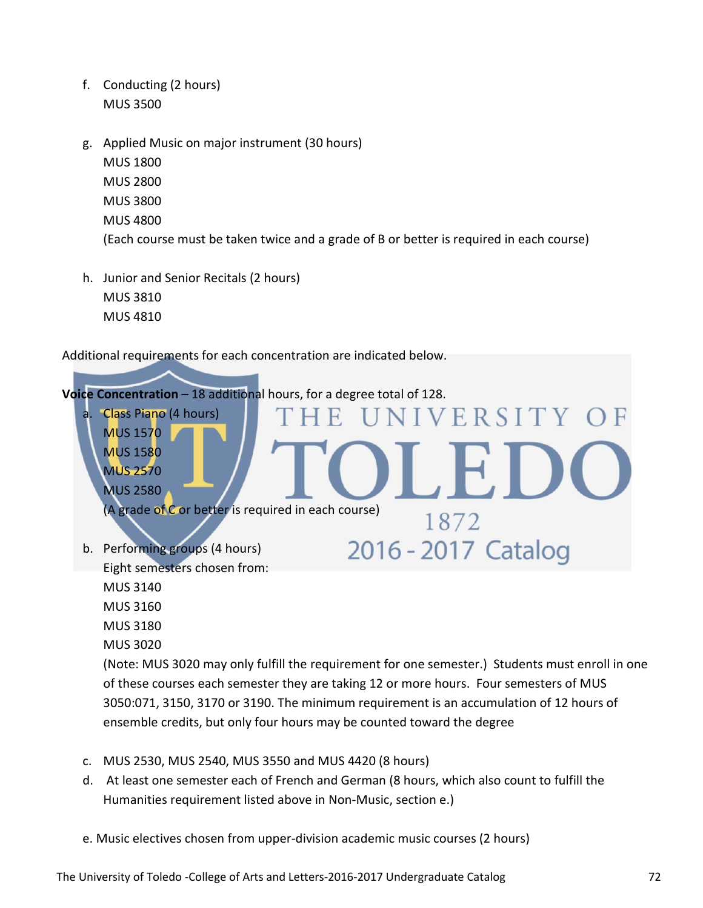- f. Conducting (2 hours) MUS 3500
- g. Applied Music on major instrument (30 hours) MUS 1800 MUS 2800 MUS 3800 MUS 4800 (Each course must be taken twice and a grade of B or better is required in each course)
- h. Junior and Senior Recitals (2 hours) MUS 3810 MUS 4810

Additional requirements for each concentration are indicated below.



- c. MUS 2530, MUS 2540, MUS 3550 and MUS 4420 (8 hours)
- d. At least one semester each of French and German (8 hours, which also count to fulfill the Humanities requirement listed above in Non-Music, section e.)
- e. Music electives chosen from upper-division academic music courses (2 hours)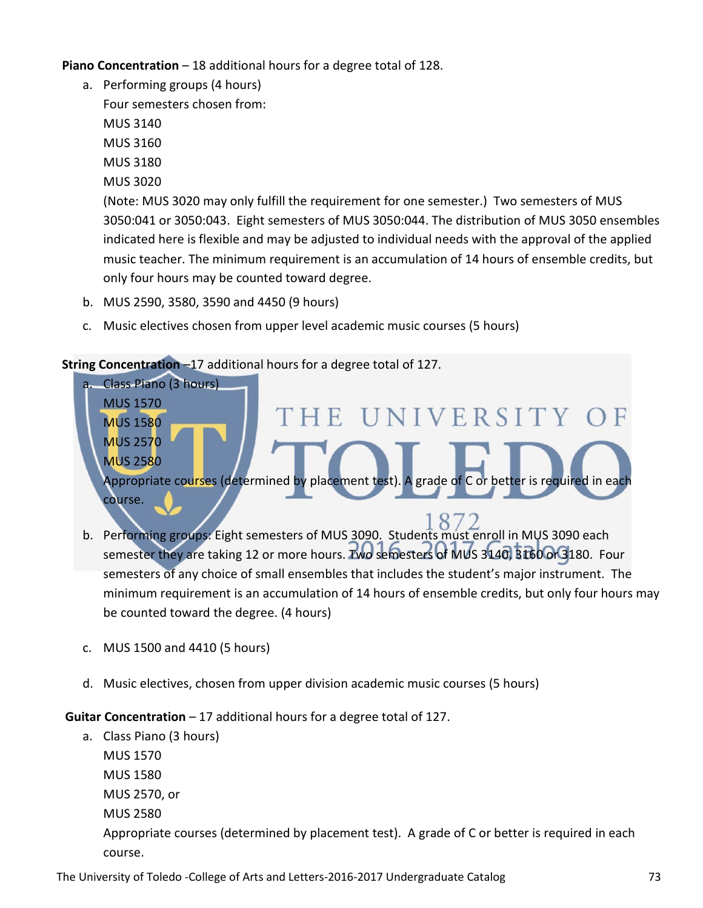**Piano Concentration** – 18 additional hours for a degree total of 128.

a. Performing groups (4 hours) Four semesters chosen from: MUS 3140 MUS 3160 MUS 3180 MUS 3020 (Note: MUS 3020 may only fulfill the requirement for one semester.) Two semesters of MUS 3050:041 or 3050:043. Eight semesters of MUS 3050:044. The distribution of MUS 3050 ensembles indicated here is flexible and may be adjusted to individual needs with the approval of the applied music teacher. The minimum requirement is an accumulation of 14 hours of ensemble credits, but only four hours may be counted toward degree.

- b. MUS 2590, 3580, 3590 and 4450 (9 hours)
- c. Music electives chosen from upper level academic music courses (5 hours)

#### **String Concentration** –17 additional hours for a degree total of 127.



- b. Performing groups: Eight semesters of MUS 3090. Students must enroll in MUS 3090 each semester they are taking 12 or more hours. Two semesters of MUS 3140, 3160 or 3180. Four semesters of any choice of small ensembles that includes the student's major instrument. The minimum requirement is an accumulation of 14 hours of ensemble credits, but only four hours may be counted toward the degree. (4 hours)
- c. MUS 1500 and 4410 (5 hours)
- d. Music electives, chosen from upper division academic music courses (5 hours)

**Guitar Concentration** – 17 additional hours for a degree total of 127.

a. Class Piano (3 hours) MUS 1570 MUS 1580 MUS 2570, or MUS 2580 Appropriate courses (determined by placement test). A grade of C or better is required in each course.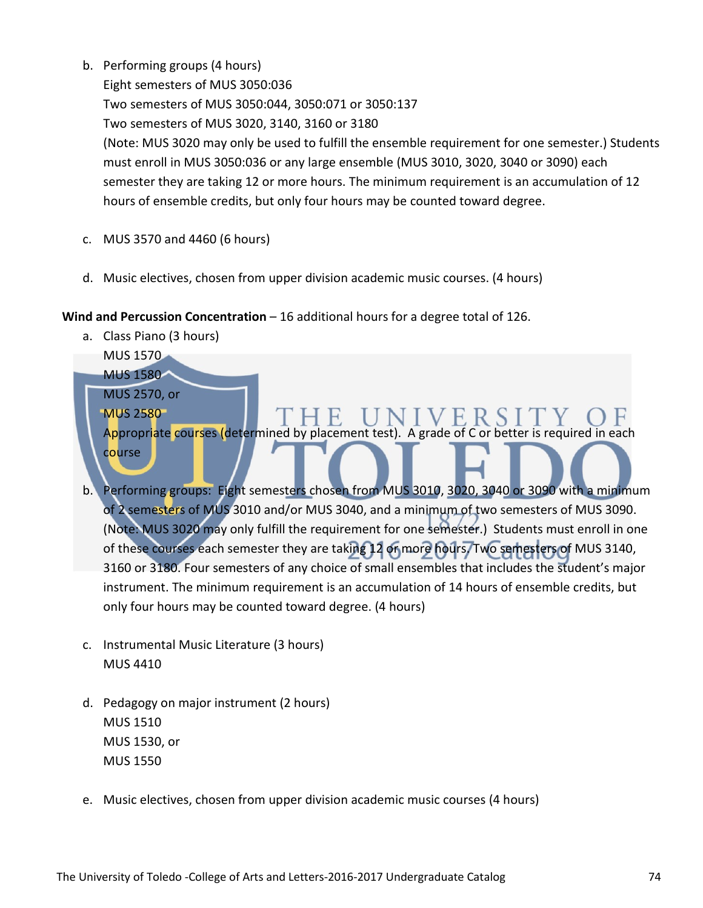b. Performing groups (4 hours)

Eight semesters of MUS 3050:036 Two semesters of MUS 3050:044, 3050:071 or 3050:137 Two semesters of MUS 3020, 3140, 3160 or 3180 (Note: MUS 3020 may only be used to fulfill the ensemble requirement for one semester.) Students must enroll in MUS 3050:036 or any large ensemble (MUS 3010, 3020, 3040 or 3090) each semester they are taking 12 or more hours. The minimum requirement is an accumulation of 12 hours of ensemble credits, but only four hours may be counted toward degree.

- c. MUS 3570 and 4460 (6 hours)
- d. Music electives, chosen from upper division academic music courses. (4 hours)

#### **Wind and Percussion Concentration** – 16 additional hours for a degree total of 126.

a. Class Piano (3 hours)

MUS 1570 MUS 1580

MUS 2570, or

MUS 2580 Appropriate courses (determined by placement test). A grade of C or better is required in each course

- b. Performing groups: Eight semesters chosen from MUS 3010, 3020, 3040 or 3090 with a minimum of 2 semesters of MUS 3010 and/or MUS 3040, and a minimum of two semesters of MUS 3090. (Note: MUS 3020 may only fulfill the requirement for one semester.) Students must enroll in one of these courses each semester they are taking 12 or more hours. Two semesters of MUS 3140, 3160 or 3180. Four semesters of any choice of small ensembles that includes the student's major instrument. The minimum requirement is an accumulation of 14 hours of ensemble credits, but only four hours may be counted toward degree. (4 hours)
- c. Instrumental Music Literature (3 hours) MUS 4410
- d. Pedagogy on major instrument (2 hours) MUS 1510 MUS 1530, or MUS 1550
- e. Music electives, chosen from upper division academic music courses (4 hours)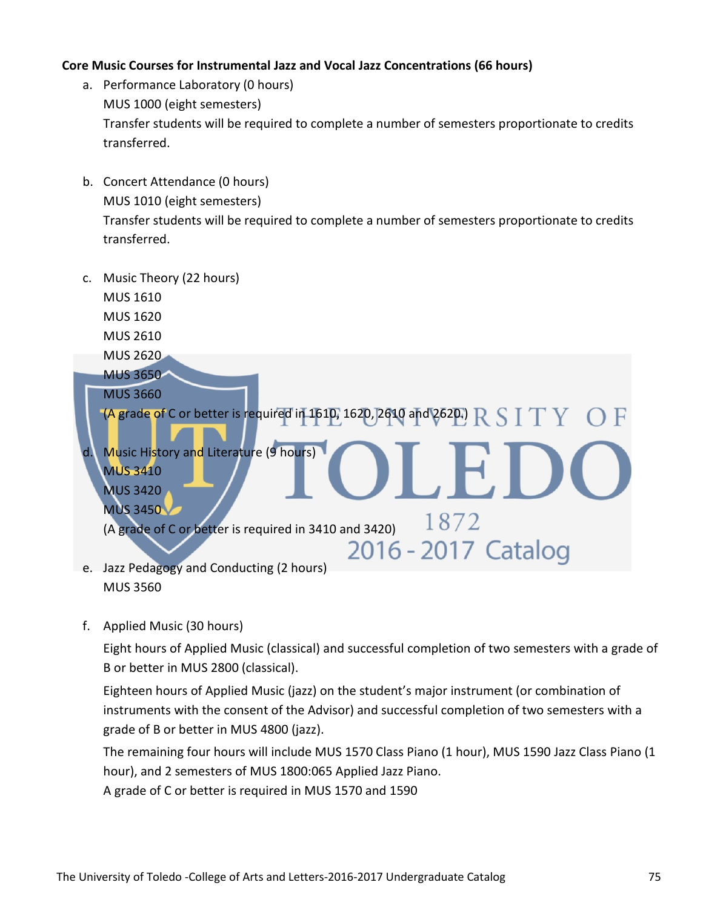#### **Core Music Courses for Instrumental Jazz and Vocal Jazz Concentrations (66 hours)**

- a. Performance Laboratory (0 hours) MUS 1000 (eight semesters) Transfer students will be required to complete a number of semesters proportionate to credits transferred.
- b. Concert Attendance (0 hours) MUS 1010 (eight semesters) Transfer students will be required to complete a number of semesters proportionate to credits transferred.



f. Applied Music (30 hours)

Eight hours of Applied Music (classical) and successful completion of two semesters with a grade of B or better in MUS 2800 (classical).

Eighteen hours of Applied Music (jazz) on the student's major instrument (or combination of instruments with the consent of the Advisor) and successful completion of two semesters with a grade of B or better in MUS 4800 (jazz).

The remaining four hours will include MUS 1570 Class Piano (1 hour), MUS 1590 Jazz Class Piano (1 hour), and 2 semesters of MUS 1800:065 Applied Jazz Piano.

A grade of C or better is required in MUS 1570 and 1590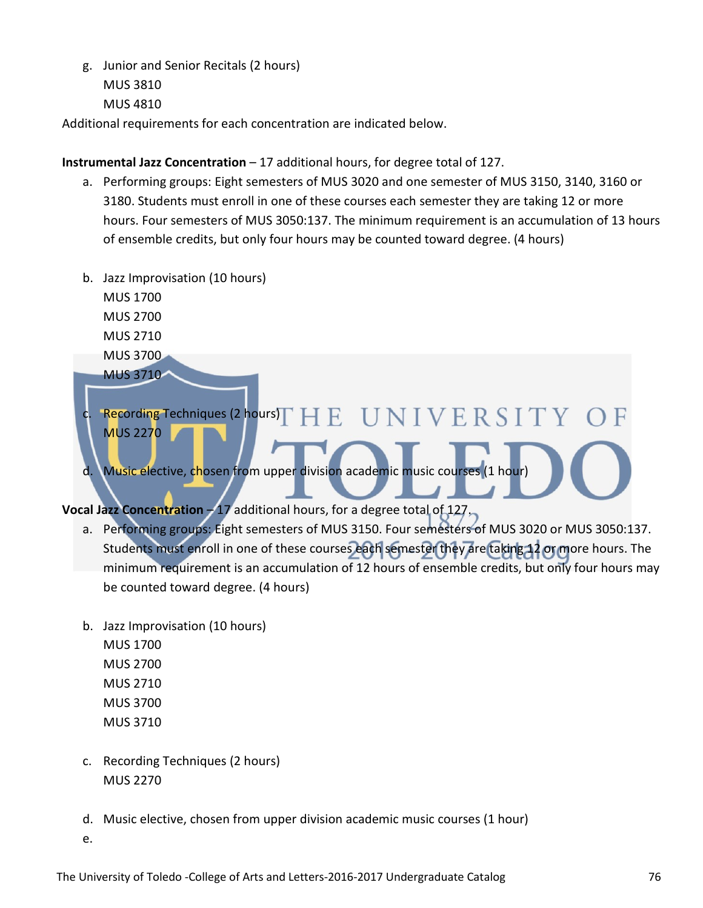g. Junior and Senior Recitals (2 hours) MUS 3810 MUS 4810

Additional requirements for each concentration are indicated below.

#### **Instrumental Jazz Concentration** – 17 additional hours, for degree total of 127.

- a. Performing groups: Eight semesters of MUS 3020 and one semester of MUS 3150, 3140, 3160 or 3180. Students must enroll in one of these courses each semester they are taking 12 or more hours. Four semesters of MUS 3050:137. The minimum requirement is an accumulation of 13 hours of ensemble credits, but only four hours may be counted toward degree. (4 hours)
- b. Jazz Improvisation (10 hours) MUS 1700 MUS 2700

MUS 2710 MUS 3700

MUS 3710

c. Recording Techniques (2 hours) $\Gamma$   $\rm{H}$   $\rm{E}$   $\rm{~U}$   $\rm{N}$   $\rm{I}$   $\rm{V}$   $\rm{E}$   $\rm{R}$   $\rm{S}$   $\rm{I}$   $\rm{T}$   $\rm{Y}$ MUS 2270

d. Music elective, chosen from upper division academic music courses (1 hour)

**Vocal Jazz Concentration - 17 additional hours, for a degree total of 127.** 

- a. Performing groups: Eight semesters of MUS 3150. Four semesters of MUS 3020 or MUS 3050:137. Students must enroll in one of these courses each semester they are taking 12 or more hours. The minimum requirement is an accumulation of 12 hours of ensemble credits, but only four hours may be counted toward degree. (4 hours)
- b. Jazz Improvisation (10 hours) MUS 1700 MUS 2700 MUS 2710 MUS 3700 MUS 3710
- c. Recording Techniques (2 hours) MUS 2270
- d. Music elective, chosen from upper division academic music courses (1 hour)

e.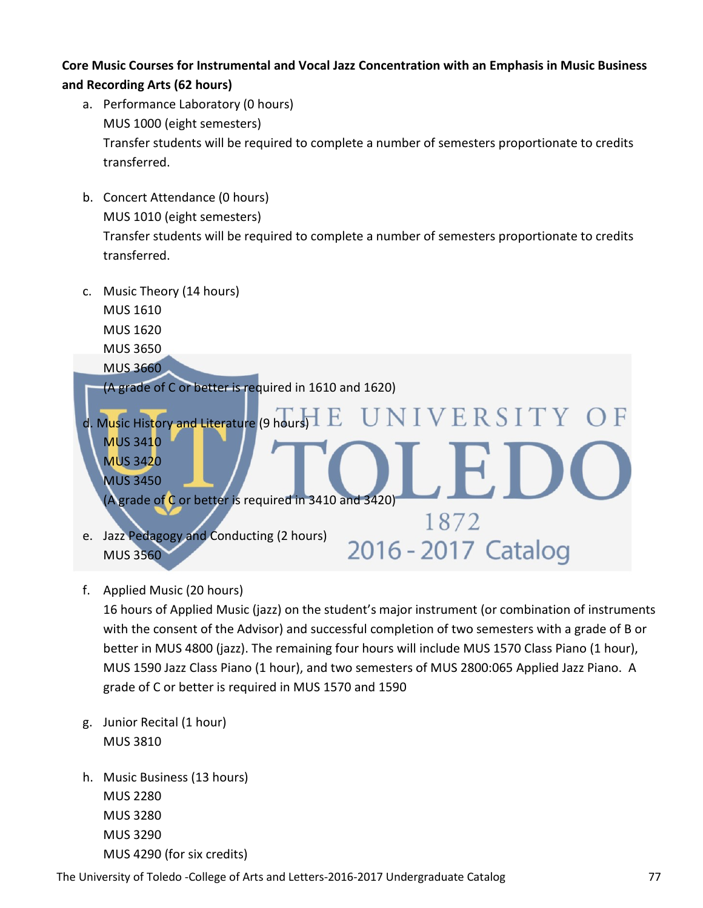#### **Core Music Courses for Instrumental and Vocal Jazz Concentration with an Emphasis in Music Business and Recording Arts (62 hours)**

- a. Performance Laboratory (0 hours) MUS 1000 (eight semesters) Transfer students will be required to complete a number of semesters proportionate to credits transferred.
- b. Concert Attendance (0 hours) MUS 1010 (eight semesters) Transfer students will be required to complete a number of semesters proportionate to credits transferred.
- c. Music Theory (14 hours)
	- MUS 1610
	- MUS 1620
	- MUS 3650
	- MUS 3660

(A grade of C or better is required in 1610 and 1620)



f. Applied Music (20 hours)

16 hours of Applied Music (jazz) on the student's major instrument (or combination of instruments with the consent of the Advisor) and successful completion of two semesters with a grade of B or better in MUS 4800 (jazz). The remaining four hours will include MUS 1570 Class Piano (1 hour), MUS 1590 Jazz Class Piano (1 hour), and two semesters of MUS 2800:065 Applied Jazz Piano. A grade of C or better is required in MUS 1570 and 1590

- g. Junior Recital (1 hour) MUS 3810
- h. Music Business (13 hours) MUS 2280 MUS 3280 MUS 3290 MUS 4290 (for six credits)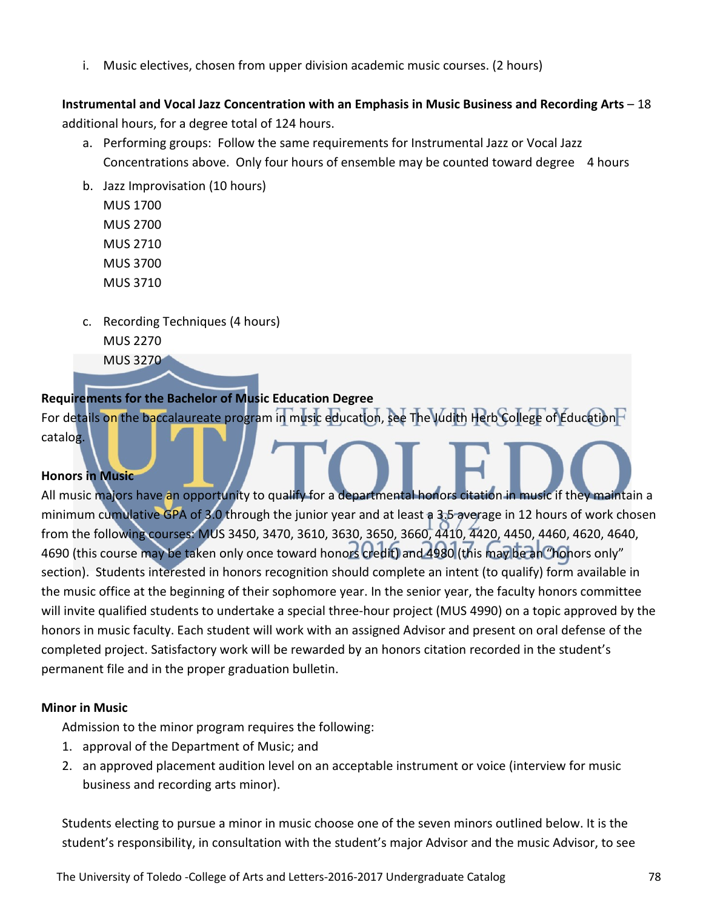i. Music electives, chosen from upper division academic music courses. (2 hours)

**Instrumental and Vocal Jazz Concentration with an Emphasis in Music Business and Recording Arts** – 18 additional hours, for a degree total of 124 hours.

- a. Performing groups: Follow the same requirements for Instrumental Jazz or Vocal Jazz Concentrations above. Only four hours of ensemble may be counted toward degree 4 hours
- b. Jazz Improvisation (10 hours) MUS 1700 MUS 2700

MUS 2710

MUS 3700

MUS 3710

c. Recording Techniques (4 hours) MUS 2270

MUS 3270

#### **Requirements for the Bachelor of Music Education Degree**

For details on the baccalaureate program in music education, see The Judith Herb College of Education<sup>1</sup> catalog.

#### **Honors in Music**

All music majors have an opportunity to qualify for a departmental honors citation in music if they maintain a minimum cumulative GPA of 3.0 through the junior year and at least a 3.5 average in 12 hours of work chosen from the following courses: MUS 3450, 3470, 3610, 3630, 3650, 3660, 4410, 4420, 4450, 4460, 4620, 4640, 4690 (this course may be taken only once toward honors credit) and 4980 (this may be an "honors only" section). Students interested in honors recognition should complete an intent (to qualify) form available in the music office at the beginning of their sophomore year. In the senior year, the faculty honors committee will invite qualified students to undertake a special three-hour project (MUS 4990) on a topic approved by the honors in music faculty. Each student will work with an assigned Advisor and present on oral defense of the completed project. Satisfactory work will be rewarded by an honors citation recorded in the student's permanent file and in the proper graduation bulletin.

#### **Minor in Music**

Admission to the minor program requires the following:

- 1. approval of the Department of Music; and
- 2. an approved placement audition level on an acceptable instrument or voice (interview for music business and recording arts minor).

Students electing to pursue a minor in music choose one of the seven minors outlined below. It is the student's responsibility, in consultation with the student's major Advisor and the music Advisor, to see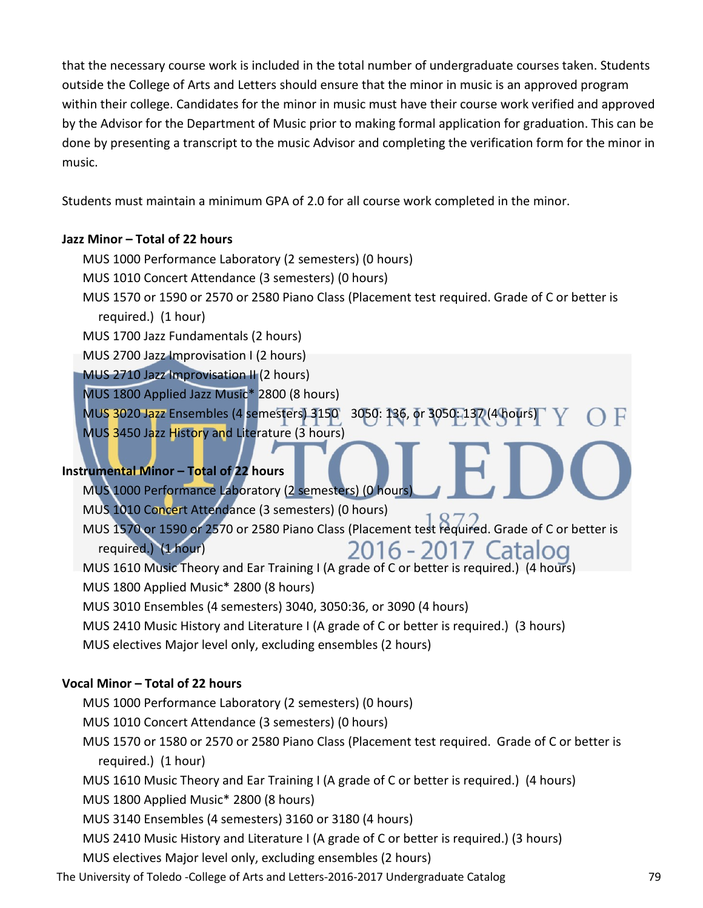that the necessary course work is included in the total number of undergraduate courses taken. Students outside the College of Arts and Letters should ensure that the minor in music is an approved program within their college. Candidates for the minor in music must have their course work verified and approved by the Advisor for the Department of Music prior to making formal application for graduation. This can be done by presenting a transcript to the music Advisor and completing the verification form for the minor in music.

Students must maintain a minimum GPA of 2.0 for all course work completed in the minor.

#### **Jazz Minor – Total of 22 hours**

- MUS 1000 Performance Laboratory (2 semesters) (0 hours)
- MUS 1010 Concert Attendance (3 semesters) (0 hours)
- MUS 1570 or 1590 or 2570 or 2580 Piano Class (Placement test required. Grade of C or better is required.) (1 hour)
- MUS 1700 Jazz Fundamentals (2 hours)
- MUS 2700 Jazz Improvisation I (2 hours)
- MUS 2710 Jazz Improvisation II (2 hours)
- MUS 1800 Applied Jazz Music\* 2800 (8 hours)

MUS 3020 Jazz Ensembles (4 semesters) 3150 3050: 136, or 3050: 137 (4 hours)

MUS 3450 Jazz History and Literature (3 hours)

### **Instrumental Minor – Total of 22 hours**

- MUS 1000 Performance Laboratory (2 semesters) (0 hours)
- MUS 1010 Concert Attendance (3 semesters) (0 hours)
- MUS 1570 or 1590 or 2570 or 2580 Piano Class (Placement test required. Grade of C or better is required.) (1 hour) 2016 - 2017 Catalog
- MUS 1610 Music Theory and Ear Training I (A grade of C or better is required.) (4 hours)
- MUS 1800 Applied Music\* 2800 (8 hours)
- MUS 3010 Ensembles (4 semesters) 3040, 3050:36, or 3090 (4 hours)
- MUS 2410 Music History and Literature I (A grade of C or better is required.) (3 hours)
- MUS electives Major level only, excluding ensembles (2 hours)

### **Vocal Minor – Total of 22 hours**

- MUS 1000 Performance Laboratory (2 semesters) (0 hours)
- MUS 1010 Concert Attendance (3 semesters) (0 hours)
- MUS 1570 or 1580 or 2570 or 2580 Piano Class (Placement test required. Grade of C or better is required.) (1 hour)
- MUS 1610 Music Theory and Ear Training I (A grade of C or better is required.) (4 hours)
- MUS 1800 Applied Music\* 2800 (8 hours)
- MUS 3140 Ensembles (4 semesters) 3160 or 3180 (4 hours)
- MUS 2410 Music History and Literature I (A grade of C or better is required.) (3 hours)
- MUS electives Major level only, excluding ensembles (2 hours)
- The University of Toledo -College of Arts and Letters-2016-2017 Undergraduate Catalog 79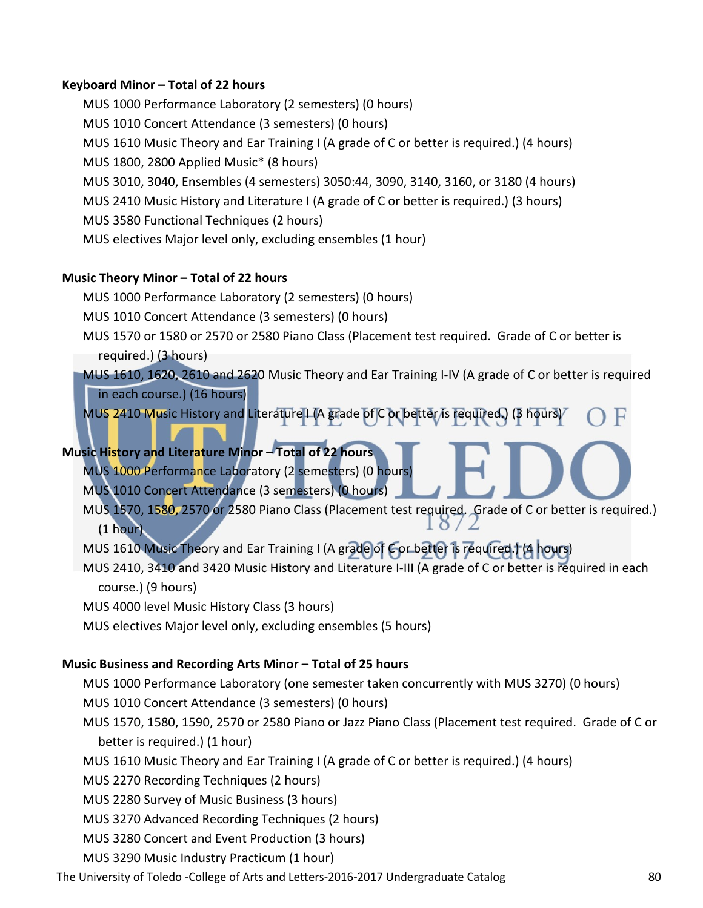#### **Keyboard Minor – Total of 22 hours**

MUS 1000 Performance Laboratory (2 semesters) (0 hours) MUS 1010 Concert Attendance (3 semesters) (0 hours) MUS 1610 Music Theory and Ear Training I (A grade of C or better is required.) (4 hours) MUS 1800, 2800 Applied Music\* (8 hours) MUS 3010, 3040, Ensembles (4 semesters) 3050:44, 3090, 3140, 3160, or 3180 (4 hours) MUS 2410 Music History and Literature I (A grade of C or better is required.) (3 hours) MUS 3580 Functional Techniques (2 hours) MUS electives Major level only, excluding ensembles (1 hour)

#### **Music Theory Minor – Total of 22 hours**

MUS 1000 Performance Laboratory (2 semesters) (0 hours)

MUS 1010 Concert Attendance (3 semesters) (0 hours)

MUS 1570 or 1580 or 2570 or 2580 Piano Class (Placement test required. Grade of C or better is required.) (3 hours)

MUS 1610, 1620, 2610 and 2620 Music Theory and Ear Training I-IV (A grade of C or better is required in each course.) (16 hours)

MUS 2410 Music History and Literature I (A grade of C or better/is required.) (3 hours)

#### **Music History and Literature Minor – Total of 22 hours**

MUS 1000 Performance Laboratory (2 semesters) (0 hours) MUS 1010 Concert Attendance (3 semesters) (0 hours)

MUS 1570, 1580, 2570 or 2580 Piano Class (Placement test required. Grade of C or better is required.) (1 hour)

MUS 1610 Music Theory and Ear Training I (A grade of C or better is required.) (4 hours)

MUS 2410, 3410 and 3420 Music History and Literature I-III (A grade of C or better is required in each course.) (9 hours)

MUS 4000 level Music History Class (3 hours)

MUS electives Major level only, excluding ensembles (5 hours)

#### **Music Business and Recording Arts Minor – Total of 25 hours**

MUS 1000 Performance Laboratory (one semester taken concurrently with MUS 3270) (0 hours)

- MUS 1010 Concert Attendance (3 semesters) (0 hours)
- MUS 1570, 1580, 1590, 2570 or 2580 Piano or Jazz Piano Class (Placement test required. Grade of C or better is required.) (1 hour)
- MUS 1610 Music Theory and Ear Training I (A grade of C or better is required.) (4 hours)

MUS 2270 Recording Techniques (2 hours)

MUS 2280 Survey of Music Business (3 hours)

MUS 3270 Advanced Recording Techniques (2 hours)

MUS 3280 Concert and Event Production (3 hours)

MUS 3290 Music Industry Practicum (1 hour)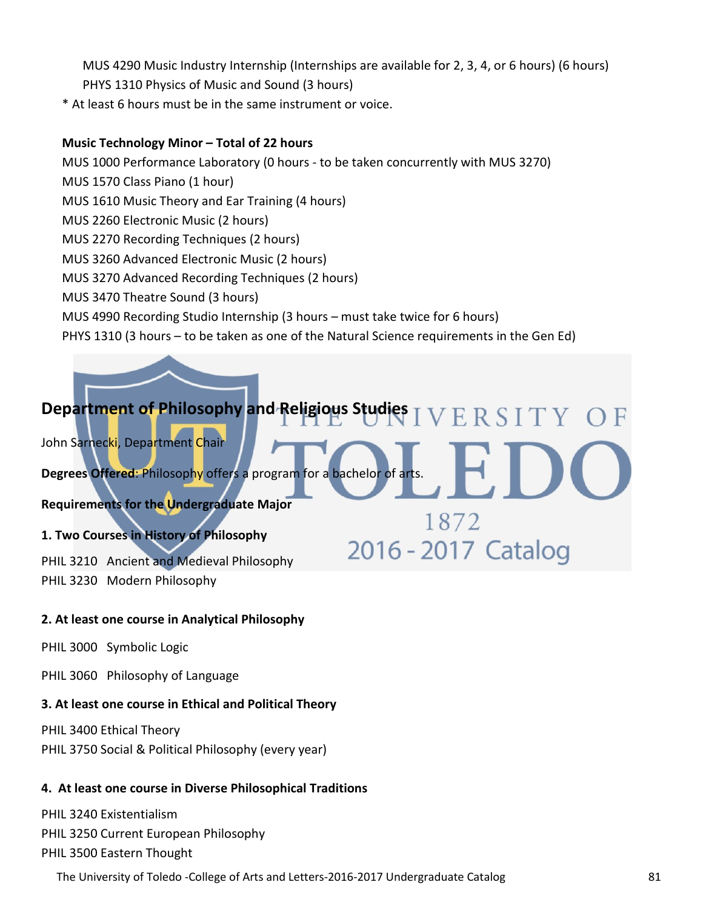- MUS 4290 Music Industry Internship (Internships are available for 2, 3, 4, or 6 hours) (6 hours) PHYS 1310 Physics of Music and Sound (3 hours)
- \* At least 6 hours must be in the same instrument or voice.

#### **Music Technology Minor – Total of 22 hours**

- MUS 1000 Performance Laboratory (0 hours to be taken concurrently with MUS 3270)
- MUS 1570 Class Piano (1 hour)
- MUS 1610 Music Theory and Ear Training (4 hours)
- MUS 2260 Electronic Music (2 hours)
- MUS 2270 Recording Techniques (2 hours)
- MUS 3260 Advanced Electronic Music (2 hours)
- MUS 3270 Advanced Recording Techniques (2 hours)
- MUS 3470 Theatre Sound (3 hours)
- MUS 4990 Recording Studio Internship (3 hours must take twice for 6 hours)
- PHYS 1310 (3 hours to be taken as one of the Natural Science requirements in the Gen Ed)

# Department of Philosophy and Religious Studies T V E R S I T Y

1872

2016 - 2017 Catalog

John Sarnecki, Department Chair

**Degrees Offered**: Philosophy offers a program for a bachelor of arts.

**Requirements for the Undergraduate Major**

#### **1. Two Courses in History of Philosophy**

PHIL 3210 Ancient and Medieval Philosophy PHIL 3230 Modern Philosophy

#### **2. At least one course in Analytical Philosophy**

PHIL 3000 Symbolic Logic

PHIL 3060 Philosophy of Language

#### **3. At least one course in Ethical and Political Theory**

PHIL 3400 Ethical Theory PHIL 3750 Social & Political Philosophy (every year)

#### **4. At least one course in Diverse Philosophical Traditions**

PHIL 3240 Existentialism PHIL 3250 Current European Philosophy PHIL 3500 Eastern Thought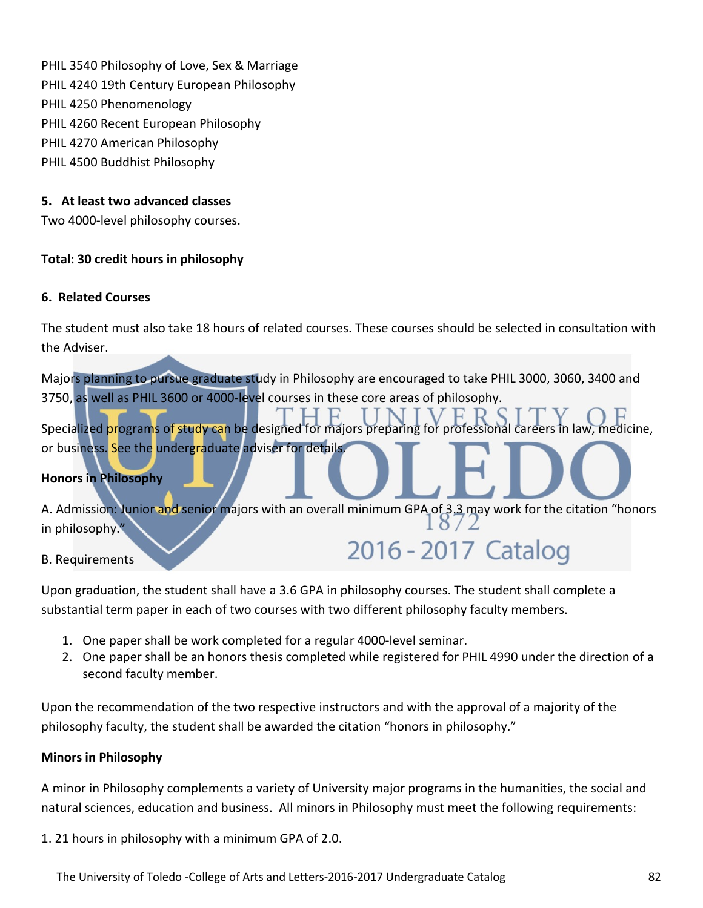PHIL 3540 Philosophy of Love, Sex & Marriage PHIL 4240 19th Century European Philosophy PHIL 4250 Phenomenology PHIL 4260 Recent European Philosophy PHIL 4270 American Philosophy PHIL 4500 Buddhist Philosophy

#### **5. At least two advanced classes**

Two 4000-level philosophy courses.

#### **Total: 30 credit hours in philosophy**

#### **6. Related Courses**

The student must also take 18 hours of related courses. These courses should be selected in consultation with the Adviser.

Majors planning to pursue graduate study in Philosophy are encouraged to take PHIL 3000, 3060, 3400 and 3750, as well as PHIL 3600 or 4000-level courses in these core areas of philosophy.

Specialized programs of study can be designed for majors preparing for professional careers in law, medicine, or business. See the undergraduate adviser for details.

#### **Honors in Philosophy**

A. Admission: Junior and senior majors with an overall minimum GPA of 3.3 may work for the citation "honors" in philosophy." 2016 - 2017 Catalog

#### B. Requirements

Upon graduation, the student shall have a 3.6 GPA in philosophy courses. The student shall complete a substantial term paper in each of two courses with two different philosophy faculty members.

- 1. One paper shall be work completed for a regular 4000-level seminar.
- 2. One paper shall be an honors thesis completed while registered for PHIL 4990 under the direction of a second faculty member.

Upon the recommendation of the two respective instructors and with the approval of a majority of the philosophy faculty, the student shall be awarded the citation "honors in philosophy."

#### **Minors in Philosophy**

A minor in Philosophy complements a variety of University major programs in the humanities, the social and natural sciences, education and business. All minors in Philosophy must meet the following requirements:

1. 21 hours in philosophy with a minimum GPA of 2.0.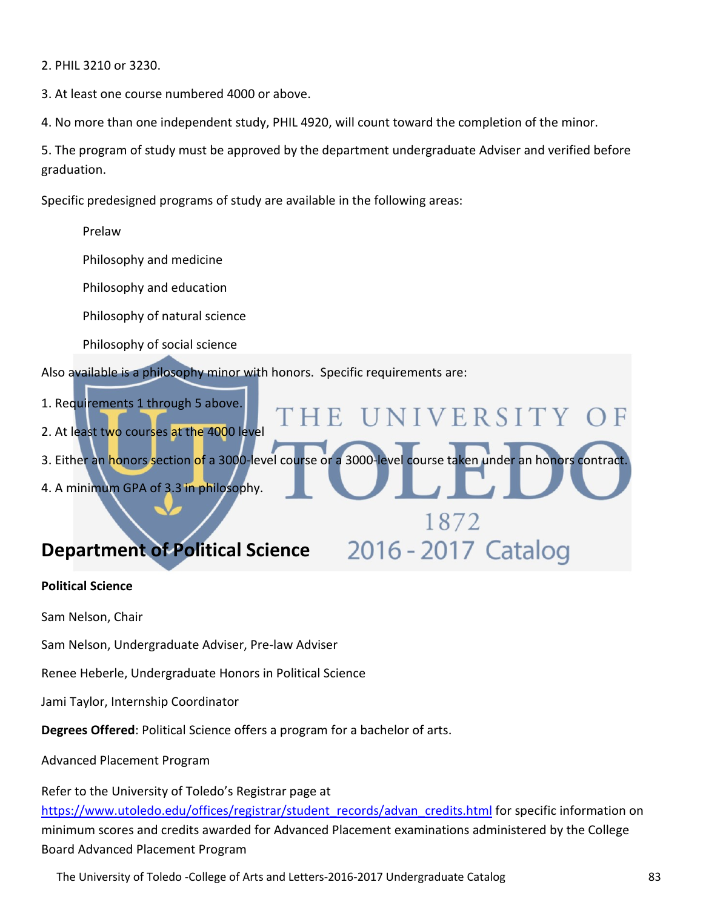2. PHIL 3210 or 3230.

3. At least one course numbered 4000 or above.

4. No more than one independent study, PHIL 4920, will count toward the completion of the minor.

'HE

5. The program of study must be approved by the department undergraduate Adviser and verified before graduation.

NIVERSITY

1872

2016 - 2017 Catalog

Specific predesigned programs of study are available in the following areas:

Prelaw

Philosophy and medicine

Philosophy and education

Philosophy of natural science

Philosophy of social science

Also available is a philosophy minor with honors. Specific requirements are:

- 1. Requirements 1 through 5 above.
- 2. At least two courses at the 4000 level
- 3. Either an honors section of a 3000-level course or a 3000-level course taken under an honors contract.
- 4. A minimum GPA of 3.3 in philosophy.

# **Department of Political Science**

#### **Political Science**

Sam Nelson, Chair

Sam Nelson, Undergraduate Adviser, Pre-law Adviser

Renee Heberle, Undergraduate Honors in Political Science

Jami Taylor, Internship Coordinator

**Degrees Offered**: Political Science offers a program for a bachelor of arts.

Advanced Placement Program

Refer to the University of Toledo's Registrar page at [https://www.utoledo.edu/offices/registrar/student\\_records/advan\\_credits.html](https://www.utoledo.edu/offices/registrar/student_records/advan_credits.html) for specific information on minimum scores and credits awarded for Advanced Placement examinations administered by the College Board Advanced Placement Program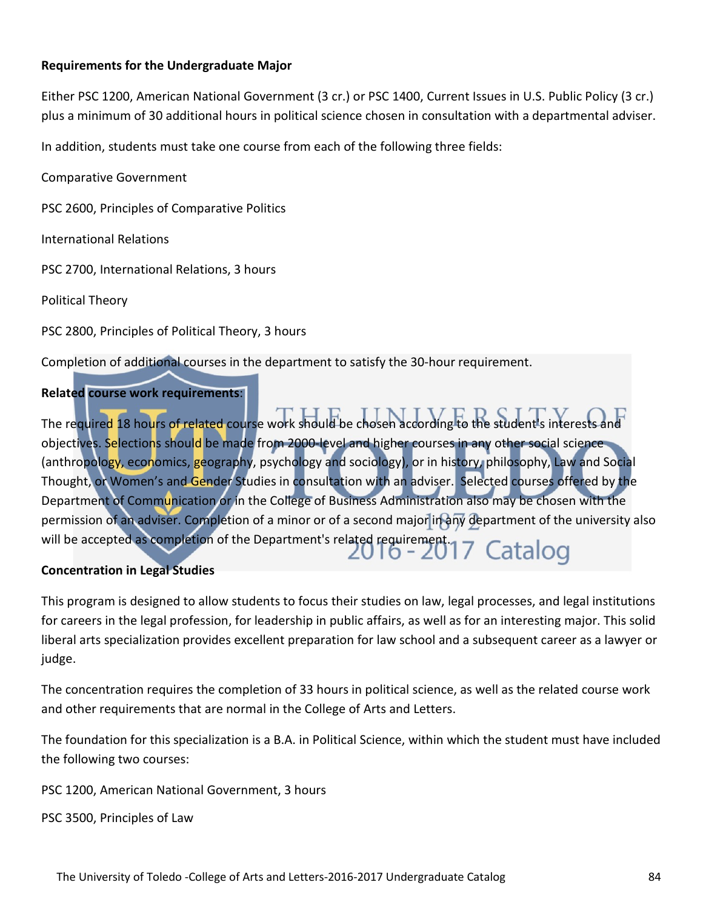#### **Requirements for the Undergraduate Major**

Either PSC 1200, American National Government (3 cr.) or PSC 1400, Current Issues in U.S. Public Policy (3 cr.) plus a minimum of 30 additional hours in political science chosen in consultation with a departmental adviser.

In addition, students must take one course from each of the following three fields:

Comparative Government

PSC 2600, Principles of Comparative Politics

International Relations

PSC 2700, International Relations, 3 hours

Political Theory

PSC 2800, Principles of Political Theory, 3 hours

Completion of additional courses in the department to satisfy the 30-hour requirement.

#### **Related course work requirements**:

The required 18 hours of related course work should be chosen according to the student's interests and objectives. Selections should be made from 2000-level and higher courses in any other social science (anthropology, economics, geography, psychology and sociology), or in history, philosophy, Law and Social Thought, or Women's and Gender Studies in consultation with an adviser. Selected courses offered by the Department of Communication or in the College of Business Administration also may be chosen with the permission of an adviser. Completion of a minor or of a second major in any department of the university also will be accepted as completion of the Department's related requirement.<br>  $6 - 2017$  Catalog

#### **Concentration in Legal Studies**

This program is designed to allow students to focus their studies on law, legal processes, and legal institutions for careers in the legal profession, for leadership in public affairs, as well as for an interesting major. This solid liberal arts specialization provides excellent preparation for law school and a subsequent career as a lawyer or judge.

The concentration requires the completion of 33 hours in political science, as well as the related course work and other requirements that are normal in the College of Arts and Letters.

The foundation for this specialization is a B.A. in Political Science, within which the student must have included the following two courses:

PSC 1200, American National Government, 3 hours

PSC 3500, Principles of Law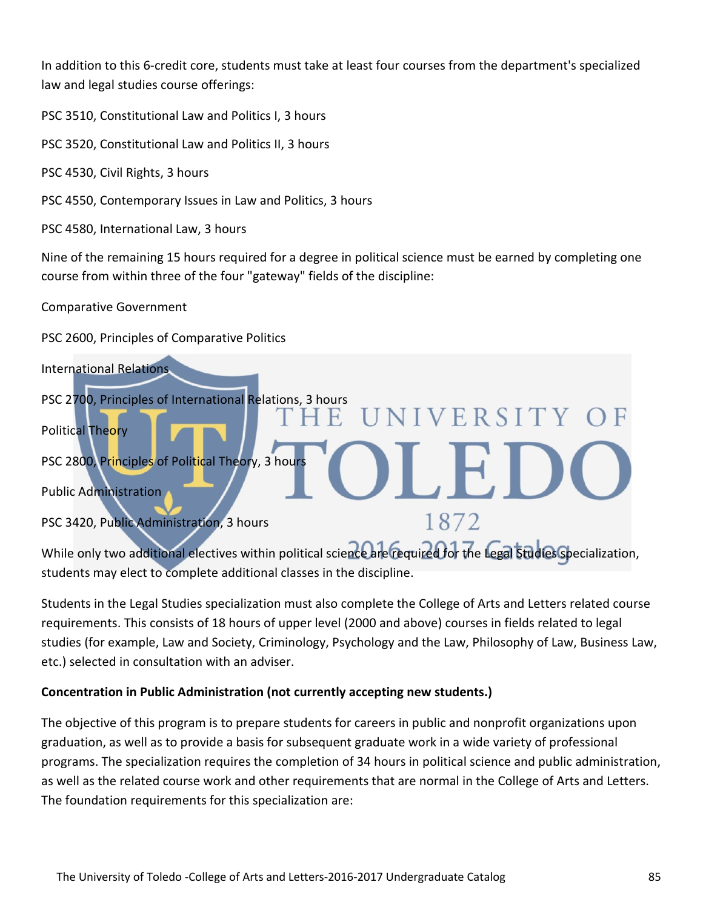In addition to this 6-credit core, students must take at least four courses from the department's specialized law and legal studies course offerings:

PSC 3510, Constitutional Law and Politics I, 3 hours

PSC 3520, Constitutional Law and Politics II, 3 hours

PSC 4530, Civil Rights, 3 hours

PSC 4550, Contemporary Issues in Law and Politics, 3 hours

PSC 4580, International Law, 3 hours

Nine of the remaining 15 hours required for a degree in political science must be earned by completing one course from within three of the four "gateway" fields of the discipline:

Comparative Government

PSC 2600, Principles of Comparative Politics



While only two additional electives within political science are required for the Legal Studies specialization, students may elect to complete additional classes in the discipline.

Students in the Legal Studies specialization must also complete the College of Arts and Letters related course requirements. This consists of 18 hours of upper level (2000 and above) courses in fields related to legal studies (for example, Law and Society, Criminology, Psychology and the Law, Philosophy of Law, Business Law, etc.) selected in consultation with an adviser.

#### **Concentration in Public Administration (not currently accepting new students.)**

The objective of this program is to prepare students for careers in public and nonprofit organizations upon graduation, as well as to provide a basis for subsequent graduate work in a wide variety of professional programs. The specialization requires the completion of 34 hours in political science and public administration, as well as the related course work and other requirements that are normal in the College of Arts and Letters. The foundation requirements for this specialization are: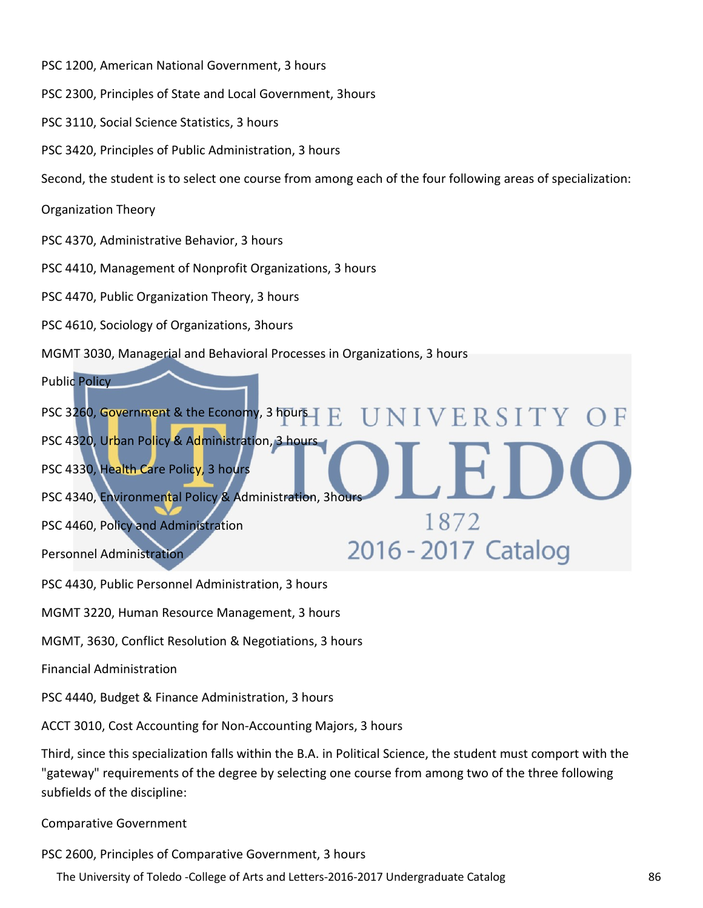PSC 1200, American National Government, 3 hours

PSC 2300, Principles of State and Local Government, 3hours

PSC 3110, Social Science Statistics, 3 hours

PSC 3420, Principles of Public Administration, 3 hours

Second, the student is to select one course from among each of the four following areas of specialization:

Organization Theory

PSC 4370, Administrative Behavior, 3 hours

PSC 4410, Management of Nonprofit Organizations, 3 hours

PSC 4470, Public Organization Theory, 3 hours

PSC 4610, Sociology of Organizations, 3hours

MGMT 3030, Managerial and Behavioral Processes in Organizations, 3 hours

Public Policy

PSC 3260, Government & the Economy, 3 hours NIVERSITY  $\mathbf{E}$ PSC 4320, Urban Policy & Administration, 3 hours PSC 4330, Health Care Policy, 3 hours PSC 4340, Environmental Policy & Administration, 3hours 1872 PSC 4460, Policy and Administration 2016 - 2017 Catalog Personnel Administration

PSC 4430, Public Personnel Administration, 3 hours

MGMT 3220, Human Resource Management, 3 hours

MGMT, 3630, Conflict Resolution & Negotiations, 3 hours

Financial Administration

PSC 4440, Budget & Finance Administration, 3 hours

ACCT 3010, Cost Accounting for Non-Accounting Majors, 3 hours

Third, since this specialization falls within the B.A. in Political Science, the student must comport with the "gateway" requirements of the degree by selecting one course from among two of the three following subfields of the discipline:

Comparative Government

PSC 2600, Principles of Comparative Government, 3 hours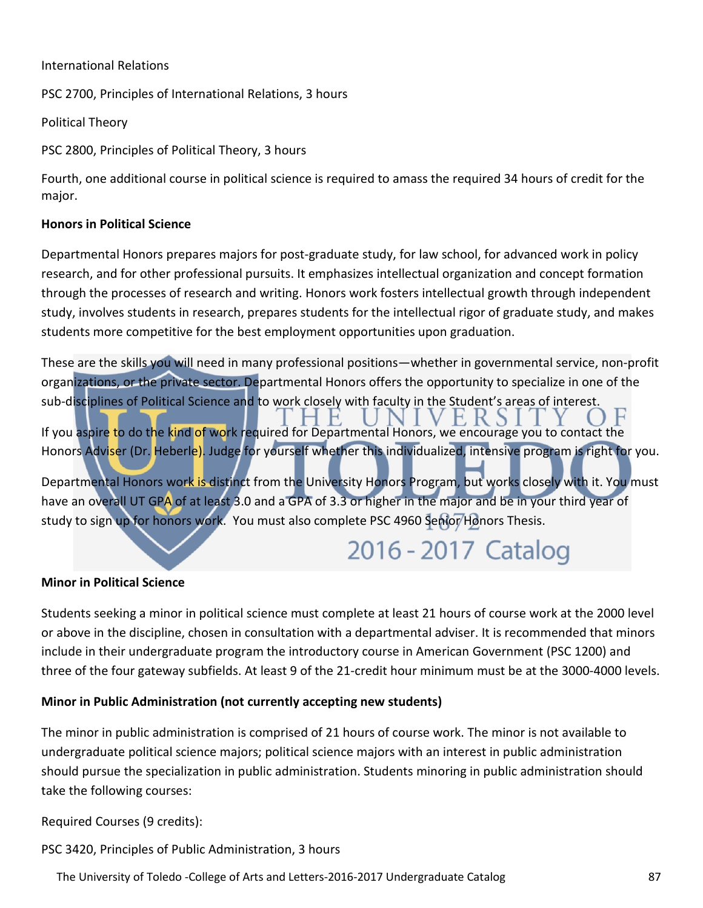#### International Relations

PSC 2700, Principles of International Relations, 3 hours

Political Theory

PSC 2800, Principles of Political Theory, 3 hours

Fourth, one additional course in political science is required to amass the required 34 hours of credit for the major.

#### **Honors in Political Science**

Departmental Honors prepares majors for post-graduate study, for law school, for advanced work in policy research, and for other professional pursuits. It emphasizes intellectual organization and concept formation through the processes of research and writing. Honors work fosters intellectual growth through independent study, involves students in research, prepares students for the intellectual rigor of graduate study, and makes students more competitive for the best employment opportunities upon graduation.

These are the skills you will need in many professional positions—whether in governmental service, non-profit organizations, or the private sector. Departmental Honors offers the opportunity to specialize in one of the sub-disciplines of Political Science and to work closely with faculty in the Student's areas of interest.

If you aspire to do the kind of work required for Departmental Honors, we encourage you to contact the Honors Adviser (Dr. Heberle). Judge for yourself whether this individualized, intensive program is right for you.

Departmental Honors work is distinct from the University Honors Program, but works closely with it. You must have an overall UT GPA of at least 3.0 and a GPA of 3.3 or higher in the major and be in your third year of study to sign up for honors work. You must also complete PSC 4960 Senior Honors Thesis.

# 2016 - 2017 Catalog

#### **Minor in Political Science**

Students seeking a minor in political science must complete at least 21 hours of course work at the 2000 level or above in the discipline, chosen in consultation with a departmental adviser. It is recommended that minors include in their undergraduate program the introductory course in American Government (PSC 1200) and three of the four gateway subfields. At least 9 of the 21-credit hour minimum must be at the 3000-4000 levels.

#### **Minor in Public Administration (not currently accepting new students)**

The minor in public administration is comprised of 21 hours of course work. The minor is not available to undergraduate political science majors; political science majors with an interest in public administration should pursue the specialization in public administration. Students minoring in public administration should take the following courses:

Required Courses (9 credits):

PSC 3420, Principles of Public Administration, 3 hours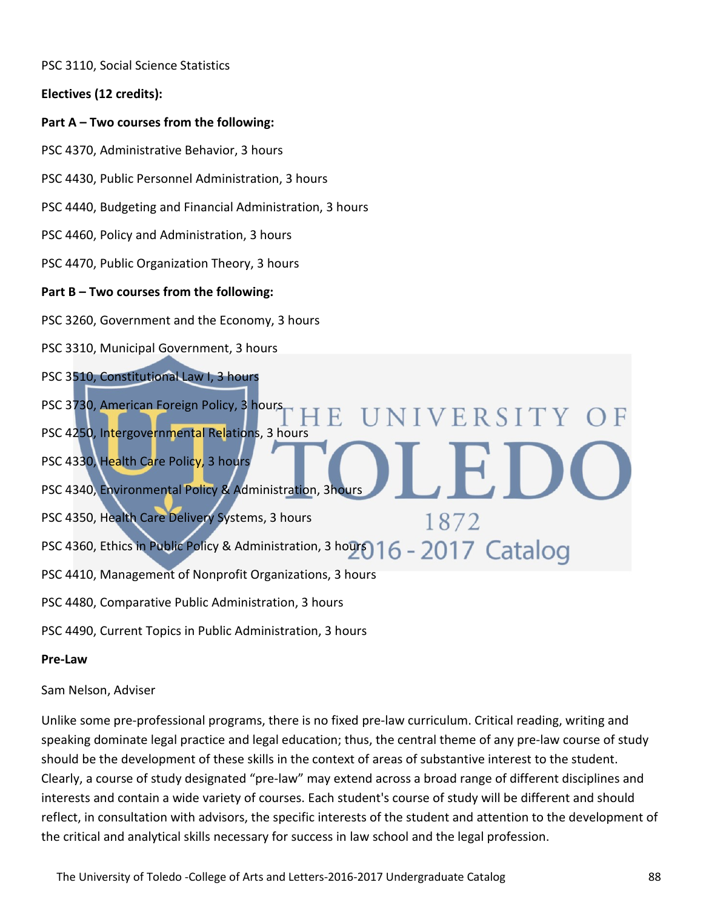PSC 3110, Social Science Statistics

**Electives (12 credits):**

#### **Part A – Two courses from the following:**

PSC 4370, Administrative Behavior, 3 hours

PSC 4430, Public Personnel Administration, 3 hours

PSC 4440, Budgeting and Financial Administration, 3 hours

PSC 4460, Policy and Administration, 3 hours

PSC 4470, Public Organization Theory, 3 hours

#### **Part B – Two courses from the following:**

PSC 3260, Government and the Economy, 3 hours

PSC 3310, Municipal Government, 3 hours

PSC 3510, Constitutional Law I, 3 hours

PSC 3730, American Foreign Policy, 3 hours PSC 4250, Intergovernmental Relations, 3 hours

PSC 4330, Health Care Policy, 3 hours

PSC 4340, Environmental Policy & Administration, 3hours

PSC 4350, Health Care Delivery Systems, 3 hours

PSC 4360, Ethics in Public Policy & Administration, 3 hours 16 - 2017 Catalog

PSC 4410, Management of Nonprofit Organizations, 3 hours

PSC 4480, Comparative Public Administration, 3 hours

PSC 4490, Current Topics in Public Administration, 3 hours

#### **Pre-Law**

Sam Nelson, Adviser

Unlike some pre-professional programs, there is no fixed pre-law curriculum. Critical reading, writing and speaking dominate legal practice and legal education; thus, the central theme of any pre-law course of study should be the development of these skills in the context of areas of substantive interest to the student. Clearly, a course of study designated "pre-law" may extend across a broad range of different disciplines and interests and contain a wide variety of courses. Each student's course of study will be different and should reflect, in consultation with advisors, the specific interests of the student and attention to the development of the critical and analytical skills necessary for success in law school and the legal profession.

**SIVERSITY** 

1872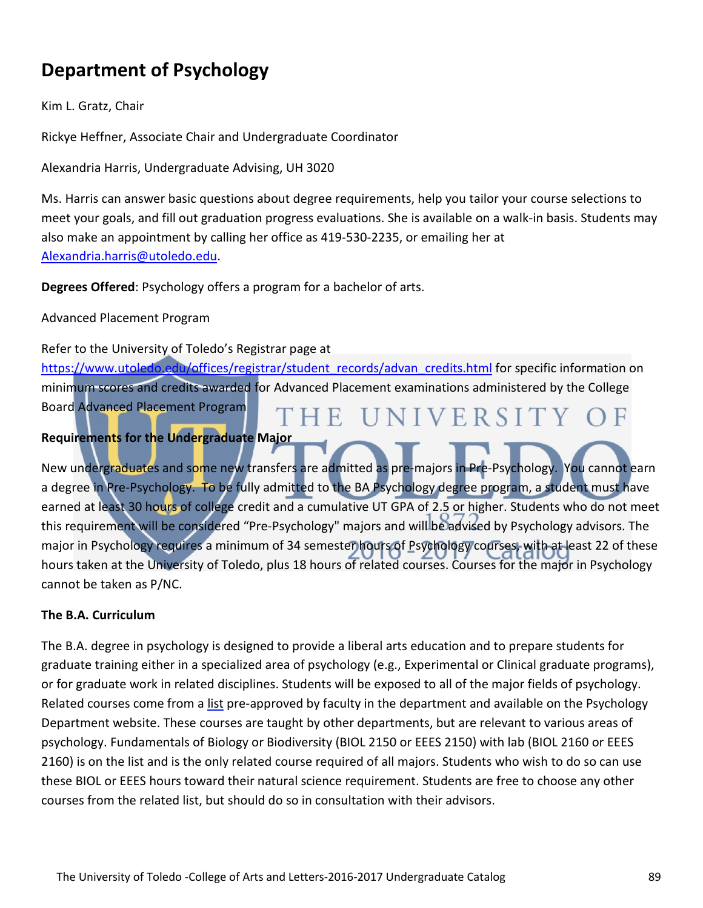# **Department of Psychology**

Kim L. Gratz, Chair

Rickye Heffner, Associate Chair and Undergraduate Coordinator

Alexandria Harris, Undergraduate Advising, UH 3020

Ms. Harris can answer basic questions about degree requirements, help you tailor your course selections to meet your goals, and fill out graduation progress evaluations. She is available on a walk-in basis. Students may also make an appointment by calling her office as 419-530-2235, or emailing her at [Alexandria.harris@utoledo.edu.](mailto:Alexandria.harris@utoledo.edu)

**Degrees Offered**: Psychology offers a program for a bachelor of arts.

Advanced Placement Program

Refer to the University of Toledo's Registrar page at

[https://www.utoledo.edu/offices/registrar/student\\_records/advan\\_credits.html](https://www.utoledo.edu/offices/registrar/student_records/advan_credits.html) for specific information on minimum scores and credits awarded for Advanced Placement examinations administered by the College Board Advanced Placement Program THE UNIVERSITY (

#### **Requirements for the Undergraduate Major**

New undergraduates and some new transfers are admitted as pre-majors in Pre-Psychology. You cannot earn a degree in Pre-Psychology. To be fully admitted to the BA Psychology degree program, a student must have earned at least 30 hours of college credit and a cumulative UT GPA of 2.5 or higher. Students who do not meet this requirement will be considered "Pre-Psychology" majors and will be advised by Psychology advisors. The major in Psychology requires a minimum of 34 semester hours of Psychology courses, with at least 22 of these hours taken at the University of Toledo, plus 18 hours of related courses. Courses for the major in Psychology cannot be taken as P/NC.

#### **The B.A. Curriculum**

The B.A. degree in psychology is designed to provide a liberal arts education and to prepare students for graduate training either in a specialized area of psychology (e.g., Experimental or Clinical graduate programs), or for graduate work in related disciplines. Students will be exposed to all of the major fields of psychology. Related courses come from a list pre-approved by faculty in the department and available on the Psychology Department website. These courses are taught by other departments, but are relevant to various areas of psychology. Fundamentals of Biology or Biodiversity (BIOL 2150 or EEES 2150) with lab (BIOL 2160 or EEES 2160) is on the list and is the only related course required of all majors. Students who wish to do so can use these BIOL or EEES hours toward their natural science requirement. Students are free to choose any other courses from the related list, but should do so in consultation with their advisors.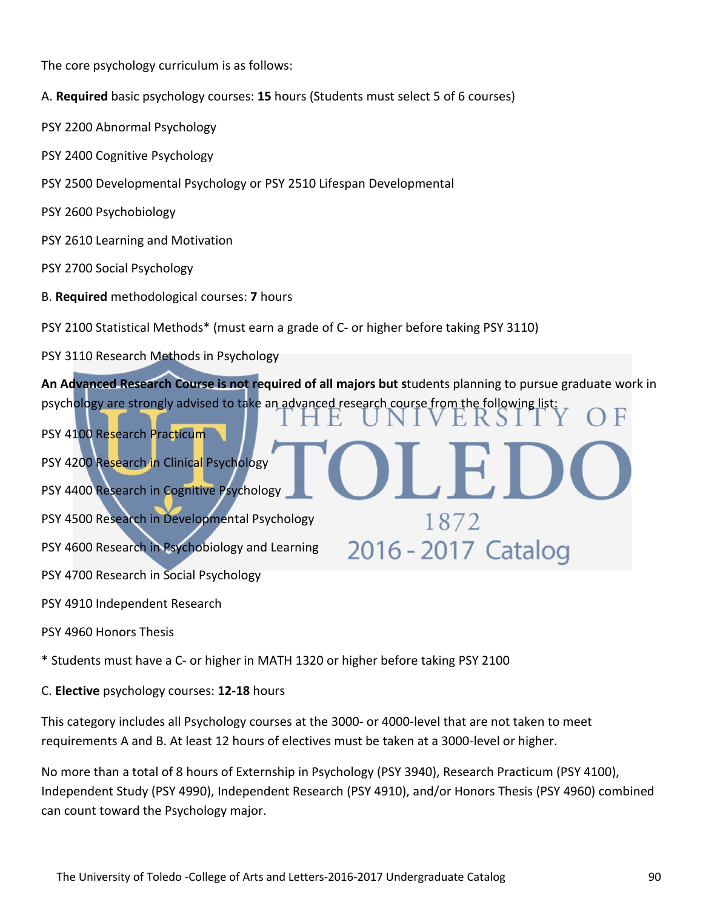The core psychology curriculum is as follows:

- A. **Required** basic psychology courses: **15** hours (Students must select 5 of 6 courses)
- PSY 2200 Abnormal Psychology
- PSY 2400 Cognitive Psychology
- PSY 2500 Developmental Psychology or PSY 2510 Lifespan Developmental
- PSY 2600 Psychobiology
- PSY 2610 Learning and Motivation
- PSY 2700 Social Psychology
- B. **Required** methodological courses: **7** hours
- PSY 2100 Statistical Methods\* (must earn a grade of C- or higher before taking PSY 3110)
- PSY 3110 Research Methods in Psychology

**An Advanced Research Course is not required of all majors but s**tudents planning to pursue graduate work in psychology are strongly advised to take an advanced research course from the following list:

1872

2016 - 2017 Catalog

- PSY 4200 Research in Clinical Psychology
- PSY 4400 Research in Cognitive Psychology
- PSY 4500 Research in Developmental Psychology
- PSY 4600 Research in Psychobiology and Learning
- PSY 4700 Research in Social Psychology
- PSY 4910 Independent Research

PSY 4100 Research Practicum

- PSY 4960 Honors Thesis
- \* Students must have a C- or higher in MATH 1320 or higher before taking PSY 2100
- C. **Elective** psychology courses: **12-18** hours

This category includes all Psychology courses at the 3000- or 4000-level that are not taken to meet requirements A and B. At least 12 hours of electives must be taken at a 3000-level or higher.

No more than a total of 8 hours of Externship in Psychology (PSY 3940), Research Practicum (PSY 4100), Independent Study (PSY 4990), Independent Research (PSY 4910), and/or Honors Thesis (PSY 4960) combined can count toward the Psychology major.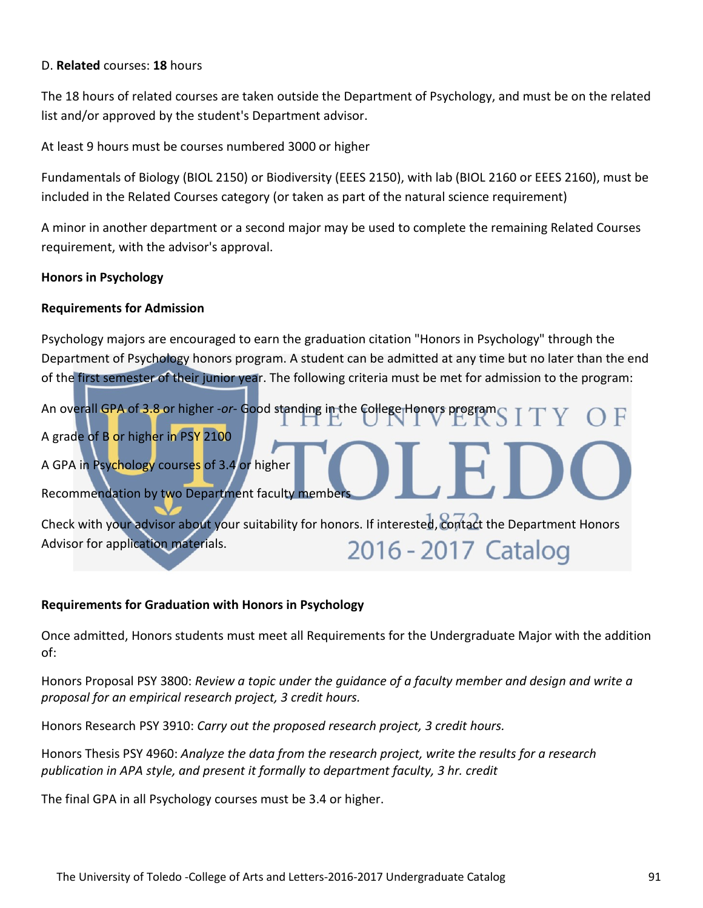#### D. **Related** courses: **18** hours

The 18 hours of related courses are taken outside the Department of Psychology, and must be on the related list and/or approved by the student's Department advisor.

At least 9 hours must be courses numbered 3000 or higher

Fundamentals of Biology (BIOL 2150) or Biodiversity (EEES 2150), with lab (BIOL 2160 or EEES 2160), must be included in the Related Courses category (or taken as part of the natural science requirement)

A minor in another department or a second major may be used to complete the remaining Related Courses requirement, with the advisor's approval.

#### **Honors in Psychology**

#### **Requirements for Admission**

Psychology majors are encouraged to earn the graduation citation "Honors in Psychology" through the Department of Psychology honors program. A student can be admitted at any time but no later than the end of the first semester of their junior year. The following criteria must be met for admission to the program: An overall GPA of 3.8 or higher -*or*- Good standing in the College Honors program ST A grade of B or higher in PSY 2100 A GPA in Psychology courses of 3.4 or higher Recommendation by two Department faculty members Check with your advisor about your suitability for honors. If interested, contact the Department Honors Advisor for application materials. 2016 - 2017 Catalog

#### **Requirements for Graduation with Honors in Psychology**

Once admitted, Honors students must meet all Requirements for the Undergraduate Major with the addition of:

Honors Proposal PSY 3800: *Review a topic under the guidance of a faculty member and design and write a proposal for an empirical research project, 3 credit hours.*

Honors Research PSY 3910: *Carry out the proposed research project, 3 credit hours.*

Honors Thesis PSY 4960: *Analyze the data from the research project, write the results for a research publication in APA style, and present it formally to department faculty, 3 hr. credit*

The final GPA in all Psychology courses must be 3.4 or higher.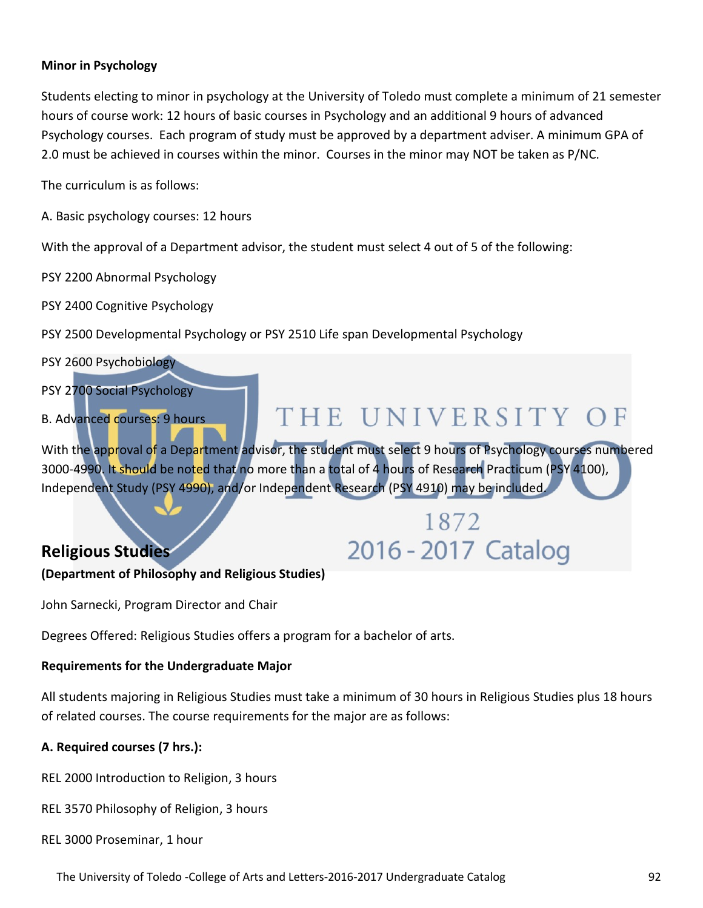#### **Minor in Psychology**

Students electing to minor in psychology at the University of Toledo must complete a minimum of 21 semester hours of course work: 12 hours of basic courses in Psychology and an additional 9 hours of advanced Psychology courses. Each program of study must be approved by a department adviser. A minimum GPA of 2.0 must be achieved in courses within the minor. Courses in the minor may NOT be taken as P/NC.

The curriculum is as follows:

A. Basic psychology courses: 12 hours

With the approval of a Department advisor, the student must select 4 out of 5 of the following:

PSY 2200 Abnormal Psychology

PSY 2400 Cognitive Psychology

PSY 2500 Developmental Psychology or PSY 2510 Life span Developmental Psychology



John Sarnecki, Program Director and Chair

Degrees Offered: Religious Studies offers a program for a bachelor of arts.

#### **Requirements for the Undergraduate Major**

All students majoring in Religious Studies must take a minimum of 30 hours in Religious Studies plus 18 hours of related courses. The course requirements for the major are as follows:

#### **A. Required courses (7 hrs.):**

REL 2000 Introduction to Religion, 3 hours

REL 3570 Philosophy of Religion, 3 hours

REL 3000 Proseminar, 1 hour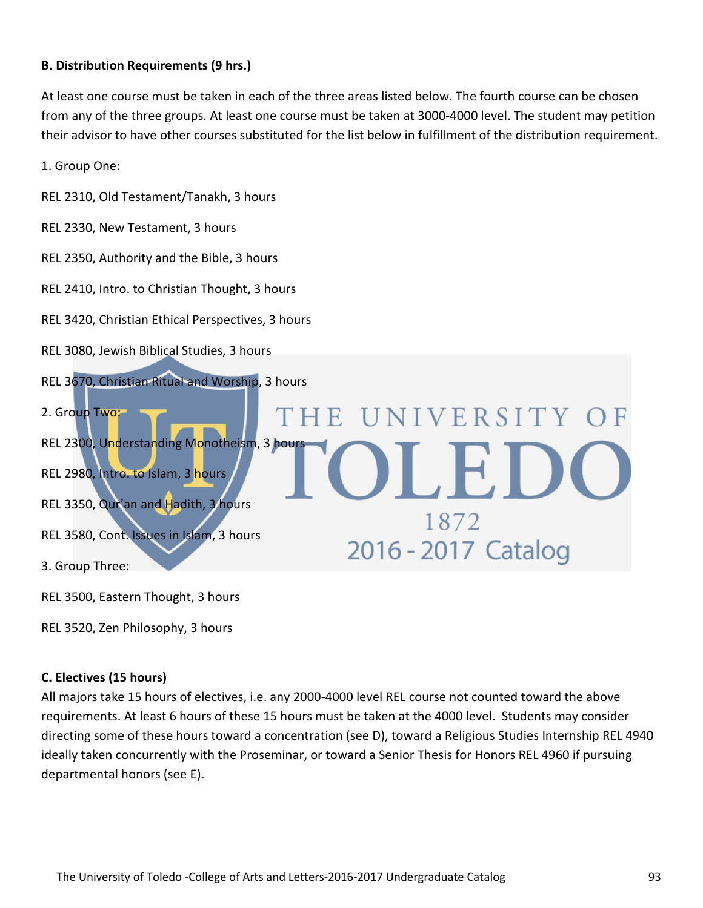#### **B. Distribution Requirements (9 hrs.)**

At least one course must be taken in each of the three areas listed below. The fourth course can be chosen from any of the three groups. At least one course must be taken at 3000-4000 level. The student may petition their advisor to have other courses substituted for the list below in fulfillment of the distribution requirement.

1. Group One:

- REL 2310, Old Testament/Tanakh, 3 hours
- REL 2330, New Testament, 3 hours
- REL 2350, Authority and the Bible, 3 hours
- REL 2410, Intro. to Christian Thought, 3 hours
- REL 3420, Christian Ethical Perspectives, 3 hours
- REL 3080, Jewish Biblical Studies, 3 hours
- REL 3670, Christian Ritual and Worship, 3 hours

2. Group Two: THE UNIVERSITY REL 2300, Understanding Monotheism, 3 hours  $\Box$ E REL 2980, Intro. to Islam, 3 hours REL 3350, Qur'an and Hadith, 3 hours 1872 REL 3580, Cont. Issues in Islam, 3 hours 2016 - 2017 Catalog 3. Group Three:

REL 3500, Eastern Thought, 3 hours

REL 3520, Zen Philosophy, 3 hours

#### **C. Electives (15 hours)**

All majors take 15 hours of electives, i.e. any 2000-4000 level REL course not counted toward the above requirements. At least 6 hours of these 15 hours must be taken at the 4000 level. Students may consider directing some of these hours toward a concentration (see D), toward a Religious Studies Internship REL 4940 ideally taken concurrently with the Proseminar, or toward a Senior Thesis for Honors REL 4960 if pursuing departmental honors (see E).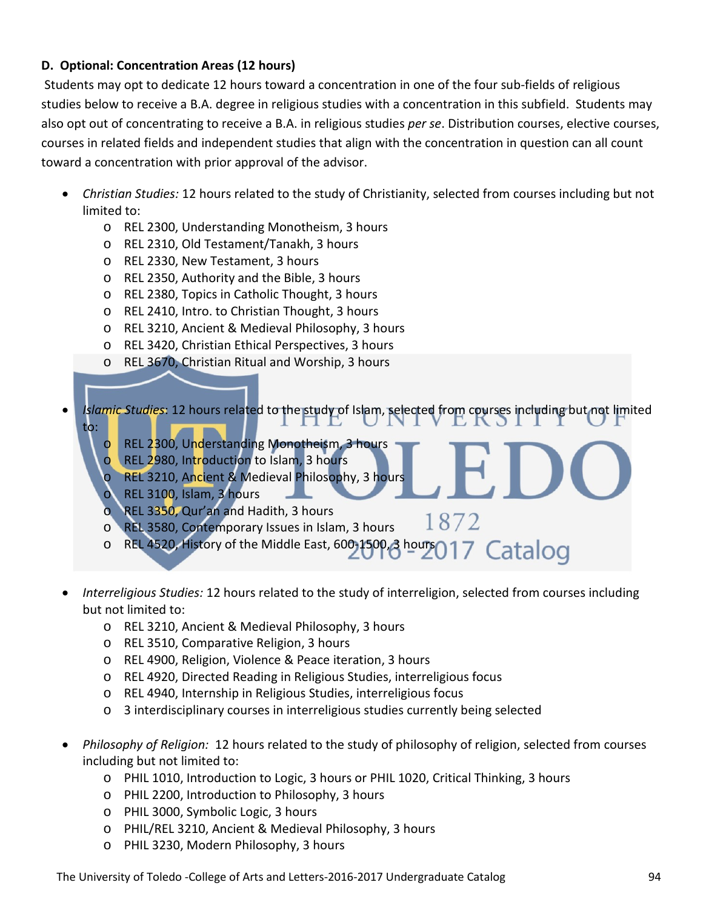#### **D. Optional: Concentration Areas (12 hours)**

Students may opt to dedicate 12 hours toward a concentration in one of the four sub-fields of religious studies below to receive a B.A. degree in religious studies with a concentration in this subfield. Students may also opt out of concentrating to receive a B.A. in religious studies *per se*. Distribution courses, elective courses, courses in related fields and independent studies that align with the concentration in question can all count toward a concentration with prior approval of the advisor.

- *Christian Studies:* 12 hours related to the study of Christianity, selected from courses including but not limited to:
	- o REL 2300, Understanding Monotheism, 3 hours
	- o REL 2310, Old Testament/Tanakh, 3 hours
	- o REL 2330, New Testament, 3 hours
	- o REL 2350, Authority and the Bible, 3 hours
	- o REL 2380, Topics in Catholic Thought, 3 hours
	- o REL 2410, Intro. to Christian Thought, 3 hours
	- o REL 3210, Ancient & Medieval Philosophy, 3 hours
	- o REL 3420, Christian Ethical Perspectives, 3 hours
	- o REL 3670, Christian Ritual and Worship, 3 hours
- *Islamic Studies*: 12 hours related to the study of Islam, selected from courses including but not limited to:

1872

- o REL 2300, Understanding Monotheism, 3 hours
- o REL 2980, Introduction to Islam, 3 hours
- REL 3210, Ancient & Medieval Philosophy, 3 hours
- REL 3100, Islam, 3 hours
- o REL 3350, Qur'an and Hadith, 3 hours
- o REL 3580, Contemporary Issues in Islam, 3 hours
- o REL 4520, History of the Middle East, 600-1500, 3 hours 017  $\operatorname{Catalog}$
- *Interreligious Studies:* 12 hours related to the study of interreligion, selected from courses including but not limited to:
	- o REL 3210, Ancient & Medieval Philosophy, 3 hours
	- o REL 3510, Comparative Religion, 3 hours
	- o REL 4900, Religion, Violence & Peace iteration, 3 hours
	- o REL 4920, Directed Reading in Religious Studies, interreligious focus
	- o REL 4940, Internship in Religious Studies, interreligious focus
	- o 3 interdisciplinary courses in interreligious studies currently being selected
- *Philosophy of Religion:* 12 hours related to the study of philosophy of religion, selected from courses including but not limited to:
	- o PHIL 1010, Introduction to Logic, 3 hours or PHIL 1020, Critical Thinking, 3 hours
	- o PHIL 2200, Introduction to Philosophy, 3 hours
	- o PHIL 3000, Symbolic Logic, 3 hours
	- o PHIL/REL 3210, Ancient & Medieval Philosophy, 3 hours
	- o PHIL 3230, Modern Philosophy, 3 hours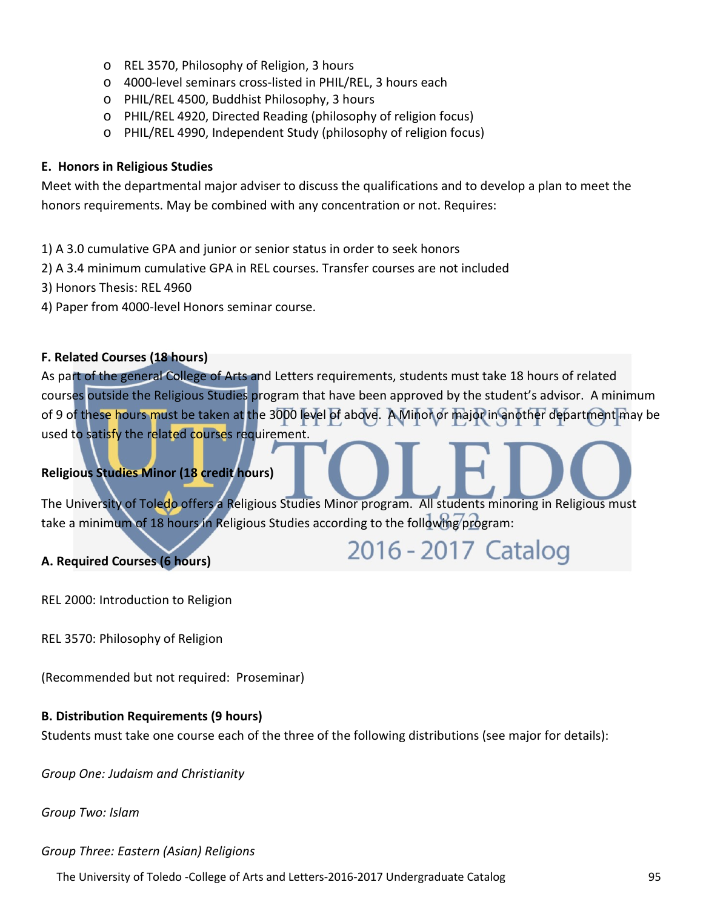- o REL 3570, Philosophy of Religion, 3 hours
- o 4000-level seminars cross-listed in PHIL/REL, 3 hours each
- o PHIL/REL 4500, Buddhist Philosophy, 3 hours
- o PHIL/REL 4920, Directed Reading (philosophy of religion focus)
- o PHIL/REL 4990, Independent Study (philosophy of religion focus)

#### **E. Honors in Religious Studies**

Meet with the departmental major adviser to discuss the qualifications and to develop a plan to meet the honors requirements. May be combined with any concentration or not. Requires:

- 1) A 3.0 cumulative GPA and junior or senior status in order to seek honors
- 2) A 3.4 minimum cumulative GPA in REL courses. Transfer courses are not included
- 3) Honors Thesis: REL 4960
- 4) Paper from 4000-level Honors seminar course.

#### **F. Related Courses (18 hours)**

As part of the general College of Arts and Letters requirements, students must take 18 hours of related courses outside the Religious Studies program that have been approved by the student's advisor. A minimum of 9 of these hours must be taken at the 3000 level of above. A Minor or major in another department may be used to satisfy the related courses requirement.

#### **Religious Studies Minor (18 credit hours)**

The University of Toledo offers a Religious Studies Minor program. All students minoring in Religious must take a minimum of 18 hours in Religious Studies according to the following program:

2016 - 2017 Catalog

#### **A. Required Courses (6 hours)**

REL 2000: Introduction to Religion

REL 3570: Philosophy of Religion

(Recommended but not required: Proseminar)

#### **B. Distribution Requirements (9 hours)**

Students must take one course each of the three of the following distributions (see major for details):

*Group One: Judaism and Christianity*

*Group Two: Islam*

*Group Three: Eastern (Asian) Religions*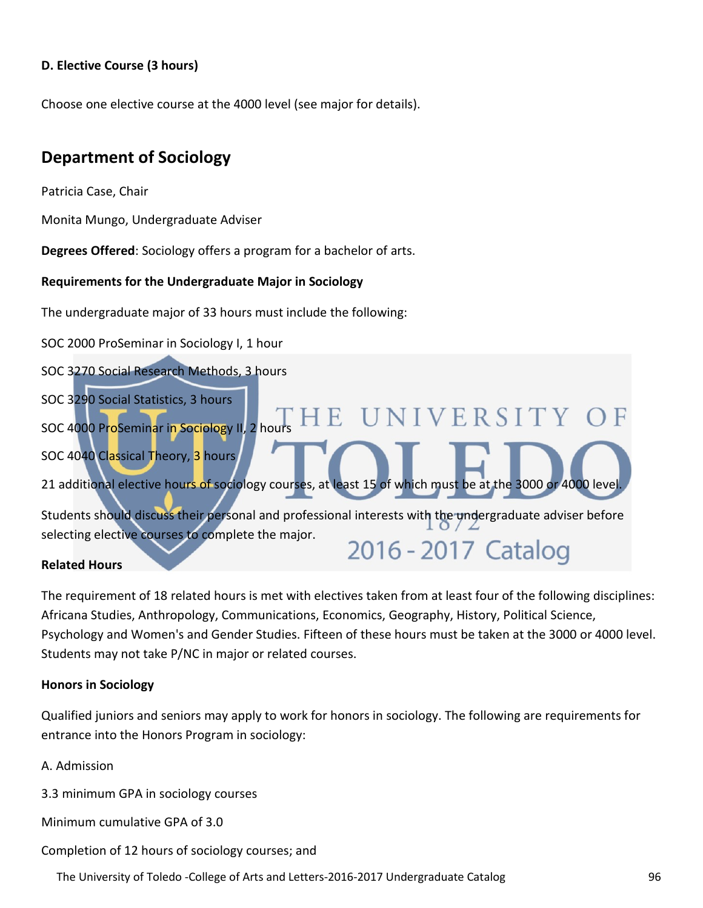#### **D. Elective Course (3 hours)**

Choose one elective course at the 4000 level (see major for details).

# **Department of Sociology**

Patricia Case, Chair

Monita Mungo, Undergraduate Adviser

**Degrees Offered**: Sociology offers a program for a bachelor of arts.

#### **Requirements for the Undergraduate Major in Sociology**

The undergraduate major of 33 hours must include the following:

SOC 2000 ProSeminar in Sociology I, 1 hour

SOC 3270 Social Research Methods, 3 hours

SOC 3290 Social Statistics, 3 hours

SOC 4000 ProSeminar in Sociology II, 2 hours HE UNIVERSITY

SOC 4040 Classical Theory, 3 hours

21 additional elective hours of sociology courses, at least 15 of which must be at the 3000 or 4000 level

Students should discuss their personal and professional interests with the undergraduate adviser before selecting elective courses to complete the major. 2016 - 2017 Catalog

#### **Related Hours**

The requirement of 18 related hours is met with electives taken from at least four of the following disciplines: Africana Studies, Anthropology, Communications, Economics, Geography, History, Political Science, Psychology and Women's and Gender Studies. Fifteen of these hours must be taken at the 3000 or 4000 level. Students may not take P/NC in major or related courses.

#### **Honors in Sociology**

Qualified juniors and seniors may apply to work for honors in sociology. The following are requirements for entrance into the Honors Program in sociology:

A. Admission

3.3 minimum GPA in sociology courses

Minimum cumulative GPA of 3.0

Completion of 12 hours of sociology courses; and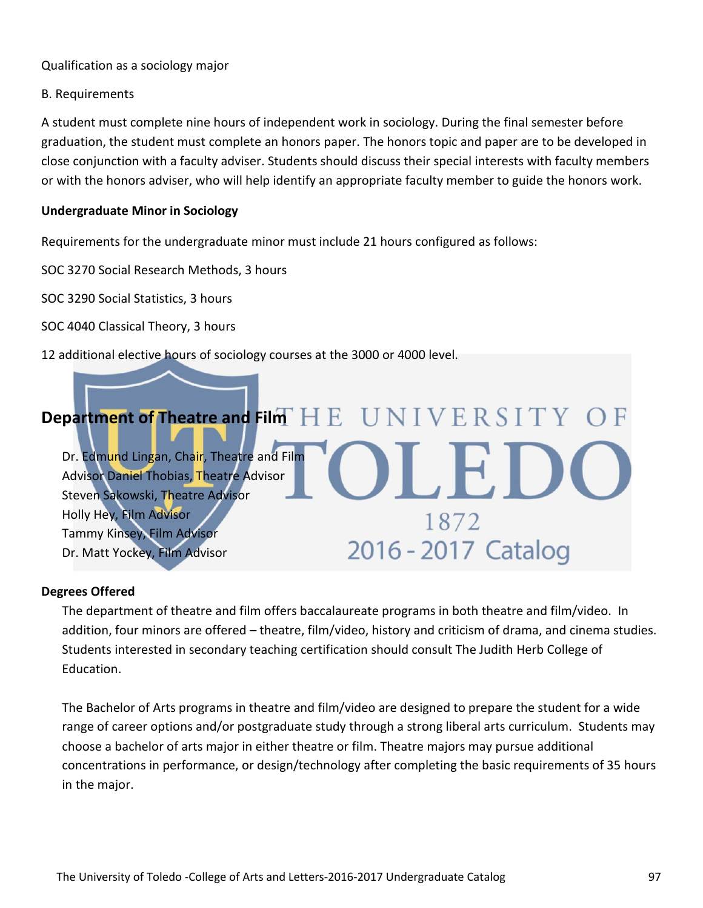#### Qualification as a sociology major

#### B. Requirements

A student must complete nine hours of independent work in sociology. During the final semester before graduation, the student must complete an honors paper. The honors topic and paper are to be developed in close conjunction with a faculty adviser. Students should discuss their special interests with faculty members or with the honors adviser, who will help identify an appropriate faculty member to guide the honors work.

#### **Undergraduate Minor in Sociology**

Requirements for the undergraduate minor must include 21 hours configured as follows:

SOC 3270 Social Research Methods, 3 hours

SOC 3290 Social Statistics, 3 hours

SOC 4040 Classical Theory, 3 hours

12 additional elective hours of sociology courses at the 3000 or 4000 level.

## [Department of Theatre and Film](http://www.utoledo.edu/as/theatrefilm/index.html)<sup>T</sup> H E UNIVERSITY Dr. Edmund Lingan, Chair, Theatre and Film Advisor Daniel Thobias, Theatre Advisor Steven Sakowski, Theatre Advisor Holly Hey, Film Advisor 1872 Tammy Kinsey, Film Advisor 2016 - 2017 Catalog Dr. Matt Yockey, Film Advisor

#### **Degrees Offered**

The department of theatre and film offers baccalaureate programs in both theatre and film/video. In addition, four minors are offered – theatre, film/video, history and criticism of drama, and cinema studies. Students interested in secondary teaching certification should consult The Judith Herb College of Education.

The Bachelor of Arts programs in theatre and film/video are designed to prepare the student for a wide range of career options and/or postgraduate study through a strong liberal arts curriculum. Students may choose a bachelor of arts major in either theatre or film. Theatre majors may pursue additional concentrations in performance, or design/technology after completing the basic requirements of 35 hours in the major.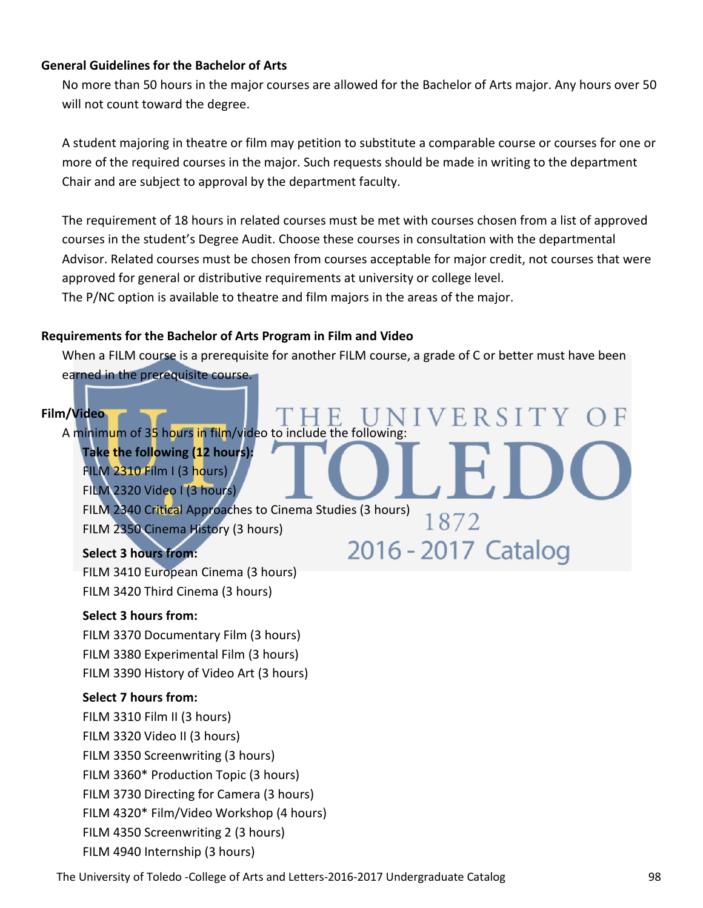#### **General Guidelines for the Bachelor of Arts**

No more than 50 hours in the major courses are allowed for the Bachelor of Arts major. Any hours over 50 will not count toward the degree.

A student majoring in theatre or film may petition to substitute a comparable course or courses for one or more of the required courses in the major. Such requests should be made in writing to the department Chair and are subject to approval by the department faculty.

The requirement of 18 hours in related courses must be met with courses chosen from a list of approved courses in the student's Degree Audit. Choose these courses in consultation with the departmental Advisor. Related courses must be chosen from courses acceptable for major credit, not courses that were approved for general or distributive requirements at university or college level. The P/NC option is available to theatre and film majors in the areas of the major.

#### **Requirements for the Bachelor of Arts Program in Film and Video**

When a FILM course is a prerequisite for another FILM course, a grade of C or better must have been earned in the prerequisite course.

VERSITY

1872

#### **Film/Video**

A minimum of 35 hours in film/video to include the following:

**Take the following (12 hours):** FILM 2310 Film I (3 hours)

FILM 2320 Video I (3 hours)

FILM 2340 Critical Approaches to Cinema Studies (3 hours) FILM 2350 Cinema History (3 hours) 2016 - 2017 Catalog

#### **Select 3 hours from:**

FILM 3410 European Cinema (3 hours) FILM 3420 Third Cinema (3 hours)

#### **Select 3 hours from:**

FILM 3370 Documentary Film (3 hours) FILM 3380 Experimental Film (3 hours) FILM 3390 History of Video Art (3 hours)

#### **Select 7 hours from:**

FILM 3310 Film II (3 hours) FILM 3320 Video II (3 hours) FILM 3350 Screenwriting (3 hours) FILM 3360\* Production Topic (3 hours) FILM 3730 Directing for Camera (3 hours) FILM 4320\* Film/Video Workshop (4 hours) FILM 4350 Screenwriting 2 (3 hours) FILM 4940 Internship (3 hours)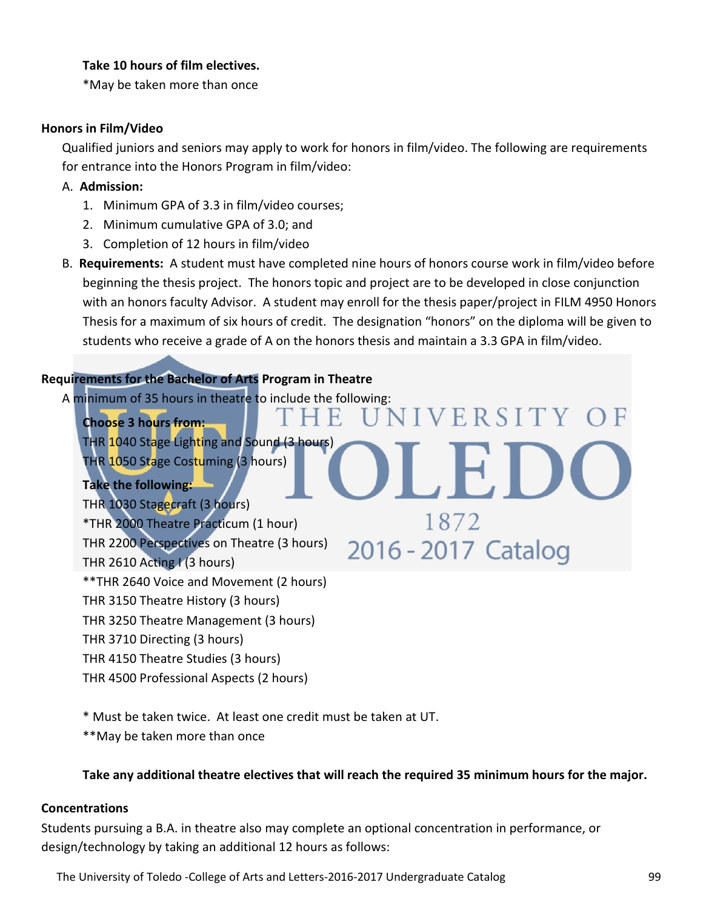#### **Take 10 hours of film electives.**

\*May be taken more than once

#### **Honors in Film/Video**

Qualified juniors and seniors may apply to work for honors in film/video. The following are requirements for entrance into the Honors Program in film/video:

#### A. **Admission:**

- 1. Minimum GPA of 3.3 in film/video courses;
- 2. Minimum cumulative GPA of 3.0; and
- 3. Completion of 12 hours in film/video
- B. **Requirements:** A student must have completed nine hours of honors course work in film/video before beginning the thesis project. The honors topic and project are to be developed in close conjunction with an honors faculty Advisor. A student may enroll for the thesis paper/project in FILM 4950 Honors Thesis for a maximum of six hours of credit. The designation "honors" on the diploma will be given to students who receive a grade of A on the honors thesis and maintain a 3.3 GPA in film/video.

F.

**SIVERSITY OF** 

1872

2016 - 2017 Catalog

#### **Requirements for the Bachelor of Arts Program in Theatre**

A minimum of 35 hours in theatre to include the following:

**Choose 3 hours from:** THR 1040 Stage Lighting and Sound (3 hours) THR 1050 Stage Costuming (3 hours)

**Take the following:** THR 1030 Stagecraft (3 hours) \*THR 2000 Theatre Practicum (1 hour) THR 2200 Perspectives on Theatre (3 hours) THR 2610 Acting I (3 hours) \*\*THR 2640 Voice and Movement (2 hours) THR 3150 Theatre History (3 hours) THR 3250 Theatre Management (3 hours) THR 3710 Directing (3 hours) THR 4150 Theatre Studies (3 hours)

THR 4500 Professional Aspects (2 hours)

\* Must be taken twice. At least one credit must be taken at UT.

\*\*May be taken more than once

#### **Take any additional theatre electives that will reach the required 35 minimum hours for the major.**

#### **Concentrations**

Students pursuing a B.A. in theatre also may complete an optional concentration in performance, or design/technology by taking an additional 12 hours as follows: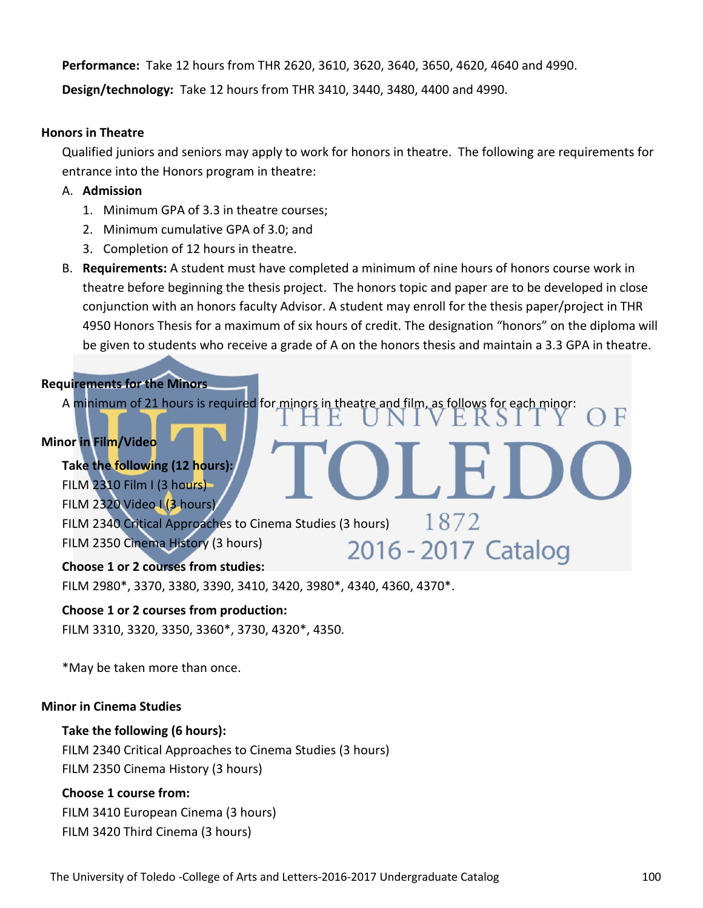**Performance:** Take 12 hours from THR 2620, 3610, 3620, 3640, 3650, 4620, 4640 and 4990. **Design/technology:** Take 12 hours from THR 3410, 3440, 3480, 4400 and 4990.

#### **Honors in Theatre**

Qualified juniors and seniors may apply to work for honors in theatre. The following are requirements for entrance into the Honors program in theatre:

- A. **Admission**
	- 1. Minimum GPA of 3.3 in theatre courses;
	- 2. Minimum cumulative GPA of 3.0; and
	- 3. Completion of 12 hours in theatre.
- B. **Requirements:** A student must have completed a minimum of nine hours of honors course work in theatre before beginning the thesis project. The honors topic and paper are to be developed in close conjunction with an honors faculty Advisor. A student may enroll for the thesis paper/project in THR 4950 Honors Thesis for a maximum of six hours of credit. The designation "honors" on the diploma will be given to students who receive a grade of A on the honors thesis and maintain a 3.3 GPA in theatre.

#### **Requirements for the Minors**

A minimum of 21 hours is required for minors in theatre and film, as follows for each minor:

#### **Minor in Film/Video**

**Take the following (12 hours):** FILM 2310 Film I (3 hours) FILM 2320 Video I (3 hours) FILM 2340 Critical Approaches to Cinema Studies (3 hours)  $1872$ FILM 2350 Cinema History (3 hours) 2016 - 2017 Catalog

#### **Choose 1 or 2 courses from studies:**

FILM 2980\*, 3370, 3380, 3390, 3410, 3420, 3980\*, 4340, 4360, 4370\*.

#### **Choose 1 or 2 courses from production:**

FILM 3310, 3320, 3350, 3360\*, 3730, 4320\*, 4350.

\*May be taken more than once.

#### **Minor in Cinema Studies**

#### **Take the following (6 hours):**

FILM 2340 Critical Approaches to Cinema Studies (3 hours) FILM 2350 Cinema History (3 hours)

#### **Choose 1 course from:**

FILM 3410 European Cinema (3 hours) FILM 3420 Third Cinema (3 hours)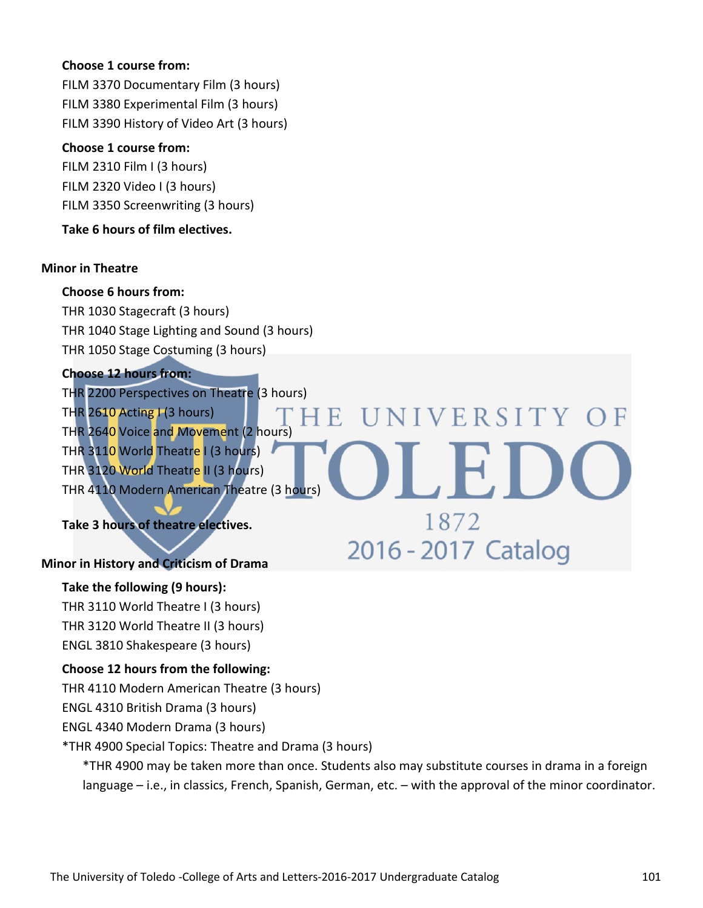#### **Choose 1 course from:**

FILM 3370 Documentary Film (3 hours) FILM 3380 Experimental Film (3 hours) FILM 3390 History of Video Art (3 hours)

#### **Choose 1 course from:**

FILM 2310 Film I (3 hours) FILM 2320 Video I (3 hours) FILM 3350 Screenwriting (3 hours)

#### **Take 6 hours of film electives.**

#### **Minor in Theatre**

#### **Choose 6 hours from:**

THR 1030 Stagecraft (3 hours) THR 1040 Stage Lighting and Sound (3 hours) THR 1050 Stage Costuming (3 hours)

#### **Choose 12 hours from:**

THR 2200 Perspectives on Theatre (3 hours) THR 2610 Acting  $\mid$  (3 hours) E.  $\Box$ THR 2640 Voice and Movement (2 hours) THR 3110 World Theatre I (3 hours) THR 3120 World Theatre II (3 hours) THR 4110 Modern American Theatre (3 hours)

#### **Take 3 hours of theatre electives.**

#### **Minor in History and Criticism of Drama**

#### **Take the following (9 hours):**

THR 3110 World Theatre I (3 hours) THR 3120 World Theatre II (3 hours)

ENGL 3810 Shakespeare (3 hours)

#### **Choose 12 hours from the following:**

THR 4110 Modern American Theatre (3 hours)

ENGL 4310 British Drama (3 hours)

ENGL 4340 Modern Drama (3 hours)

\*THR 4900 Special Topics: Theatre and Drama (3 hours)

\*THR 4900 may be taken more than once. Students also may substitute courses in drama in a foreign language – i.e., in classics, French, Spanish, German, etc. – with the approval of the minor coordinator.

NIVERSITY OF

1872

2016 - 2017 Catalog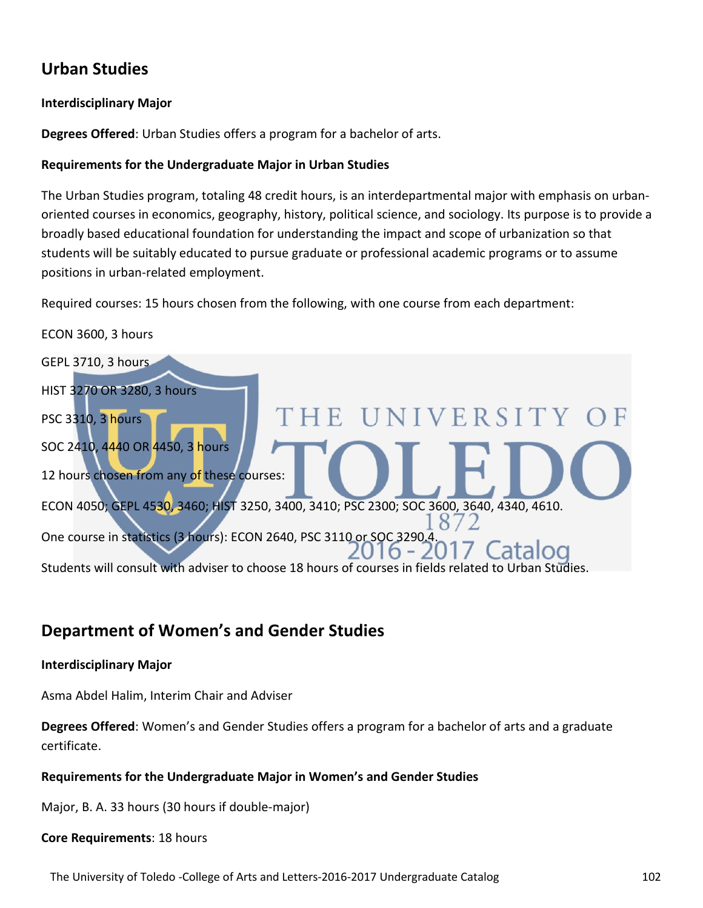# **Urban Studies**

#### **Interdisciplinary Major**

**Degrees Offered**: Urban Studies offers a program for a bachelor of arts.

#### **Requirements for the Undergraduate Major in Urban Studies**

The Urban Studies program, totaling 48 credit hours, is an interdepartmental major with emphasis on urbanoriented courses in economics, geography, history, political science, and sociology. Its purpose is to provide a broadly based educational foundation for understanding the impact and scope of urbanization so that students will be suitably educated to pursue graduate or professional academic programs or to assume positions in urban-related employment.

Required courses: 15 hours chosen from the following, with one course from each department:

ECON 3600, 3 hours GEPL 3710, 3 hours HIST 3270 OR 3280, 3 hours **HE UNIVERSITY** PSC 3310, 3 hours SOC 2410, 4440 OR 4450, 3 hours 12 hours chosen from any of these courses: ECON 4050; GEPL 4530, 3460; HIST 3250, 3400, 3410; PSC 2300; SOC 3600, 3640, 4340, 4610.  $\aleph$ One course in statistics (3 hours): ECON 2640, PSC 3110 or SOC 3290.4.  $6 - 2$ Students will consult with adviser to choose 18 hours of courses in fields related to Urban Studies.

# **Department of Women's and Gender Studies**

#### **Interdisciplinary Major**

Asma Abdel Halim, Interim Chair and Adviser

**Degrees Offered**: Women's and Gender Studies offers a program for a bachelor of arts and a graduate certificate.

#### **Requirements for the Undergraduate Major in Women's and Gender Studies**

Major, B. A. 33 hours (30 hours if double-major)

#### **Core Requirements**: 18 hours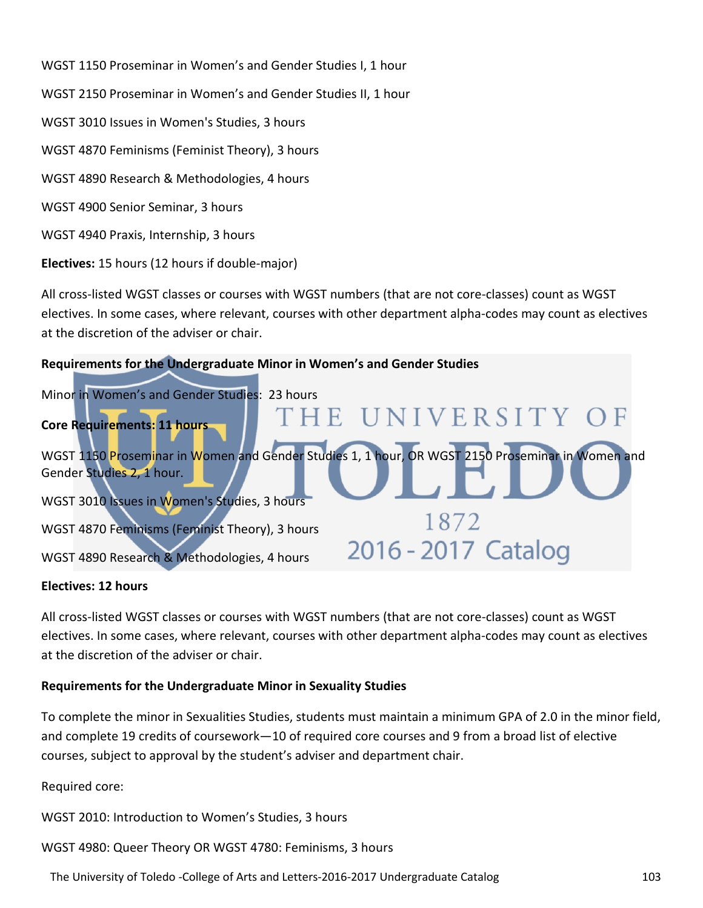WGST 1150 Proseminar in Women's and Gender Studies I, 1 hour WGST 2150 Proseminar in Women's and Gender Studies II, 1 hour WGST 3010 Issues in Women's Studies, 3 hours WGST 4870 Feminisms (Feminist Theory), 3 hours WGST 4890 Research & Methodologies, 4 hours WGST 4900 Senior Seminar, 3 hours WGST 4940 Praxis, Internship, 3 hours

**Electives:** 15 hours (12 hours if double-major)

All cross-listed WGST classes or courses with WGST numbers (that are not core-classes) count as WGST electives. In some cases, where relevant, courses with other department alpha-codes may count as electives at the discretion of the adviser or chair.

#### **Requirements for the Undergraduate Minor in Women's and Gender Studies**



#### **Electives: 12 hours**

All cross-listed WGST classes or courses with WGST numbers (that are not core-classes) count as WGST electives. In some cases, where relevant, courses with other department alpha-codes may count as electives at the discretion of the adviser or chair.

#### **Requirements for the Undergraduate Minor in Sexuality Studies**

To complete the minor in Sexualities Studies, students must maintain a minimum GPA of 2.0 in the minor field, and complete 19 credits of coursework—10 of required core courses and 9 from a broad list of elective courses, subject to approval by the student's adviser and department chair.

Required core:

WGST 2010: Introduction to Women's Studies, 3 hours

WGST 4980: Queer Theory OR WGST 4780: Feminisms, 3 hours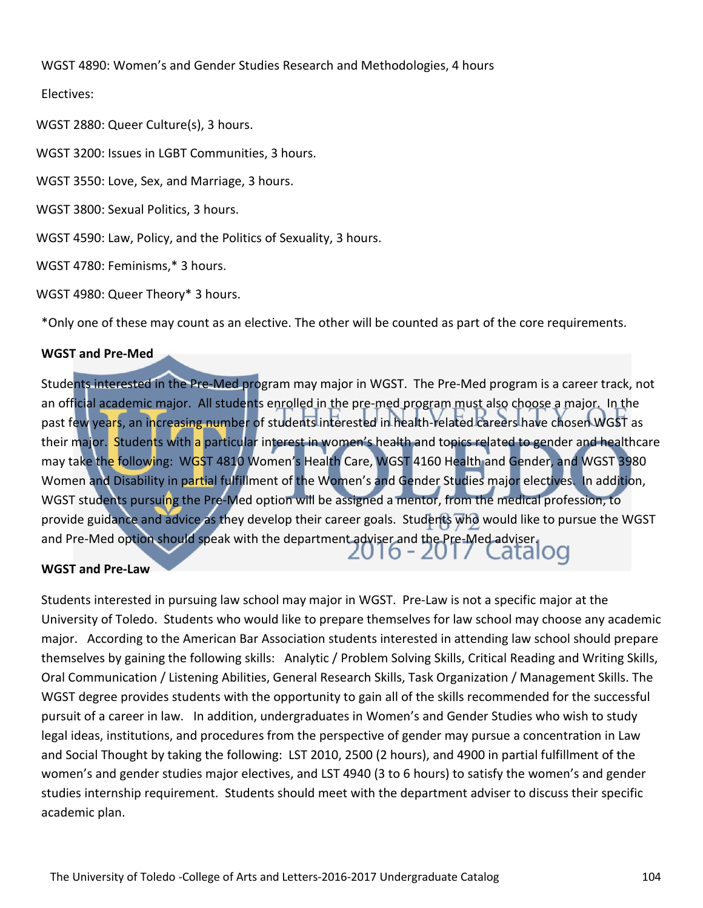WGST 4890: Women's and Gender Studies Research and Methodologies, 4 hours

Electives:

WGST 2880: Queer Culture(s), 3 hours.

WGST 3200: Issues in LGBT Communities, 3 hours.

WGST 3550: Love, Sex, and Marriage, 3 hours.

WGST 3800: Sexual Politics, 3 hours.

WGST 4590: Law, Policy, and the Politics of Sexuality, 3 hours.

WGST 4780: Feminisms,\* 3 hours.

WGST 4980: Queer Theory\* 3 hours.

\*Only one of these may count as an elective. The other will be counted as part of the core requirements.

#### **WGST and Pre-Med**

Students interested in the Pre-Med program may major in WGST. The Pre-Med program is a career track, not an official academic major. All students enrolled in the pre-med program must also choose a major. In the past few years, an increasing number of students interested in health-related careers have chosen WGST as their major. Students with a particular interest in women's health and topics related to gender and healthcare may take the following: WGST 4810 Women's Health Care, WGST 4160 Health and Gender, and WGST 3980 Women and Disability in partial fulfillment of the Women's and Gender Studies major electives. In addition, WGST students pursuing the Pre-Med option will be assigned a mentor, from the medical profession, to provide guidance and advice as they develop their career goals. Students who would like to pursue the WGST and Pre-Med option should speak with the department adviser and the Pre-Med adviser. ZU 10 - ZU 17

#### **WGST and Pre-Law**

Students interested in pursuing law school may major in WGST. Pre-Law is not a specific major at the University of Toledo. Students who would like to prepare themselves for law school may choose any academic major. According to the American Bar Association students interested in attending law school should prepare themselves by gaining the following skills: Analytic / Problem Solving Skills, Critical Reading and Writing Skills, Oral Communication / Listening Abilities, General Research Skills, Task Organization / Management Skills. The WGST degree provides students with the opportunity to gain all of the skills recommended for the successful pursuit of a career in law. In addition, undergraduates in Women's and Gender Studies who wish to study legal ideas, institutions, and procedures from the perspective of gender may pursue a concentration in Law and Social Thought by taking the following: LST 2010, 2500 (2 hours), and 4900 in partial fulfillment of the women's and gender studies major electives, and LST 4940 (3 to 6 hours) to satisfy the women's and gender studies internship requirement. Students should meet with the department adviser to discuss their specific academic plan.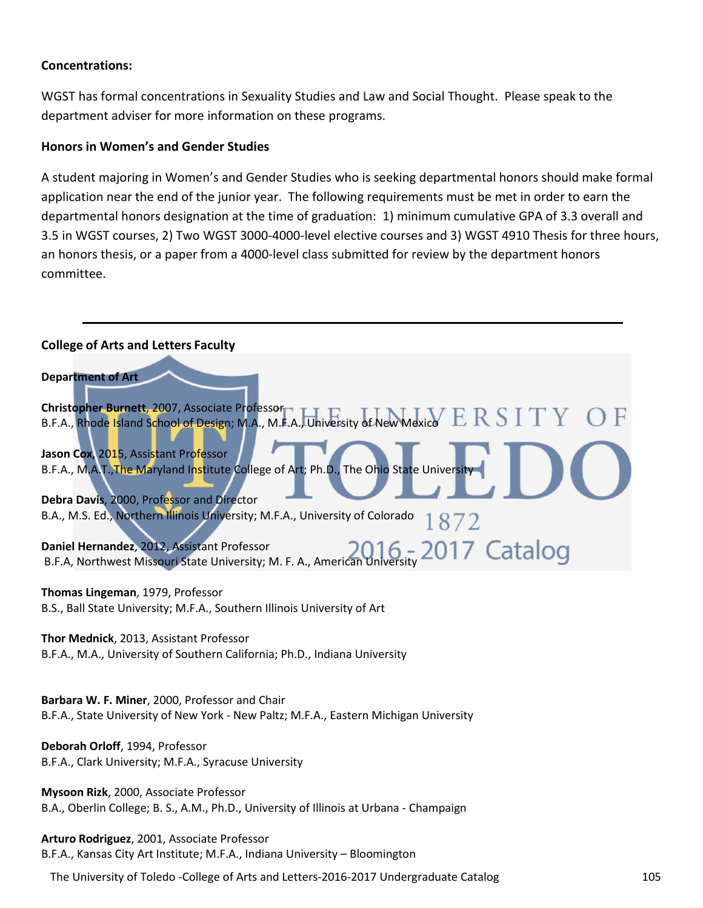#### **Concentrations:**

WGST has formal concentrations in Sexuality Studies and Law and Social Thought. Please speak to the department adviser for more information on these programs.

#### **Honors in Women's and Gender Studies**

A student majoring in Women's and Gender Studies who is seeking departmental honors should make formal application near the end of the junior year. The following requirements must be met in order to earn the departmental honors designation at the time of graduation: 1) minimum cumulative GPA of 3.3 overall and 3.5 in WGST courses, 2) Two WGST 3000-4000-level elective courses and 3) WGST 4910 Thesis for three hours, an honors thesis, or a paper from a 4000-level class submitted for review by the department honors committee.

| <b>College of Arts and Letters Faculty</b>                                                                                              |
|-----------------------------------------------------------------------------------------------------------------------------------------|
| <b>Department of Art</b>                                                                                                                |
| Christopher Burnett, 2007, Associate Professor<br>B.F.A., Rhode Island School of Design; M.A., M.F.A., University of New Mexico         |
| Jason Cox, 2015, Assistant Professor<br>B.F.A., M.A.T., The Maryland Institute College of Art; Ph.D., The Ohio State University         |
| Debra Davis, 2000, Professor and Director<br>B.A., M.S. Ed., Northern Illinois University; M.F.A., University of Colorado               |
| Daniel Hernandez, 2012, Assistant Professor<br>B.F.A, Northwest Missouri State University; M. F. A., American University 2017 Catalog   |
| Thomas Lingeman, 1979, Professor<br>B.S., Ball State University; M.F.A., Southern Illinois University of Art                            |
| Thor Mednick, 2013, Assistant Professor<br>B.F.A., M.A., University of Southern California; Ph.D., Indiana University                   |
| Barbara W. F. Miner, 2000, Professor and Chair<br>B.F.A., State University of New York - New Paltz; M.F.A., Eastern Michigan University |
| Deborah Orloff, 1994, Professor<br>B.F.A., Clark University; M.F.A., Syracuse University                                                |
| Mysoon Rizk, 2000, Associate Professor<br>B.A., Oberlin College; B. S., A.M., Ph.D., University of Illinois at Urbana - Champaign       |
| Arturo Rodriguez, 2001, Associate Professor                                                                                             |

The University of Toledo -College of Arts and Letters-2016-2017 Undergraduate Catalog 105

B.F.A., Kansas City Art Institute; M.F.A., Indiana University – Bloomington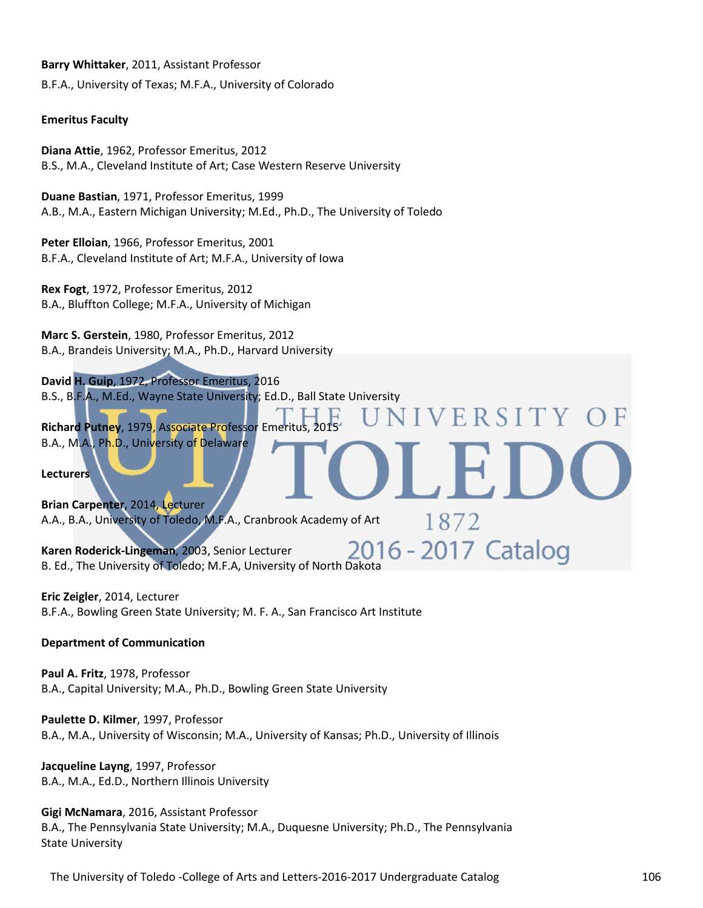**Barry Whittaker**, 2011, Assistant Professor

B.F.A., University of Texas; M.F.A., University of Colorado

#### **Emeritus Faculty**

**Diana Attie**, 1962, Professor Emeritus, 2012 B.S., M.A., Cleveland Institute of Art; Case Western Reserve University

**Duane Bastian**, 1971, Professor Emeritus, 1999 A.B., M.A., Eastern Michigan University; M.Ed., Ph.D., The University of Toledo

**Peter Elloian**, 1966, Professor Emeritus, 2001 B.F.A., Cleveland Institute of Art; M.F.A., University of Iowa

**Rex Fogt**, 1972, Professor Emeritus, 2012 B.A., Bluffton College; M.F.A., University of Michigan

**Marc S. Gerstein**, 1980, Professor Emeritus, 2012 B.A., Brandeis University; M.A., Ph.D., Harvard University

**David H. Guip**, 1972, Professor Emeritus, 2016 B.S., B.F.A., M.Ed., Wayne State University; Ed.D., Ball State University

**Richard Putney, 1979, Associate Professor Emeritus** B.A., M.A., Ph.D., University of Delaware

**Lecturers**

**Brian Carpenter**, 2014, Lecturer A.A., B.A., University of Toledo, M.F.A., Cranbrook Academy of Art

**Karen Roderick-Lingeman**, 2003, Senior Lecturer Karen Roderick-Lingeman, 2003, Senior Lecturer<br>B. Ed., The University of Toledo; M.F.A, University of North Dakota

**Eric Zeigler**, 2014, Lecturer B.F.A., Bowling Green State University; M. F. A., San Francisco Art Institute

#### **Department of Communication**

**Paul A. Fritz**, 1978, Professor B.A., Capital University; M.A., Ph.D., Bowling Green State University

**Paulette D. Kilmer**, 1997, Professor B.A., M.A., University of Wisconsin; M.A., University of Kansas; Ph.D., University of Illinois

**Jacqueline Layng**, 1997, Professor B.A., M.A., Ed.D., Northern Illinois University

**Gigi McNamara**, 2016, Assistant Professor B.A., The Pennsylvania State University; M.A., Duquesne University; Ph.D., The Pennsylvania State University

The University of Toledo -College of Arts and Letters-2016-2017 Undergraduate Catalog 106

VERSITY

1872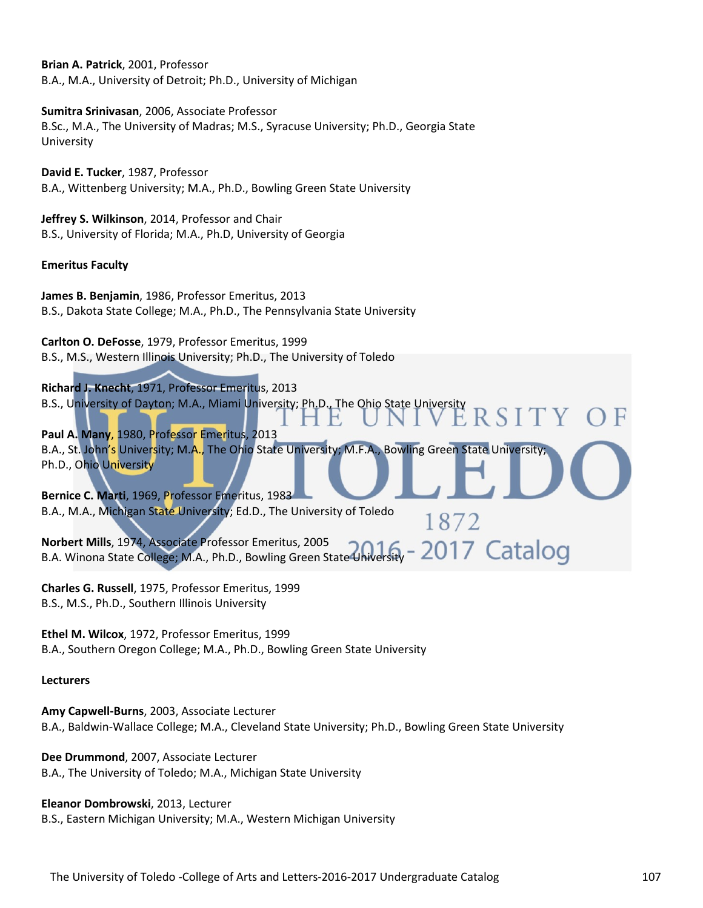**Brian A. Patrick**, 2001, Professor B.A., M.A., University of Detroit; Ph.D., University of Michigan

**Sumitra Srinivasan**, 2006, Associate Professor B.Sc., M.A., The University of Madras; M.S., Syracuse University; Ph.D., Georgia State University

**David E. Tucker**, 1987, Professor B.A., Wittenberg University; M.A., Ph.D., Bowling Green State University

**Jeffrey S. Wilkinson**, 2014, Professor and Chair B.S., University of Florida; M.A., Ph.D, University of Georgia

#### **Emeritus Faculty**

**James B. Benjamin**, 1986, Professor Emeritus, 2013 B.S., Dakota State College; M.A., Ph.D., The Pennsylvania State University

**Carlton O. DeFosse**, 1979, Professor Emeritus, 1999 B.S., M.S., Western Illinois University; Ph.D., The University of Toledo

**Richard J. Knecht**, 1971, Professor Emeritus, 2013 B.S., University of Dayton; M.A., Miami University; Ph.D., The Ohio State University **RSITY** 

**Paul A. Many**, 1980, Professor Emeritus, 2013 B.A., St. John's University; M.A., The Ohio State University; M.F.A., Bowling Green State University; Ph.D., Ohio University

1872

**Bernice C. Marti**, 1969, Professor Emeritus, 1983 B.A., M.A., Michigan State University; Ed.D., The University of Toledo

**Norbert Mills**, 1974, Associate Professor Emeritus, 2005 B.A. Winona State College; M.A., Ph.D., Bowling Green State University

**Charles G. Russell**, 1975, Professor Emeritus, 1999 B.S., M.S., Ph.D., Southern Illinois University

**Ethel M. Wilcox**, 1972, Professor Emeritus, 1999 B.A., Southern Oregon College; M.A., Ph.D., Bowling Green State University

#### **Lecturers**

**Amy Capwell-Burns**, 2003, Associate Lecturer B.A., Baldwin-Wallace College; M.A., Cleveland State University; Ph.D., Bowling Green State University

**Dee Drummond**, 2007, Associate Lecturer B.A., The University of Toledo; M.A., Michigan State University

**Eleanor Dombrowski**, 2013, Lecturer B.S., Eastern Michigan University; M.A., Western Michigan University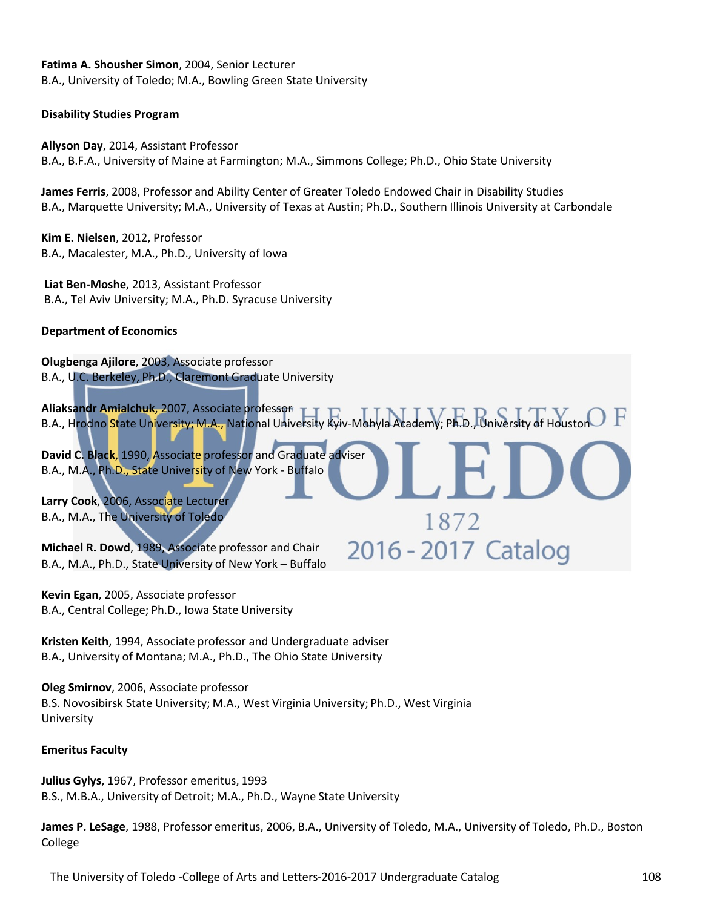#### **Fatima A. Shousher Simon**, 2004, Senior Lecturer

B.A., University of Toledo; M.A., Bowling Green State University

#### **Disability Studies Program**

**Allyson Day**, 2014, Assistant Professor B.A., B.F.A., University of Maine at Farmington; M.A., Simmons College; Ph.D., Ohio State University

**James Ferris**, 2008, Professor and Ability Center of Greater Toledo Endowed Chair in Disability Studies B.A., Marquette University; M.A., University of Texas at Austin; Ph.D., Southern Illinois University at Carbondale

**Kim E. Nielsen**, 2012, Professor B.A., Macalester, M.A., Ph.D., University of Iowa

**Liat Ben-Moshe**, 2013, Assistant Professor B.A., Tel Aviv University; M.A., Ph.D. Syracuse University

#### **Department of Economics**

**Olugbenga Ajilore**, 2003, Associate professor B.A., U.C. Berkeley, Ph.D., Claremont Graduate University

**Aliaksandr Amialchuk**, 2007, Associate professor B.A., Hrodno State University; M.A., National University Kyiv-Mohyla Academy; Ph.D., University of Houston P

1872

2016 - 2017 Catalog

**David C. Black**, 1990, Associate professor and Graduate adviser B.A., M.A., Ph.D., State University of New York - Buffalo

**Larry Cook**, 2006, Associate Lecturer B.A., M.A., The University of Toledo

**Michael R. Dowd**, 1989, Associate professor and Chair B.A., M.A., Ph.D., State University of New York – Buffalo

**Kevin Egan**, 2005, Associate professor B.A., Central College; Ph.D., Iowa State University

**Kristen Keith**, 1994, Associate professor and Undergraduate adviser B.A., University of Montana; M.A., Ph.D., The Ohio State University

**Oleg Smirnov**, 2006, Associate professor B.S. Novosibirsk State University; M.A., West Virginia University; Ph.D., West Virginia University

#### **Emeritus Faculty**

**Julius Gylys**, 1967, Professor emeritus, 1993 B.S., M.B.A., University of Detroit; M.A., Ph.D., Wayne State University

**James P. LeSage**, 1988, Professor emeritus, 2006, B.A., University of Toledo, M.A., University of Toledo, Ph.D., Boston College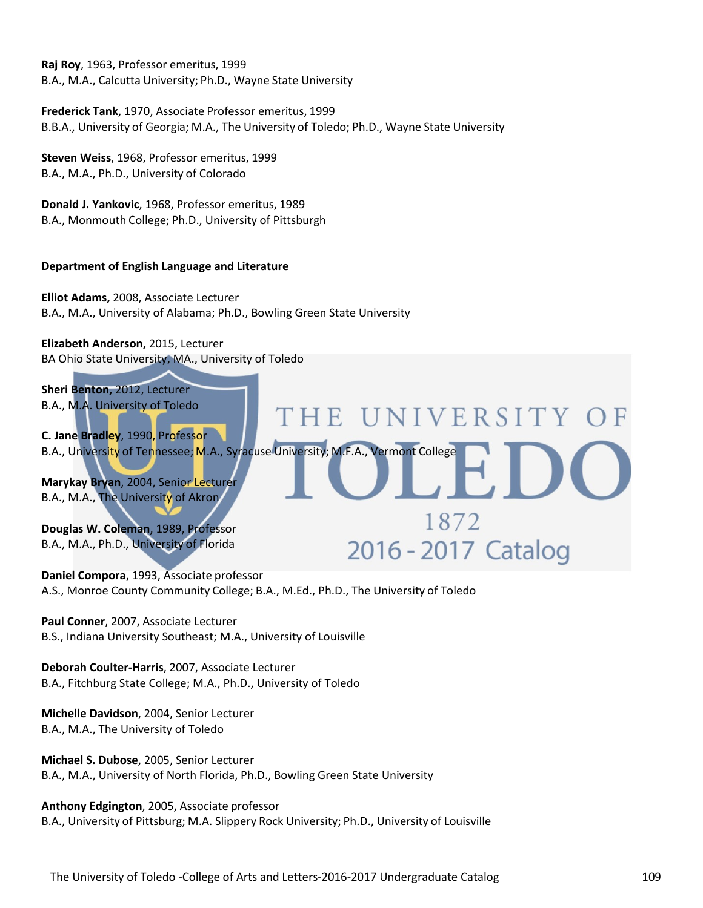**Raj Roy**, 1963, Professor emeritus, 1999 B.A., M.A., Calcutta University; Ph.D., Wayne State University

**Frederick Tank**, 1970, Associate Professor emeritus, 1999 B.B.A., University of Georgia; M.A., The University of Toledo; Ph.D., Wayne State University

**Steven Weiss**, 1968, Professor emeritus, 1999 B.A., M.A., Ph.D., University of Colorado

**Donald J. Yankovic**, 1968, Professor emeritus, 1989 B.A., Monmouth College; Ph.D., University of Pittsburgh

### **Department of English Language and Literature**

**Elliot Adams,** 2008, Associate Lecturer B.A., M.A., University of Alabama; Ph.D., Bowling Green State University

**Elizabeth Anderson,** 2015, Lecturer BA Ohio State University, MA., University of Toledo



**Daniel Compora**, 1993, Associate professor A.S., Monroe County Community College; B.A., M.Ed., Ph.D., The University of Toledo

**Paul Conner**, 2007, Associate Lecturer B.S., Indiana University Southeast; M.A., University of Louisville

**Deborah Coulter-Harris**, 2007, Associate Lecturer B.A., Fitchburg State College; M.A., Ph.D., University of Toledo

**Michelle Davidson**, 2004, Senior Lecturer B.A., M.A., The University of Toledo

**Michael S. Dubose**, 2005, Senior Lecturer B.A., M.A., University of North Florida, Ph.D., Bowling Green State University

**Anthony Edgington**, 2005, Associate professor

B.A., University of Pittsburg; M.A. Slippery Rock University; Ph.D., University of Louisville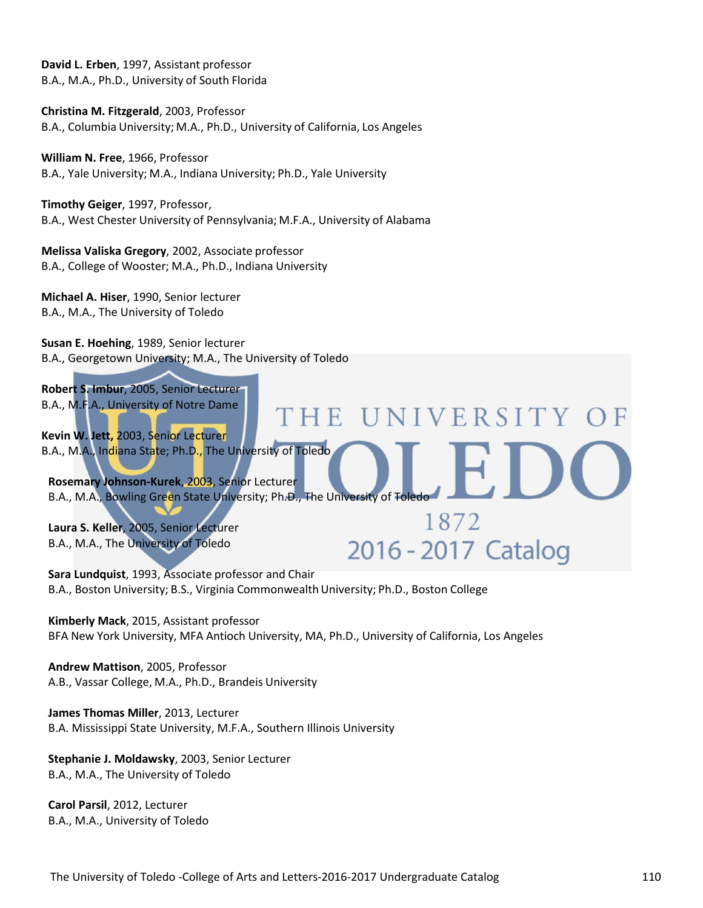**David L. Erben**, 1997, Assistant professor B.A., M.A., Ph.D., University of South Florida

**Christina M. Fitzgerald**, 2003, Professor B.A., Columbia University; M.A., Ph.D., University of California, Los Angeles

**William N. Free**, 1966, Professor B.A., Yale University; M.A., Indiana University; Ph.D., Yale University

**Timothy Geiger**, 1997, Professor, B.A., West Chester University of Pennsylvania; M.F.A., University of Alabama

**Melissa Valiska Gregory**, 2002, Associate professor B.A., College of Wooster; M.A., Ph.D., Indiana University

**Michael A. Hiser**, 1990, Senior lecturer B.A., M.A., The University of Toledo

**Susan E. Hoehing**, 1989, Senior lecturer B.A., Georgetown University; M.A., The University of Toledo

**Robert S. Imbur**, 2005, Senior Lecturer B.A., M.F.A., University of Notre Dame THE UNIVERSITY **Kevin W. Jett,** 2003, Senior Lecturer B.A., M.A., Indiana State; Ph.D., The University of Toledo **Rosemary Johnson-Kurek**, 2003, Senior Lecturer B.A., M.A., Bowling Green State University; Ph.D., The University of Toledo 1872 **Laura S. Keller**, 2005, Senior Lecturer 2016 - 2017 Catalog B.A., M.A., The University of Toledo

**Sara Lundquist**, 1993, Associate professor and Chair B.A., Boston University; B.S., Virginia CommonwealthUniversity; Ph.D., Boston College

**Kimberly Mack**, 2015, Assistant professor BFA New York University, MFA Antioch University, MA, Ph.D., University of California, Los Angeles

**Andrew Mattison**, 2005, Professor A.B., Vassar College, M.A., Ph.D., Brandeis University

**James Thomas Miller**, 2013, Lecturer B.A. Mississippi State University, M.F.A., Southern Illinois University

**Stephanie J. Moldawsky**, 2003, Senior Lecturer B.A., M.A., The University of Toledo

**Carol Parsil**, 2012, Lecturer B.A., M.A., University of Toledo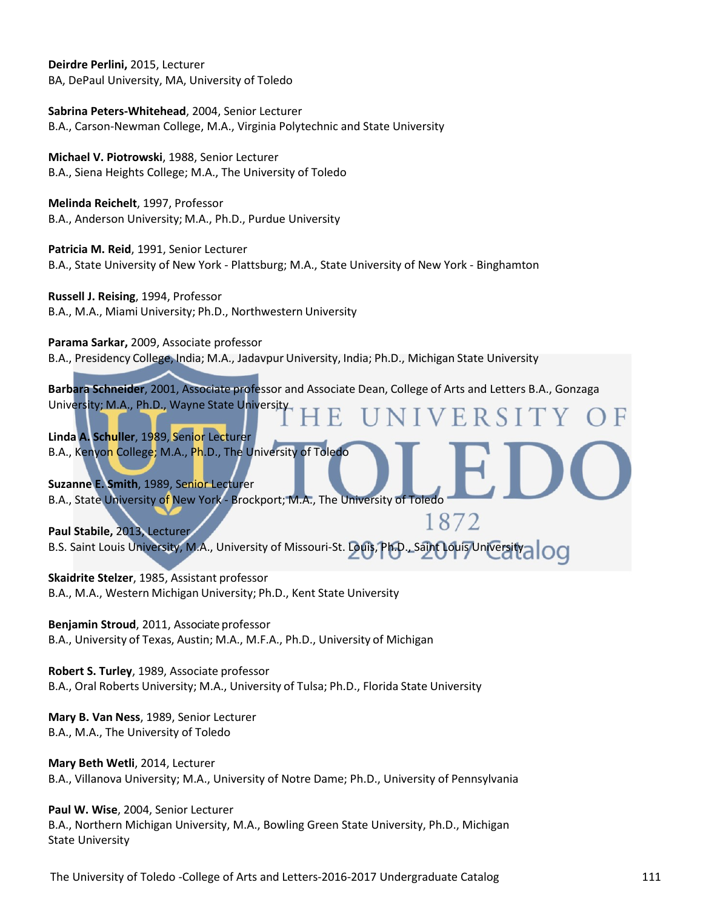**Deirdre Perlini,** 2015, Lecturer BA, DePaul University, MA, University of Toledo

**Sabrina Peters-Whitehead**, 2004, Senior Lecturer B.A., Carson-Newman College, M.A., Virginia Polytechnic and State University

**Michael V. Piotrowski**, 1988, Senior Lecturer B.A., Siena Heights College; M.A., The University of Toledo

**Melinda Reichelt**, 1997, Professor B.A., Anderson University; M.A., Ph.D., Purdue University

**Patricia M. Reid**, 1991, Senior Lecturer B.A., State University of New York - Plattsburg; M.A., State University of New York - Binghamton

**Russell J. Reising**, 1994, Professor B.A., M.A., Miami University; Ph.D., Northwestern University

**Parama Sarkar,** 2009, Associate professor B.A., Presidency College, India; M.A., Jadavpur University, India; Ph.D., Michigan State University

**Barbara Schneider**, 2001, Associate professor and Associate Dean, College of Arts and Letters B.A., Gonzaga University; M.A., Ph.D., Wayne State University VERSI

**Linda A. Schuller**, 1989, Senior Lecturer B.A., Kenyon College; M.A., Ph.D., The University of Toledo

**Suzanne E. Smith**, 1989, Senior Lecturer B.A., State University of New York - Brockport; M.A., The University of Toledo

1872 **Paul Stabile,** 2013, Lecturer B.S. Saint Louis University, M.A., University of Missouri-St. Louis, Ph.D., Saint Louis University<sup>2</sup>

**Skaidrite Stelzer**, 1985, Assistant professor B.A., M.A., Western Michigan University; Ph.D., Kent State University

**Benjamin Stroud**, 2011, Associate professor B.A., University of Texas, Austin; M.A., M.F.A., Ph.D., University of Michigan

**Robert S. Turley**, 1989, Associate professor B.A., Oral Roberts University; M.A., University of Tulsa; Ph.D., Florida State University

**Mary B. Van Ness**, 1989, Senior Lecturer B.A., M.A., The University of Toledo

**Mary Beth Wetli**, 2014, Lecturer B.A., Villanova University; M.A., University of Notre Dame; Ph.D., University of Pennsylvania

**Paul W. Wise**, 2004, Senior Lecturer B.A., Northern Michigan University, M.A., Bowling Green State University, Ph.D., Michigan State University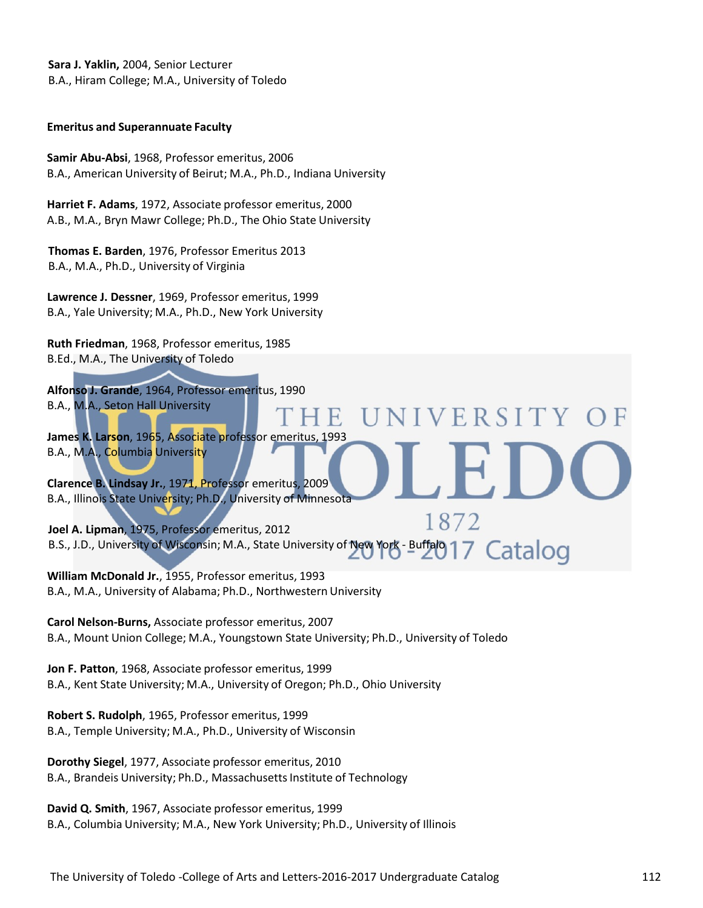**Sara J. Yaklin,** 2004, Senior Lecturer B.A., Hiram College; M.A., University of Toledo

#### **Emeritus and Superannuate Faculty**

**Samir Abu-Absi**, 1968, Professor emeritus, 2006 B.A., American University of Beirut; M.A., Ph.D., Indiana University

**Harriet F. Adams**, 1972, Associate professor emeritus, 2000 A.B., M.A., Bryn Mawr College; Ph.D., The Ohio State University

**Thomas E. Barden**, 1976, Professor Emeritus 2013 B.A., M.A., Ph.D., University of Virginia

**Lawrence J. Dessner**, 1969, Professor emeritus, 1999 B.A., Yale University; M.A., Ph.D., New York University

**Ruth Friedman**, 1968, Professor emeritus, 1985 B.Ed., M.A., The University of Toledo

**Alfonso J. Grande**, 1964, Professor emeritus, 1990 B.A., M.A., Seton Hall University H E

**James K. Larson**, 1965, Associate professor emeritus, 1993 B.A., M.A., Columbia University

**Clarence B. Lindsay Jr.**, 1971, Professor emeritus, 2009 B.A., Illinois State University; Ph.D., University of Minnesota

1872 **Joel A. Lipman**, 1975, Professor emeritus, 2012 B.S., J.D., University of Wisconsin; M.A., State University of New York - Buffalo 17 Catalog

NIVERSITY

**William McDonald Jr.**, 1955, Professor emeritus, 1993 B.A., M.A., University of Alabama; Ph.D., Northwestern University

**Carol Nelson-Burns,** Associate professor emeritus, 2007 B.A., Mount Union College; M.A., Youngstown State University; Ph.D., University of Toledo

**Jon F. Patton**, 1968, Associate professor emeritus, 1999 B.A., Kent State University; M.A., University of Oregon; Ph.D., Ohio University

**Robert S. Rudolph**, 1965, Professor emeritus, 1999 B.A., Temple University; M.A., Ph.D., University of Wisconsin

**Dorothy Siegel**, 1977, Associate professor emeritus, 2010 B.A., Brandeis University; Ph.D., Massachusetts Institute of Technology

**David Q. Smith**, 1967, Associate professor emeritus, 1999 B.A., Columbia University; M.A., New York University; Ph.D., University of Illinois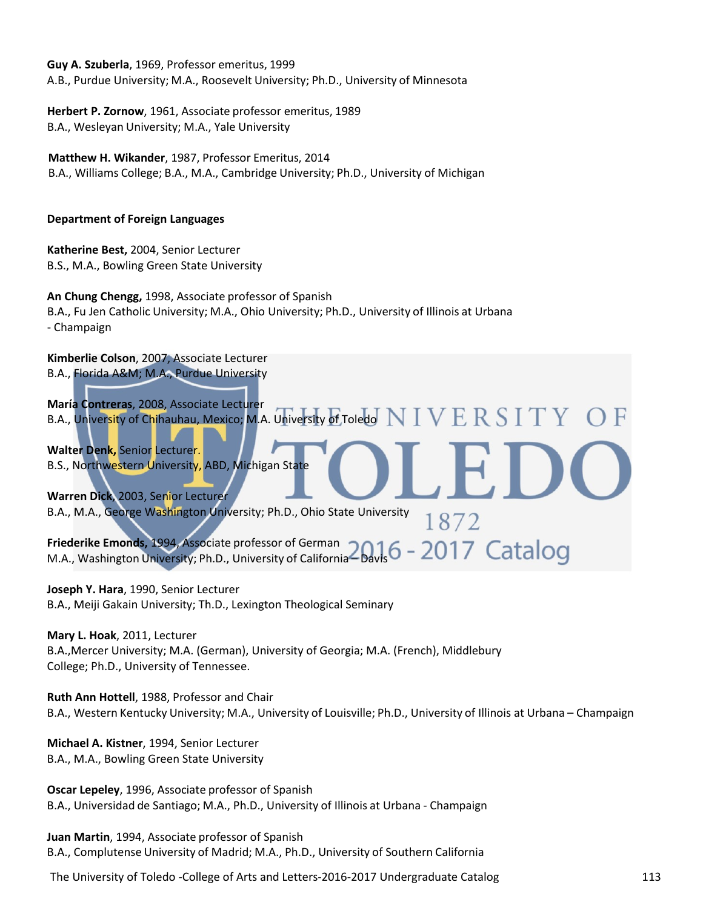**Guy A. Szuberla**, 1969, Professor emeritus, 1999 A.B., Purdue University; M.A., Roosevelt University; Ph.D., University of Minnesota

**Herbert P. Zornow**, 1961, Associate professor emeritus, 1989 B.A., Wesleyan University; M.A., Yale University

**Matthew H. Wikander**, 1987, Professor Emeritus, 2014 B.A., Williams College; B.A., M.A., Cambridge University; Ph.D., University of Michigan

## **Department of Foreign Languages**

**Katherine Best,** 2004, Senior Lecturer B.S., M.A., Bowling Green State University

**An Chung Chengg,** 1998, Associate professor of Spanish B.A., Fu Jen Catholic University; M.A., Ohio University; Ph.D., University of Illinois at Urbana - Champaign

**Kimberlie Colson**, 2007, Associate Lecturer B.A., Florida A&M; M.A., Purdue University

**María Contreras**, 2008, Associate Lecturer B.A., University of Chihauhau, Mexico; M.A. University of Toledo  $NIVERSIT$ 

**Walter Denk,** Senior Lecturer. B.S., Northwestern University, ABD, Michigan State

**Warren Dick**, 2003, Senior Lecturer B.A., M.A., George Washington University; Ph.D., Ohio State University 1872

**Friederike Emonds,** 1994, Associate professor of German M.A., Washington University; Ph.D., University of California – Davis

**Joseph Y. Hara**, 1990, Senior Lecturer B.A., Meiji Gakain University; Th.D., Lexington Theological Seminary

**Mary L. Hoak**, 2011, Lecturer B.A.,Mercer University; M.A. (German), University of Georgia; M.A. (French), Middlebury College; Ph.D., University of Tennessee.

**Ruth Ann Hottell**, 1988, Professor and Chair B.A., Western Kentucky University; M.A., University of Louisville; Ph.D., University of Illinois at Urbana – Champaign

**Michael A. Kistner**, 1994, Senior Lecturer B.A., M.A., Bowling Green State University

**Oscar Lepeley**, 1996, Associate professor of Spanish B.A., Universidad de Santiago; M.A., Ph.D., University of Illinois at Urbana - Champaign

**Juan Martin**, 1994, Associate professor of Spanish B.A., Complutense University of Madrid; M.A., Ph.D., University of Southern California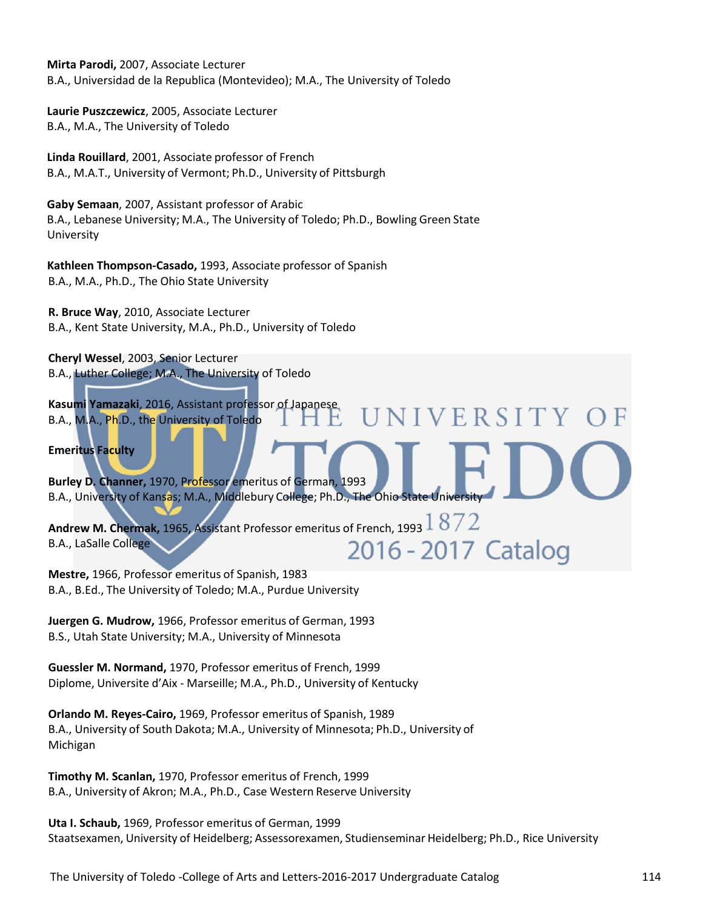**Mirta Parodi,** 2007, Associate Lecturer B.A., Universidad de la Republica (Montevideo); M.A., The University of Toledo

**Laurie Puszczewicz**, 2005, Associate Lecturer B.A., M.A., The University of Toledo

**Linda Rouillard**, 2001, Associate professor of French B.A., M.A.T., University of Vermont; Ph.D., University of Pittsburgh

**Gaby Semaan**, 2007, Assistant professor of Arabic B.A., Lebanese University; M.A., The University of Toledo; Ph.D., Bowling Green State University

**Kathleen Thompson-Casado,** 1993, Associate professor of Spanish B.A., M.A., Ph.D., The Ohio State University

**R. Bruce Way**, 2010, Associate Lecturer B.A., Kent State University, M.A., Ph.D., University of Toledo

**Cheryl Wessel**, 2003, Senior Lecturer B.A., Luther College; M.A., The University of Toledo

**Kasumi Yamazaki**, 2016, Assistant professor of Japanese **NIVERSITY** B.A., M.A., Ph.D., the University of Toledo

**Emeritus Faculty**

**Burley D. Channer,** 1970, Professor emeritus of German, 1993 B.A., University of Kansas; M.A., Middlebury College; Ph.D., The Ohio State University

**Andrew M. Chermak,** 1965, Assistant Professor emeritus of French, 1993 B.A., LaSalle College 2016 - 2017 Catalog

**Mestre,** 1966, Professor emeritus of Spanish, 1983 B.A., B.Ed., The University of Toledo; M.A., Purdue University

**Juergen G. Mudrow,** 1966, Professor emeritus of German, 1993 B.S., Utah State University; M.A., University of Minnesota

**Guessler M. Normand,** 1970, Professor emeritus of French, 1999 Diplome, Universite d'Aix - Marseille; M.A., Ph.D., University of Kentucky

**Orlando M. Reyes-Cairo,** 1969, Professor emeritus of Spanish, 1989 B.A., University of South Dakota; M.A., University of Minnesota; Ph.D., University of Michigan

**Timothy M. Scanlan,** 1970, Professor emeritus of French, 1999 B.A., University of Akron; M.A., Ph.D., Case Western Reserve University

**Uta I. Schaub,** 1969, Professor emeritus of German, 1999 Staatsexamen, University of Heidelberg; Assessorexamen, Studienseminar Heidelberg; Ph.D., Rice University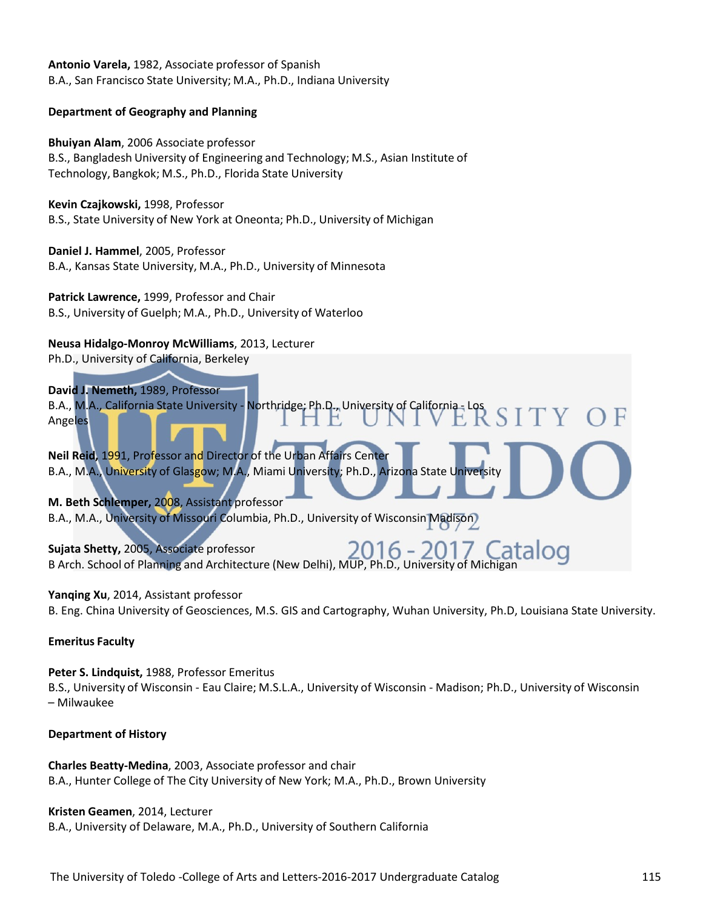**Antonio Varela,** 1982, Associate professor of Spanish B.A., San Francisco State University; M.A., Ph.D., Indiana University

### **Department of Geography and Planning**

**Bhuiyan Alam**, 2006 Associate professor

B.S., Bangladesh University of Engineering and Technology; M.S., Asian Institute of Technology, Bangkok; M.S., Ph.D., Florida State University

**Kevin Czajkowski,** 1998, Professor

B.S., State University of New York at Oneonta; Ph.D., University of Michigan

**Daniel J. Hammel**, 2005, Professor B.A., Kansas State University, M.A., Ph.D., University of Minnesota

**Patrick Lawrence,** 1999, Professor and Chair B.S., University of Guelph; M.A., Ph.D., University of Waterloo

**Neusa Hidalgo-Monroy McWilliams**, 2013, Lecturer

Ph.D., University of California, Berkeley

# **David J. Nemeth,** 1989, Professor

B.A., M.A., California State University - Northridge; Ph.D., University of California - Los Angeles **Neil Reid,** 1991, Professor and Director of the Urban Affairs Center B.A., M.A., University of Glasgow; M.A., Miami University; Ph.D., Arizona State University

**M. Beth Schlemper,** 2008, Assistant professor B.A., M.A., University of Missouri Columbia, Ph.D., University of Wisconsin Madison

 $6 -$ **Sujata Shetty,** 2005, Associate professor B Arch. School of Planning and Architecture (New Delhi), MUP, Ph.D., University of Michigan

# **Yanqing Xu**, 2014, Assistant professor

B. Eng. China University of Geosciences, M.S. GIS and Cartography, Wuhan University, Ph.D, Louisiana State University.

# **Emeritus Faculty**

**Peter S. Lindquist,** 1988, Professor Emeritus B.S., University of Wisconsin - Eau Claire; M.S.L.A., University of Wisconsin - Madison; Ph.D., University of Wisconsin – Milwaukee

# **Department of History**

**Charles Beatty-Medina**, 2003, Associate professor and chair B.A., Hunter College of The City University of New York; M.A., Ph.D., Brown University

# **Kristen Geamen**, 2014, Lecturer

B.A., University of Delaware, M.A., Ph.D., University of Southern California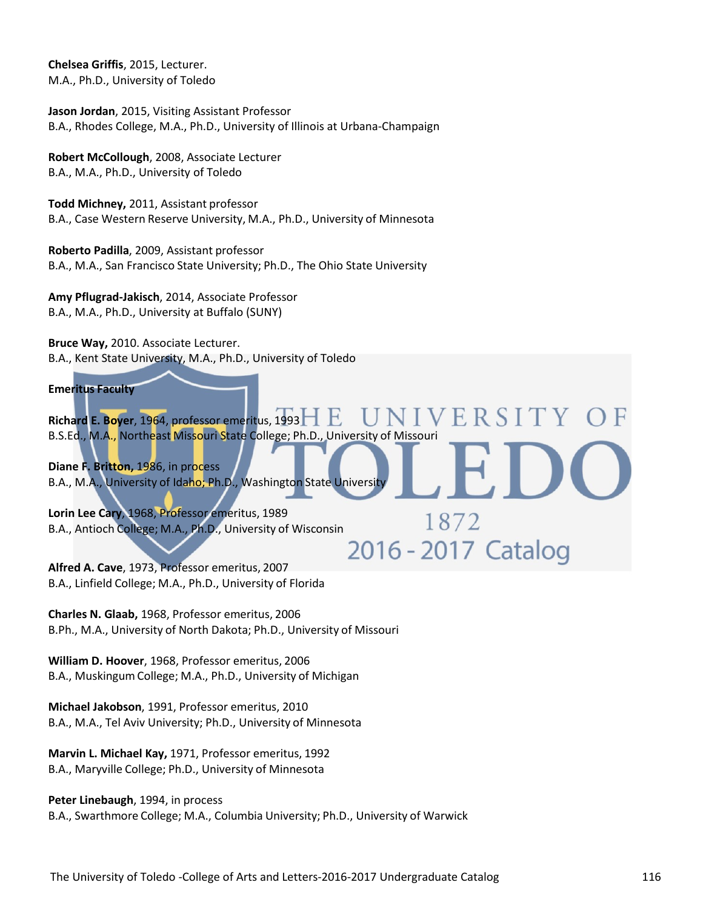**Chelsea Griffis**, 2015, Lecturer. M.A., Ph.D., University of Toledo

**Jason Jordan**, 2015, Visiting Assistant Professor B.A., Rhodes College, M.A., Ph.D., University of Illinois at Urbana-Champaign

**Robert McCollough**, 2008, Associate Lecturer B.A., M.A., Ph.D., University of Toledo

**Todd Michney,** 2011, Assistant professor B.A., Case Western Reserve University, M.A., Ph.D., University of Minnesota

**Roberto Padilla**, 2009, Assistant professor B.A., M.A., San Francisco State University; Ph.D., The Ohio State University

**Amy Pflugrad-Jakisch**, 2014, Associate Professor B.A., M.A., Ph.D., University at Buffalo (SUNY)

**Bruce Way,** 2010. Associate Lecturer. B.A., Kent State University, M.A., Ph.D., University of Toledo

#### **Emeritus Faculty**

ERSI **Richard E. Boyer**, 1964, professor emeritus, 1993 B.S.Ed., M.A., Northeast Missouri State College; Ph.D., University of Missouri

1872

**Diane F. Britton,** 1986, in process B.A., M.A., University of Idaho; Ph.D., Washington State University

**Lorin Lee Cary**, 1968, Professor emeritus, 1989 B.A., Antioch College; M.A., Ph.D., University of Wisconsin 2016 - 2017 Catalog

**Alfred A. Cave**, 1973, Professor emeritus, 2007 B.A., Linfield College; M.A., Ph.D., University of Florida

**Charles N. Glaab,** 1968, Professor emeritus, 2006 B.Ph., M.A., University of North Dakota; Ph.D., University of Missouri

**William D. Hoover**, 1968, Professor emeritus, 2006 B.A., MuskingumCollege; M.A., Ph.D., University of Michigan

**Michael Jakobson**, 1991, Professor emeritus, 2010 B.A., M.A., Tel Aviv University; Ph.D., University of Minnesota

**Marvin L. Michael Kay,** 1971, Professor emeritus, 1992 B.A., Maryville College; Ph.D., University of Minnesota

**Peter Linebaugh**, 1994, in process B.A., Swarthmore College; M.A., Columbia University; Ph.D., University of Warwick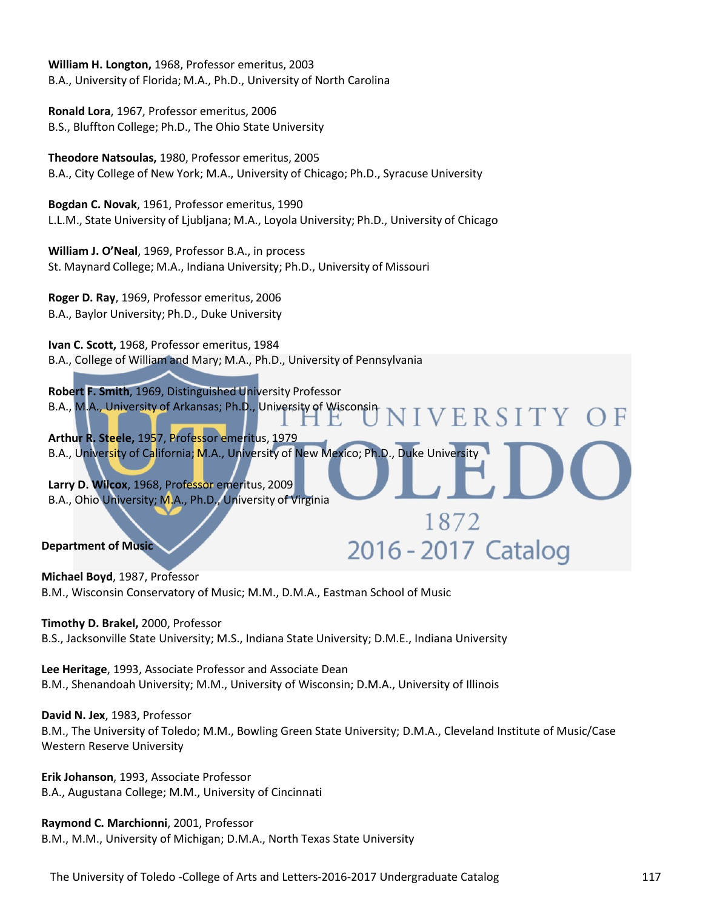**William H. Longton,** 1968, Professor emeritus, 2003 B.A., University of Florida; M.A., Ph.D., University of North Carolina

**Ronald Lora**, 1967, Professor emeritus, 2006 B.S., Bluffton College; Ph.D., The Ohio State University

**Theodore Natsoulas,** 1980, Professor emeritus, 2005 B.A., City College of New York; M.A., University of Chicago; Ph.D., Syracuse University

**Bogdan C. Novak**, 1961, Professor emeritus, 1990 L.L.M., State University of Ljubljana; M.A., Loyola University; Ph.D., University of Chicago

**William J. O'Neal**, 1969, Professor B.A., in process St. Maynard College; M.A., Indiana University; Ph.D., University of Missouri

**Roger D. Ray**, 1969, Professor emeritus, 2006 B.A., Baylor University; Ph.D., Duke University

**Ivan C. Scott,** 1968, Professor emeritus, 1984 B.A., College of William and Mary; M.A., Ph.D., University of Pennsylvania

**Robert F. Smith**, 1969, Distinguished University Professor B.A., M.A., University of Arkansas; Ph.D., University of Wisconsin **JIVERSITY** 

**Arthur R. Steele,** 1957, Professor emeritus, 1979 B.A., University of California; M.A., University of New Mexico; Ph.D., Duke University

1872

2016 - 2017 Catalog

**Larry D. Wilcox**, 1968, Professor emeritus, 2009 B.A., Ohio University; M.A., Ph.D., University of Virginia

**Department of Music** 

**Michael Boyd**, 1987, Professor B.M., Wisconsin Conservatory of Music; M.M., D.M.A., Eastman School of Music

**Timothy D. Brakel,** 2000, Professor

B.S., Jacksonville State University; M.S., Indiana State University; D.M.E., Indiana University

**Lee Heritage**, 1993, Associate Professor and Associate Dean B.M., Shenandoah University; M.M., University of Wisconsin; D.M.A., University of Illinois

**David N. Jex**, 1983, Professor

B.M., The University of Toledo; M.M., Bowling Green State University; D.M.A., Cleveland Institute of Music/Case Western Reserve University

**Erik Johanson**, 1993, Associate Professor B.A., Augustana College; M.M., University of Cincinnati

**Raymond C. Marchionni**, 2001, Professor B.M., M.M., University of Michigan; D.M.A., North Texas State University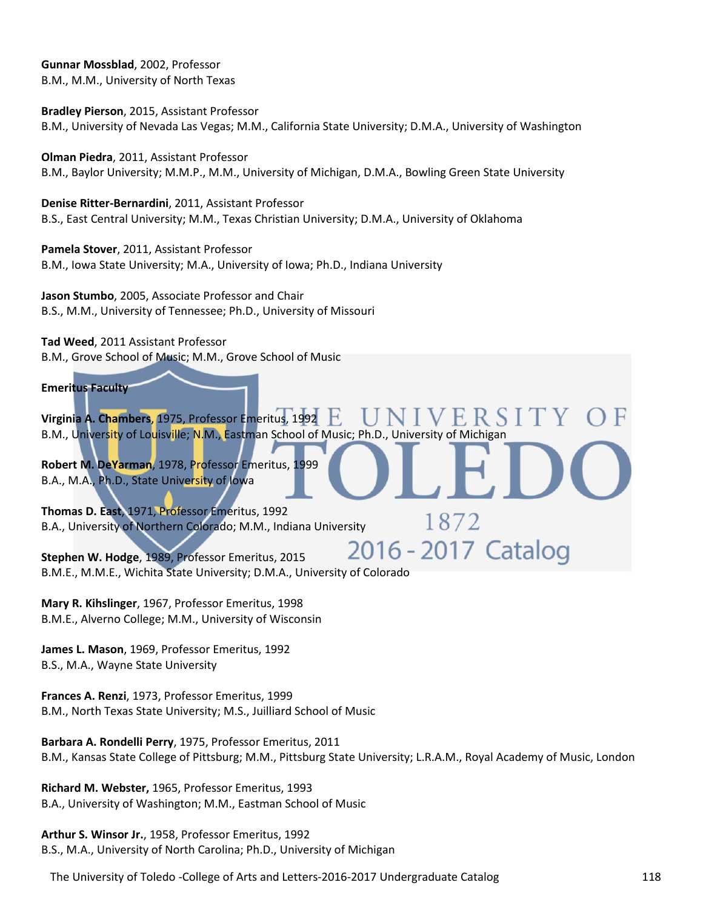**Gunnar Mossblad**, 2002, Professor B.M., M.M., University of North Texas

**Bradley Pierson**, 2015, Assistant Professor B.M., University of Nevada Las Vegas; M.M., California State University; D.M.A., University of Washington

**Olman Piedra**, 2011, Assistant Professor B.M., Baylor University; M.M.P., M.M., University of Michigan, D.M.A., Bowling Green State University

**Denise Ritter-Bernardini**, 2011, Assistant Professor B.S., East Central University; M.M., Texas Christian University; D.M.A., University of Oklahoma

**Pamela Stover**, 2011, Assistant Professor B.M., Iowa State University; M.A., University of Iowa; Ph.D., Indiana University

**Jason Stumbo**, 2005, Associate Professor and Chair B.S., M.M., University of Tennessee; Ph.D., University of Missouri

**Tad Weed**, 2011 Assistant Professor

B.M., Grove School of Music; M.M., Grove School of Music

**Emeritus Faculty** 

**Virginia A. Chambers**, 1975, Professor Emeritus, 1992 B.M., University of Louisville; N.M., Eastman School of Music; Ph.D., University of Michigan

1872

**Robert M. DeYarman**, 1978, Professor Emeritus, 1999 B.A., M.A., Ph.D., State University of Iowa

**Thomas D. East**, 1971, Professor Emeritus, 1992 B.A., University of Northern Colorado; M.M., Indiana University

2016 - 2017 Catalog **Stephen W. Hodge**, 1989, Professor Emeritus, 2015 B.M.E., M.M.E., Wichita State University; D.M.A., University of Colorado

**Mary R. Kihslinger**, 1967, Professor Emeritus, 1998 B.M.E., Alverno College; M.M., University of Wisconsin

**James L. Mason**, 1969, Professor Emeritus, 1992 B.S., M.A., Wayne State University

**Frances A. Renzi**, 1973, Professor Emeritus, 1999 B.M., North Texas State University; M.S., Juilliard School of Music

**Barbara A. Rondelli Perry**, 1975, Professor Emeritus, 2011 B.M., Kansas State College of Pittsburg; M.M., Pittsburg State University; L.R.A.M., Royal Academy of Music, London

**Richard M. Webster,** 1965, Professor Emeritus, 1993 B.A., University of Washington; M.M., Eastman School of Music

**Arthur S. Winsor Jr.**, 1958, Professor Emeritus, 1992 B.S., M.A., University of North Carolina; Ph.D., University of Michigan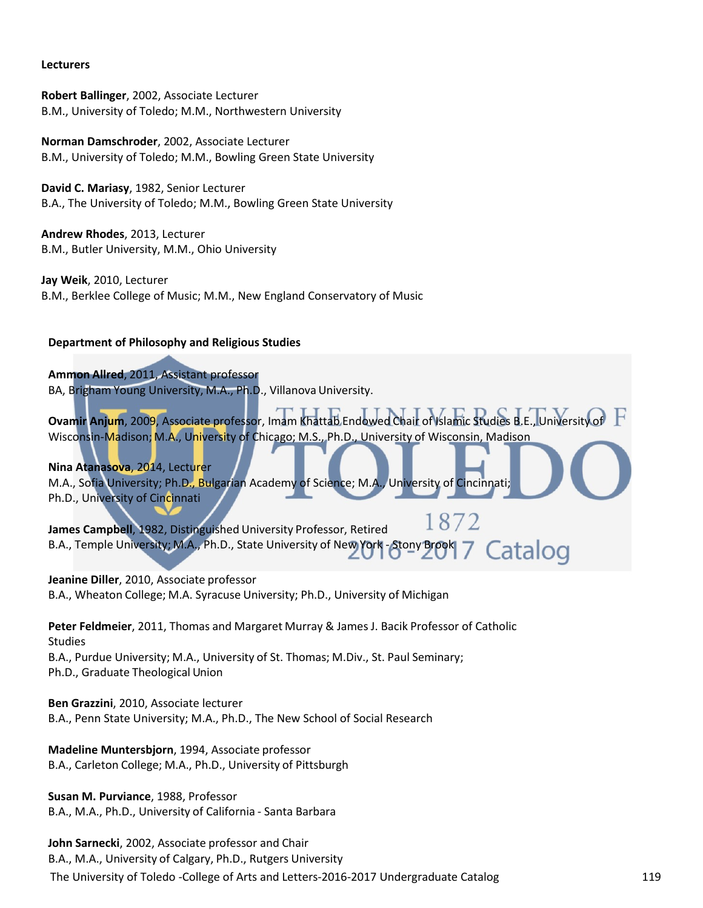#### **Lecturers**

**Robert Ballinger**, 2002, Associate Lecturer B.M., University of Toledo; M.M., Northwestern University

**Norman Damschroder**, 2002, Associate Lecturer B.M., University of Toledo; M.M., Bowling Green State University

**David C. Mariasy**, 1982, Senior Lecturer B.A., The University of Toledo; M.M., Bowling Green State University

**Andrew Rhodes**, 2013, Lecturer B.M., Butler University, M.M., Ohio University

**Jay Weik**, 2010, Lecturer B.M., Berklee College of Music; M.M., New England Conservatory of Music

### **Department of Philosophy and Religious Studies**

**Ammon Allred**, 2011, Assistant professor BA, Brigham Young University, M.A., Ph.D., Villanova University.

**Ovamir Anjum**, 2009, Associate professor, Imam Khattab Endowed Chair of Islamic Studies B.E., University of Wisconsin-Madison; M.A., University of Chicago; M.S., Ph.D., University of Wisconsin, Madison

**Nina Atanasova**, 2014, Lecturer M.A., Sofia University; Ph.D., Bulgarian Academy of Science; M.A., University of Cincinnati; Ph.D., University of Cincinnati

1872 **James Campbell**, 1982, Distinguished University Professor, Retired B.A., Temple University; M.A., Ph.D., State University of New York - Stony Brook 7 Catalog

**Jeanine Diller**, 2010, Associate professor B.A., Wheaton College; M.A. Syracuse University; Ph.D., University of Michigan

**Peter Feldmeier**, 2011, Thomas and Margaret Murray & James J. Bacik Professor of Catholic Studies B.A., Purdue University; M.A., University of St. Thomas; M.Div., St. Paul Seminary; Ph.D., Graduate Theological Union

**Ben Grazzini**, 2010, Associate lecturer B.A., Penn State University; M.A., Ph.D., The New School of Social Research

**Madeline Muntersbjorn**, 1994, Associate professor B.A., Carleton College; M.A., Ph.D., University of Pittsburgh

**Susan M. Purviance**, 1988, Professor B.A., M.A., Ph.D., University of California - Santa Barbara

The University of Toledo -College of Arts and Letters-2016-2017 Undergraduate Catalog 119 **John Sarnecki**, 2002, Associate professor and Chair B.A., M.A., University of Calgary, Ph.D., Rutgers University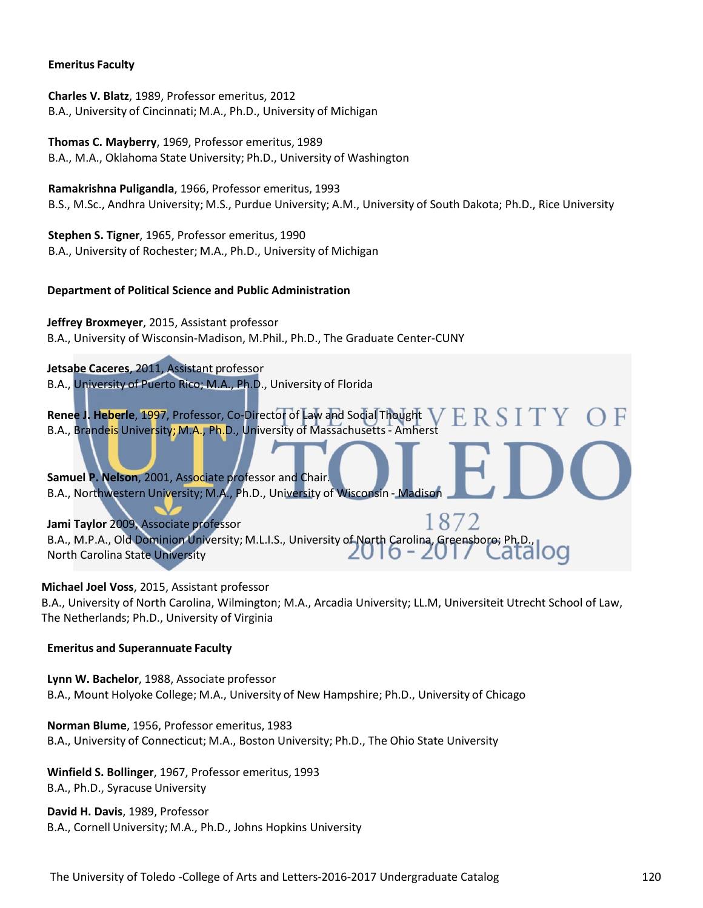#### **Emeritus Faculty**

**Charles V. Blatz**, 1989, Professor emeritus, 2012 B.A., University of Cincinnati; M.A., Ph.D., University of Michigan

**Thomas C. Mayberry**, 1969, Professor emeritus, 1989 B.A., M.A., Oklahoma State University; Ph.D., University of Washington

**Ramakrishna Puligandla**, 1966, Professor emeritus, 1993 B.S., M.Sc., Andhra University; M.S., Purdue University; A.M., University of South Dakota; Ph.D., Rice University

**Stephen S. Tigner**, 1965, Professor emeritus, 1990 B.A., University of Rochester; M.A., Ph.D., University of Michigan

### **Department of Political Science and Public Administration**

**Jeffrey Broxmeyer**, 2015, Assistant professor B.A., University of Wisconsin-Madison, M.Phil., Ph.D., The Graduate Center-CUNY

**Jetsabe Caceres**, 2011, Assistant professor B.A., University of Puerto Rico; M.A., Ph.D., University of Florida

**Renee J. Heberle**, 1997, Professor, Co-Director of Law and Social Thought B.A., Brandeis University; M.A., Ph.D., University of Massachusetts- Amherst

**Samuel P. Nelson**, 2001, Associate professor and Chair. B.A., Northwestern University; M.A., Ph.D., University of Wisconsin - Madison

1872 **Jami Taylor** 2009, Associate professor B.A., M.P.A., Old Dominion University; M.L.I.S., University of North Carolina, Greensboro; Ph.D., J I O North Carolina State University

**Michael Joel Voss**, 2015, Assistant professor

B.A., University of North Carolina, Wilmington; M.A., Arcadia University; LL.M, Universiteit Utrecht School of Law, The Netherlands; Ph.D., University of Virginia

### **Emeritus and Superannuate Faculty**

**Lynn W. Bachelor**, 1988, Associate professor B.A., Mount Holyoke College; M.A., University of New Hampshire; Ph.D., University of Chicago

**Norman Blume**, 1956, Professor emeritus, 1983 B.A., University of Connecticut; M.A., Boston University; Ph.D., The Ohio State University

**Winfield S. Bollinger**, 1967, Professor emeritus, 1993 B.A., Ph.D., Syracuse University

**David H. Davis**, 1989, Professor B.A., Cornell University; M.A., Ph.D., Johns Hopkins University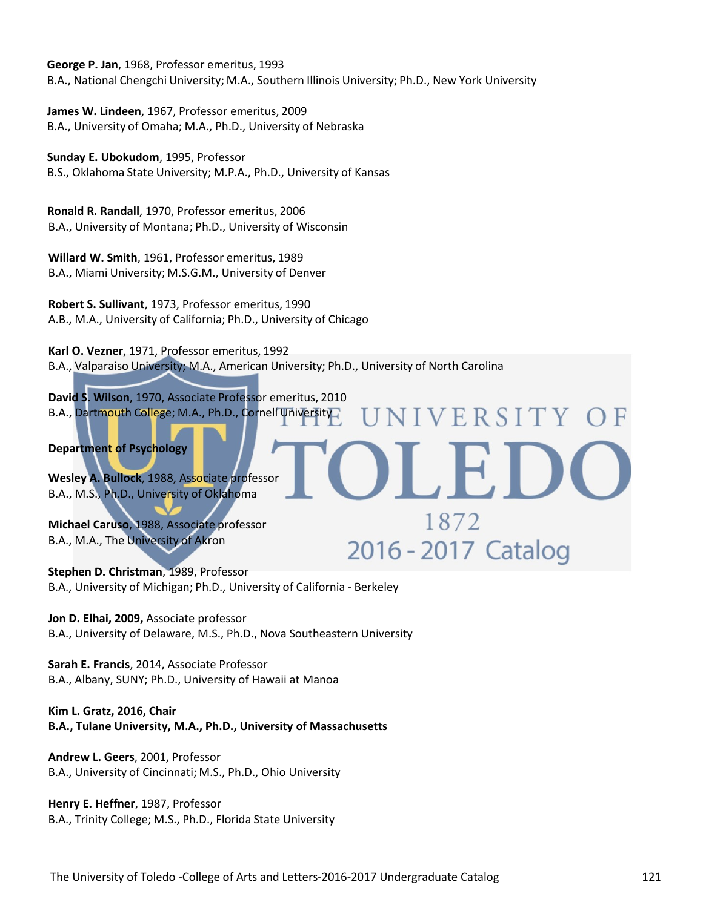**George P. Jan**, 1968, Professor emeritus, 1993 B.A., National Chengchi University; M.A., Southern Illinois University; Ph.D., New York University

**James W. Lindeen**, 1967, Professor emeritus, 2009 B.A., University of Omaha; M.A., Ph.D., University of Nebraska

**Sunday E. Ubokudom**, 1995, Professor

B.S., Oklahoma State University; M.P.A., Ph.D., University of Kansas

 **Ronald R. Randall**, 1970, Professor emeritus, 2006 B.A., University of Montana; Ph.D., University of Wisconsin

**Willard W. Smith**, 1961, Professor emeritus, 1989 B.A., Miami University; M.S.G.M., University of Denver

**Robert S. Sullivant**, 1973, Professor emeritus, 1990 A.B., M.A., University of California; Ph.D., University of Chicago

**Karl O. Vezner**, 1971, Professor emeritus, 1992 B.A., Valparaiso University; M.A., American University; Ph.D., University of North Carolina

**NIVERSITY** 

1872

2016 - 2017 Catalog

**David S. Wilson**, 1970, Associate Professor emeritus, 2010 B.A., Dartmouth College; M.A., Ph.D., Cornell University

**Department of Psychology**

**Wesley A. Bullock**, 1988, Associate professor B.A., M.S., Ph.D., University of Oklahoma

**Michael Caruso**, 1988, Associate professor B.A., M.A., The University of Akron

**Stephen D. Christman**, 1989, Professor B.A., University of Michigan; Ph.D., University of California - Berkeley

**Jon D. Elhai, 2009,** Associate professor B.A., University of Delaware, M.S., Ph.D., Nova Southeastern University

**Sarah E. Francis**, 2014, Associate Professor B.A., Albany, SUNY; Ph.D., University of Hawaii at Manoa

**Kim L. Gratz, 2016, Chair B.A., Tulane University, M.A., Ph.D., University of Massachusetts**

**Andrew L. Geers**, 2001, Professor B.A., University of Cincinnati; M.S., Ph.D., Ohio University

**Henry E. Heffner**, 1987, Professor B.A., Trinity College; M.S., Ph.D., Florida State University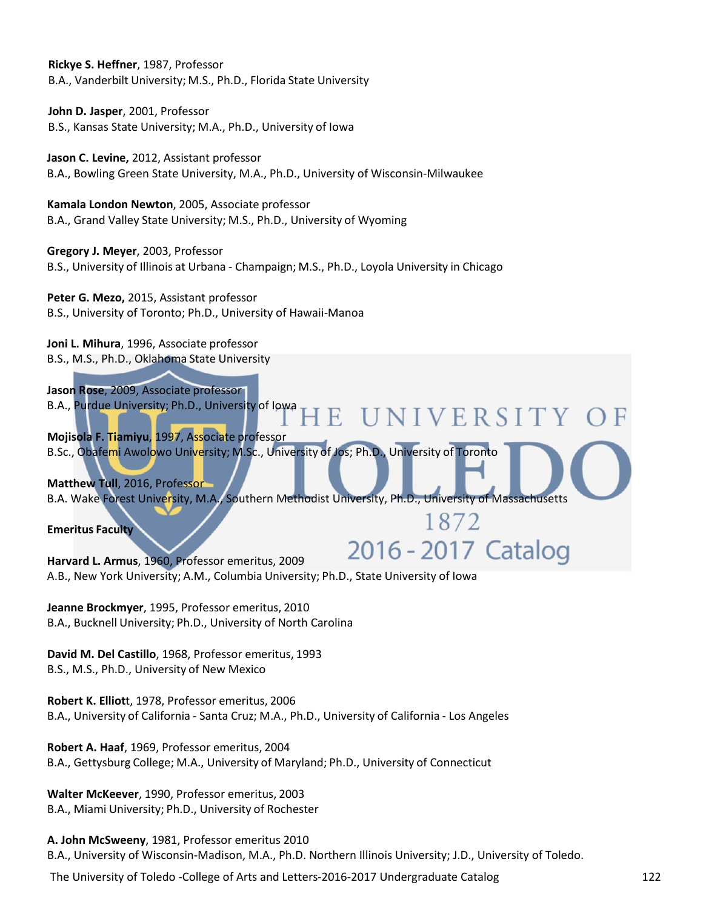**Rickye S. Heffner**, 1987, Professor B.A., Vanderbilt University; M.S., Ph.D., Florida State University

**John D. Jasper**, 2001, Professor B.S., Kansas State University; M.A., Ph.D., University of Iowa

**Jason C. Levine,** 2012, Assistant professor B.A., Bowling Green State University, M.A., Ph.D., University of Wisconsin-Milwaukee

**Kamala London Newton**, 2005, Associate professor B.A., Grand Valley State University; M.S., Ph.D., University of Wyoming

**Gregory J. Meyer**, 2003, Professor B.S., University of Illinois at Urbana - Champaign; M.S., Ph.D., Loyola University in Chicago

**Peter G. Mezo,** 2015, Assistant professor B.S., University of Toronto; Ph.D., University of Hawaii-Manoa

**Joni L. Mihura**, 1996, Associate professor B.S., M.S., Ph.D., Oklahoma State University

**Jason Rose**, 2009, Associate professor B.A., Purdue University; Ph.D., University of Iowa

**Mojisola F. Tiamiyu**, 1997, Associate professor B.Sc., Obafemi Awolowo University; M.Sc., University of Jos; Ph.D., University of Toronto

E.

UNIVERSITY

1872

**Matthew Tull**, 2016, Professor B.A. Wake Forest University, M.A., Southern Methodist University, Ph.D., University of Massachusetts

**Emeritus Faculty**

2016 - 2017 Catalog **Harvard L. Armus**, 1960, Professor emeritus, 2009 A.B., New York University; A.M., Columbia University; Ph.D., State University of Iowa

**Jeanne Brockmyer**, 1995, Professor emeritus, 2010 B.A., Bucknell University; Ph.D., University of North Carolina

**David M. Del Castillo**, 1968, Professor emeritus, 1993 B.S., M.S., Ph.D., University of New Mexico

**Robert K. Elliot**t, 1978, Professor emeritus, 2006 B.A., University of California - Santa Cruz; M.A., Ph.D., University of California - Los Angeles

**Robert A. Haaf**, 1969, Professor emeritus, 2004 B.A., Gettysburg College; M.A., University of Maryland; Ph.D., University of Connecticut

**Walter McKeever**, 1990, Professor emeritus, 2003 B.A., Miami University; Ph.D., University of Rochester

**A. John McSweeny**, 1981, Professor emeritus 2010

B.A., University of Wisconsin-Madison, M.A., Ph.D. Northern Illinois University; J.D., University of Toledo.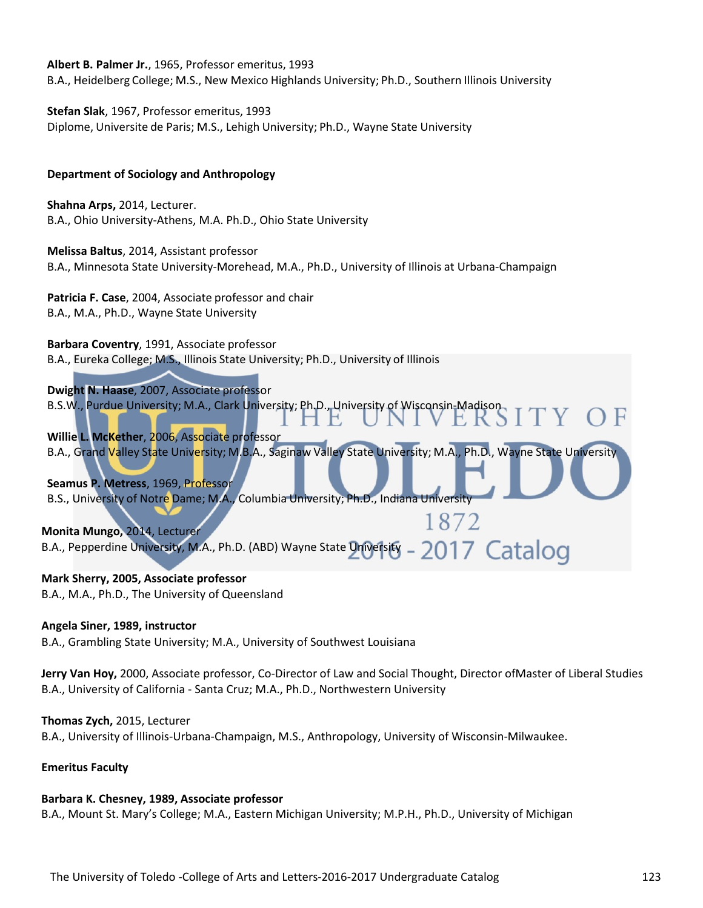**Albert B. Palmer Jr.**, 1965, Professor emeritus, 1993 B.A., Heidelberg College; M.S., New Mexico Highlands University; Ph.D., Southern Illinois University

**Stefan Slak**, 1967, Professor emeritus, 1993 Diplome, Universite de Paris; M.S., Lehigh University; Ph.D., Wayne State University

### **Department of Sociology and Anthropology**

**Shahna Arps,** 2014, Lecturer. B.A., Ohio University-Athens, M.A. Ph.D., Ohio State University

**Melissa Baltus**, 2014, Assistant professor B.A., Minnesota State University-Morehead, M.A., Ph.D., University of Illinois at Urbana-Champaign

**Patricia F. Case**, 2004, Associate professor and chair B.A., M.A., Ph.D., Wayne State University

**Barbara Coventry**, 1991, Associate professor B.A., Eureka College; M.S., Illinois State University; Ph.D., University of Illinois

**Dwight N. Haase**, 2007, Associate professor B.S.W., Purdue University; M.A., Clark University; Ph.D., University of Wisconsin-Madison E

**Willie L. McKether**, 2006, Associate professor B.A., Grand Valley State University; M.B.A., Saginaw Valley State University; M.A., Ph.D., Wayne State University

**Seamus P. Metress**, 1969, Professor B.S., University of Notre Dame; M.A., Columbia University; Ph.D., Indiana University

1872 **Monita Mungo,** 2014, Lecturer 2017 Catalog B.A., Pepperdine University, M.A., Ph.D. (ABD) Wayne State University \_

 $\Box$ 

# **Mark Sherry, 2005, Associate professor**

B.A., M.A., Ph.D., The University of Queensland

### **Angela Siner, 1989, instructor**

B.A., Grambling State University; M.A., University of Southwest Louisiana

**Jerry Van Hoy,** 2000, Associate professor, Co-Director of Law and Social Thought, Director ofMaster of Liberal Studies B.A., University of California - Santa Cruz; M.A., Ph.D., Northwestern University

### **Thomas Zych,** 2015, Lecturer

B.A., University of Illinois-Urbana-Champaign, M.S., Anthropology, University of Wisconsin-Milwaukee.

### **Emeritus Faculty**

# **Barbara K. Chesney, 1989, Associate professor**

B.A., Mount St. Mary's College; M.A., Eastern Michigan University; M.P.H., Ph.D., University of Michigan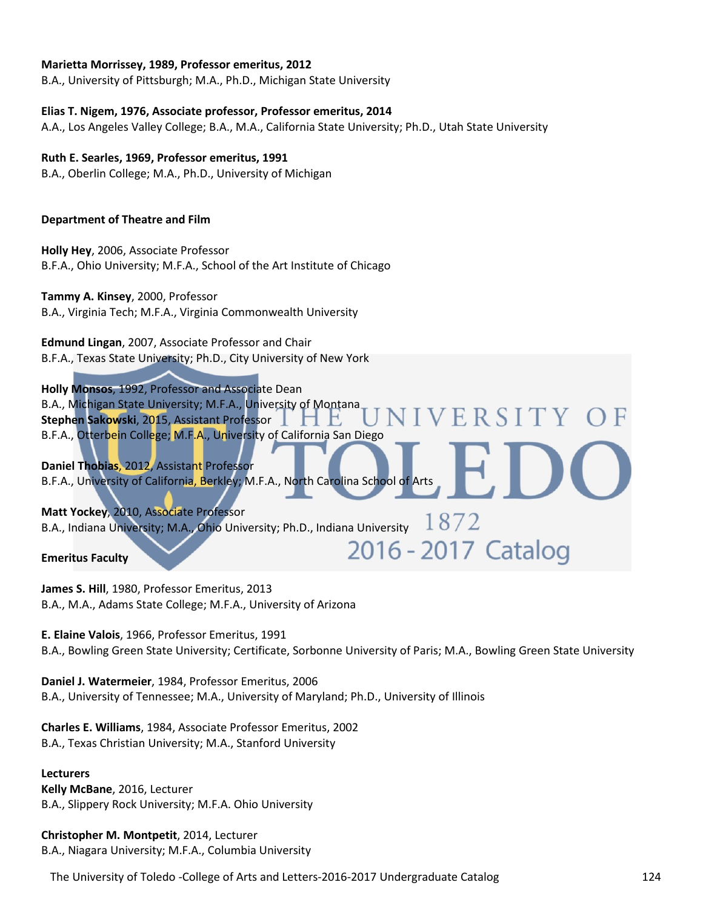#### **Marietta Morrissey, 1989, Professor emeritus, 2012**

B.A., University of Pittsburgh; M.A., Ph.D., Michigan State University

#### **Elias T. Nigem, 1976, Associate professor, Professor emeritus, 2014**

A.A., Los Angeles Valley College; B.A., M.A., California State University; Ph.D., Utah State University

### **Ruth E. Searles, 1969, Professor emeritus, 1991**

B.A., Oberlin College; M.A., Ph.D., University of Michigan

#### **Department of Theatre and Film**

**Holly Hey**, 2006, Associate Professor B.F.A., Ohio University; M.F.A., School of the Art Institute of Chicago

### **Tammy A. Kinsey**, 2000, Professor

B.A., Virginia Tech; M.F.A., Virginia Commonwealth University

**Edmund Lingan**, 2007, Associate Professor and Chair B.F.A., Texas State University; Ph.D., City University of New York

**Holly Monsos**, 1992, Professor and Associate Dean B.A., Michigan State University; M.F.A., University of Montana VERSITY **Stephen Sakowski**, 2015, Assistant Professor B.F.A., Otterbein College; M.F.A., University of California San Diego

**Daniel Thobias**, 2012, Assistant Professor B.F.A., University of California, Berkley; M.F.A., North Carolina School of Arts

**Matt Yockey**, 2010, Associate Professor B.A., Indiana University; M.A., Ohio University; Ph.D., Indiana University  $1872$ 

**Emeritus Faculty** 

**James S. Hill**, 1980, Professor Emeritus, 2013 B.A., M.A., Adams State College; M.F.A., University of Arizona

**E. Elaine Valois**, 1966, Professor Emeritus, 1991 B.A., Bowling Green State University; Certificate, Sorbonne University of Paris; M.A., Bowling Green State University

2016 - 2017 Catalog

**Daniel J. Watermeier**, 1984, Professor Emeritus, 2006 B.A., University of Tennessee; M.A., University of Maryland; Ph.D., University of Illinois

**Charles E. Williams**, 1984, Associate Professor Emeritus, 2002 B.A., Texas Christian University; M.A., Stanford University

#### **Lecturers**

**Kelly McBane**, 2016, Lecturer B.A., Slippery Rock University; M.F.A. Ohio University

**Christopher M. Montpetit**, 2014, Lecturer B.A., Niagara University; M.F.A., Columbia University